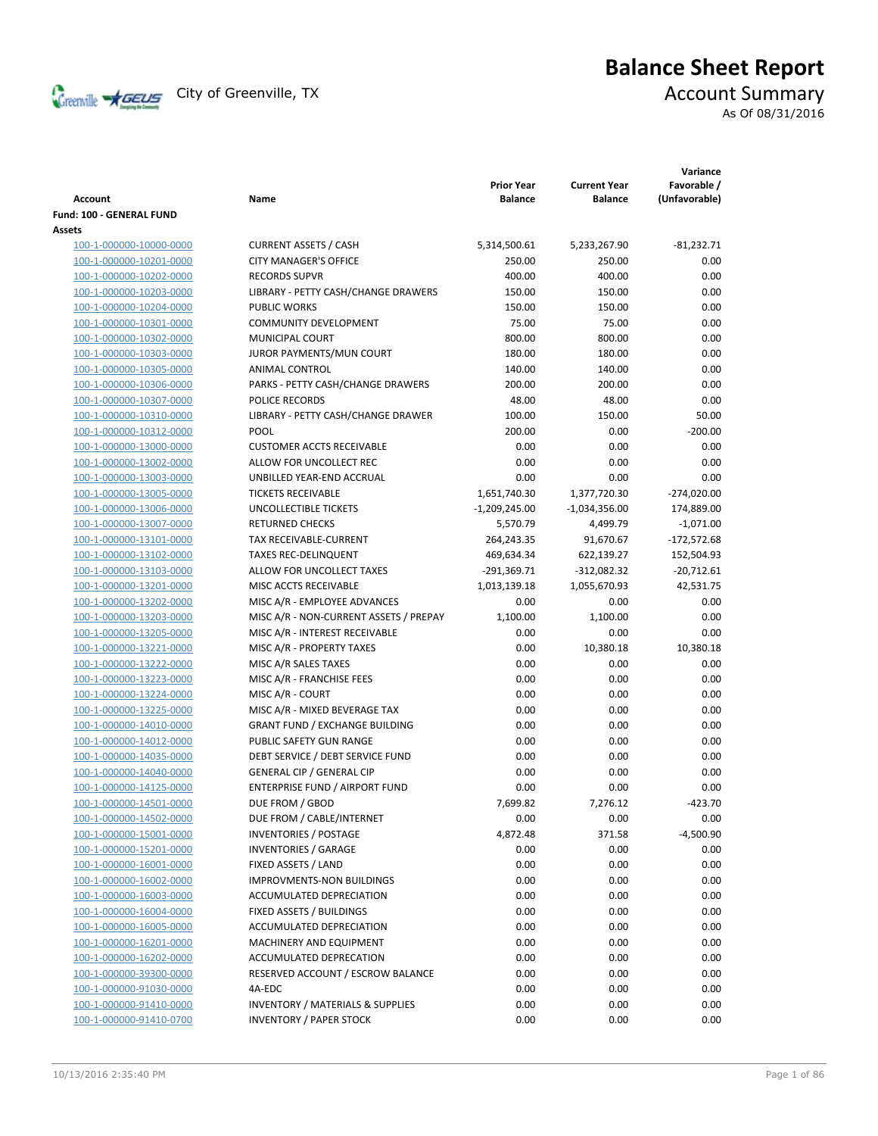

# **Balance Sheet Report**<br>Account Summary

As Of 08/31/2016

| <b>Account</b>           | Name                                        | <b>Prior Year</b><br><b>Balance</b> | <b>Current Year</b><br><b>Balance</b> | Variance<br>Favorable /<br>(Unfavorable) |
|--------------------------|---------------------------------------------|-------------------------------------|---------------------------------------|------------------------------------------|
| Fund: 100 - GENERAL FUND |                                             |                                     |                                       |                                          |
| Assets                   |                                             |                                     |                                       |                                          |
| 100-1-000000-10000-0000  | <b>CURRENT ASSETS / CASH</b>                | 5,314,500.61                        | 5,233,267.90                          | $-81,232.71$                             |
| 100-1-000000-10201-0000  | <b>CITY MANAGER'S OFFICE</b>                | 250.00                              | 250.00                                | 0.00                                     |
| 100-1-000000-10202-0000  | <b>RECORDS SUPVR</b>                        | 400.00                              | 400.00                                | 0.00                                     |
| 100-1-000000-10203-0000  | LIBRARY - PETTY CASH/CHANGE DRAWERS         | 150.00                              | 150.00                                | 0.00                                     |
| 100-1-000000-10204-0000  | <b>PUBLIC WORKS</b>                         | 150.00                              | 150.00                                | 0.00                                     |
| 100-1-000000-10301-0000  | <b>COMMUNITY DEVELOPMENT</b>                | 75.00                               | 75.00                                 | 0.00                                     |
| 100-1-000000-10302-0000  | MUNICIPAL COURT                             | 800.00                              | 800.00                                | 0.00                                     |
| 100-1-000000-10303-0000  | JUROR PAYMENTS/MUN COURT                    | 180.00                              | 180.00                                | 0.00                                     |
| 100-1-000000-10305-0000  | ANIMAL CONTROL                              | 140.00                              | 140.00                                | 0.00                                     |
| 100-1-000000-10306-0000  | PARKS - PETTY CASH/CHANGE DRAWERS           | 200.00                              | 200.00                                | 0.00                                     |
| 100-1-000000-10307-0000  | POLICE RECORDS                              | 48.00                               | 48.00                                 | 0.00                                     |
| 100-1-000000-10310-0000  | LIBRARY - PETTY CASH/CHANGE DRAWER          | 100.00                              | 150.00                                | 50.00                                    |
| 100-1-000000-10312-0000  | POOL                                        | 200.00                              | 0.00                                  | $-200.00$                                |
| 100-1-000000-13000-0000  | <b>CUSTOMER ACCTS RECEIVABLE</b>            | 0.00                                | 0.00                                  | 0.00                                     |
| 100-1-000000-13002-0000  | ALLOW FOR UNCOLLECT REC                     | 0.00                                | 0.00                                  | 0.00                                     |
| 100-1-000000-13003-0000  | UNBILLED YEAR-END ACCRUAL                   | 0.00                                | 0.00                                  | 0.00                                     |
| 100-1-000000-13005-0000  | <b>TICKETS RECEIVABLE</b>                   | 1,651,740.30                        | 1,377,720.30                          | $-274,020.00$                            |
| 100-1-000000-13006-0000  | <b>UNCOLLECTIBLE TICKETS</b>                | $-1,209,245.00$                     | -1,034,356.00                         | 174,889.00                               |
| 100-1-000000-13007-0000  | <b>RETURNED CHECKS</b>                      | 5,570.79                            | 4,499.79                              | $-1,071.00$                              |
| 100-1-000000-13101-0000  | TAX RECEIVABLE-CURRENT                      | 264,243.35                          | 91,670.67                             | $-172,572.68$                            |
| 100-1-000000-13102-0000  | <b>TAXES REC-DELINQUENT</b>                 | 469,634.34                          | 622,139.27                            | 152,504.93                               |
| 100-1-000000-13103-0000  | ALLOW FOR UNCOLLECT TAXES                   | $-291,369.71$                       | $-312,082.32$                         | $-20,712.61$                             |
| 100-1-000000-13201-0000  | MISC ACCTS RECEIVABLE                       | 1,013,139.18                        | 1,055,670.93                          | 42,531.75                                |
| 100-1-000000-13202-0000  | MISC A/R - EMPLOYEE ADVANCES                | 0.00                                | 0.00                                  | 0.00                                     |
| 100-1-000000-13203-0000  | MISC A/R - NON-CURRENT ASSETS / PREPAY      | 1,100.00                            | 1,100.00                              | 0.00                                     |
| 100-1-000000-13205-0000  | MISC A/R - INTEREST RECEIVABLE              | 0.00                                | 0.00                                  | 0.00                                     |
| 100-1-000000-13221-0000  | MISC A/R - PROPERTY TAXES                   | 0.00                                | 10,380.18                             | 10,380.18                                |
| 100-1-000000-13222-0000  | MISC A/R SALES TAXES                        | 0.00                                | 0.00                                  | 0.00                                     |
| 100-1-000000-13223-0000  | MISC A/R - FRANCHISE FEES                   | 0.00                                | 0.00                                  | 0.00                                     |
| 100-1-000000-13224-0000  | MISC A/R - COURT                            | 0.00                                | 0.00                                  | 0.00                                     |
| 100-1-000000-13225-0000  | MISC A/R - MIXED BEVERAGE TAX               | 0.00                                | 0.00                                  | 0.00                                     |
| 100-1-000000-14010-0000  | <b>GRANT FUND / EXCHANGE BUILDING</b>       | 0.00                                | 0.00                                  | 0.00                                     |
| 100-1-000000-14012-0000  | PUBLIC SAFETY GUN RANGE                     | 0.00                                | 0.00                                  | 0.00                                     |
| 100-1-000000-14035-0000  | DEBT SERVICE / DEBT SERVICE FUND            | 0.00                                | 0.00                                  | 0.00                                     |
| 100-1-000000-14040-0000  | <b>GENERAL CIP / GENERAL CIP</b>            | 0.00                                | 0.00                                  | 0.00                                     |
| 100-1-000000-14125-0000  | ENTERPRISE FUND / AIRPORT FUND              | 0.00                                | 0.00                                  | 0.00                                     |
| 100-1-000000-14501-0000  | DUE FROM / GBOD                             | 7,699.82                            | 7,276.12                              | $-423.70$                                |
| 100-1-000000-14502-0000  | DUE FROM / CABLE/INTERNET                   | 0.00                                | 0.00                                  | 0.00                                     |
| 100-1-000000-15001-0000  | <b>INVENTORIES / POSTAGE</b>                | 4,872.48                            | 371.58                                | -4,500.90                                |
| 100-1-000000-15201-0000  | <b>INVENTORIES / GARAGE</b>                 | 0.00                                | 0.00                                  | 0.00                                     |
| 100-1-000000-16001-0000  | FIXED ASSETS / LAND                         | 0.00                                | 0.00                                  | 0.00                                     |
| 100-1-000000-16002-0000  | <b>IMPROVMENTS-NON BUILDINGS</b>            | 0.00                                | 0.00                                  | 0.00                                     |
| 100-1-000000-16003-0000  | <b>ACCUMULATED DEPRECIATION</b>             | 0.00                                | 0.00                                  | 0.00                                     |
| 100-1-000000-16004-0000  | FIXED ASSETS / BUILDINGS                    | 0.00                                | 0.00                                  | 0.00                                     |
| 100-1-000000-16005-0000  | ACCUMULATED DEPRECIATION                    | 0.00                                | 0.00                                  | 0.00                                     |
| 100-1-000000-16201-0000  | MACHINERY AND EQUIPMENT                     | 0.00                                | 0.00                                  | 0.00                                     |
| 100-1-000000-16202-0000  | ACCUMULATED DEPRECATION                     | 0.00                                | 0.00                                  | 0.00                                     |
| 100-1-000000-39300-0000  | RESERVED ACCOUNT / ESCROW BALANCE           | 0.00                                | 0.00                                  | 0.00                                     |
| 100-1-000000-91030-0000  | 4A-EDC                                      | 0.00                                | 0.00                                  | 0.00                                     |
| 100-1-000000-91410-0000  | <b>INVENTORY / MATERIALS &amp; SUPPLIES</b> | 0.00                                | 0.00                                  | 0.00                                     |
| 100-1-000000-91410-0700  | <b>INVENTORY / PAPER STOCK</b>              | 0.00                                | 0.00                                  | 0.00                                     |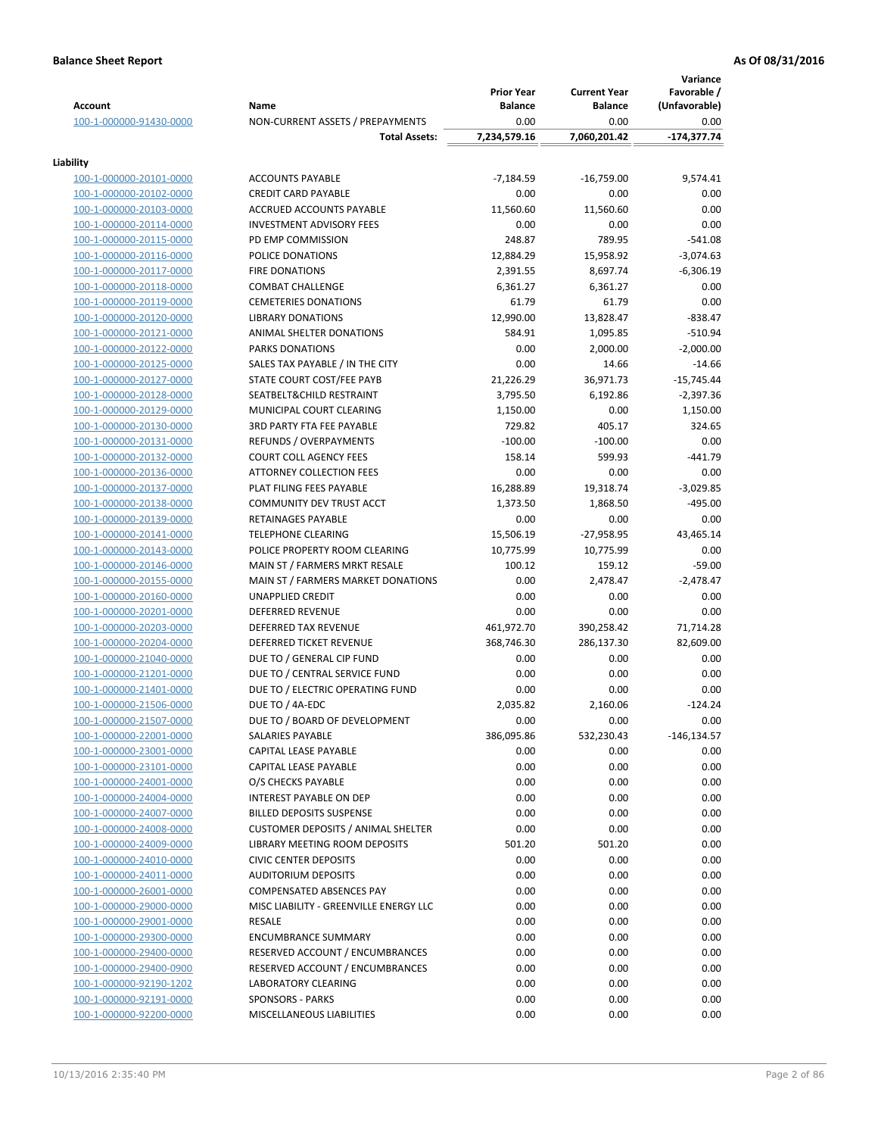| <b>Account</b>                                     | Name                                                                              | <b>Prior Year</b><br><b>Balance</b> | <b>Current Year</b><br><b>Balance</b> | Variance<br>Favorable /<br>(Unfavorable) |
|----------------------------------------------------|-----------------------------------------------------------------------------------|-------------------------------------|---------------------------------------|------------------------------------------|
| 100-1-000000-91430-0000                            | NON-CURRENT ASSETS / PREPAYMENTS                                                  | 0.00                                | 0.00                                  | 0.00                                     |
|                                                    | <b>Total Assets:</b>                                                              | 7,234,579.16                        | 7,060,201.42                          | -174,377.74                              |
| Liability                                          |                                                                                   |                                     |                                       |                                          |
| 100-1-000000-20101-0000                            | <b>ACCOUNTS PAYABLE</b>                                                           | $-7,184.59$                         | $-16,759.00$                          | 9,574.41                                 |
| 100-1-000000-20102-0000                            | <b>CREDIT CARD PAYABLE</b>                                                        | 0.00                                | 0.00                                  | 0.00                                     |
| 100-1-000000-20103-0000                            | ACCRUED ACCOUNTS PAYABLE                                                          | 11,560.60                           | 11,560.60                             | 0.00                                     |
| 100-1-000000-20114-0000                            | <b>INVESTMENT ADVISORY FEES</b>                                                   | 0.00                                | 0.00                                  | 0.00                                     |
| 100-1-000000-20115-0000                            | PD EMP COMMISSION                                                                 | 248.87                              | 789.95                                | $-541.08$                                |
| 100-1-000000-20116-0000                            | POLICE DONATIONS                                                                  | 12,884.29                           | 15,958.92                             | $-3,074.63$                              |
| 100-1-000000-20117-0000                            | <b>FIRE DONATIONS</b>                                                             | 2,391.55                            | 8,697.74                              | $-6,306.19$                              |
| 100-1-000000-20118-0000                            | <b>COMBAT CHALLENGE</b>                                                           | 6,361.27                            | 6,361.27                              | 0.00                                     |
| 100-1-000000-20119-0000                            | <b>CEMETERIES DONATIONS</b>                                                       | 61.79                               | 61.79                                 | 0.00                                     |
| 100-1-000000-20120-0000                            | <b>LIBRARY DONATIONS</b>                                                          | 12,990.00                           | 13,828.47                             | $-838.47$                                |
| 100-1-000000-20121-0000                            | ANIMAL SHELTER DONATIONS                                                          | 584.91                              | 1,095.85                              | $-510.94$                                |
| 100-1-000000-20122-0000                            | <b>PARKS DONATIONS</b>                                                            | 0.00                                | 2,000.00                              | $-2,000.00$                              |
| 100-1-000000-20125-0000                            | SALES TAX PAYABLE / IN THE CITY                                                   | 0.00                                | 14.66                                 | $-14.66$                                 |
| 100-1-000000-20127-0000                            | STATE COURT COST/FEE PAYB                                                         | 21,226.29                           | 36,971.73                             | $-15,745.44$                             |
| 100-1-000000-20128-0000                            | SEATBELT&CHILD RESTRAINT                                                          | 3,795.50                            | 6,192.86                              | $-2,397.36$                              |
| 100-1-000000-20129-0000                            | MUNICIPAL COURT CLEARING<br><b>3RD PARTY FTA FEE PAYABLE</b>                      | 1,150.00                            | 0.00                                  | 1,150.00                                 |
| 100-1-000000-20130-0000                            |                                                                                   | 729.82<br>$-100.00$                 | 405.17<br>$-100.00$                   | 324.65<br>0.00                           |
| 100-1-000000-20131-0000                            | REFUNDS / OVERPAYMENTS<br><b>COURT COLL AGENCY FEES</b>                           | 158.14                              | 599.93                                | $-441.79$                                |
| 100-1-000000-20132-0000<br>100-1-000000-20136-0000 | <b>ATTORNEY COLLECTION FEES</b>                                                   | 0.00                                | 0.00                                  | 0.00                                     |
| 100-1-000000-20137-0000                            | PLAT FILING FEES PAYABLE                                                          | 16,288.89                           | 19,318.74                             | $-3,029.85$                              |
| 100-1-000000-20138-0000                            | COMMUNITY DEV TRUST ACCT                                                          | 1,373.50                            | 1,868.50                              | $-495.00$                                |
| 100-1-000000-20139-0000                            | RETAINAGES PAYABLE                                                                | 0.00                                | 0.00                                  | 0.00                                     |
| 100-1-000000-20141-0000                            | <b>TELEPHONE CLEARING</b>                                                         | 15,506.19                           | $-27,958.95$                          | 43,465.14                                |
| 100-1-000000-20143-0000                            | POLICE PROPERTY ROOM CLEARING                                                     | 10,775.99                           | 10,775.99                             | 0.00                                     |
| 100-1-000000-20146-0000                            | MAIN ST / FARMERS MRKT RESALE                                                     | 100.12                              | 159.12                                | $-59.00$                                 |
| 100-1-000000-20155-0000                            | MAIN ST / FARMERS MARKET DONATIONS                                                | 0.00                                | 2,478.47                              | $-2,478.47$                              |
| 100-1-000000-20160-0000                            | <b>UNAPPLIED CREDIT</b>                                                           | 0.00                                | 0.00                                  | 0.00                                     |
| 100-1-000000-20201-0000                            | <b>DEFERRED REVENUE</b>                                                           | 0.00                                | 0.00                                  | 0.00                                     |
| 100-1-000000-20203-0000                            | DEFERRED TAX REVENUE                                                              | 461,972.70                          | 390,258.42                            | 71,714.28                                |
| 100-1-000000-20204-0000                            | DEFERRED TICKET REVENUE                                                           | 368,746.30                          | 286,137.30                            | 82,609.00                                |
| 100-1-000000-21040-0000                            | DUE TO / GENERAL CIP FUND                                                         | 0.00                                | 0.00                                  | 0.00                                     |
| 100-1-000000-21201-0000                            | DUE TO / CENTRAL SERVICE FUND                                                     | 0.00                                | 0.00                                  | 0.00                                     |
| 100-1-000000-21401-0000                            | DUE TO / ELECTRIC OPERATING FUND                                                  | 0.00                                | 0.00                                  | 0.00                                     |
| 100-1-000000-21506-0000                            | DUE TO / 4A-EDC                                                                   | 2,035.82                            | 2,160.06                              | $-124.24$                                |
| 100-1-000000-21507-0000                            | DUE TO / BOARD OF DEVELOPMENT                                                     | 0.00                                | 0.00                                  | 0.00                                     |
| 100-1-000000-22001-0000                            | SALARIES PAYABLE                                                                  | 386,095.86                          | 532,230.43                            | -146,134.57                              |
| 100-1-000000-23001-0000                            | CAPITAL LEASE PAYABLE                                                             | 0.00                                | 0.00                                  | 0.00                                     |
| 100-1-000000-23101-0000                            | CAPITAL LEASE PAYABLE                                                             | 0.00                                | 0.00                                  | 0.00                                     |
| 100-1-000000-24001-0000                            | O/S CHECKS PAYABLE                                                                | 0.00                                | 0.00                                  | 0.00                                     |
| 100-1-000000-24004-0000                            | INTEREST PAYABLE ON DEP                                                           | 0.00                                | 0.00                                  | 0.00                                     |
| 100-1-000000-24007-0000                            | <b>BILLED DEPOSITS SUSPENSE</b>                                                   | 0.00                                | 0.00                                  | 0.00                                     |
| 100-1-000000-24008-0000                            | <b>CUSTOMER DEPOSITS / ANIMAL SHELTER</b><br><b>LIBRARY MEETING ROOM DEPOSITS</b> | 0.00                                | 0.00                                  | 0.00                                     |
| 100-1-000000-24009-0000<br>100-1-000000-24010-0000 | <b>CIVIC CENTER DEPOSITS</b>                                                      | 501.20<br>0.00                      | 501.20<br>0.00                        | 0.00<br>0.00                             |
| 100-1-000000-24011-0000                            | <b>AUDITORIUM DEPOSITS</b>                                                        | 0.00                                | 0.00                                  | 0.00                                     |
| 100-1-000000-26001-0000                            | COMPENSATED ABSENCES PAY                                                          | 0.00                                | 0.00                                  | 0.00                                     |
| 100-1-000000-29000-0000                            | MISC LIABILITY - GREENVILLE ENERGY LLC                                            | 0.00                                | 0.00                                  | 0.00                                     |
| 100-1-000000-29001-0000                            | RESALE                                                                            | 0.00                                | 0.00                                  | 0.00                                     |
| 100-1-000000-29300-0000                            | <b>ENCUMBRANCE SUMMARY</b>                                                        | 0.00                                | 0.00                                  | 0.00                                     |
| 100-1-000000-29400-0000                            | RESERVED ACCOUNT / ENCUMBRANCES                                                   | 0.00                                | 0.00                                  | 0.00                                     |
| 100-1-000000-29400-0900                            | RESERVED ACCOUNT / ENCUMBRANCES                                                   | 0.00                                | 0.00                                  | 0.00                                     |
| 100-1-000000-92190-1202                            | <b>LABORATORY CLEARING</b>                                                        | 0.00                                | 0.00                                  | 0.00                                     |
| 100-1-000000-92191-0000                            | <b>SPONSORS - PARKS</b>                                                           | 0.00                                | 0.00                                  | 0.00                                     |
| 100-1-000000-92200-0000                            | MISCELLANEOUS LIABILITIES                                                         | 0.00                                | 0.00                                  | 0.00                                     |
|                                                    |                                                                                   |                                     |                                       |                                          |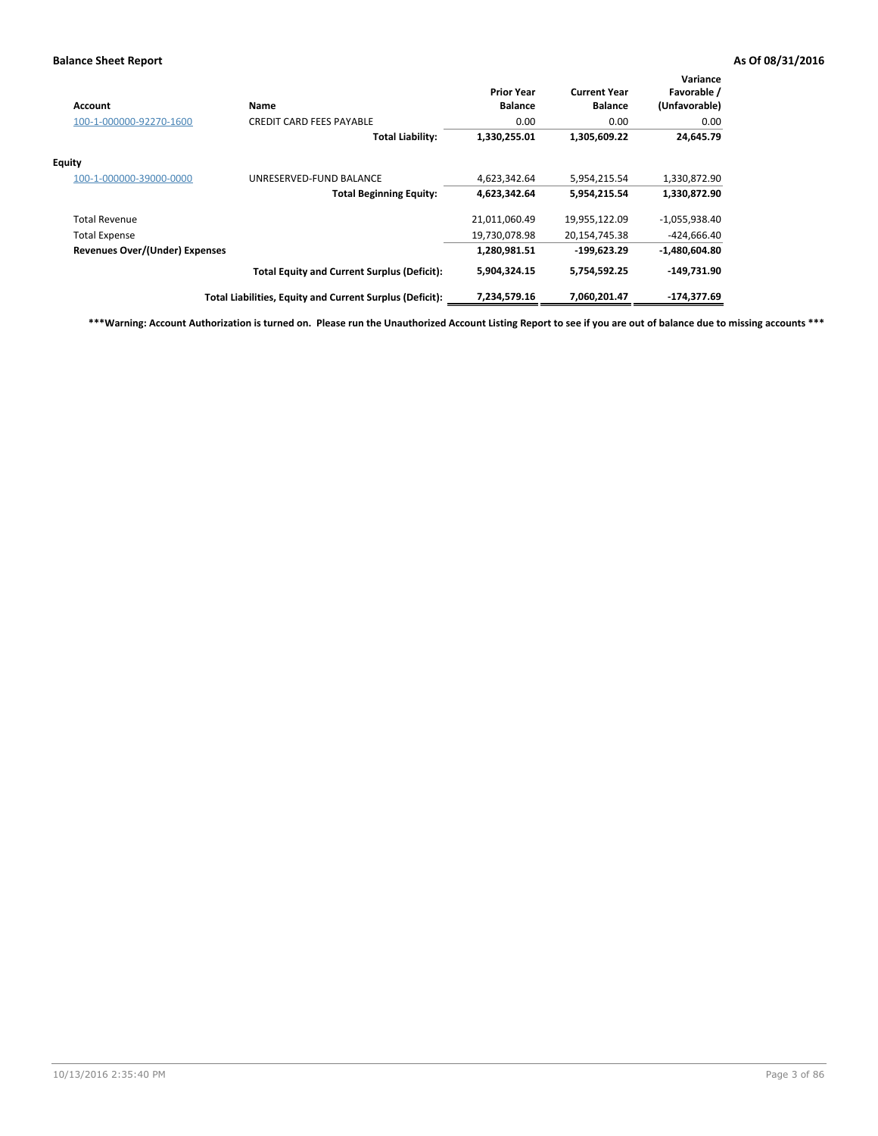| Account                               | Name                                                     | <b>Prior Year</b><br><b>Balance</b> | <b>Current Year</b><br><b>Balance</b> | Variance<br>Favorable /<br>(Unfavorable) |
|---------------------------------------|----------------------------------------------------------|-------------------------------------|---------------------------------------|------------------------------------------|
| 100-1-000000-92270-1600               | <b>CREDIT CARD FEES PAYABLE</b>                          | 0.00                                | 0.00                                  | 0.00                                     |
|                                       | <b>Total Liability:</b>                                  | 1,330,255.01                        | 1,305,609.22                          | 24,645.79                                |
| Equity                                |                                                          |                                     |                                       |                                          |
| 100-1-000000-39000-0000               | UNRESERVED-FUND BALANCE                                  | 4,623,342.64                        | 5,954,215.54                          | 1,330,872.90                             |
|                                       | <b>Total Beginning Equity:</b>                           | 4,623,342.64                        | 5,954,215.54                          | 1,330,872.90                             |
| <b>Total Revenue</b>                  |                                                          | 21,011,060.49                       | 19,955,122.09                         | $-1,055,938.40$                          |
| <b>Total Expense</b>                  |                                                          | 19,730,078.98                       | 20,154,745.38                         | $-424,666.40$                            |
| <b>Revenues Over/(Under) Expenses</b> |                                                          | 1,280,981.51                        | $-199,623.29$                         | $-1,480,604.80$                          |
|                                       | <b>Total Equity and Current Surplus (Deficit):</b>       | 5,904,324.15                        | 5,754,592.25                          | $-149,731.90$                            |
|                                       | Total Liabilities, Equity and Current Surplus (Deficit): | 7,234,579.16                        | 7,060,201.47                          | -174.377.69                              |

**\*\*\*Warning: Account Authorization is turned on. Please run the Unauthorized Account Listing Report to see if you are out of balance due to missing accounts \*\*\***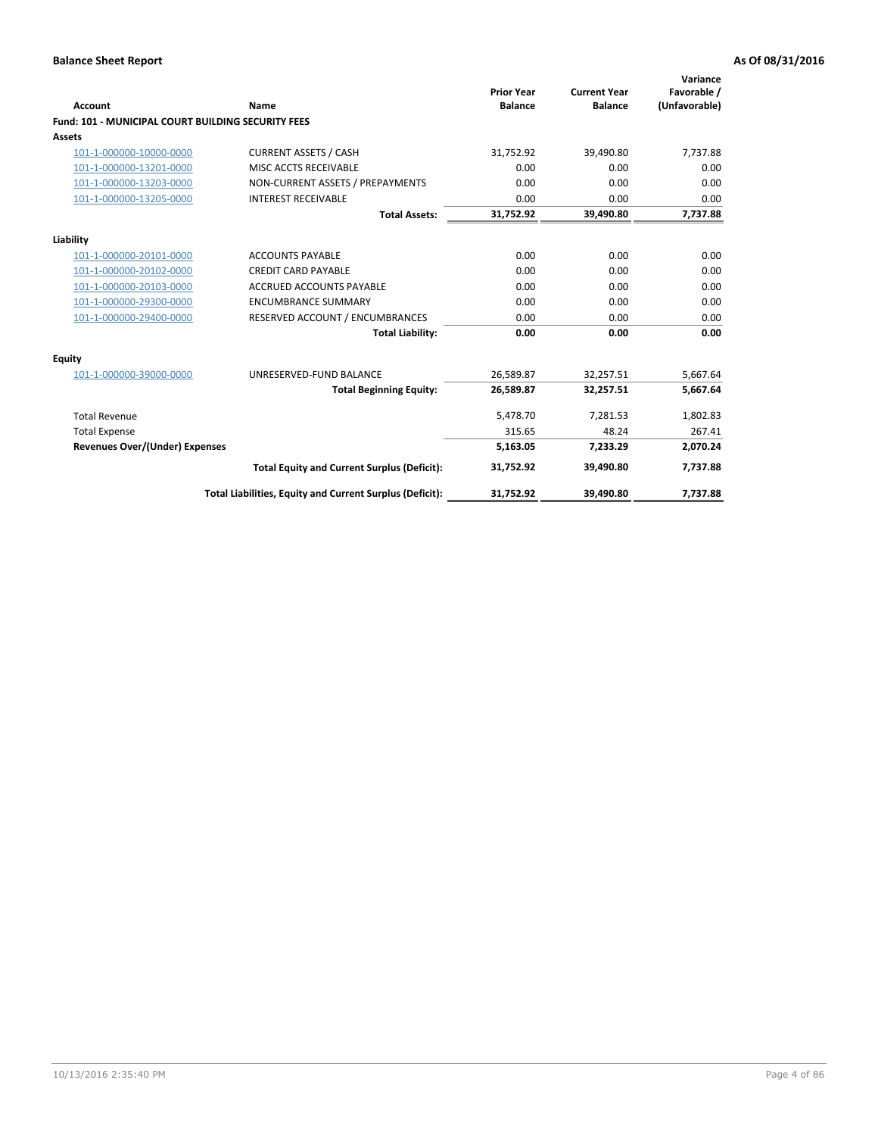| Account                                                   | Name                                                     | <b>Prior Year</b><br><b>Balance</b> | <b>Current Year</b><br><b>Balance</b> | Variance<br>Favorable /<br>(Unfavorable) |
|-----------------------------------------------------------|----------------------------------------------------------|-------------------------------------|---------------------------------------|------------------------------------------|
| <b>Fund: 101 - MUNICIPAL COURT BUILDING SECURITY FEES</b> |                                                          |                                     |                                       |                                          |
| <b>Assets</b>                                             |                                                          |                                     |                                       |                                          |
| 101-1-000000-10000-0000                                   | <b>CURRENT ASSETS / CASH</b>                             | 31,752.92                           | 39,490.80                             | 7,737.88                                 |
| 101-1-000000-13201-0000                                   | MISC ACCTS RECEIVABLE                                    | 0.00                                | 0.00                                  | 0.00                                     |
| 101-1-000000-13203-0000                                   | NON-CURRENT ASSETS / PREPAYMENTS                         | 0.00                                | 0.00                                  | 0.00                                     |
| 101-1-000000-13205-0000                                   | <b>INTEREST RECEIVABLE</b>                               | 0.00                                | 0.00                                  | 0.00                                     |
|                                                           | <b>Total Assets:</b>                                     | 31,752.92                           | 39,490.80                             | 7,737.88                                 |
| Liability                                                 |                                                          |                                     |                                       |                                          |
| 101-1-000000-20101-0000                                   | <b>ACCOUNTS PAYABLE</b>                                  | 0.00                                | 0.00                                  | 0.00                                     |
| 101-1-000000-20102-0000                                   | <b>CREDIT CARD PAYABLE</b>                               | 0.00                                | 0.00                                  | 0.00                                     |
| 101-1-000000-20103-0000                                   | <b>ACCRUED ACCOUNTS PAYABLE</b>                          | 0.00                                | 0.00                                  | 0.00                                     |
| 101-1-000000-29300-0000                                   | <b>ENCUMBRANCE SUMMARY</b>                               | 0.00                                | 0.00                                  | 0.00                                     |
| 101-1-000000-29400-0000                                   | RESERVED ACCOUNT / ENCUMBRANCES                          | 0.00                                | 0.00                                  | 0.00                                     |
|                                                           | <b>Total Liability:</b>                                  | 0.00                                | 0.00                                  | 0.00                                     |
| <b>Equity</b>                                             |                                                          |                                     |                                       |                                          |
| 101-1-000000-39000-0000                                   | UNRESERVED-FUND BALANCE                                  | 26,589.87                           | 32,257.51                             | 5,667.64                                 |
|                                                           | <b>Total Beginning Equity:</b>                           | 26,589.87                           | 32,257.51                             | 5,667.64                                 |
| <b>Total Revenue</b>                                      |                                                          | 5,478.70                            | 7,281.53                              | 1,802.83                                 |
| <b>Total Expense</b>                                      |                                                          | 315.65                              | 48.24                                 | 267.41                                   |
| <b>Revenues Over/(Under) Expenses</b>                     |                                                          | 5,163.05                            | 7,233.29                              | 2,070.24                                 |
|                                                           | <b>Total Equity and Current Surplus (Deficit):</b>       | 31,752.92                           | 39,490.80                             | 7,737.88                                 |
|                                                           | Total Liabilities, Equity and Current Surplus (Deficit): | 31,752.92                           | 39,490.80                             | 7,737.88                                 |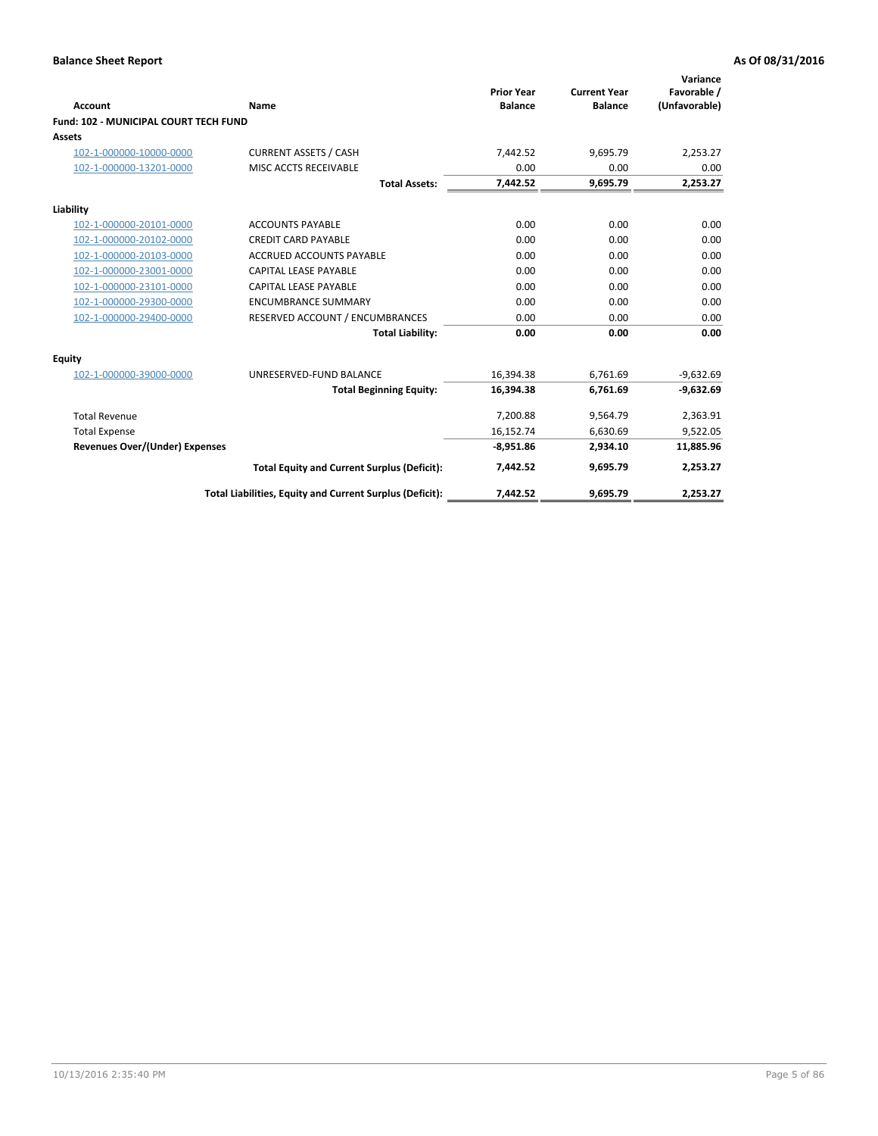| <b>Account</b>                        | Name                                                     | <b>Prior Year</b><br><b>Balance</b> | <b>Current Year</b><br><b>Balance</b> | Variance<br>Favorable /<br>(Unfavorable) |
|---------------------------------------|----------------------------------------------------------|-------------------------------------|---------------------------------------|------------------------------------------|
| Fund: 102 - MUNICIPAL COURT TECH FUND |                                                          |                                     |                                       |                                          |
| <b>Assets</b>                         |                                                          |                                     |                                       |                                          |
| 102-1-000000-10000-0000               | <b>CURRENT ASSETS / CASH</b>                             | 7.442.52                            | 9.695.79                              | 2,253.27                                 |
| 102-1-000000-13201-0000               | MISC ACCTS RECEIVABLE                                    | 0.00                                | 0.00                                  | 0.00                                     |
|                                       | <b>Total Assets:</b>                                     | 7,442.52                            | 9,695.79                              | 2,253.27                                 |
| Liability                             |                                                          |                                     |                                       |                                          |
| 102-1-000000-20101-0000               | <b>ACCOUNTS PAYABLE</b>                                  | 0.00                                | 0.00                                  | 0.00                                     |
| 102-1-000000-20102-0000               | <b>CREDIT CARD PAYABLE</b>                               | 0.00                                | 0.00                                  | 0.00                                     |
| 102-1-000000-20103-0000               | <b>ACCRUED ACCOUNTS PAYABLE</b>                          | 0.00                                | 0.00                                  | 0.00                                     |
| 102-1-000000-23001-0000               | CAPITAL LEASE PAYABLE                                    | 0.00                                | 0.00                                  | 0.00                                     |
| 102-1-000000-23101-0000               | <b>CAPITAL LEASE PAYABLE</b>                             | 0.00                                | 0.00                                  | 0.00                                     |
| 102-1-000000-29300-0000               | <b>ENCUMBRANCE SUMMARY</b>                               | 0.00                                | 0.00                                  | 0.00                                     |
| 102-1-000000-29400-0000               | RESERVED ACCOUNT / ENCUMBRANCES                          | 0.00                                | 0.00                                  | 0.00                                     |
|                                       | <b>Total Liability:</b>                                  | 0.00                                | 0.00                                  | 0.00                                     |
| <b>Equity</b>                         |                                                          |                                     |                                       |                                          |
| 102-1-000000-39000-0000               | UNRESERVED-FUND BALANCE                                  | 16,394.38                           | 6,761.69                              | $-9,632.69$                              |
|                                       | <b>Total Beginning Equity:</b>                           | 16,394.38                           | 6,761.69                              | $-9,632.69$                              |
| <b>Total Revenue</b>                  |                                                          | 7,200.88                            | 9,564.79                              | 2,363.91                                 |
| <b>Total Expense</b>                  |                                                          | 16,152.74                           | 6,630.69                              | 9,522.05                                 |
| <b>Revenues Over/(Under) Expenses</b> |                                                          | $-8,951.86$                         | 2,934.10                              | 11,885.96                                |
|                                       | <b>Total Equity and Current Surplus (Deficit):</b>       | 7,442.52                            | 9,695.79                              | 2,253.27                                 |
|                                       | Total Liabilities, Equity and Current Surplus (Deficit): | 7,442.52                            | 9,695.79                              | 2,253.27                                 |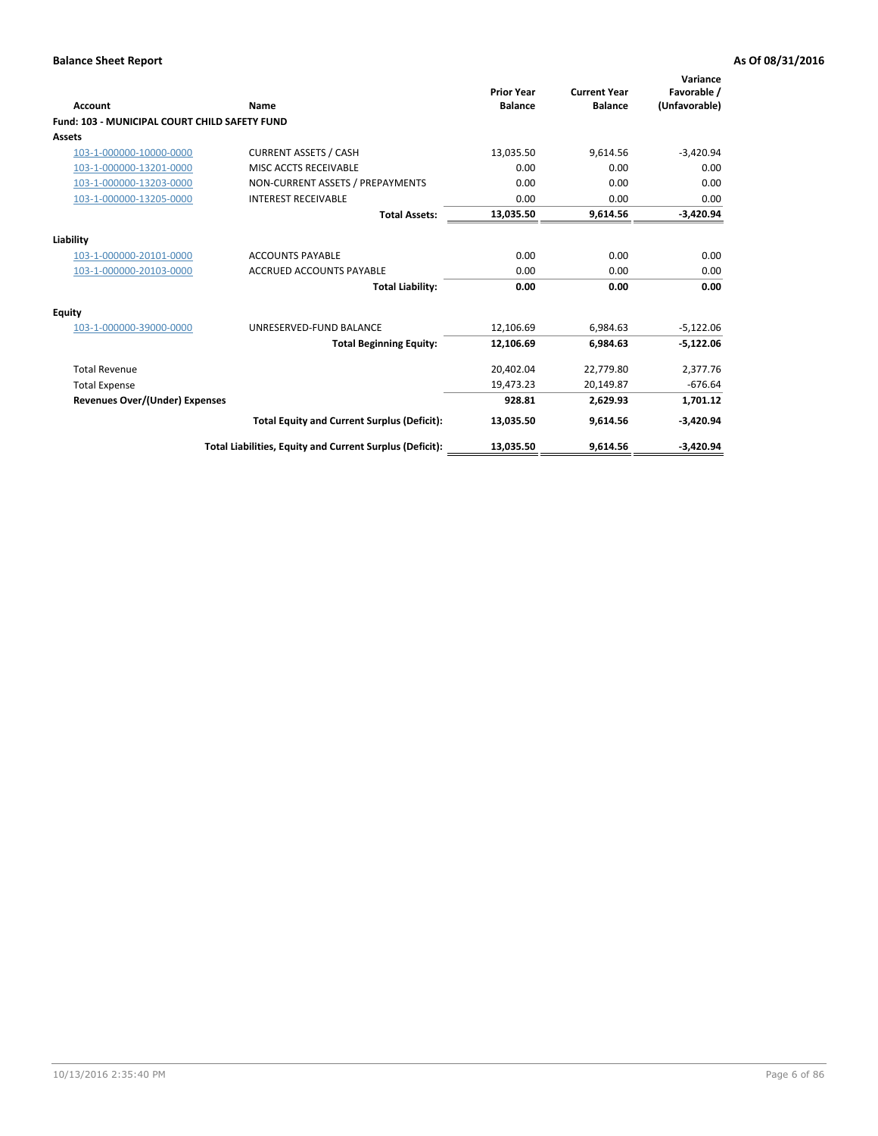| <b>Account</b>                                       | Name                                                     | <b>Prior Year</b><br><b>Balance</b> | <b>Current Year</b><br><b>Balance</b> | Variance<br>Favorable /<br>(Unfavorable) |
|------------------------------------------------------|----------------------------------------------------------|-------------------------------------|---------------------------------------|------------------------------------------|
| <b>Fund: 103 - MUNICIPAL COURT CHILD SAFETY FUND</b> |                                                          |                                     |                                       |                                          |
| <b>Assets</b>                                        |                                                          |                                     |                                       |                                          |
| 103-1-000000-10000-0000                              | <b>CURRENT ASSETS / CASH</b>                             | 13,035.50                           | 9,614.56                              | $-3,420.94$                              |
| 103-1-000000-13201-0000                              | MISC ACCTS RECEIVABLE                                    | 0.00                                | 0.00                                  | 0.00                                     |
| 103-1-000000-13203-0000                              | NON-CURRENT ASSETS / PREPAYMENTS                         | 0.00                                | 0.00                                  | 0.00                                     |
| 103-1-000000-13205-0000                              | <b>INTEREST RECEIVABLE</b>                               | 0.00                                | 0.00                                  | 0.00                                     |
|                                                      | <b>Total Assets:</b>                                     | 13,035.50                           | 9,614.56                              | $-3,420.94$                              |
| Liability                                            |                                                          |                                     |                                       |                                          |
| 103-1-000000-20101-0000                              | <b>ACCOUNTS PAYABLE</b>                                  | 0.00                                | 0.00                                  | 0.00                                     |
| 103-1-000000-20103-0000                              | <b>ACCRUED ACCOUNTS PAYABLE</b>                          | 0.00                                | 0.00                                  | 0.00                                     |
|                                                      | <b>Total Liability:</b>                                  | 0.00                                | 0.00                                  | 0.00                                     |
| Equity                                               |                                                          |                                     |                                       |                                          |
| 103-1-000000-39000-0000                              | UNRESERVED-FUND BALANCE                                  | 12,106.69                           | 6,984.63                              | $-5,122.06$                              |
|                                                      | <b>Total Beginning Equity:</b>                           | 12,106.69                           | 6,984.63                              | $-5,122.06$                              |
| <b>Total Revenue</b>                                 |                                                          | 20,402.04                           | 22,779.80                             | 2,377.76                                 |
| <b>Total Expense</b>                                 |                                                          | 19,473.23                           | 20,149.87                             | $-676.64$                                |
| Revenues Over/(Under) Expenses                       |                                                          | 928.81                              | 2,629.93                              | 1,701.12                                 |
|                                                      | <b>Total Equity and Current Surplus (Deficit):</b>       | 13,035.50                           | 9,614.56                              | $-3,420.94$                              |
|                                                      | Total Liabilities, Equity and Current Surplus (Deficit): | 13,035.50                           | 9,614.56                              | $-3,420.94$                              |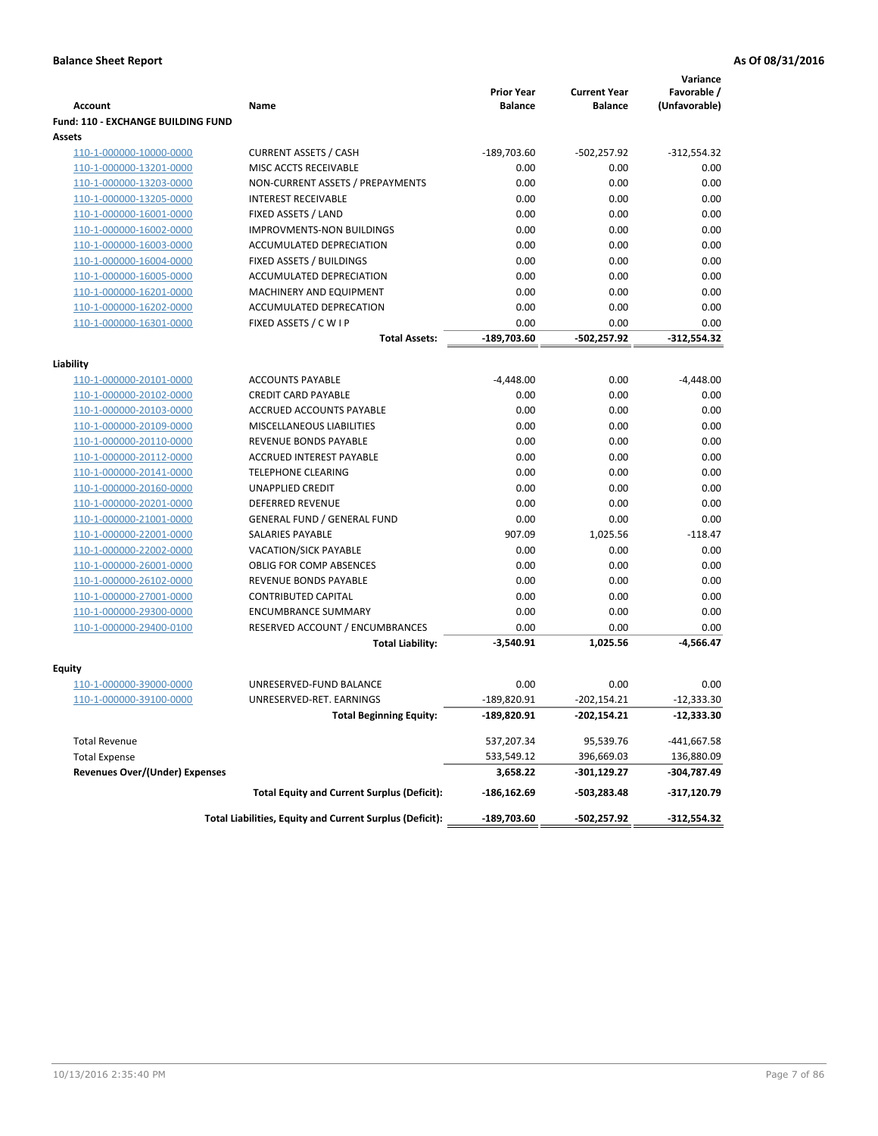|                                                    |                                                            | <b>Prior Year</b> | <b>Current Year</b> | Variance<br>Favorable / |
|----------------------------------------------------|------------------------------------------------------------|-------------------|---------------------|-------------------------|
| <b>Account</b>                                     | Name                                                       | <b>Balance</b>    | <b>Balance</b>      | (Unfavorable)           |
| Fund: 110 - EXCHANGE BUILDING FUND                 |                                                            |                   |                     |                         |
| Assets                                             |                                                            |                   |                     |                         |
| 110-1-000000-10000-0000                            | <b>CURRENT ASSETS / CASH</b>                               | $-189,703.60$     | $-502,257.92$       | $-312,554.32$           |
| 110-1-000000-13201-0000                            | MISC ACCTS RECEIVABLE                                      | 0.00              | 0.00                | 0.00                    |
| 110-1-000000-13203-0000                            | NON-CURRENT ASSETS / PREPAYMENTS                           | 0.00              | 0.00                | 0.00                    |
| 110-1-000000-13205-0000                            | <b>INTEREST RECEIVABLE</b>                                 | 0.00              | 0.00                | 0.00                    |
| 110-1-000000-16001-0000                            | FIXED ASSETS / LAND                                        | 0.00              | 0.00                | 0.00                    |
| 110-1-000000-16002-0000                            | <b>IMPROVMENTS-NON BUILDINGS</b>                           | 0.00              | 0.00                | 0.00                    |
| 110-1-000000-16003-0000                            | ACCUMULATED DEPRECIATION                                   | 0.00              | 0.00                | 0.00                    |
| 110-1-000000-16004-0000                            | FIXED ASSETS / BUILDINGS                                   | 0.00              | 0.00                | 0.00                    |
| 110-1-000000-16005-0000                            | ACCUMULATED DEPRECIATION                                   | 0.00              | 0.00                | 0.00                    |
| 110-1-000000-16201-0000                            | MACHINERY AND EQUIPMENT                                    | 0.00              | 0.00                | 0.00                    |
| 110-1-000000-16202-0000                            | ACCUMULATED DEPRECATION                                    | 0.00              | 0.00                | 0.00                    |
| 110-1-000000-16301-0000                            | FIXED ASSETS / C W I P                                     | 0.00              | 0.00                | 0.00                    |
|                                                    | <b>Total Assets:</b>                                       | -189,703.60       | $-502,257.92$       | $-312,554.32$           |
| Liability                                          |                                                            |                   |                     |                         |
| 110-1-000000-20101-0000                            | <b>ACCOUNTS PAYABLE</b>                                    | $-4,448.00$       | 0.00                | $-4,448.00$             |
| 110-1-000000-20102-0000                            | <b>CREDIT CARD PAYABLE</b>                                 | 0.00              | 0.00                | 0.00                    |
| 110-1-000000-20103-0000                            | <b>ACCRUED ACCOUNTS PAYABLE</b>                            | 0.00              | 0.00                | 0.00                    |
| 110-1-000000-20109-0000                            | MISCELLANEOUS LIABILITIES                                  | 0.00              | 0.00                | 0.00                    |
| 110-1-000000-20110-0000                            | <b>REVENUE BONDS PAYABLE</b>                               | 0.00              | 0.00                | 0.00                    |
| 110-1-000000-20112-0000                            | <b>ACCRUED INTEREST PAYABLE</b>                            | 0.00              | 0.00                | 0.00                    |
| 110-1-000000-20141-0000                            | <b>TELEPHONE CLEARING</b>                                  | 0.00              | 0.00                | 0.00                    |
| 110-1-000000-20160-0000                            | <b>UNAPPLIED CREDIT</b>                                    | 0.00              | 0.00                | 0.00                    |
| 110-1-000000-20201-0000                            | <b>DEFERRED REVENUE</b>                                    | 0.00              | 0.00                | 0.00                    |
| 110-1-000000-21001-0000                            | <b>GENERAL FUND / GENERAL FUND</b>                         | 0.00              | 0.00                | 0.00                    |
| 110-1-000000-22001-0000                            | SALARIES PAYABLE                                           | 907.09            | 1,025.56            | $-118.47$               |
| 110-1-000000-22002-0000                            | <b>VACATION/SICK PAYABLE</b>                               | 0.00              | 0.00                | 0.00                    |
| 110-1-000000-26001-0000                            | <b>OBLIG FOR COMP ABSENCES</b>                             | 0.00              | 0.00                | 0.00                    |
| 110-1-000000-26102-0000                            | REVENUE BONDS PAYABLE                                      | 0.00              | 0.00                | 0.00                    |
| 110-1-000000-27001-0000                            | <b>CONTRIBUTED CAPITAL</b>                                 | 0.00              | 0.00                | 0.00                    |
|                                                    | <b>ENCUMBRANCE SUMMARY</b>                                 |                   |                     |                         |
| 110-1-000000-29300-0000<br>110-1-000000-29400-0100 |                                                            | 0.00<br>0.00      | 0.00<br>0.00        | 0.00<br>0.00            |
|                                                    | RESERVED ACCOUNT / ENCUMBRANCES<br><b>Total Liability:</b> | $-3,540.91$       | 1,025.56            | -4,566.47               |
|                                                    |                                                            |                   |                     |                         |
| Equity                                             |                                                            |                   |                     |                         |
| 110-1-000000-39000-0000                            | UNRESERVED-FUND BALANCE                                    | 0.00              | 0.00                | 0.00                    |
| 110-1-000000-39100-0000                            | UNRESERVED-RET. EARNINGS                                   | -189,820.91       | $-202,154.21$       | $-12,333.30$            |
|                                                    | <b>Total Beginning Equity:</b>                             | -189,820.91       | $-202,154.21$       | -12,333.30              |
| <b>Total Revenue</b>                               |                                                            | 537,207.34        | 95,539.76           | $-441,667.58$           |
| <b>Total Expense</b>                               |                                                            | 533,549.12        | 396,669.03          | 136,880.09              |
| <b>Revenues Over/(Under) Expenses</b>              |                                                            | 3,658.22          | -301,129.27         | -304,787.49             |
|                                                    | <b>Total Equity and Current Surplus (Deficit):</b>         | -186,162.69       | -503,283.48         | $-317,120.79$           |
|                                                    | Total Liabilities, Equity and Current Surplus (Deficit):   | -189,703.60       | -502,257.92         | -312,554.32             |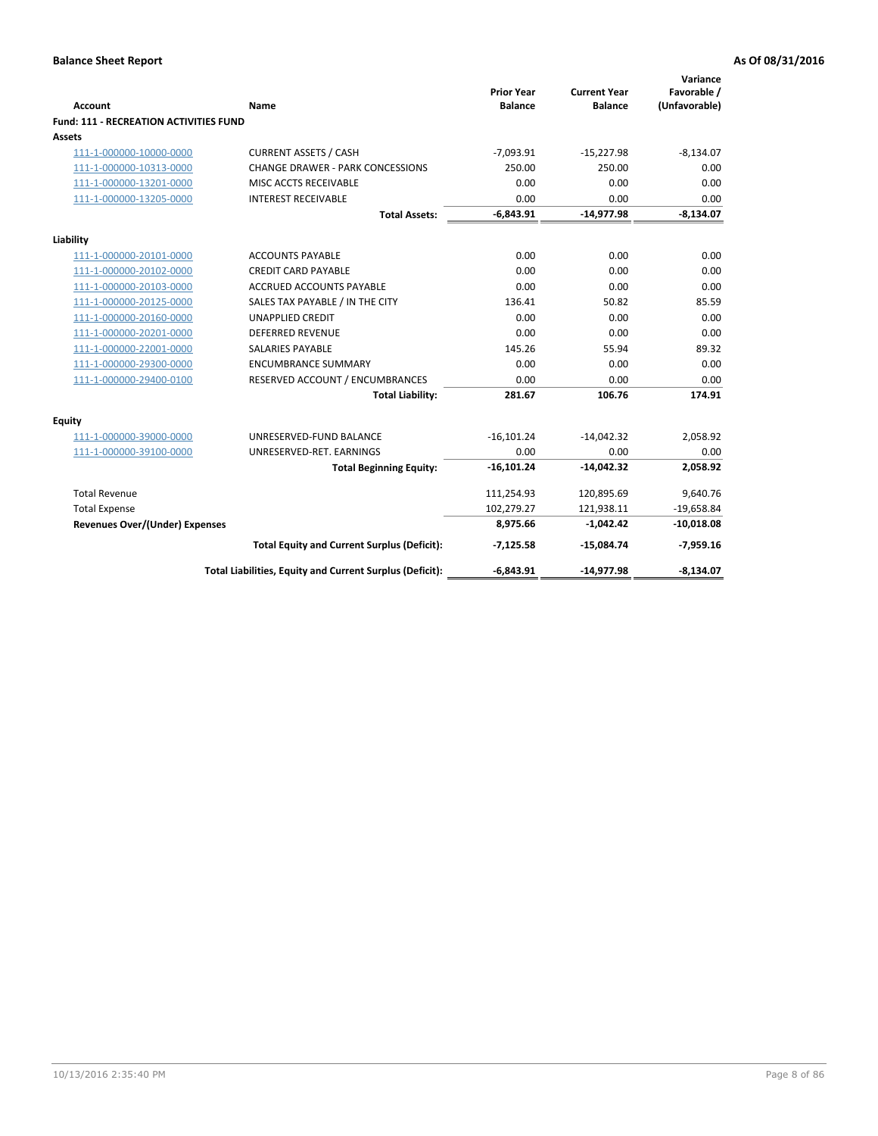| <b>Account</b>                         | Name                                                     | <b>Prior Year</b><br><b>Balance</b> | <b>Current Year</b><br><b>Balance</b> | Variance<br>Favorable /<br>(Unfavorable) |
|----------------------------------------|----------------------------------------------------------|-------------------------------------|---------------------------------------|------------------------------------------|
| Fund: 111 - RECREATION ACTIVITIES FUND |                                                          |                                     |                                       |                                          |
| <b>Assets</b>                          |                                                          |                                     |                                       |                                          |
| 111-1-000000-10000-0000                | <b>CURRENT ASSETS / CASH</b>                             | $-7,093.91$                         | $-15,227.98$                          | $-8,134.07$                              |
| 111-1-000000-10313-0000                | CHANGE DRAWER - PARK CONCESSIONS                         | 250.00                              | 250.00                                | 0.00                                     |
| 111-1-000000-13201-0000                | MISC ACCTS RECEIVABLE                                    | 0.00                                | 0.00                                  | 0.00                                     |
| 111-1-000000-13205-0000                | <b>INTEREST RECEIVABLE</b>                               | 0.00                                | 0.00                                  | 0.00                                     |
|                                        | <b>Total Assets:</b>                                     | $-6,843.91$                         | $-14,977.98$                          | $-8,134.07$                              |
| Liability                              |                                                          |                                     |                                       |                                          |
| 111-1-000000-20101-0000                | <b>ACCOUNTS PAYABLE</b>                                  | 0.00                                | 0.00                                  | 0.00                                     |
| 111-1-000000-20102-0000                | <b>CREDIT CARD PAYABLE</b>                               | 0.00                                | 0.00                                  | 0.00                                     |
| 111-1-000000-20103-0000                | <b>ACCRUED ACCOUNTS PAYABLE</b>                          | 0.00                                | 0.00                                  | 0.00                                     |
| 111-1-000000-20125-0000                | SALES TAX PAYABLE / IN THE CITY                          | 136.41                              | 50.82                                 | 85.59                                    |
| 111-1-000000-20160-0000                | <b>UNAPPLIED CREDIT</b>                                  | 0.00                                | 0.00                                  | 0.00                                     |
| 111-1-000000-20201-0000                | <b>DEFERRED REVENUE</b>                                  | 0.00                                | 0.00                                  | 0.00                                     |
| 111-1-000000-22001-0000                | <b>SALARIES PAYABLE</b>                                  | 145.26                              | 55.94                                 | 89.32                                    |
| 111-1-000000-29300-0000                | <b>ENCUMBRANCE SUMMARY</b>                               | 0.00                                | 0.00                                  | 0.00                                     |
| 111-1-000000-29400-0100                | RESERVED ACCOUNT / ENCUMBRANCES                          | 0.00                                | 0.00                                  | 0.00                                     |
|                                        | <b>Total Liability:</b>                                  | 281.67                              | 106.76                                | 174.91                                   |
| Equity                                 |                                                          |                                     |                                       |                                          |
| 111-1-000000-39000-0000                | UNRESERVED-FUND BALANCE                                  | $-16,101.24$                        | $-14,042.32$                          | 2,058.92                                 |
| 111-1-000000-39100-0000                | UNRESERVED-RET. EARNINGS                                 | 0.00                                | 0.00                                  | 0.00                                     |
|                                        | <b>Total Beginning Equity:</b>                           | $-16,101.24$                        | $-14,042.32$                          | 2,058.92                                 |
| <b>Total Revenue</b>                   |                                                          | 111,254.93                          | 120,895.69                            | 9,640.76                                 |
| <b>Total Expense</b>                   |                                                          | 102,279.27                          | 121,938.11                            | $-19,658.84$                             |
| Revenues Over/(Under) Expenses         |                                                          | 8,975.66                            | $-1,042.42$                           | $-10,018.08$                             |
|                                        | <b>Total Equity and Current Surplus (Deficit):</b>       | $-7,125.58$                         | $-15,084.74$                          | $-7,959.16$                              |
|                                        | Total Liabilities, Equity and Current Surplus (Deficit): | $-6,843.91$                         | $-14,977.98$                          | $-8,134.07$                              |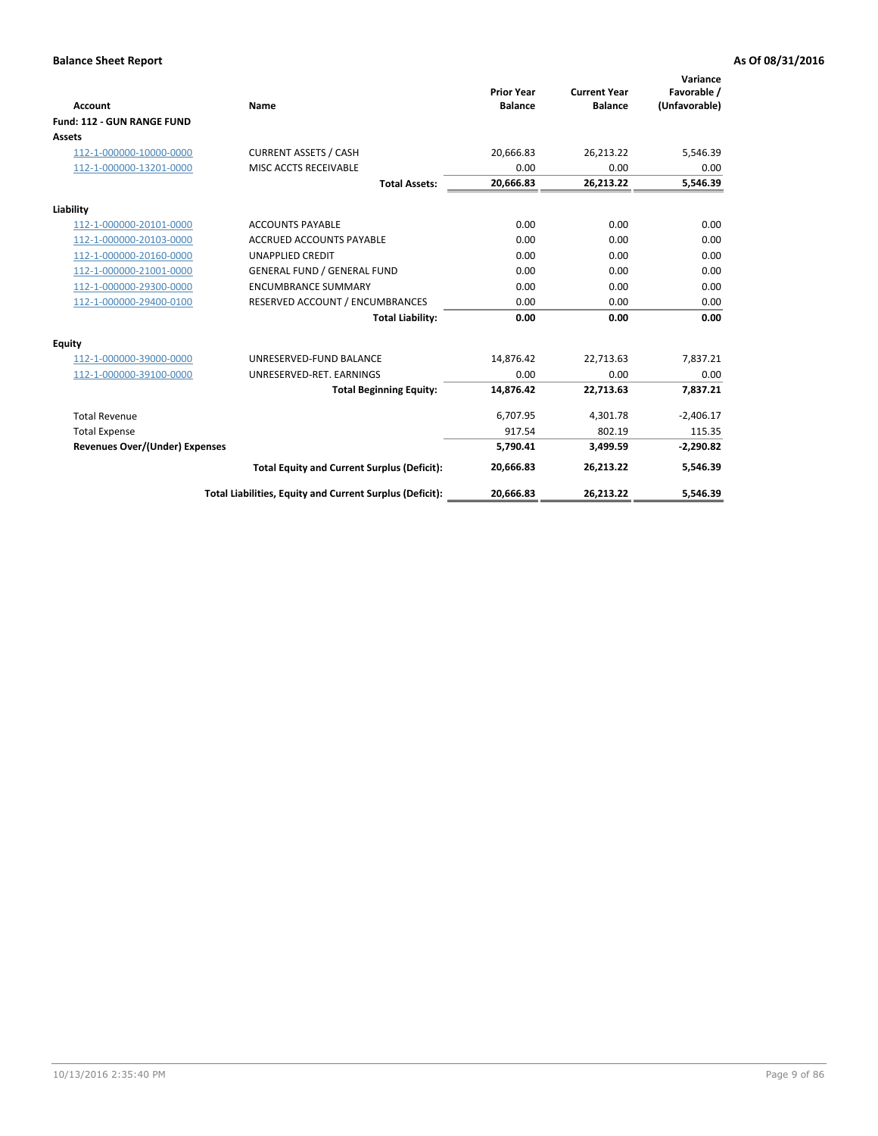|                                       |                                                          |                                     |                                       | Variance                     |
|---------------------------------------|----------------------------------------------------------|-------------------------------------|---------------------------------------|------------------------------|
| <b>Account</b>                        | Name                                                     | <b>Prior Year</b><br><b>Balance</b> | <b>Current Year</b><br><b>Balance</b> | Favorable /<br>(Unfavorable) |
| Fund: 112 - GUN RANGE FUND            |                                                          |                                     |                                       |                              |
| <b>Assets</b>                         |                                                          |                                     |                                       |                              |
| 112-1-000000-10000-0000               | <b>CURRENT ASSETS / CASH</b>                             | 20,666.83                           | 26,213.22                             | 5,546.39                     |
| 112-1-000000-13201-0000               | MISC ACCTS RECEIVABLE                                    | 0.00                                | 0.00                                  | 0.00                         |
|                                       | <b>Total Assets:</b>                                     | 20,666.83                           | 26,213.22                             | 5,546.39                     |
| Liability                             |                                                          |                                     |                                       |                              |
| 112-1-000000-20101-0000               | <b>ACCOUNTS PAYABLE</b>                                  | 0.00                                | 0.00                                  | 0.00                         |
| 112-1-000000-20103-0000               | <b>ACCRUED ACCOUNTS PAYABLE</b>                          | 0.00                                | 0.00                                  | 0.00                         |
| 112-1-000000-20160-0000               | <b>UNAPPLIED CREDIT</b>                                  | 0.00                                | 0.00                                  | 0.00                         |
| 112-1-000000-21001-0000               | <b>GENERAL FUND / GENERAL FUND</b>                       | 0.00                                | 0.00                                  | 0.00                         |
| 112-1-000000-29300-0000               | <b>ENCUMBRANCE SUMMARY</b>                               | 0.00                                | 0.00                                  | 0.00                         |
| 112-1-000000-29400-0100               | RESERVED ACCOUNT / ENCUMBRANCES                          | 0.00                                | 0.00                                  | 0.00                         |
|                                       | <b>Total Liability:</b>                                  | 0.00                                | 0.00                                  | 0.00                         |
| <b>Equity</b>                         |                                                          |                                     |                                       |                              |
| 112-1-000000-39000-0000               | UNRESERVED-FUND BALANCE                                  | 14,876.42                           | 22,713.63                             | 7,837.21                     |
| 112-1-000000-39100-0000               | UNRESERVED-RET. EARNINGS                                 | 0.00                                | 0.00                                  | 0.00                         |
|                                       | <b>Total Beginning Equity:</b>                           | 14.876.42                           | 22.713.63                             | 7,837.21                     |
| <b>Total Revenue</b>                  |                                                          | 6,707.95                            | 4,301.78                              | $-2,406.17$                  |
| <b>Total Expense</b>                  |                                                          | 917.54                              | 802.19                                | 115.35                       |
| <b>Revenues Over/(Under) Expenses</b> |                                                          | 5,790.41                            | 3,499.59                              | $-2,290.82$                  |
|                                       | <b>Total Equity and Current Surplus (Deficit):</b>       | 20,666.83                           | 26,213.22                             | 5,546.39                     |
|                                       | Total Liabilities, Equity and Current Surplus (Deficit): | 20,666.83                           | 26,213.22                             | 5,546.39                     |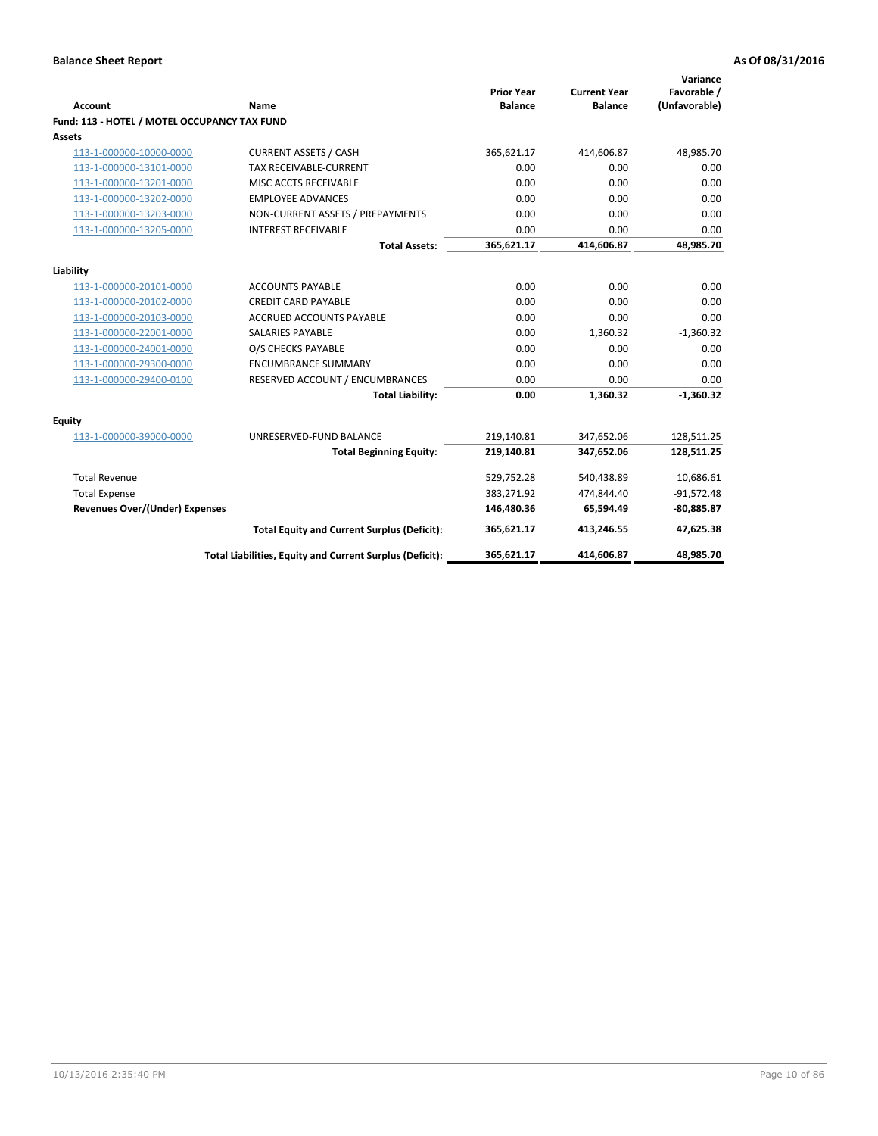| <b>Account</b>                               | Name                                                     | <b>Prior Year</b><br><b>Balance</b> | <b>Current Year</b><br><b>Balance</b> | Variance<br>Favorable /<br>(Unfavorable) |
|----------------------------------------------|----------------------------------------------------------|-------------------------------------|---------------------------------------|------------------------------------------|
| Fund: 113 - HOTEL / MOTEL OCCUPANCY TAX FUND |                                                          |                                     |                                       |                                          |
| Assets                                       |                                                          |                                     |                                       |                                          |
| 113-1-000000-10000-0000                      | <b>CURRENT ASSETS / CASH</b>                             | 365,621.17                          | 414,606.87                            | 48,985.70                                |
| 113-1-000000-13101-0000                      | TAX RECEIVABLE-CURRENT                                   | 0.00                                | 0.00                                  | 0.00                                     |
| 113-1-000000-13201-0000                      | MISC ACCTS RECEIVABLE                                    | 0.00                                | 0.00                                  | 0.00                                     |
| 113-1-000000-13202-0000                      | <b>EMPLOYEE ADVANCES</b>                                 | 0.00                                | 0.00                                  | 0.00                                     |
| 113-1-000000-13203-0000                      | NON-CURRENT ASSETS / PREPAYMENTS                         | 0.00                                | 0.00                                  | 0.00                                     |
| 113-1-000000-13205-0000                      | <b>INTEREST RECEIVABLE</b>                               | 0.00                                | 0.00                                  | 0.00                                     |
|                                              | <b>Total Assets:</b>                                     | 365,621.17                          | 414,606.87                            | 48,985.70                                |
| Liability                                    |                                                          |                                     |                                       |                                          |
| 113-1-000000-20101-0000                      | <b>ACCOUNTS PAYABLE</b>                                  | 0.00                                | 0.00                                  | 0.00                                     |
| 113-1-000000-20102-0000                      | <b>CREDIT CARD PAYABLE</b>                               | 0.00                                | 0.00                                  | 0.00                                     |
| 113-1-000000-20103-0000                      | ACCRUED ACCOUNTS PAYABLE                                 | 0.00                                | 0.00                                  | 0.00                                     |
| 113-1-000000-22001-0000                      | <b>SALARIES PAYABLE</b>                                  | 0.00                                | 1,360.32                              | $-1,360.32$                              |
| 113-1-000000-24001-0000                      | O/S CHECKS PAYABLE                                       | 0.00                                | 0.00                                  | 0.00                                     |
| 113-1-000000-29300-0000                      | <b>ENCUMBRANCE SUMMARY</b>                               | 0.00                                | 0.00                                  | 0.00                                     |
| 113-1-000000-29400-0100                      | RESERVED ACCOUNT / ENCUMBRANCES                          | 0.00                                | 0.00                                  | 0.00                                     |
|                                              | <b>Total Liability:</b>                                  | 0.00                                | 1,360.32                              | $-1,360.32$                              |
| Equity                                       |                                                          |                                     |                                       |                                          |
| 113-1-000000-39000-0000                      | UNRESERVED-FUND BALANCE                                  | 219,140.81                          | 347,652.06                            | 128,511.25                               |
|                                              | <b>Total Beginning Equity:</b>                           | 219,140.81                          | 347,652.06                            | 128,511.25                               |
| <b>Total Revenue</b>                         |                                                          | 529,752.28                          | 540,438.89                            | 10,686.61                                |
| <b>Total Expense</b>                         |                                                          | 383,271.92                          | 474,844.40                            | $-91,572.48$                             |
| <b>Revenues Over/(Under) Expenses</b>        |                                                          | 146,480.36                          | 65,594.49                             | $-80,885.87$                             |
|                                              | <b>Total Equity and Current Surplus (Deficit):</b>       | 365,621.17                          | 413,246.55                            | 47,625.38                                |
|                                              | Total Liabilities, Equity and Current Surplus (Deficit): | 365,621.17                          | 414,606.87                            | 48.985.70                                |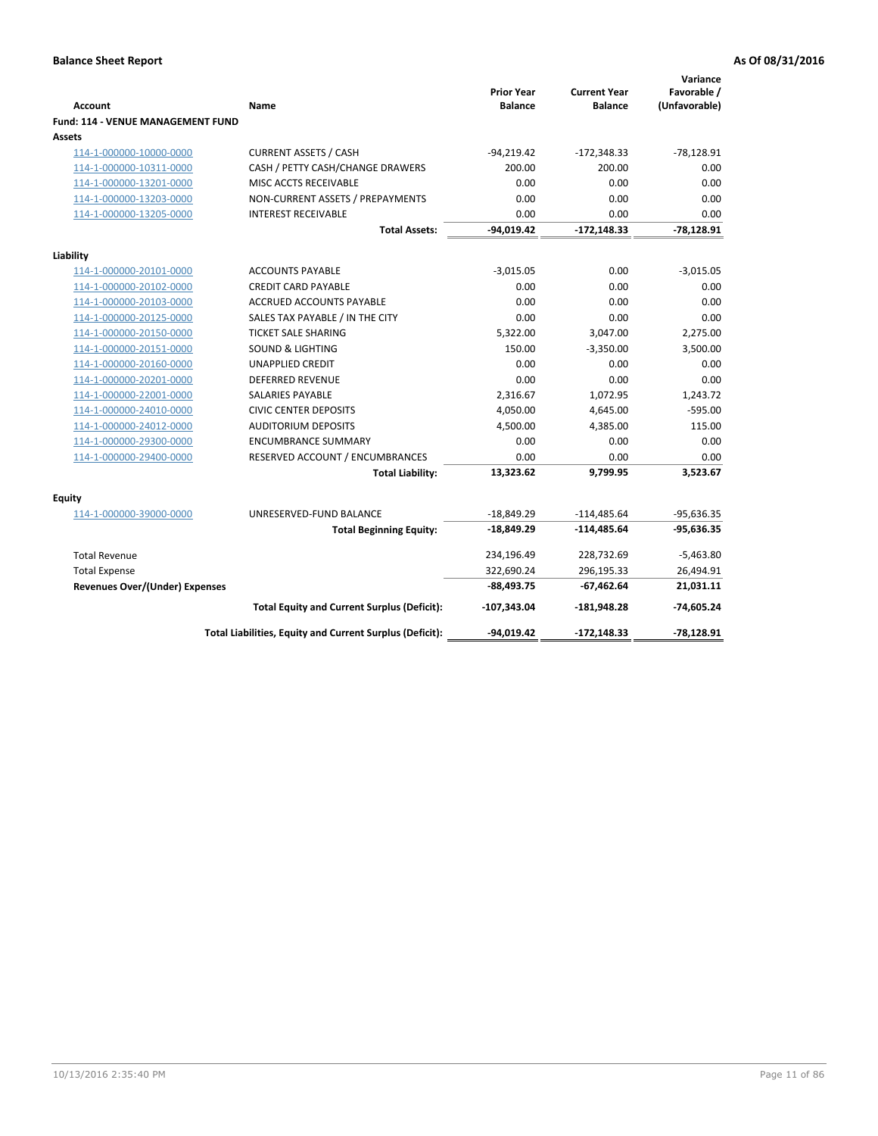| <b>Account</b>                              | Name                                                     | <b>Prior Year</b><br><b>Balance</b> | <b>Current Year</b><br><b>Balance</b> | Variance<br>Favorable /<br>(Unfavorable) |
|---------------------------------------------|----------------------------------------------------------|-------------------------------------|---------------------------------------|------------------------------------------|
| Fund: 114 - VENUE MANAGEMENT FUND<br>Assets |                                                          |                                     |                                       |                                          |
| 114-1-000000-10000-0000                     | <b>CURRENT ASSETS / CASH</b>                             | $-94,219.42$                        | $-172,348.33$                         | $-78,128.91$                             |
| 114-1-000000-10311-0000                     | CASH / PETTY CASH/CHANGE DRAWERS                         | 200.00                              | 200.00                                | 0.00                                     |
| 114-1-000000-13201-0000                     | MISC ACCTS RECEIVABLE                                    | 0.00                                | 0.00                                  | 0.00                                     |
| 114-1-000000-13203-0000                     | NON-CURRENT ASSETS / PREPAYMENTS                         | 0.00                                | 0.00                                  | 0.00                                     |
| 114-1-000000-13205-0000                     | <b>INTEREST RECEIVABLE</b>                               | 0.00                                | 0.00                                  | 0.00                                     |
|                                             | <b>Total Assets:</b>                                     | -94,019.42                          | $-172,148.33$                         | $-78,128.91$                             |
| Liability                                   |                                                          |                                     |                                       |                                          |
| 114-1-000000-20101-0000                     | <b>ACCOUNTS PAYABLE</b>                                  | $-3,015.05$                         | 0.00                                  | $-3,015.05$                              |
| 114-1-000000-20102-0000                     | <b>CREDIT CARD PAYABLE</b>                               | 0.00                                | 0.00                                  | 0.00                                     |
| 114-1-000000-20103-0000                     | ACCRUED ACCOUNTS PAYABLE                                 | 0.00                                | 0.00                                  | 0.00                                     |
| 114-1-000000-20125-0000                     | SALES TAX PAYABLE / IN THE CITY                          | 0.00                                | 0.00                                  | 0.00                                     |
| 114-1-000000-20150-0000                     | <b>TICKET SALE SHARING</b>                               | 5,322.00                            | 3,047.00                              | 2,275.00                                 |
| 114-1-000000-20151-0000                     | <b>SOUND &amp; LIGHTING</b>                              | 150.00                              | $-3,350.00$                           | 3,500.00                                 |
| 114-1-000000-20160-0000                     | <b>UNAPPLIED CREDIT</b>                                  | 0.00                                | 0.00                                  | 0.00                                     |
| 114-1-000000-20201-0000                     | <b>DEFERRED REVENUE</b>                                  | 0.00                                | 0.00                                  | 0.00                                     |
| 114-1-000000-22001-0000                     | <b>SALARIES PAYABLE</b>                                  | 2,316.67                            | 1,072.95                              | 1,243.72                                 |
| 114-1-000000-24010-0000                     | <b>CIVIC CENTER DEPOSITS</b>                             | 4,050.00                            | 4,645.00                              | $-595.00$                                |
| 114-1-000000-24012-0000                     | <b>AUDITORIUM DEPOSITS</b>                               | 4,500.00                            | 4,385.00                              | 115.00                                   |
| 114-1-000000-29300-0000                     | <b>ENCUMBRANCE SUMMARY</b>                               | 0.00                                | 0.00                                  | 0.00                                     |
| 114-1-000000-29400-0000                     | RESERVED ACCOUNT / ENCUMBRANCES                          | 0.00                                | 0.00                                  | 0.00                                     |
|                                             | <b>Total Liability:</b>                                  | 13,323.62                           | 9,799.95                              | 3,523.67                                 |
| Equity                                      |                                                          |                                     |                                       |                                          |
| 114-1-000000-39000-0000                     | UNRESERVED-FUND BALANCE                                  | $-18,849.29$                        | $-114,485.64$                         | $-95,636.35$                             |
|                                             | <b>Total Beginning Equity:</b>                           | $-18,849.29$                        | $-114,485.64$                         | $-95,636.35$                             |
| <b>Total Revenue</b>                        |                                                          | 234,196.49                          | 228,732.69                            | $-5,463.80$                              |
| <b>Total Expense</b>                        |                                                          | 322,690.24                          | 296,195.33                            | 26,494.91                                |
| <b>Revenues Over/(Under) Expenses</b>       |                                                          | $-88,493.75$                        | $-67,462.64$                          | 21,031.11                                |
|                                             | <b>Total Equity and Current Surplus (Deficit):</b>       | $-107,343.04$                       | $-181,948.28$                         | $-74,605.24$                             |
|                                             | Total Liabilities, Equity and Current Surplus (Deficit): | -94,019.42                          | $-172,148.33$                         | $-78,128.91$                             |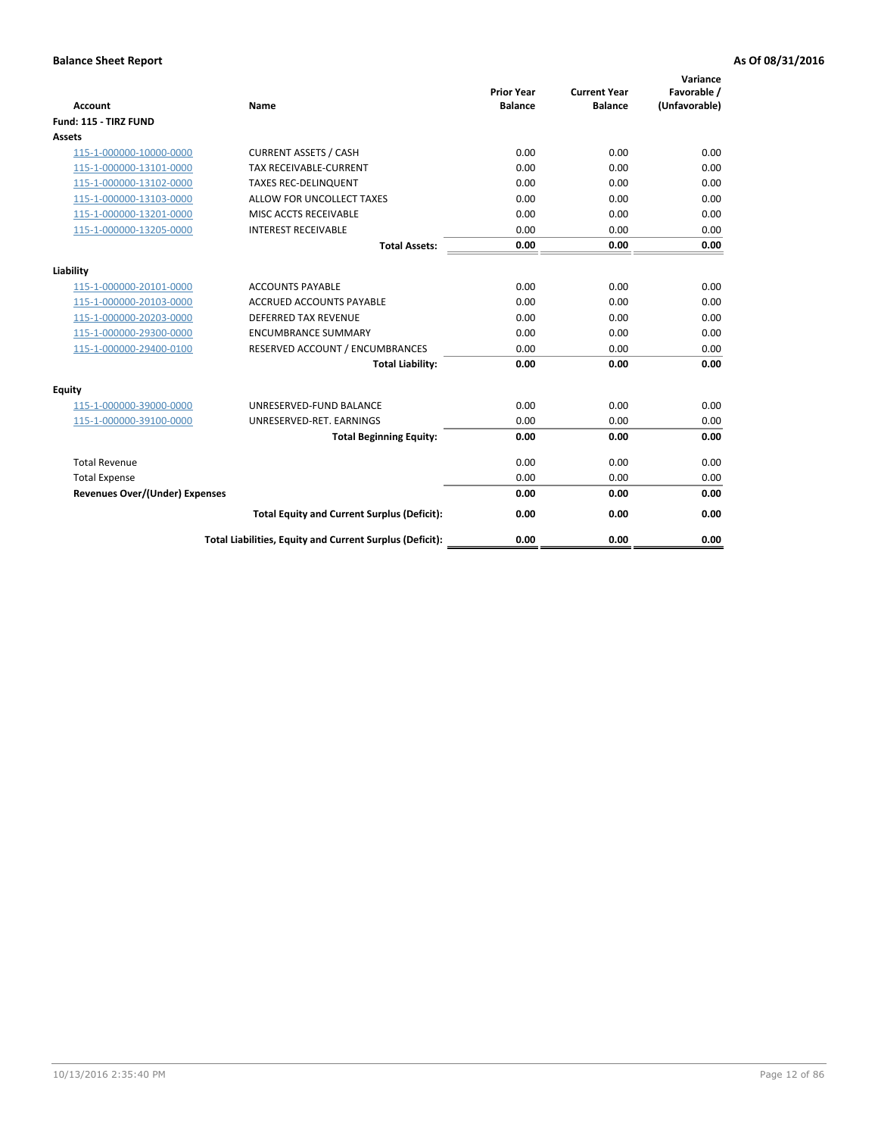| <b>Account</b>                        | Name                                                     | <b>Prior Year</b><br><b>Balance</b> | <b>Current Year</b><br><b>Balance</b> | Variance<br>Favorable /<br>(Unfavorable) |
|---------------------------------------|----------------------------------------------------------|-------------------------------------|---------------------------------------|------------------------------------------|
| Fund: 115 - TIRZ FUND                 |                                                          |                                     |                                       |                                          |
| Assets                                |                                                          |                                     |                                       |                                          |
| 115-1-000000-10000-0000               | <b>CURRENT ASSETS / CASH</b>                             | 0.00                                | 0.00                                  | 0.00                                     |
| 115-1-000000-13101-0000               | <b>TAX RECEIVABLE-CURRENT</b>                            | 0.00                                | 0.00                                  | 0.00                                     |
| 115-1-000000-13102-0000               | <b>TAXES REC-DELINQUENT</b>                              | 0.00                                | 0.00                                  | 0.00                                     |
| 115-1-000000-13103-0000               | ALLOW FOR UNCOLLECT TAXES                                | 0.00                                | 0.00                                  | 0.00                                     |
| 115-1-000000-13201-0000               | MISC ACCTS RECEIVABLE                                    | 0.00                                | 0.00                                  | 0.00                                     |
| 115-1-000000-13205-0000               | <b>INTEREST RECEIVABLE</b>                               | 0.00                                | 0.00                                  | 0.00                                     |
|                                       | <b>Total Assets:</b>                                     | 0.00                                | 0.00                                  | 0.00                                     |
| Liability                             |                                                          |                                     |                                       |                                          |
| 115-1-000000-20101-0000               | <b>ACCOUNTS PAYABLE</b>                                  | 0.00                                | 0.00                                  | 0.00                                     |
| 115-1-000000-20103-0000               | <b>ACCRUED ACCOUNTS PAYABLE</b>                          | 0.00                                | 0.00                                  | 0.00                                     |
| 115-1-000000-20203-0000               | <b>DEFERRED TAX REVENUE</b>                              | 0.00                                | 0.00                                  | 0.00                                     |
| 115-1-000000-29300-0000               | <b>ENCUMBRANCE SUMMARY</b>                               | 0.00                                | 0.00                                  | 0.00                                     |
| 115-1-000000-29400-0100               | RESERVED ACCOUNT / ENCUMBRANCES                          | 0.00                                | 0.00                                  | 0.00                                     |
|                                       | <b>Total Liability:</b>                                  | 0.00                                | 0.00                                  | 0.00                                     |
| Equity                                |                                                          |                                     |                                       |                                          |
| 115-1-000000-39000-0000               | UNRESERVED-FUND BALANCE                                  | 0.00                                | 0.00                                  | 0.00                                     |
| 115-1-000000-39100-0000               | UNRESERVED-RET. EARNINGS                                 | 0.00                                | 0.00                                  | 0.00                                     |
|                                       | <b>Total Beginning Equity:</b>                           | 0.00                                | 0.00                                  | 0.00                                     |
| <b>Total Revenue</b>                  |                                                          | 0.00                                | 0.00                                  | 0.00                                     |
| <b>Total Expense</b>                  |                                                          | 0.00                                | 0.00                                  | 0.00                                     |
| <b>Revenues Over/(Under) Expenses</b> |                                                          | 0.00                                | 0.00                                  | 0.00                                     |
|                                       | <b>Total Equity and Current Surplus (Deficit):</b>       | 0.00                                | 0.00                                  | 0.00                                     |
|                                       | Total Liabilities, Equity and Current Surplus (Deficit): | 0.00                                | 0.00                                  | 0.00                                     |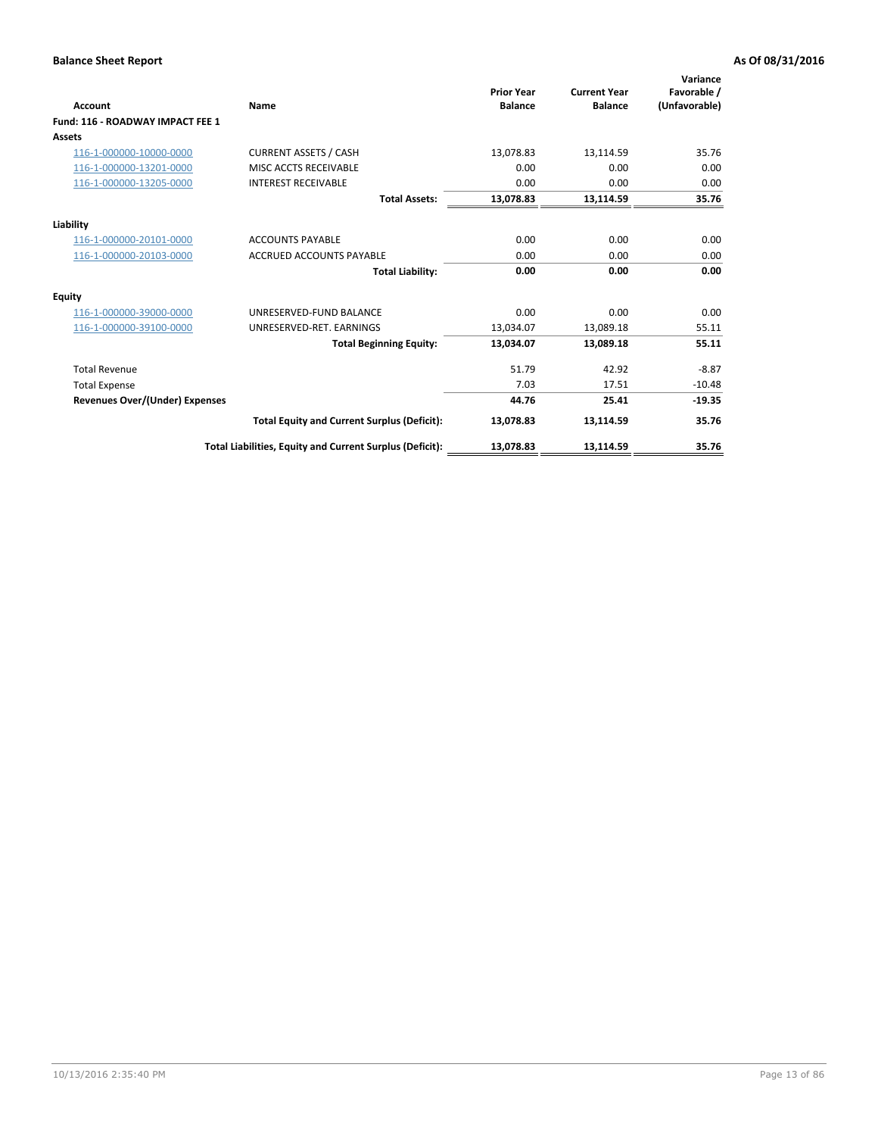| <b>Account</b>                        | <b>Name</b>                                              | <b>Prior Year</b><br><b>Balance</b> | <b>Current Year</b><br><b>Balance</b> | Variance<br>Favorable /<br>(Unfavorable) |
|---------------------------------------|----------------------------------------------------------|-------------------------------------|---------------------------------------|------------------------------------------|
| Fund: 116 - ROADWAY IMPACT FEE 1      |                                                          |                                     |                                       |                                          |
| Assets                                |                                                          |                                     |                                       |                                          |
| 116-1-000000-10000-0000               | <b>CURRENT ASSETS / CASH</b>                             | 13,078.83                           | 13,114.59                             | 35.76                                    |
| 116-1-000000-13201-0000               | MISC ACCTS RECEIVABLE                                    | 0.00                                | 0.00                                  | 0.00                                     |
| 116-1-000000-13205-0000               | <b>INTEREST RECEIVABLE</b>                               | 0.00                                | 0.00                                  | 0.00                                     |
|                                       | <b>Total Assets:</b>                                     | 13,078.83                           | 13,114.59                             | 35.76                                    |
| Liability                             |                                                          |                                     |                                       |                                          |
| 116-1-000000-20101-0000               | <b>ACCOUNTS PAYABLE</b>                                  | 0.00                                | 0.00                                  | 0.00                                     |
| 116-1-000000-20103-0000               | <b>ACCRUED ACCOUNTS PAYABLE</b>                          | 0.00                                | 0.00                                  | 0.00                                     |
|                                       | <b>Total Liability:</b>                                  | 0.00                                | 0.00                                  | 0.00                                     |
| Equity                                |                                                          |                                     |                                       |                                          |
| 116-1-000000-39000-0000               | UNRESERVED-FUND BALANCE                                  | 0.00                                | 0.00                                  | 0.00                                     |
| 116-1-000000-39100-0000               | UNRESERVED-RET. EARNINGS                                 | 13,034.07                           | 13,089.18                             | 55.11                                    |
|                                       | <b>Total Beginning Equity:</b>                           | 13,034.07                           | 13,089.18                             | 55.11                                    |
| <b>Total Revenue</b>                  |                                                          | 51.79                               | 42.92                                 | $-8.87$                                  |
| <b>Total Expense</b>                  |                                                          | 7.03                                | 17.51                                 | $-10.48$                                 |
| <b>Revenues Over/(Under) Expenses</b> |                                                          | 44.76                               | 25.41                                 | $-19.35$                                 |
|                                       | <b>Total Equity and Current Surplus (Deficit):</b>       | 13,078.83                           | 13,114.59                             | 35.76                                    |
|                                       | Total Liabilities, Equity and Current Surplus (Deficit): | 13,078.83                           | 13,114.59                             | 35.76                                    |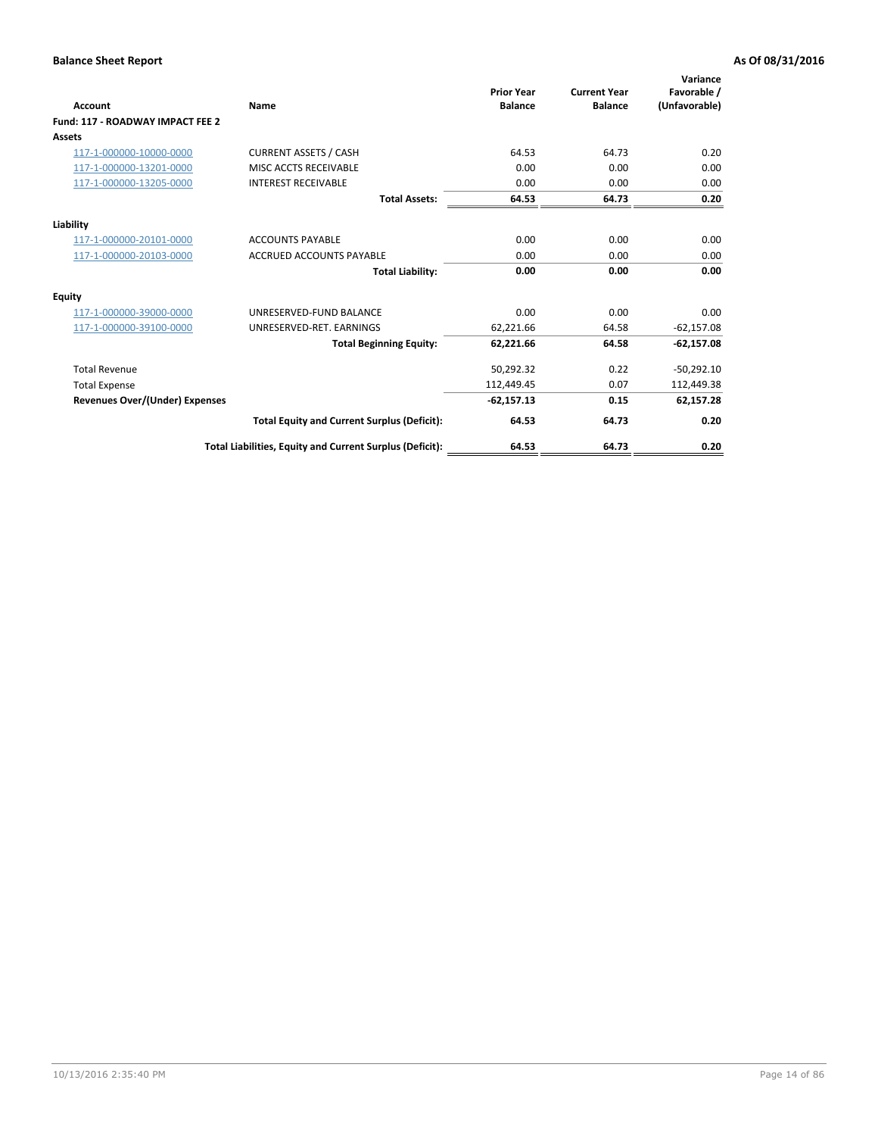| <b>Account</b>                        | Name                                                     | <b>Prior Year</b><br><b>Balance</b> | <b>Current Year</b><br><b>Balance</b> | Variance<br>Favorable /<br>(Unfavorable) |
|---------------------------------------|----------------------------------------------------------|-------------------------------------|---------------------------------------|------------------------------------------|
| Fund: 117 - ROADWAY IMPACT FEE 2      |                                                          |                                     |                                       |                                          |
| Assets                                |                                                          |                                     |                                       |                                          |
| 117-1-000000-10000-0000               | <b>CURRENT ASSETS / CASH</b>                             | 64.53                               | 64.73                                 | 0.20                                     |
| 117-1-000000-13201-0000               | MISC ACCTS RECEIVABLE                                    | 0.00                                | 0.00                                  | 0.00                                     |
| 117-1-000000-13205-0000               | <b>INTEREST RECEIVABLE</b>                               | 0.00                                | 0.00                                  | 0.00                                     |
|                                       | <b>Total Assets:</b>                                     | 64.53                               | 64.73                                 | 0.20                                     |
| Liability                             |                                                          |                                     |                                       |                                          |
| 117-1-000000-20101-0000               | <b>ACCOUNTS PAYABLE</b>                                  | 0.00                                | 0.00                                  | 0.00                                     |
| 117-1-000000-20103-0000               | <b>ACCRUED ACCOUNTS PAYABLE</b>                          | 0.00                                | 0.00                                  | 0.00                                     |
|                                       | <b>Total Liability:</b>                                  | 0.00                                | 0.00                                  | 0.00                                     |
| Equity                                |                                                          |                                     |                                       |                                          |
| 117-1-000000-39000-0000               | UNRESERVED-FUND BALANCE                                  | 0.00                                | 0.00                                  | 0.00                                     |
| 117-1-000000-39100-0000               | UNRESERVED-RET. EARNINGS                                 | 62,221.66                           | 64.58                                 | $-62,157.08$                             |
|                                       | <b>Total Beginning Equity:</b>                           | 62,221.66                           | 64.58                                 | $-62,157.08$                             |
| <b>Total Revenue</b>                  |                                                          | 50,292.32                           | 0.22                                  | $-50,292.10$                             |
| <b>Total Expense</b>                  |                                                          | 112,449.45                          | 0.07                                  | 112,449.38                               |
| <b>Revenues Over/(Under) Expenses</b> |                                                          | $-62,157.13$                        | 0.15                                  | 62,157.28                                |
|                                       | <b>Total Equity and Current Surplus (Deficit):</b>       | 64.53                               | 64.73                                 | 0.20                                     |
|                                       | Total Liabilities, Equity and Current Surplus (Deficit): | 64.53                               | 64.73                                 | 0.20                                     |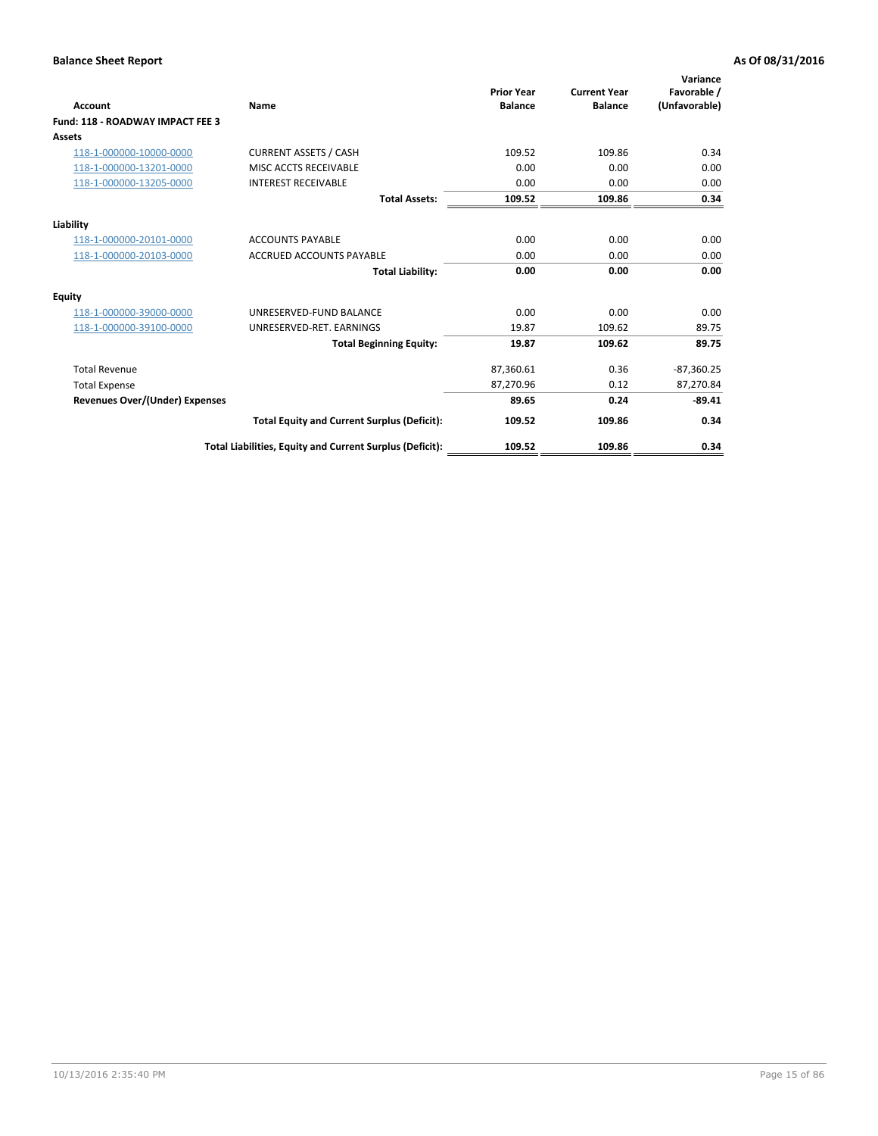| <b>Account</b>                        | Name                                                     | <b>Prior Year</b><br><b>Balance</b> | <b>Current Year</b><br><b>Balance</b> | Variance<br>Favorable /<br>(Unfavorable) |
|---------------------------------------|----------------------------------------------------------|-------------------------------------|---------------------------------------|------------------------------------------|
| Fund: 118 - ROADWAY IMPACT FEE 3      |                                                          |                                     |                                       |                                          |
| Assets                                |                                                          |                                     |                                       |                                          |
| 118-1-000000-10000-0000               | <b>CURRENT ASSETS / CASH</b>                             | 109.52                              | 109.86                                | 0.34                                     |
| 118-1-000000-13201-0000               | MISC ACCTS RECEIVABLE                                    | 0.00                                | 0.00                                  | 0.00                                     |
| 118-1-000000-13205-0000               | <b>INTEREST RECEIVABLE</b>                               | 0.00                                | 0.00                                  | 0.00                                     |
|                                       | <b>Total Assets:</b>                                     | 109.52                              | 109.86                                | 0.34                                     |
| Liability                             |                                                          |                                     |                                       |                                          |
| 118-1-000000-20101-0000               | <b>ACCOUNTS PAYABLE</b>                                  | 0.00                                | 0.00                                  | 0.00                                     |
| 118-1-000000-20103-0000               | <b>ACCRUED ACCOUNTS PAYABLE</b>                          | 0.00                                | 0.00                                  | 0.00                                     |
|                                       | <b>Total Liability:</b>                                  | 0.00                                | 0.00                                  | 0.00                                     |
| Equity                                |                                                          |                                     |                                       |                                          |
| 118-1-000000-39000-0000               | UNRESERVED-FUND BALANCE                                  | 0.00                                | 0.00                                  | 0.00                                     |
| 118-1-000000-39100-0000               | UNRESERVED-RET. EARNINGS                                 | 19.87                               | 109.62                                | 89.75                                    |
|                                       | <b>Total Beginning Equity:</b>                           | 19.87                               | 109.62                                | 89.75                                    |
| <b>Total Revenue</b>                  |                                                          | 87,360.61                           | 0.36                                  | $-87,360.25$                             |
| <b>Total Expense</b>                  |                                                          | 87,270.96                           | 0.12                                  | 87,270.84                                |
| <b>Revenues Over/(Under) Expenses</b> |                                                          | 89.65                               | 0.24                                  | $-89.41$                                 |
|                                       | <b>Total Equity and Current Surplus (Deficit):</b>       | 109.52                              | 109.86                                | 0.34                                     |
|                                       | Total Liabilities, Equity and Current Surplus (Deficit): | 109.52                              | 109.86                                | 0.34                                     |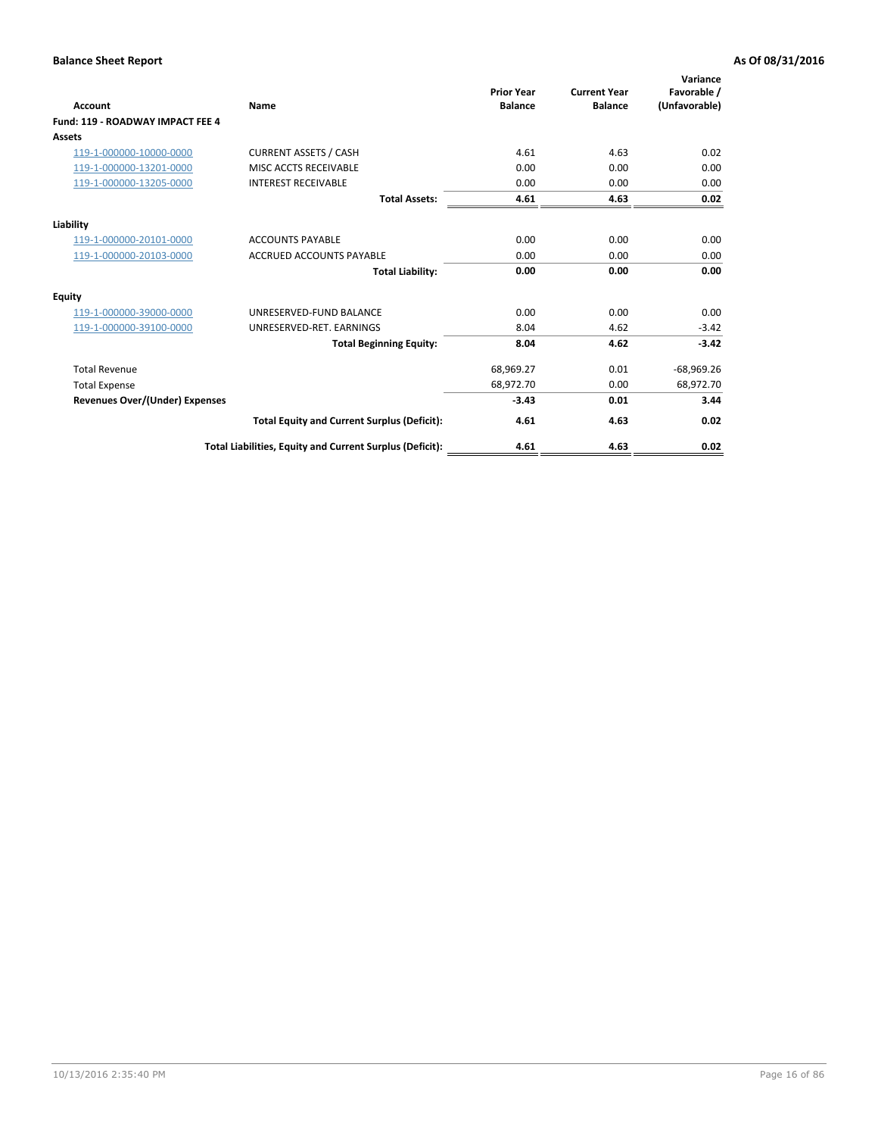| Account                                 | <b>Name</b>                                              | <b>Prior Year</b><br><b>Balance</b> | <b>Current Year</b><br><b>Balance</b> | Variance<br>Favorable /<br>(Unfavorable) |
|-----------------------------------------|----------------------------------------------------------|-------------------------------------|---------------------------------------|------------------------------------------|
| <b>Fund: 119 - ROADWAY IMPACT FEE 4</b> |                                                          |                                     |                                       |                                          |
| Assets                                  |                                                          |                                     |                                       |                                          |
| 119-1-000000-10000-0000                 | <b>CURRENT ASSETS / CASH</b>                             | 4.61                                | 4.63                                  | 0.02                                     |
| 119-1-000000-13201-0000                 | MISC ACCTS RECEIVABLE                                    | 0.00                                | 0.00                                  | 0.00                                     |
| 119-1-000000-13205-0000                 | <b>INTEREST RECEIVABLE</b>                               | 0.00                                | 0.00                                  | 0.00                                     |
|                                         | <b>Total Assets:</b>                                     | 4.61                                | 4.63                                  | 0.02                                     |
| Liability                               |                                                          |                                     |                                       |                                          |
| 119-1-000000-20101-0000                 | <b>ACCOUNTS PAYABLE</b>                                  | 0.00                                | 0.00                                  | 0.00                                     |
| 119-1-000000-20103-0000                 | <b>ACCRUED ACCOUNTS PAYABLE</b>                          | 0.00                                | 0.00                                  | 0.00                                     |
|                                         | <b>Total Liability:</b>                                  | 0.00                                | 0.00                                  | 0.00                                     |
| Equity                                  |                                                          |                                     |                                       |                                          |
| 119-1-000000-39000-0000                 | UNRESERVED-FUND BALANCE                                  | 0.00                                | 0.00                                  | 0.00                                     |
| 119-1-000000-39100-0000                 | UNRESERVED-RET. EARNINGS                                 | 8.04                                | 4.62                                  | $-3.42$                                  |
|                                         | <b>Total Beginning Equity:</b>                           | 8.04                                | 4.62                                  | $-3.42$                                  |
| <b>Total Revenue</b>                    |                                                          | 68,969.27                           | 0.01                                  | $-68,969.26$                             |
| <b>Total Expense</b>                    |                                                          | 68,972.70                           | 0.00                                  | 68,972.70                                |
| <b>Revenues Over/(Under) Expenses</b>   |                                                          | $-3.43$                             | 0.01                                  | 3.44                                     |
|                                         | <b>Total Equity and Current Surplus (Deficit):</b>       | 4.61                                | 4.63                                  | 0.02                                     |
|                                         | Total Liabilities, Equity and Current Surplus (Deficit): | 4.61                                | 4.63                                  | 0.02                                     |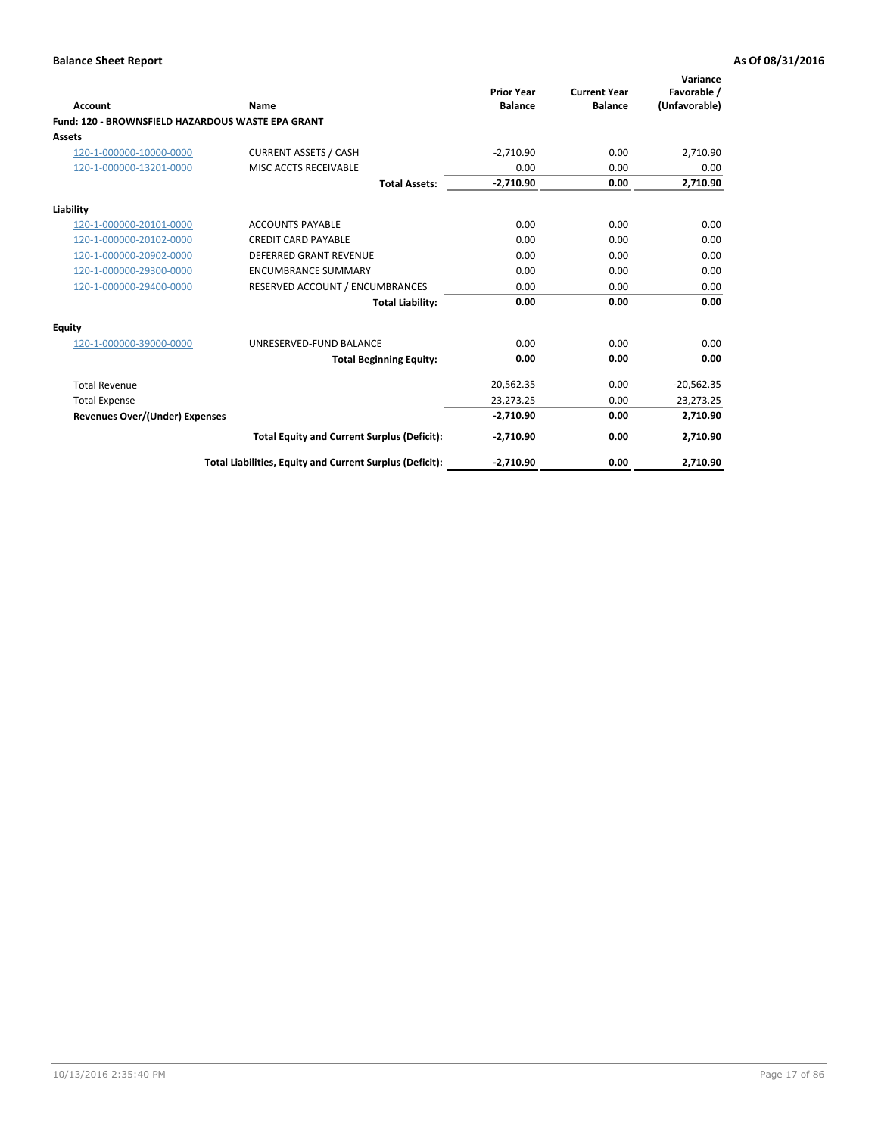| <b>Account</b>                                    | Name                                                     | <b>Prior Year</b><br><b>Balance</b> | <b>Current Year</b><br><b>Balance</b> | Variance<br>Favorable /<br>(Unfavorable) |
|---------------------------------------------------|----------------------------------------------------------|-------------------------------------|---------------------------------------|------------------------------------------|
| Fund: 120 - BROWNSFIELD HAZARDOUS WASTE EPA GRANT |                                                          |                                     |                                       |                                          |
| Assets                                            |                                                          |                                     |                                       |                                          |
| 120-1-000000-10000-0000                           | <b>CURRENT ASSETS / CASH</b>                             | $-2,710.90$                         | 0.00                                  | 2,710.90                                 |
| 120-1-000000-13201-0000                           | MISC ACCTS RECEIVABLE                                    | 0.00                                | 0.00                                  | 0.00                                     |
|                                                   | <b>Total Assets:</b>                                     | $-2,710.90$                         | 0.00                                  | 2,710.90                                 |
| Liability                                         |                                                          |                                     |                                       |                                          |
| 120-1-000000-20101-0000                           | <b>ACCOUNTS PAYABLE</b>                                  | 0.00                                | 0.00                                  | 0.00                                     |
| 120-1-000000-20102-0000                           | <b>CREDIT CARD PAYABLE</b>                               | 0.00                                | 0.00                                  | 0.00                                     |
| 120-1-000000-20902-0000                           | <b>DEFERRED GRANT REVENUE</b>                            | 0.00                                | 0.00                                  | 0.00                                     |
| 120-1-000000-29300-0000                           | <b>ENCUMBRANCE SUMMARY</b>                               | 0.00                                | 0.00                                  | 0.00                                     |
| 120-1-000000-29400-0000                           | RESERVED ACCOUNT / ENCUMBRANCES                          | 0.00                                | 0.00                                  | 0.00                                     |
|                                                   | <b>Total Liability:</b>                                  | 0.00                                | 0.00                                  | 0.00                                     |
| Equity                                            |                                                          |                                     |                                       |                                          |
| 120-1-000000-39000-0000                           | UNRESERVED-FUND BALANCE                                  | 0.00                                | 0.00                                  | 0.00                                     |
|                                                   | <b>Total Beginning Equity:</b>                           | 0.00                                | 0.00                                  | 0.00                                     |
| <b>Total Revenue</b>                              |                                                          | 20,562.35                           | 0.00                                  | $-20,562.35$                             |
| <b>Total Expense</b>                              |                                                          | 23,273.25                           | 0.00                                  | 23,273.25                                |
| <b>Revenues Over/(Under) Expenses</b>             |                                                          | $-2,710.90$                         | 0.00                                  | 2,710.90                                 |
|                                                   | <b>Total Equity and Current Surplus (Deficit):</b>       | $-2,710.90$                         | 0.00                                  | 2,710.90                                 |
|                                                   | Total Liabilities, Equity and Current Surplus (Deficit): | $-2,710.90$                         | 0.00                                  | 2,710.90                                 |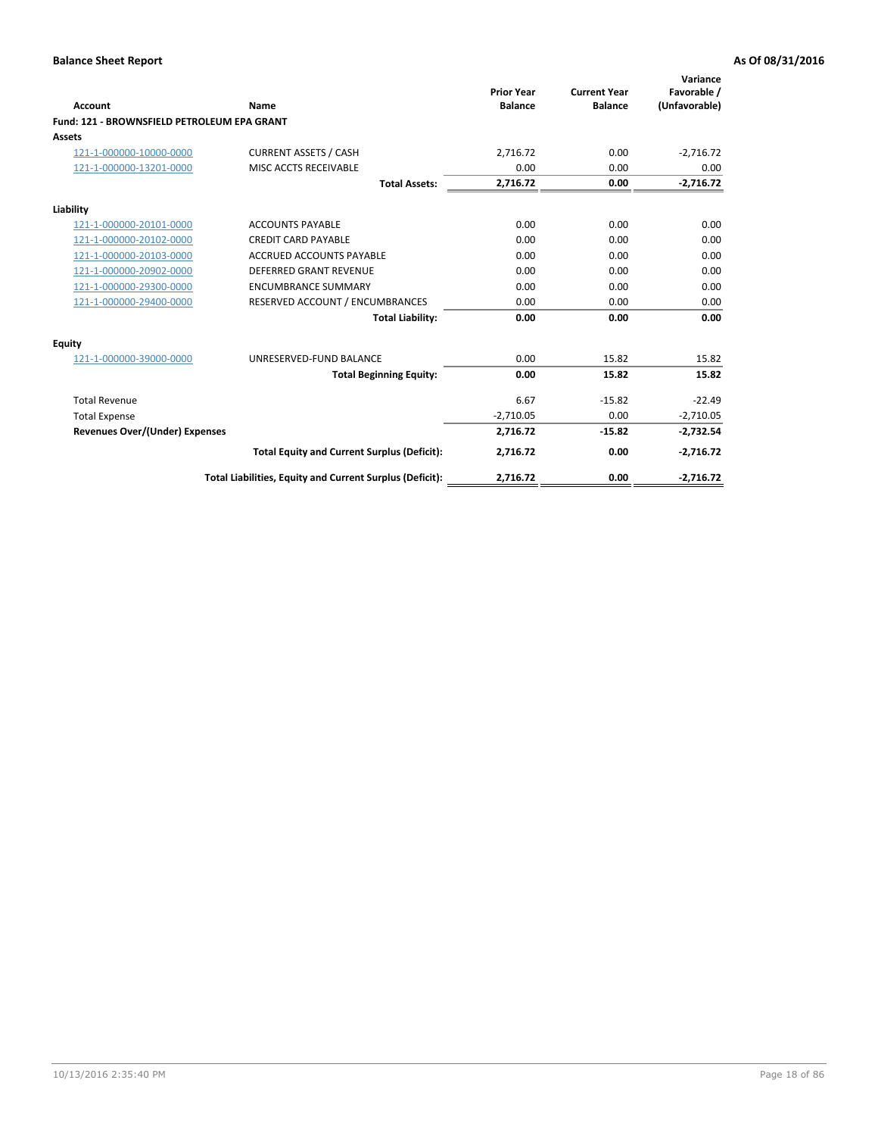| Account                                     | Name                                                     | <b>Prior Year</b><br><b>Balance</b> | <b>Current Year</b><br><b>Balance</b> | Variance<br>Favorable /<br>(Unfavorable) |
|---------------------------------------------|----------------------------------------------------------|-------------------------------------|---------------------------------------|------------------------------------------|
| Fund: 121 - BROWNSFIELD PETROLEUM EPA GRANT |                                                          |                                     |                                       |                                          |
| <b>Assets</b>                               |                                                          |                                     |                                       |                                          |
| 121-1-000000-10000-0000                     | <b>CURRENT ASSETS / CASH</b>                             | 2,716.72                            | 0.00                                  | $-2,716.72$                              |
| 121-1-000000-13201-0000                     | MISC ACCTS RECEIVABLE                                    | 0.00                                | 0.00                                  | 0.00                                     |
|                                             | <b>Total Assets:</b>                                     | 2,716.72                            | 0.00                                  | $-2,716.72$                              |
| Liability                                   |                                                          |                                     |                                       |                                          |
| 121-1-000000-20101-0000                     | <b>ACCOUNTS PAYABLE</b>                                  | 0.00                                | 0.00                                  | 0.00                                     |
| 121-1-000000-20102-0000                     | <b>CREDIT CARD PAYABLE</b>                               | 0.00                                | 0.00                                  | 0.00                                     |
| 121-1-000000-20103-0000                     | <b>ACCRUED ACCOUNTS PAYABLE</b>                          | 0.00                                | 0.00                                  | 0.00                                     |
| 121-1-000000-20902-0000                     | DEFERRED GRANT REVENUE                                   | 0.00                                | 0.00                                  | 0.00                                     |
| 121-1-000000-29300-0000                     | <b>ENCUMBRANCE SUMMARY</b>                               | 0.00                                | 0.00                                  | 0.00                                     |
| 121-1-000000-29400-0000                     | RESERVED ACCOUNT / ENCUMBRANCES                          | 0.00                                | 0.00                                  | 0.00                                     |
|                                             | <b>Total Liability:</b>                                  | 0.00                                | 0.00                                  | 0.00                                     |
| <b>Equity</b>                               |                                                          |                                     |                                       |                                          |
| 121-1-000000-39000-0000                     | UNRESERVED-FUND BALANCE                                  | 0.00                                | 15.82                                 | 15.82                                    |
|                                             | <b>Total Beginning Equity:</b>                           | 0.00                                | 15.82                                 | 15.82                                    |
| <b>Total Revenue</b>                        |                                                          | 6.67                                | $-15.82$                              | $-22.49$                                 |
| <b>Total Expense</b>                        |                                                          | $-2,710.05$                         | 0.00                                  | $-2,710.05$                              |
| <b>Revenues Over/(Under) Expenses</b>       |                                                          | 2,716.72                            | $-15.82$                              | $-2,732.54$                              |
|                                             | <b>Total Equity and Current Surplus (Deficit):</b>       | 2,716.72                            | 0.00                                  | $-2,716.72$                              |
|                                             | Total Liabilities, Equity and Current Surplus (Deficit): | 2,716.72                            | 0.00                                  | $-2,716.72$                              |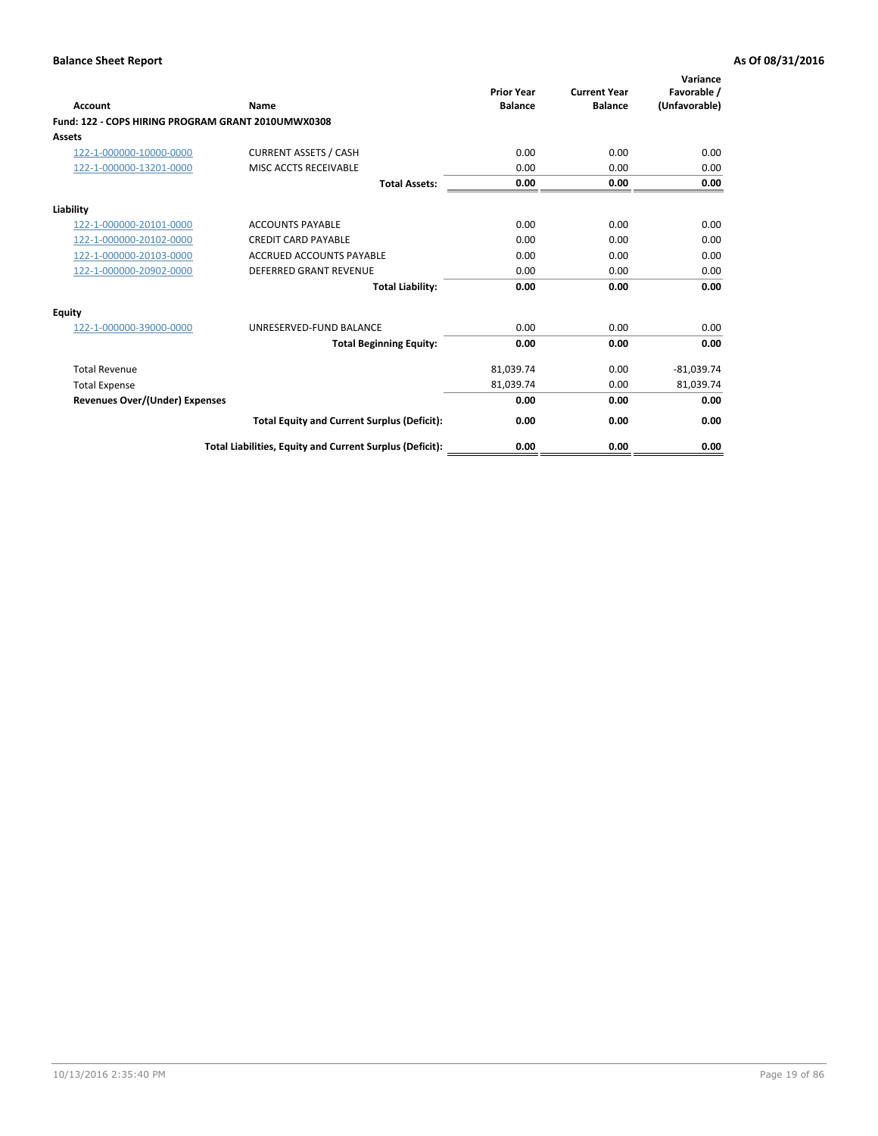| <b>Account</b>                                     | Name                                                     | <b>Prior Year</b><br><b>Balance</b> | <b>Current Year</b><br><b>Balance</b> | Variance<br>Favorable /<br>(Unfavorable) |
|----------------------------------------------------|----------------------------------------------------------|-------------------------------------|---------------------------------------|------------------------------------------|
| Fund: 122 - COPS HIRING PROGRAM GRANT 2010UMWX0308 |                                                          |                                     |                                       |                                          |
| Assets                                             |                                                          |                                     |                                       |                                          |
| 122-1-000000-10000-0000                            | <b>CURRENT ASSETS / CASH</b>                             | 0.00                                | 0.00                                  | 0.00                                     |
| 122-1-000000-13201-0000                            | MISC ACCTS RECEIVABLE                                    | 0.00                                | 0.00                                  | 0.00                                     |
|                                                    | <b>Total Assets:</b>                                     | 0.00                                | 0.00                                  | 0.00                                     |
| Liability                                          |                                                          |                                     |                                       |                                          |
| 122-1-000000-20101-0000                            | <b>ACCOUNTS PAYABLE</b>                                  | 0.00                                | 0.00                                  | 0.00                                     |
| 122-1-000000-20102-0000                            | <b>CREDIT CARD PAYABLE</b>                               | 0.00                                | 0.00                                  | 0.00                                     |
| 122-1-000000-20103-0000                            | <b>ACCRUED ACCOUNTS PAYABLE</b>                          | 0.00                                | 0.00                                  | 0.00                                     |
| 122-1-000000-20902-0000                            | <b>DEFERRED GRANT REVENUE</b>                            | 0.00                                | 0.00                                  | 0.00                                     |
|                                                    | <b>Total Liability:</b>                                  | 0.00                                | 0.00                                  | 0.00                                     |
| Equity                                             |                                                          |                                     |                                       |                                          |
| 122-1-000000-39000-0000                            | UNRESERVED-FUND BALANCE                                  | 0.00                                | 0.00                                  | 0.00                                     |
|                                                    | <b>Total Beginning Equity:</b>                           | 0.00                                | 0.00                                  | 0.00                                     |
| <b>Total Revenue</b>                               |                                                          | 81,039.74                           | 0.00                                  | $-81,039.74$                             |
| <b>Total Expense</b>                               |                                                          | 81,039.74                           | 0.00                                  | 81,039.74                                |
| <b>Revenues Over/(Under) Expenses</b>              |                                                          | 0.00                                | 0.00                                  | 0.00                                     |
|                                                    | <b>Total Equity and Current Surplus (Deficit):</b>       | 0.00                                | 0.00                                  | 0.00                                     |
|                                                    | Total Liabilities, Equity and Current Surplus (Deficit): | 0.00                                | 0.00                                  | 0.00                                     |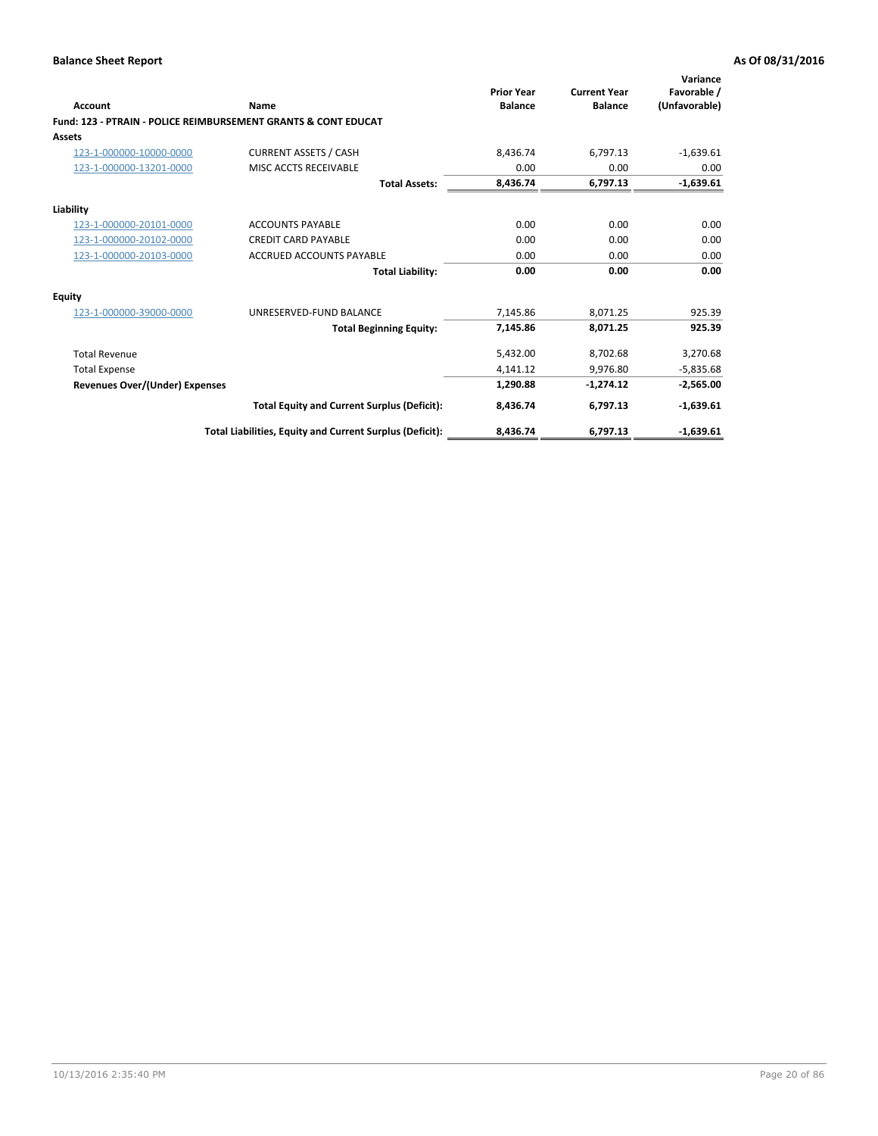| Account                               | Name                                                           | <b>Prior Year</b><br><b>Balance</b> | <b>Current Year</b><br><b>Balance</b> | Variance<br>Favorable /<br>(Unfavorable) |
|---------------------------------------|----------------------------------------------------------------|-------------------------------------|---------------------------------------|------------------------------------------|
|                                       | Fund: 123 - PTRAIN - POLICE REIMBURSEMENT GRANTS & CONT EDUCAT |                                     |                                       |                                          |
| Assets                                |                                                                |                                     |                                       |                                          |
| 123-1-000000-10000-0000               | <b>CURRENT ASSETS / CASH</b>                                   | 8.436.74                            | 6,797.13                              | $-1,639.61$                              |
| 123-1-000000-13201-0000               | MISC ACCTS RECEIVABLE                                          | 0.00                                | 0.00                                  | 0.00                                     |
|                                       | <b>Total Assets:</b>                                           | 8.436.74                            | 6,797.13                              | $-1,639.61$                              |
| Liability                             |                                                                |                                     |                                       |                                          |
| 123-1-000000-20101-0000               | <b>ACCOUNTS PAYABLE</b>                                        | 0.00                                | 0.00                                  | 0.00                                     |
| 123-1-000000-20102-0000               | <b>CREDIT CARD PAYABLE</b>                                     | 0.00                                | 0.00                                  | 0.00                                     |
| 123-1-000000-20103-0000               | <b>ACCRUED ACCOUNTS PAYABLE</b>                                | 0.00                                | 0.00                                  | 0.00                                     |
|                                       | <b>Total Liability:</b>                                        | 0.00                                | 0.00                                  | 0.00                                     |
| Equity                                |                                                                |                                     |                                       |                                          |
| 123-1-000000-39000-0000               | UNRESERVED-FUND BALANCE                                        | 7,145.86                            | 8,071.25                              | 925.39                                   |
|                                       | <b>Total Beginning Equity:</b>                                 | 7,145.86                            | 8,071.25                              | 925.39                                   |
| <b>Total Revenue</b>                  |                                                                | 5,432.00                            | 8,702.68                              | 3,270.68                                 |
| <b>Total Expense</b>                  |                                                                | 4,141.12                            | 9,976.80                              | $-5,835.68$                              |
| <b>Revenues Over/(Under) Expenses</b> |                                                                | 1,290.88                            | $-1,274.12$                           | $-2,565.00$                              |
|                                       | <b>Total Equity and Current Surplus (Deficit):</b>             | 8,436.74                            | 6,797.13                              | $-1,639.61$                              |
|                                       | Total Liabilities, Equity and Current Surplus (Deficit):       | 8,436.74                            | 6,797.13                              | $-1,639.61$                              |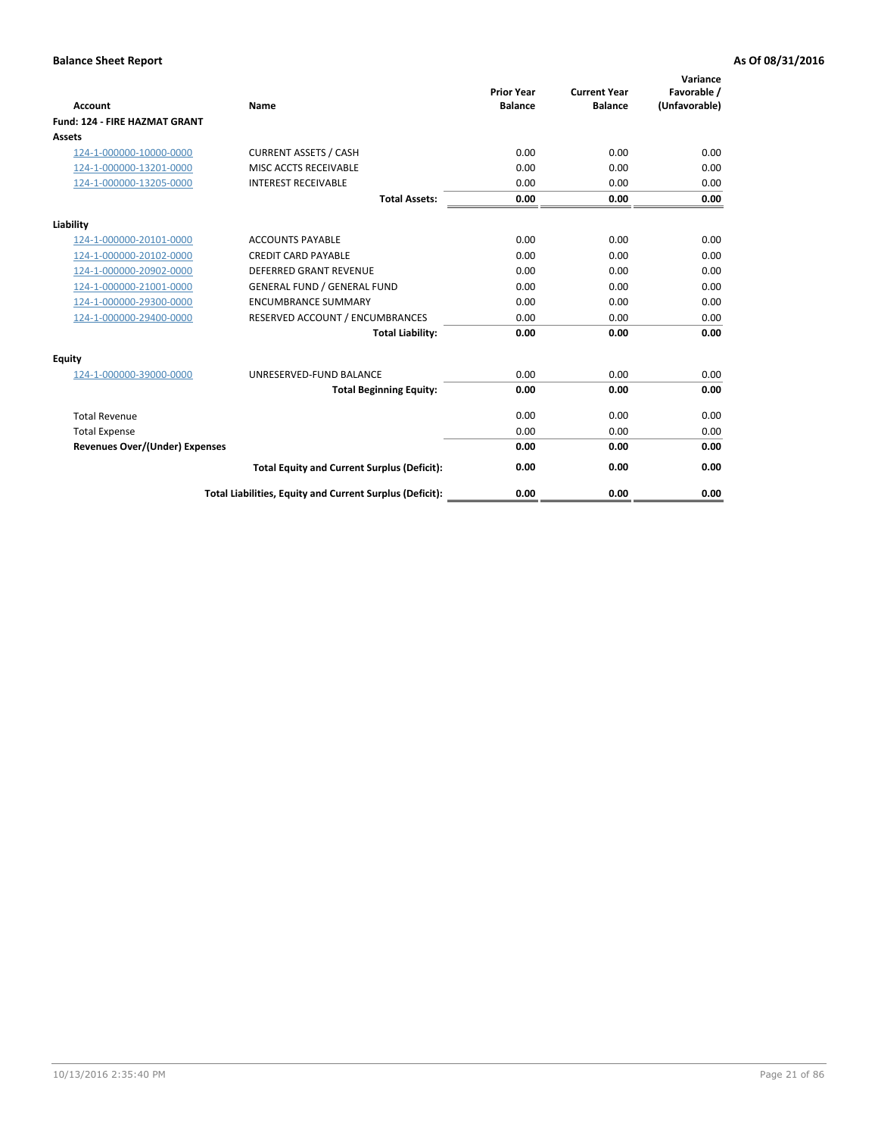| <b>Account</b>                        | <b>Name</b>                                              | <b>Prior Year</b><br><b>Balance</b> | <b>Current Year</b><br><b>Balance</b> | Variance<br>Favorable /<br>(Unfavorable) |
|---------------------------------------|----------------------------------------------------------|-------------------------------------|---------------------------------------|------------------------------------------|
| <b>Fund: 124 - FIRE HAZMAT GRANT</b>  |                                                          |                                     |                                       |                                          |
| Assets                                |                                                          |                                     |                                       |                                          |
| 124-1-000000-10000-0000               | <b>CURRENT ASSETS / CASH</b>                             | 0.00                                | 0.00                                  | 0.00                                     |
| 124-1-000000-13201-0000               | MISC ACCTS RECEIVABLE                                    | 0.00                                | 0.00                                  | 0.00                                     |
| 124-1-000000-13205-0000               | <b>INTEREST RECEIVABLE</b>                               | 0.00                                | 0.00                                  | 0.00                                     |
|                                       | <b>Total Assets:</b>                                     | 0.00                                | 0.00                                  | 0.00                                     |
| Liability                             |                                                          |                                     |                                       |                                          |
| 124-1-000000-20101-0000               | <b>ACCOUNTS PAYABLE</b>                                  | 0.00                                | 0.00                                  | 0.00                                     |
| 124-1-000000-20102-0000               | <b>CREDIT CARD PAYABLE</b>                               | 0.00                                | 0.00                                  | 0.00                                     |
| 124-1-000000-20902-0000               | <b>DEFERRED GRANT REVENUE</b>                            | 0.00                                | 0.00                                  | 0.00                                     |
| 124-1-000000-21001-0000               | <b>GENERAL FUND / GENERAL FUND</b>                       | 0.00                                | 0.00                                  | 0.00                                     |
| 124-1-000000-29300-0000               | <b>ENCUMBRANCE SUMMARY</b>                               | 0.00                                | 0.00                                  | 0.00                                     |
| 124-1-000000-29400-0000               | RESERVED ACCOUNT / ENCUMBRANCES                          | 0.00                                | 0.00                                  | 0.00                                     |
|                                       | <b>Total Liability:</b>                                  | 0.00                                | 0.00                                  | 0.00                                     |
| Equity                                |                                                          |                                     |                                       |                                          |
| 124-1-000000-39000-0000               | UNRESERVED-FUND BALANCE                                  | 0.00                                | 0.00                                  | 0.00                                     |
|                                       | <b>Total Beginning Equity:</b>                           | 0.00                                | 0.00                                  | 0.00                                     |
| <b>Total Revenue</b>                  |                                                          | 0.00                                | 0.00                                  | 0.00                                     |
| <b>Total Expense</b>                  |                                                          | 0.00                                | 0.00                                  | 0.00                                     |
| <b>Revenues Over/(Under) Expenses</b> |                                                          | 0.00                                | 0.00                                  | 0.00                                     |
|                                       | <b>Total Equity and Current Surplus (Deficit):</b>       | 0.00                                | 0.00                                  | 0.00                                     |
|                                       | Total Liabilities, Equity and Current Surplus (Deficit): | 0.00                                | 0.00                                  | 0.00                                     |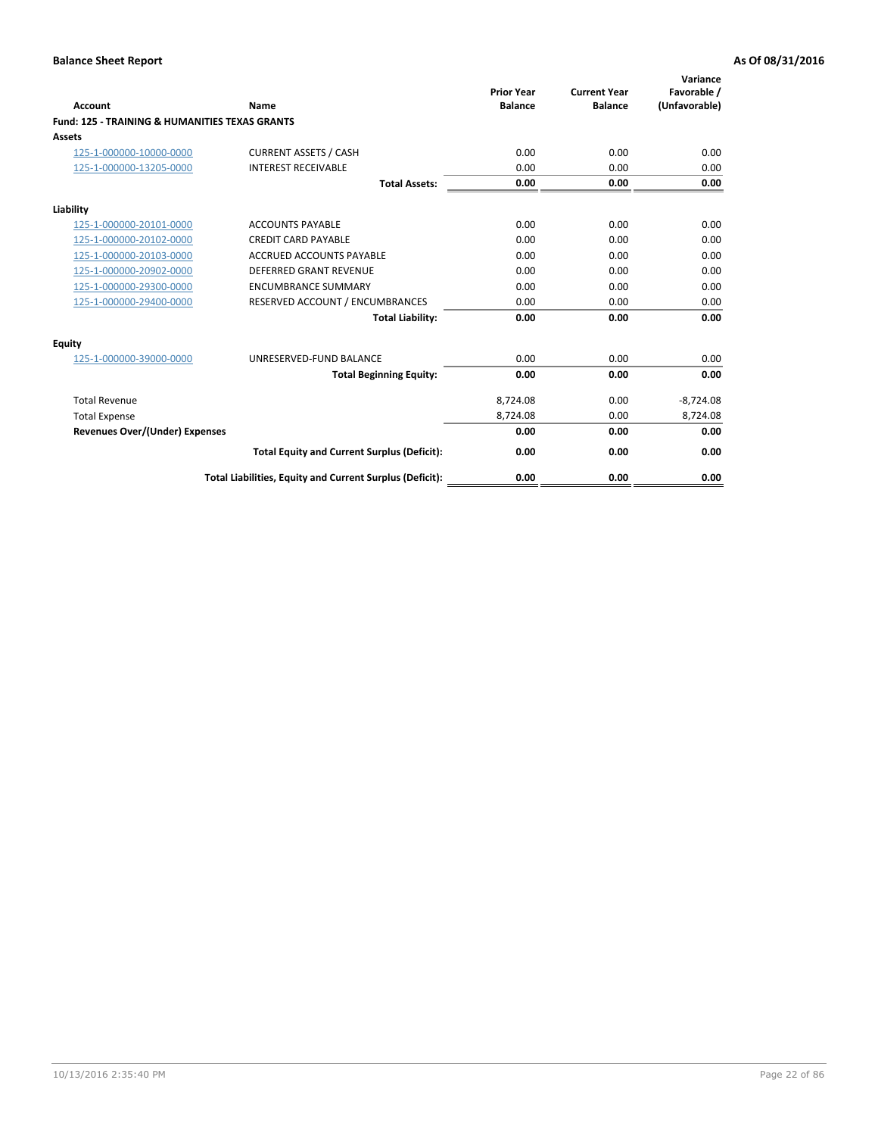| Account                                                   | Name                                                     | <b>Prior Year</b><br><b>Balance</b> | <b>Current Year</b><br><b>Balance</b> | Variance<br>Favorable /<br>(Unfavorable) |
|-----------------------------------------------------------|----------------------------------------------------------|-------------------------------------|---------------------------------------|------------------------------------------|
| <b>Fund: 125 - TRAINING &amp; HUMANITIES TEXAS GRANTS</b> |                                                          |                                     |                                       |                                          |
| <b>Assets</b>                                             |                                                          |                                     |                                       |                                          |
| 125-1-000000-10000-0000                                   | <b>CURRENT ASSETS / CASH</b>                             | 0.00                                | 0.00                                  | 0.00                                     |
| 125-1-000000-13205-0000                                   | <b>INTEREST RECEIVABLE</b>                               | 0.00                                | 0.00                                  | 0.00                                     |
|                                                           | <b>Total Assets:</b>                                     | 0.00                                | 0.00                                  | 0.00                                     |
|                                                           |                                                          |                                     |                                       |                                          |
| Liability                                                 |                                                          |                                     |                                       |                                          |
| 125-1-000000-20101-0000                                   | <b>ACCOUNTS PAYABLE</b>                                  | 0.00                                | 0.00                                  | 0.00                                     |
| 125-1-000000-20102-0000                                   | <b>CREDIT CARD PAYABLE</b>                               | 0.00                                | 0.00                                  | 0.00                                     |
| 125-1-000000-20103-0000                                   | <b>ACCRUED ACCOUNTS PAYABLE</b>                          | 0.00                                | 0.00                                  | 0.00                                     |
| 125-1-000000-20902-0000                                   | <b>DEFERRED GRANT REVENUE</b>                            | 0.00                                | 0.00                                  | 0.00                                     |
| 125-1-000000-29300-0000                                   | <b>ENCUMBRANCE SUMMARY</b>                               | 0.00                                | 0.00                                  | 0.00                                     |
| 125-1-000000-29400-0000                                   | RESERVED ACCOUNT / ENCUMBRANCES                          | 0.00                                | 0.00                                  | 0.00                                     |
|                                                           | <b>Total Liability:</b>                                  | 0.00                                | 0.00                                  | 0.00                                     |
| <b>Equity</b>                                             |                                                          |                                     |                                       |                                          |
| 125-1-000000-39000-0000                                   | UNRESERVED-FUND BALANCE                                  | 0.00                                | 0.00                                  | 0.00                                     |
|                                                           | <b>Total Beginning Equity:</b>                           | 0.00                                | 0.00                                  | 0.00                                     |
| <b>Total Revenue</b>                                      |                                                          | 8,724.08                            | 0.00                                  | $-8,724.08$                              |
| <b>Total Expense</b>                                      |                                                          | 8,724.08                            | 0.00                                  | 8,724.08                                 |
| <b>Revenues Over/(Under) Expenses</b>                     |                                                          | 0.00                                | 0.00                                  | 0.00                                     |
|                                                           | <b>Total Equity and Current Surplus (Deficit):</b>       | 0.00                                | 0.00                                  | 0.00                                     |
|                                                           | Total Liabilities, Equity and Current Surplus (Deficit): | 0.00                                | 0.00                                  | 0.00                                     |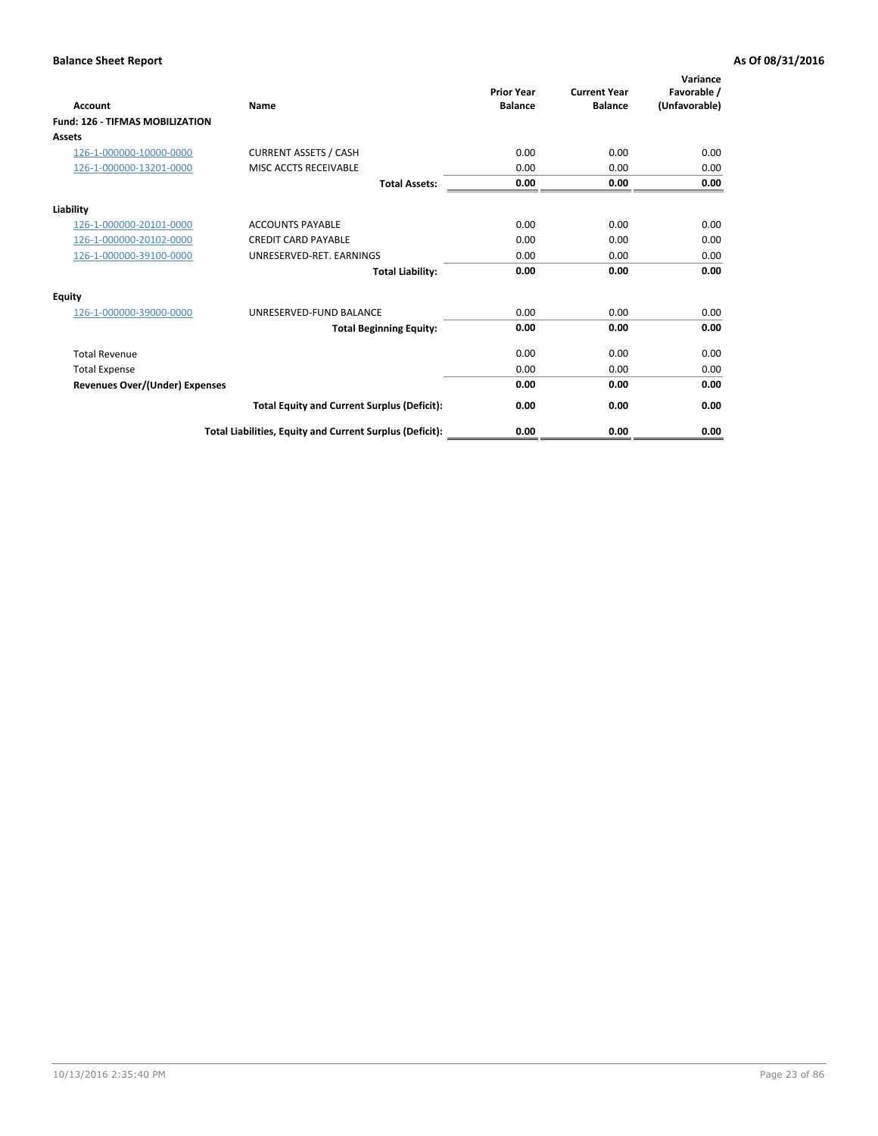| <b>Account</b>                         | Name                                                     | <b>Prior Year</b><br><b>Balance</b> | <b>Current Year</b><br><b>Balance</b> | Variance<br>Favorable /<br>(Unfavorable) |
|----------------------------------------|----------------------------------------------------------|-------------------------------------|---------------------------------------|------------------------------------------|
| <b>Fund: 126 - TIFMAS MOBILIZATION</b> |                                                          |                                     |                                       |                                          |
| Assets                                 |                                                          |                                     |                                       |                                          |
| 126-1-000000-10000-0000                | <b>CURRENT ASSETS / CASH</b>                             | 0.00                                | 0.00                                  | 0.00                                     |
| 126-1-000000-13201-0000                | MISC ACCTS RECEIVABLE                                    | 0.00                                | 0.00                                  | 0.00                                     |
|                                        | <b>Total Assets:</b>                                     | 0.00                                | 0.00                                  | 0.00                                     |
| Liability                              |                                                          |                                     |                                       |                                          |
| 126-1-000000-20101-0000                | <b>ACCOUNTS PAYABLE</b>                                  | 0.00                                | 0.00                                  | 0.00                                     |
| 126-1-000000-20102-0000                | <b>CREDIT CARD PAYABLE</b>                               | 0.00                                | 0.00                                  | 0.00                                     |
| 126-1-000000-39100-0000                | UNRESERVED-RET. EARNINGS                                 | 0.00                                | 0.00                                  | 0.00                                     |
|                                        | <b>Total Liability:</b>                                  | 0.00                                | 0.00                                  | 0.00                                     |
| Equity                                 |                                                          |                                     |                                       |                                          |
| 126-1-000000-39000-0000                | UNRESERVED-FUND BALANCE                                  | 0.00                                | 0.00                                  | 0.00                                     |
|                                        | <b>Total Beginning Equity:</b>                           | 0.00                                | 0.00                                  | 0.00                                     |
| <b>Total Revenue</b>                   |                                                          | 0.00                                | 0.00                                  | 0.00                                     |
| <b>Total Expense</b>                   |                                                          | 0.00                                | 0.00                                  | 0.00                                     |
| Revenues Over/(Under) Expenses         |                                                          | 0.00                                | 0.00                                  | 0.00                                     |
|                                        | <b>Total Equity and Current Surplus (Deficit):</b>       | 0.00                                | 0.00                                  | 0.00                                     |
|                                        | Total Liabilities, Equity and Current Surplus (Deficit): | 0.00                                | 0.00                                  | 0.00                                     |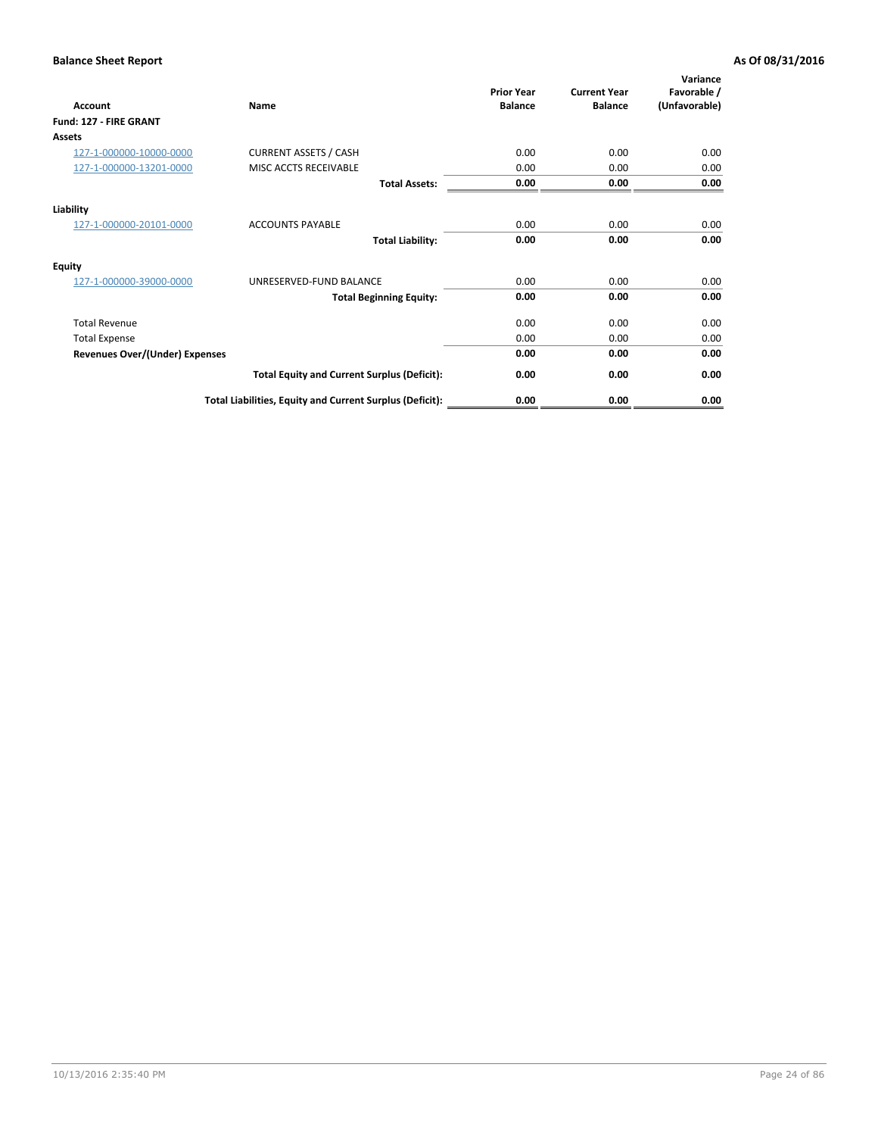| Account                               | <b>Name</b>                                              | <b>Prior Year</b><br><b>Balance</b> | <b>Current Year</b><br><b>Balance</b> | Variance<br>Favorable /<br>(Unfavorable) |
|---------------------------------------|----------------------------------------------------------|-------------------------------------|---------------------------------------|------------------------------------------|
| Fund: 127 - FIRE GRANT                |                                                          |                                     |                                       |                                          |
| Assets                                |                                                          |                                     |                                       |                                          |
| 127-1-000000-10000-0000               | <b>CURRENT ASSETS / CASH</b>                             | 0.00                                | 0.00                                  | 0.00                                     |
| 127-1-000000-13201-0000               | MISC ACCTS RECEIVABLE                                    | 0.00                                | 0.00                                  | 0.00                                     |
|                                       | <b>Total Assets:</b>                                     | 0.00                                | 0.00                                  | 0.00                                     |
| Liability                             |                                                          |                                     |                                       |                                          |
| 127-1-000000-20101-0000               | <b>ACCOUNTS PAYABLE</b>                                  | 0.00                                | 0.00                                  | 0.00                                     |
|                                       | <b>Total Liability:</b>                                  | 0.00                                | 0.00                                  | 0.00                                     |
| <b>Equity</b>                         |                                                          |                                     |                                       |                                          |
| 127-1-000000-39000-0000               | UNRESERVED-FUND BALANCE                                  | 0.00                                | 0.00                                  | 0.00                                     |
|                                       | <b>Total Beginning Equity:</b>                           | 0.00                                | 0.00                                  | 0.00                                     |
| <b>Total Revenue</b>                  |                                                          | 0.00                                | 0.00                                  | 0.00                                     |
| <b>Total Expense</b>                  |                                                          | 0.00                                | 0.00                                  | 0.00                                     |
| <b>Revenues Over/(Under) Expenses</b> |                                                          | 0.00                                | 0.00                                  | 0.00                                     |
|                                       | <b>Total Equity and Current Surplus (Deficit):</b>       | 0.00                                | 0.00                                  | 0.00                                     |
|                                       | Total Liabilities, Equity and Current Surplus (Deficit): | 0.00                                | 0.00                                  | 0.00                                     |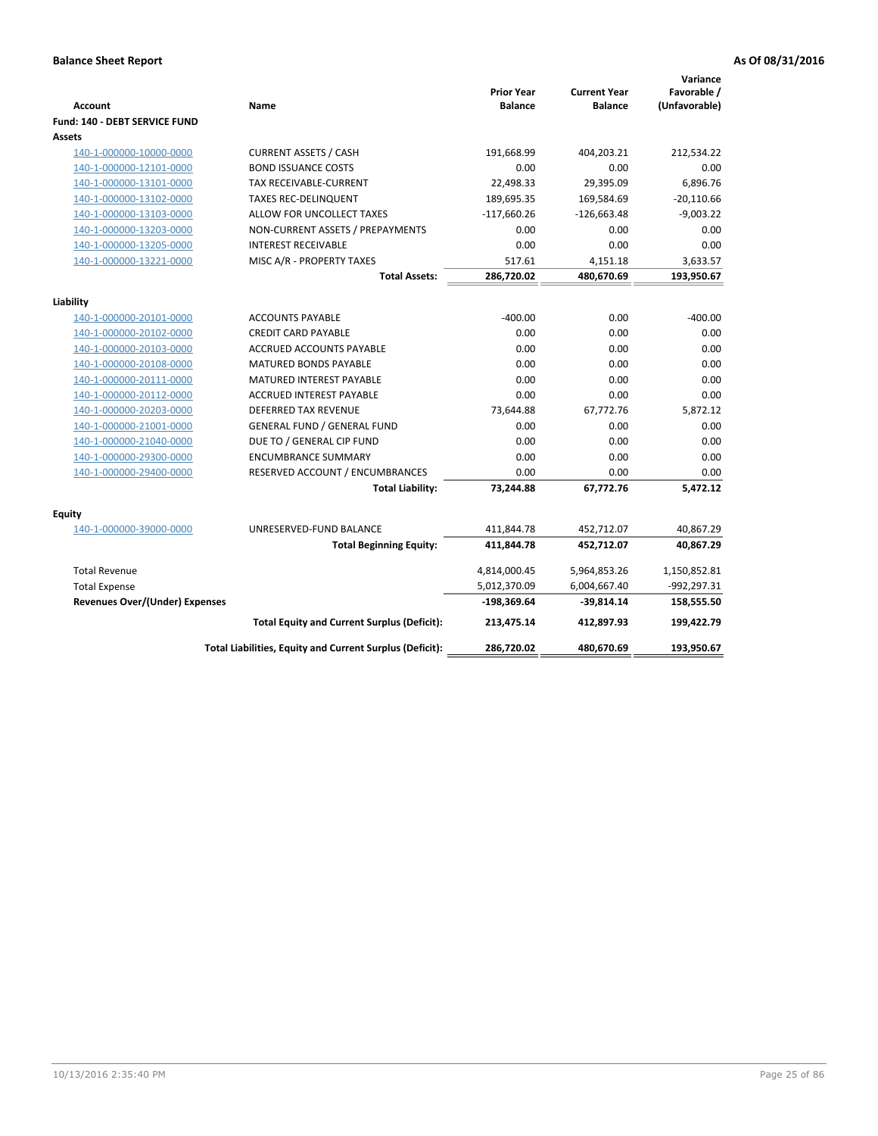| <b>Account</b>                        | Name                                                     | <b>Prior Year</b><br><b>Balance</b> | <b>Current Year</b><br><b>Balance</b> | Variance<br>Favorable /<br>(Unfavorable) |
|---------------------------------------|----------------------------------------------------------|-------------------------------------|---------------------------------------|------------------------------------------|
| Fund: 140 - DEBT SERVICE FUND         |                                                          |                                     |                                       |                                          |
| <b>Assets</b>                         |                                                          |                                     |                                       |                                          |
| 140-1-000000-10000-0000               | <b>CURRENT ASSETS / CASH</b>                             | 191,668.99                          | 404,203.21                            | 212,534.22                               |
| 140-1-000000-12101-0000               | <b>BOND ISSUANCE COSTS</b>                               | 0.00                                | 0.00                                  | 0.00                                     |
| 140-1-000000-13101-0000               | TAX RECEIVABLE-CURRENT                                   | 22,498.33                           | 29,395.09                             | 6,896.76                                 |
| 140-1-000000-13102-0000               | <b>TAXES REC-DELINQUENT</b>                              | 189,695.35                          | 169,584.69                            | $-20,110.66$                             |
| 140-1-000000-13103-0000               | ALLOW FOR UNCOLLECT TAXES                                | $-117,660.26$                       | $-126,663.48$                         | $-9,003.22$                              |
| 140-1-000000-13203-0000               | NON-CURRENT ASSETS / PREPAYMENTS                         | 0.00                                | 0.00                                  | 0.00                                     |
| 140-1-000000-13205-0000               | <b>INTEREST RECEIVABLE</b>                               | 0.00                                | 0.00                                  | 0.00                                     |
| 140-1-000000-13221-0000               | MISC A/R - PROPERTY TAXES                                | 517.61                              | 4,151.18                              | 3,633.57                                 |
|                                       | <b>Total Assets:</b>                                     | 286,720.02                          | 480,670.69                            | 193,950.67                               |
| Liability                             |                                                          |                                     |                                       |                                          |
| 140-1-000000-20101-0000               | <b>ACCOUNTS PAYABLE</b>                                  | $-400.00$                           | 0.00                                  | $-400.00$                                |
| 140-1-000000-20102-0000               | <b>CREDIT CARD PAYABLE</b>                               | 0.00                                | 0.00                                  | 0.00                                     |
| 140-1-000000-20103-0000               | ACCRUED ACCOUNTS PAYABLE                                 | 0.00                                | 0.00                                  | 0.00                                     |
| 140-1-000000-20108-0000               | <b>MATURED BONDS PAYABLE</b>                             | 0.00                                | 0.00                                  | 0.00                                     |
| 140-1-000000-20111-0000               | <b>MATURED INTEREST PAYABLE</b>                          | 0.00                                | 0.00                                  | 0.00                                     |
| 140-1-000000-20112-0000               | <b>ACCRUED INTEREST PAYABLE</b>                          | 0.00                                | 0.00                                  | 0.00                                     |
| 140-1-000000-20203-0000               | <b>DEFERRED TAX REVENUE</b>                              | 73,644.88                           | 67,772.76                             | 5,872.12                                 |
| 140-1-000000-21001-0000               | <b>GENERAL FUND / GENERAL FUND</b>                       | 0.00                                | 0.00                                  | 0.00                                     |
| 140-1-000000-21040-0000               | DUE TO / GENERAL CIP FUND                                | 0.00                                | 0.00                                  | 0.00                                     |
| 140-1-000000-29300-0000               | <b>ENCUMBRANCE SUMMARY</b>                               | 0.00                                | 0.00                                  | 0.00                                     |
| 140-1-000000-29400-0000               | RESERVED ACCOUNT / ENCUMBRANCES                          | 0.00                                | 0.00                                  | 0.00                                     |
|                                       | <b>Total Liability:</b>                                  | 73,244.88                           | 67,772.76                             | 5,472.12                                 |
|                                       |                                                          |                                     |                                       |                                          |
| <b>Equity</b>                         | UNRESERVED-FUND BALANCE                                  |                                     |                                       |                                          |
| 140-1-000000-39000-0000               |                                                          | 411,844.78                          | 452,712.07                            | 40,867.29                                |
|                                       | <b>Total Beginning Equity:</b>                           | 411,844.78                          | 452,712.07                            | 40,867.29                                |
| <b>Total Revenue</b>                  |                                                          | 4,814,000.45                        | 5,964,853.26                          | 1,150,852.81                             |
| <b>Total Expense</b>                  |                                                          | 5,012,370.09                        | 6,004,667.40                          | -992,297.31                              |
| <b>Revenues Over/(Under) Expenses</b> |                                                          | $-198,369.64$                       | -39,814.14                            | 158,555.50                               |
|                                       | <b>Total Equity and Current Surplus (Deficit):</b>       | 213,475.14                          | 412,897.93                            | 199,422.79                               |
|                                       | Total Liabilities, Equity and Current Surplus (Deficit): | 286,720.02                          | 480,670.69                            | 193,950.67                               |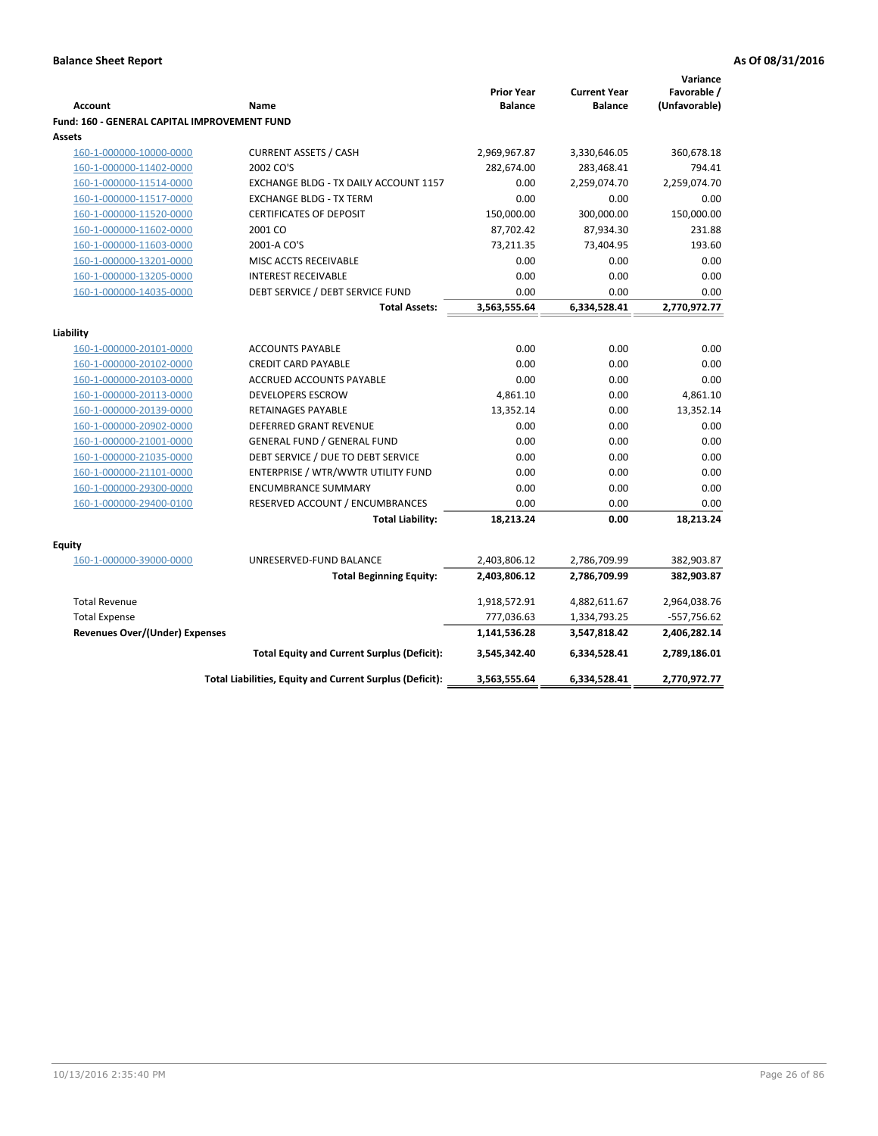|                                                        |                                                                |                                     |                                       | Variance      |
|--------------------------------------------------------|----------------------------------------------------------------|-------------------------------------|---------------------------------------|---------------|
|                                                        |                                                                | <b>Prior Year</b><br><b>Balance</b> | <b>Current Year</b><br><b>Balance</b> | Favorable /   |
| <b>Account</b>                                         | Name                                                           |                                     |                                       | (Unfavorable) |
| Fund: 160 - GENERAL CAPITAL IMPROVEMENT FUND<br>Assets |                                                                |                                     |                                       |               |
|                                                        | <b>CURRENT ASSETS / CASH</b>                                   | 2,969,967.87                        |                                       | 360,678.18    |
| 160-1-000000-10000-0000                                | 2002 CO'S                                                      |                                     | 3,330,646.05                          | 794.41        |
| 160-1-000000-11402-0000<br>160-1-000000-11514-0000     | EXCHANGE BLDG - TX DAILY ACCOUNT 1157                          | 282,674.00<br>0.00                  | 283,468.41<br>2,259,074.70            | 2,259,074.70  |
| 160-1-000000-11517-0000                                | <b>EXCHANGE BLDG - TX TERM</b>                                 | 0.00                                | 0.00                                  | 0.00          |
| 160-1-000000-11520-0000                                | <b>CERTIFICATES OF DEPOSIT</b>                                 | 150,000.00                          | 300,000.00                            | 150,000.00    |
|                                                        | 2001 CO                                                        | 87,702.42                           |                                       | 231.88        |
| 160-1-000000-11602-0000                                |                                                                |                                     | 87,934.30                             |               |
| 160-1-000000-11603-0000                                | 2001-A CO'S                                                    | 73,211.35                           | 73,404.95                             | 193.60        |
| 160-1-000000-13201-0000                                | MISC ACCTS RECEIVABLE                                          | 0.00                                | 0.00                                  | 0.00          |
| 160-1-000000-13205-0000<br>160-1-000000-14035-0000     | <b>INTEREST RECEIVABLE</b><br>DEBT SERVICE / DEBT SERVICE FUND | 0.00<br>0.00                        | 0.00<br>0.00                          | 0.00<br>0.00  |
|                                                        | <b>Total Assets:</b>                                           | 3,563,555.64                        | 6,334,528.41                          | 2,770,972.77  |
|                                                        |                                                                |                                     |                                       |               |
| Liabilitv                                              |                                                                |                                     |                                       |               |
| 160-1-000000-20101-0000                                | <b>ACCOUNTS PAYABLE</b>                                        | 0.00                                | 0.00                                  | 0.00          |
| 160-1-000000-20102-0000                                | <b>CREDIT CARD PAYABLE</b>                                     | 0.00                                | 0.00                                  | 0.00          |
| 160-1-000000-20103-0000                                | ACCRUED ACCOUNTS PAYABLE                                       | 0.00                                | 0.00                                  | 0.00          |
| 160-1-000000-20113-0000                                | <b>DEVELOPERS ESCROW</b>                                       | 4,861.10                            | 0.00                                  | 4,861.10      |
| 160-1-000000-20139-0000                                | <b>RETAINAGES PAYABLE</b>                                      | 13,352.14                           | 0.00                                  | 13,352.14     |
| 160-1-000000-20902-0000                                | <b>DEFERRED GRANT REVENUE</b>                                  | 0.00                                | 0.00                                  | 0.00          |
| 160-1-000000-21001-0000                                | <b>GENERAL FUND / GENERAL FUND</b>                             | 0.00                                | 0.00                                  | 0.00          |
| 160-1-000000-21035-0000                                | DEBT SERVICE / DUE TO DEBT SERVICE                             | 0.00                                | 0.00                                  | 0.00          |
| 160-1-000000-21101-0000                                | ENTERPRISE / WTR/WWTR UTILITY FUND                             | 0.00                                | 0.00                                  | 0.00          |
| 160-1-000000-29300-0000                                | <b>ENCUMBRANCE SUMMARY</b>                                     | 0.00                                | 0.00                                  | 0.00          |
| 160-1-000000-29400-0100                                | RESERVED ACCOUNT / ENCUMBRANCES                                | 0.00                                | 0.00                                  | 0.00          |
|                                                        | <b>Total Liability:</b>                                        | 18,213.24                           | 0.00                                  | 18,213.24     |
|                                                        |                                                                |                                     |                                       |               |
| Equity                                                 |                                                                |                                     |                                       |               |
| 160-1-000000-39000-0000                                | UNRESERVED-FUND BALANCE                                        | 2,403,806.12                        | 2,786,709.99                          | 382,903.87    |
|                                                        | <b>Total Beginning Equity:</b>                                 | 2,403,806.12                        | 2,786,709.99                          | 382,903.87    |
| <b>Total Revenue</b>                                   |                                                                | 1,918,572.91                        | 4,882,611.67                          | 2,964,038.76  |
| <b>Total Expense</b>                                   |                                                                | 777,036.63                          | 1,334,793.25                          | -557,756.62   |
| Revenues Over/(Under) Expenses                         |                                                                | 1,141,536.28                        | 3,547,818.42                          | 2,406,282.14  |
|                                                        | <b>Total Equity and Current Surplus (Deficit):</b>             | 3,545,342.40                        | 6,334,528.41                          | 2,789,186.01  |
|                                                        | Total Liabilities, Equity and Current Surplus (Deficit):       | 3,563,555.64                        | 6,334,528.41                          | 2,770,972.77  |
|                                                        |                                                                |                                     |                                       |               |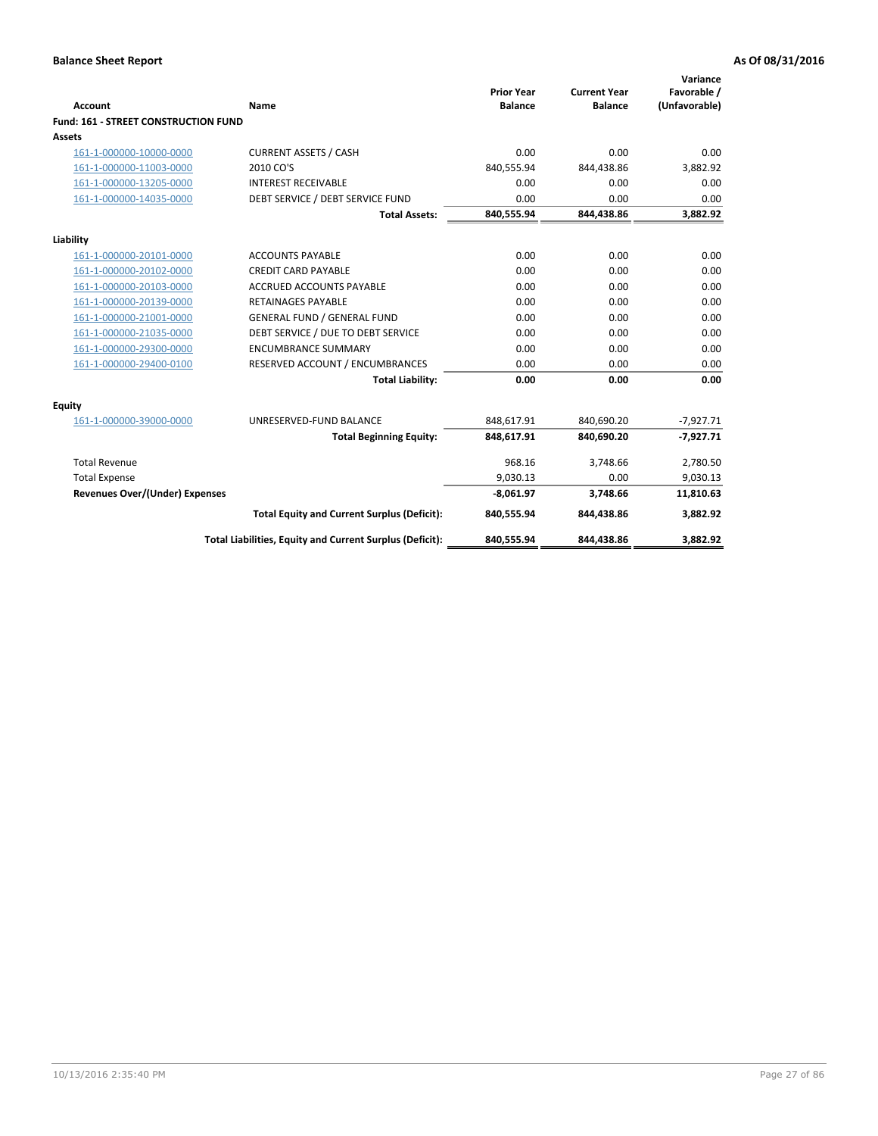| <b>Account</b>                       | <b>Name</b>                                              | <b>Prior Year</b><br><b>Balance</b> | <b>Current Year</b><br><b>Balance</b> | Variance<br>Favorable /<br>(Unfavorable) |
|--------------------------------------|----------------------------------------------------------|-------------------------------------|---------------------------------------|------------------------------------------|
| Fund: 161 - STREET CONSTRUCTION FUND |                                                          |                                     |                                       |                                          |
| Assets                               |                                                          |                                     |                                       |                                          |
| 161-1-000000-10000-0000              | <b>CURRENT ASSETS / CASH</b>                             | 0.00                                | 0.00                                  | 0.00                                     |
| 161-1-000000-11003-0000              | 2010 CO'S                                                | 840,555.94                          | 844,438.86                            | 3,882.92                                 |
| 161-1-000000-13205-0000              | <b>INTEREST RECEIVABLE</b>                               | 0.00                                | 0.00                                  | 0.00                                     |
| 161-1-000000-14035-0000              | DEBT SERVICE / DEBT SERVICE FUND                         | 0.00                                | 0.00                                  | 0.00                                     |
|                                      | <b>Total Assets:</b>                                     | 840,555.94                          | 844,438.86                            | 3,882.92                                 |
| Liability                            |                                                          |                                     |                                       |                                          |
| 161-1-000000-20101-0000              | <b>ACCOUNTS PAYABLE</b>                                  | 0.00                                | 0.00                                  | 0.00                                     |
| 161-1-000000-20102-0000              | <b>CREDIT CARD PAYABLE</b>                               | 0.00                                | 0.00                                  | 0.00                                     |
| 161-1-000000-20103-0000              | <b>ACCRUED ACCOUNTS PAYABLE</b>                          | 0.00                                | 0.00                                  | 0.00                                     |
| 161-1-000000-20139-0000              | <b>RETAINAGES PAYABLE</b>                                | 0.00                                | 0.00                                  | 0.00                                     |
| 161-1-000000-21001-0000              | <b>GENERAL FUND / GENERAL FUND</b>                       | 0.00                                | 0.00                                  | 0.00                                     |
| 161-1-000000-21035-0000              | DEBT SERVICE / DUE TO DEBT SERVICE                       | 0.00                                | 0.00                                  | 0.00                                     |
| 161-1-000000-29300-0000              | <b>ENCUMBRANCE SUMMARY</b>                               | 0.00                                | 0.00                                  | 0.00                                     |
| 161-1-000000-29400-0100              | RESERVED ACCOUNT / ENCUMBRANCES                          | 0.00                                | 0.00                                  | 0.00                                     |
|                                      | <b>Total Liability:</b>                                  | 0.00                                | 0.00                                  | 0.00                                     |
| <b>Equity</b>                        |                                                          |                                     |                                       |                                          |
| 161-1-000000-39000-0000              | UNRESERVED-FUND BALANCE                                  | 848,617.91                          | 840,690.20                            | $-7,927.71$                              |
|                                      | <b>Total Beginning Equity:</b>                           | 848,617.91                          | 840,690.20                            | $-7,927.71$                              |
| <b>Total Revenue</b>                 |                                                          | 968.16                              | 3,748.66                              | 2,780.50                                 |
| <b>Total Expense</b>                 |                                                          | 9,030.13                            | 0.00                                  | 9,030.13                                 |
| Revenues Over/(Under) Expenses       |                                                          | $-8,061.97$                         | 3,748.66                              | 11,810.63                                |
|                                      | <b>Total Equity and Current Surplus (Deficit):</b>       | 840,555.94                          | 844,438.86                            | 3,882.92                                 |
|                                      | Total Liabilities, Equity and Current Surplus (Deficit): | 840,555.94                          | 844,438.86                            | 3,882.92                                 |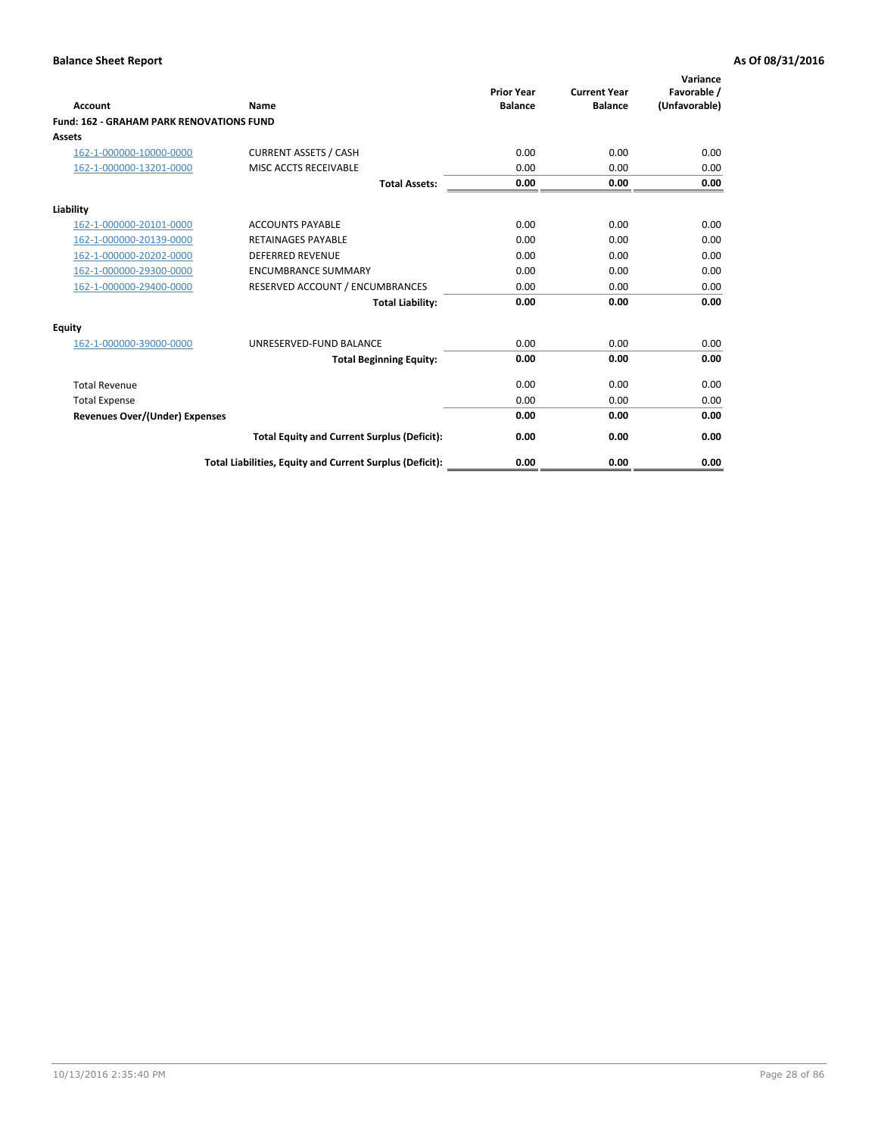| Account                                         | Name                                                     | <b>Prior Year</b><br><b>Balance</b> | <b>Current Year</b><br><b>Balance</b> | Variance<br>Favorable /<br>(Unfavorable) |
|-------------------------------------------------|----------------------------------------------------------|-------------------------------------|---------------------------------------|------------------------------------------|
| <b>Fund: 162 - GRAHAM PARK RENOVATIONS FUND</b> |                                                          |                                     |                                       |                                          |
| <b>Assets</b>                                   |                                                          |                                     |                                       |                                          |
| 162-1-000000-10000-0000                         | <b>CURRENT ASSETS / CASH</b>                             | 0.00                                | 0.00                                  | 0.00                                     |
| 162-1-000000-13201-0000                         | MISC ACCTS RECEIVABLE                                    | 0.00                                | 0.00                                  | 0.00                                     |
|                                                 | <b>Total Assets:</b>                                     | 0.00                                | 0.00                                  | 0.00                                     |
| Liability                                       |                                                          |                                     |                                       |                                          |
| 162-1-000000-20101-0000                         | <b>ACCOUNTS PAYABLE</b>                                  | 0.00                                | 0.00                                  | 0.00                                     |
| 162-1-000000-20139-0000                         | <b>RETAINAGES PAYABLE</b>                                | 0.00                                | 0.00                                  | 0.00                                     |
| 162-1-000000-20202-0000                         | <b>DEFERRED REVENUE</b>                                  | 0.00                                | 0.00                                  | 0.00                                     |
| 162-1-000000-29300-0000                         | <b>ENCUMBRANCE SUMMARY</b>                               | 0.00                                | 0.00                                  | 0.00                                     |
| 162-1-000000-29400-0000                         | RESERVED ACCOUNT / ENCUMBRANCES                          | 0.00                                | 0.00                                  | 0.00                                     |
|                                                 | <b>Total Liability:</b>                                  | 0.00                                | 0.00                                  | 0.00                                     |
| Equity                                          |                                                          |                                     |                                       |                                          |
| 162-1-000000-39000-0000                         | UNRESERVED-FUND BALANCE                                  | 0.00                                | 0.00                                  | 0.00                                     |
|                                                 | <b>Total Beginning Equity:</b>                           | 0.00                                | 0.00                                  | 0.00                                     |
| <b>Total Revenue</b>                            |                                                          | 0.00                                | 0.00                                  | 0.00                                     |
| <b>Total Expense</b>                            |                                                          | 0.00                                | 0.00                                  | 0.00                                     |
| <b>Revenues Over/(Under) Expenses</b>           |                                                          | 0.00                                | 0.00                                  | 0.00                                     |
|                                                 | <b>Total Equity and Current Surplus (Deficit):</b>       | 0.00                                | 0.00                                  | 0.00                                     |
|                                                 | Total Liabilities, Equity and Current Surplus (Deficit): | 0.00                                | 0.00                                  | 0.00                                     |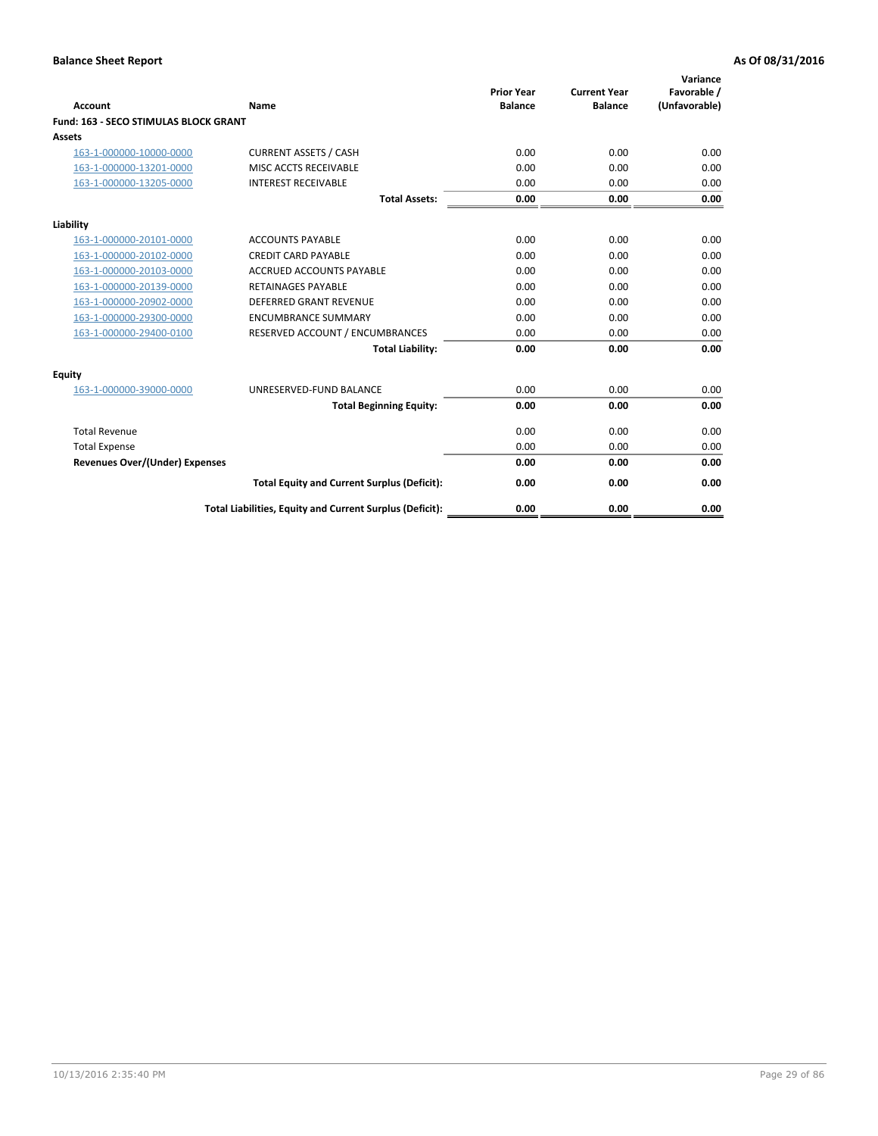| Account                                      | Name                                                     | <b>Prior Year</b><br><b>Balance</b> | <b>Current Year</b><br><b>Balance</b> | Variance<br>Favorable /<br>(Unfavorable) |
|----------------------------------------------|----------------------------------------------------------|-------------------------------------|---------------------------------------|------------------------------------------|
| <b>Fund: 163 - SECO STIMULAS BLOCK GRANT</b> |                                                          |                                     |                                       |                                          |
| <b>Assets</b>                                |                                                          |                                     |                                       |                                          |
| 163-1-000000-10000-0000                      | <b>CURRENT ASSETS / CASH</b>                             | 0.00                                | 0.00                                  | 0.00                                     |
| 163-1-000000-13201-0000                      | MISC ACCTS RECEIVABLE                                    | 0.00                                | 0.00                                  | 0.00                                     |
| 163-1-000000-13205-0000                      | <b>INTEREST RECEIVABLE</b>                               | 0.00                                | 0.00                                  | 0.00                                     |
|                                              | <b>Total Assets:</b>                                     | 0.00                                | 0.00                                  | 0.00                                     |
| Liability                                    |                                                          |                                     |                                       |                                          |
| 163-1-000000-20101-0000                      | <b>ACCOUNTS PAYABLE</b>                                  | 0.00                                | 0.00                                  | 0.00                                     |
| 163-1-000000-20102-0000                      | <b>CREDIT CARD PAYABLE</b>                               | 0.00                                | 0.00                                  | 0.00                                     |
| 163-1-000000-20103-0000                      | <b>ACCRUED ACCOUNTS PAYABLE</b>                          | 0.00                                | 0.00                                  | 0.00                                     |
| 163-1-000000-20139-0000                      | <b>RETAINAGES PAYABLE</b>                                | 0.00                                | 0.00                                  | 0.00                                     |
| 163-1-000000-20902-0000                      | <b>DEFERRED GRANT REVENUE</b>                            | 0.00                                | 0.00                                  | 0.00                                     |
| 163-1-000000-29300-0000                      | <b>ENCUMBRANCE SUMMARY</b>                               | 0.00                                | 0.00                                  | 0.00                                     |
| 163-1-000000-29400-0100                      | RESERVED ACCOUNT / ENCUMBRANCES                          | 0.00                                | 0.00                                  | 0.00                                     |
|                                              | <b>Total Liability:</b>                                  | 0.00                                | 0.00                                  | 0.00                                     |
| <b>Equity</b>                                |                                                          |                                     |                                       |                                          |
| 163-1-000000-39000-0000                      | UNRESERVED-FUND BALANCE                                  | 0.00                                | 0.00                                  | 0.00                                     |
|                                              | <b>Total Beginning Equity:</b>                           | 0.00                                | 0.00                                  | 0.00                                     |
| <b>Total Revenue</b>                         |                                                          | 0.00                                | 0.00                                  | 0.00                                     |
| <b>Total Expense</b>                         |                                                          | 0.00                                | 0.00                                  | 0.00                                     |
| Revenues Over/(Under) Expenses               |                                                          | 0.00                                | 0.00                                  | 0.00                                     |
|                                              | <b>Total Equity and Current Surplus (Deficit):</b>       | 0.00                                | 0.00                                  | 0.00                                     |
|                                              | Total Liabilities, Equity and Current Surplus (Deficit): | 0.00                                | 0.00                                  | 0.00                                     |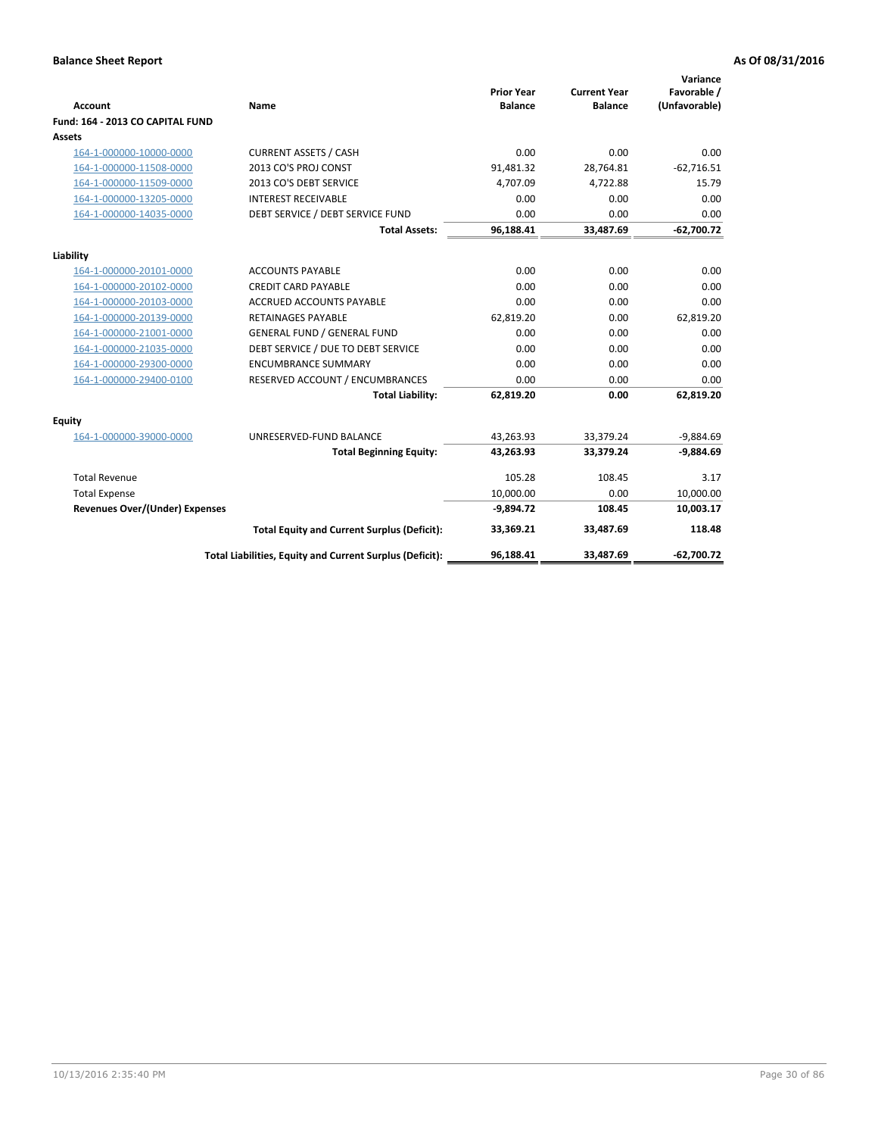|                                       |                                                          |                                     |                                       | Variance                     |
|---------------------------------------|----------------------------------------------------------|-------------------------------------|---------------------------------------|------------------------------|
| <b>Account</b>                        | Name                                                     | <b>Prior Year</b><br><b>Balance</b> | <b>Current Year</b><br><b>Balance</b> | Favorable /<br>(Unfavorable) |
| Fund: 164 - 2013 CO CAPITAL FUND      |                                                          |                                     |                                       |                              |
| Assets                                |                                                          |                                     |                                       |                              |
| 164-1-000000-10000-0000               | <b>CURRENT ASSETS / CASH</b>                             | 0.00                                | 0.00                                  | 0.00                         |
| 164-1-000000-11508-0000               | 2013 CO'S PROJ CONST                                     | 91,481.32                           | 28,764.81                             | $-62,716.51$                 |
| 164-1-000000-11509-0000               | 2013 CO'S DEBT SERVICE                                   | 4,707.09                            | 4,722.88                              | 15.79                        |
| 164-1-000000-13205-0000               | <b>INTEREST RECEIVABLE</b>                               | 0.00                                | 0.00                                  | 0.00                         |
| 164-1-000000-14035-0000               | DEBT SERVICE / DEBT SERVICE FUND                         | 0.00                                | 0.00                                  | 0.00                         |
|                                       | <b>Total Assets:</b>                                     | 96,188.41                           | 33,487.69                             | $-62,700.72$                 |
| Liability                             |                                                          |                                     |                                       |                              |
| 164-1-000000-20101-0000               | <b>ACCOUNTS PAYABLE</b>                                  | 0.00                                | 0.00                                  | 0.00                         |
| 164-1-000000-20102-0000               | <b>CREDIT CARD PAYABLE</b>                               | 0.00                                | 0.00                                  | 0.00                         |
| 164-1-000000-20103-0000               | <b>ACCRUED ACCOUNTS PAYABLE</b>                          | 0.00                                | 0.00                                  | 0.00                         |
| 164-1-000000-20139-0000               | <b>RETAINAGES PAYABLE</b>                                | 62,819.20                           | 0.00                                  | 62,819.20                    |
| 164-1-000000-21001-0000               | <b>GENERAL FUND / GENERAL FUND</b>                       | 0.00                                | 0.00                                  | 0.00                         |
| 164-1-000000-21035-0000               | DEBT SERVICE / DUE TO DEBT SERVICE                       | 0.00                                | 0.00                                  | 0.00                         |
| 164-1-000000-29300-0000               | <b>ENCUMBRANCE SUMMARY</b>                               | 0.00                                | 0.00                                  | 0.00                         |
| 164-1-000000-29400-0100               | RESERVED ACCOUNT / ENCUMBRANCES                          | 0.00                                | 0.00                                  | 0.00                         |
|                                       | <b>Total Liability:</b>                                  | 62,819.20                           | 0.00                                  | 62,819.20                    |
| Equity                                |                                                          |                                     |                                       |                              |
| 164-1-000000-39000-0000               | UNRESERVED-FUND BALANCE                                  | 43,263.93                           | 33,379.24                             | $-9,884.69$                  |
|                                       | <b>Total Beginning Equity:</b>                           | 43,263.93                           | 33,379.24                             | $-9,884.69$                  |
| <b>Total Revenue</b>                  |                                                          | 105.28                              | 108.45                                | 3.17                         |
| <b>Total Expense</b>                  |                                                          | 10,000.00                           | 0.00                                  | 10,000.00                    |
| <b>Revenues Over/(Under) Expenses</b> |                                                          | $-9,894.72$                         | 108.45                                | 10,003.17                    |
|                                       | <b>Total Equity and Current Surplus (Deficit):</b>       | 33.369.21                           | 33.487.69                             | 118.48                       |
|                                       | Total Liabilities, Equity and Current Surplus (Deficit): | 96,188.41                           | 33.487.69                             | $-62,700.72$                 |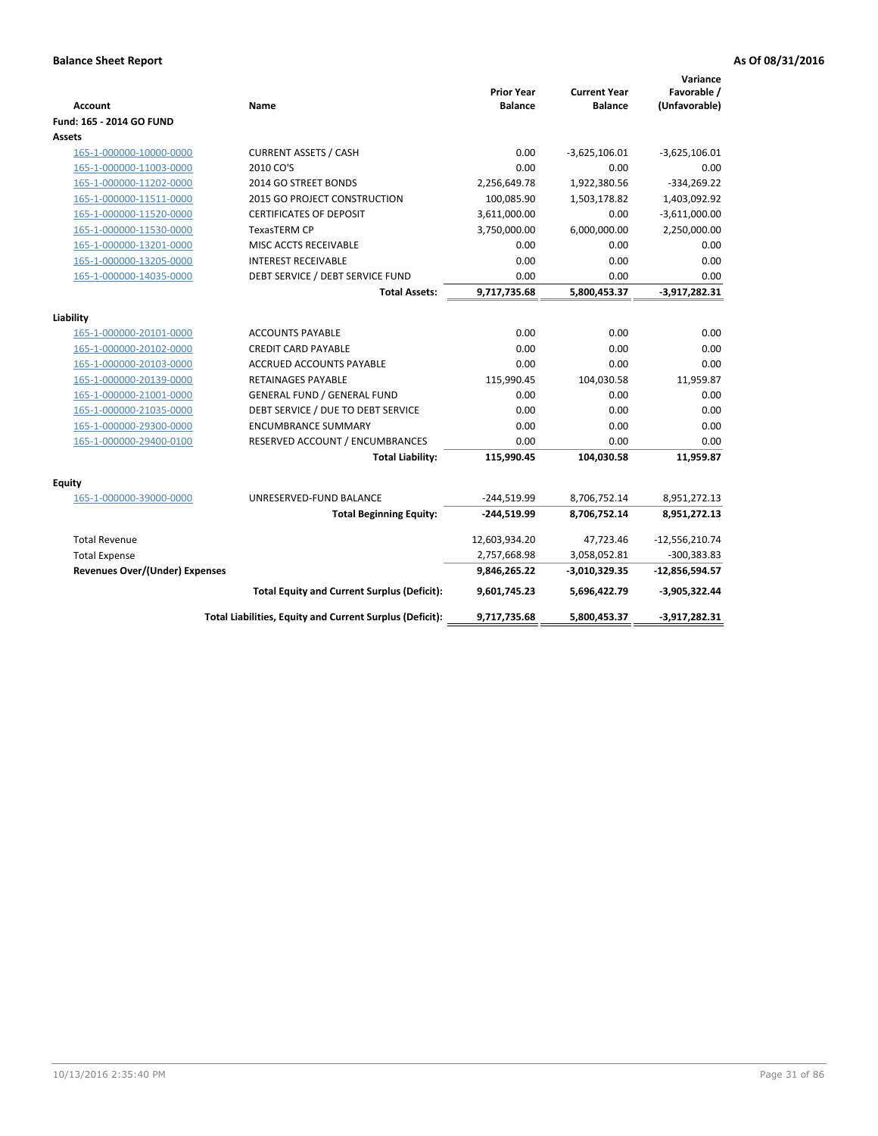| <b>Account</b>                        | Name                                                     | <b>Prior Year</b><br><b>Balance</b> | <b>Current Year</b><br><b>Balance</b> | Variance<br>Favorable /<br>(Unfavorable) |
|---------------------------------------|----------------------------------------------------------|-------------------------------------|---------------------------------------|------------------------------------------|
| Fund: 165 - 2014 GO FUND              |                                                          |                                     |                                       |                                          |
| Assets                                |                                                          |                                     |                                       |                                          |
| 165-1-000000-10000-0000               | <b>CURRENT ASSETS / CASH</b>                             | 0.00                                | $-3,625,106.01$                       | $-3,625,106.01$                          |
| 165-1-000000-11003-0000               | 2010 CO'S                                                | 0.00                                | 0.00                                  | 0.00                                     |
| 165-1-000000-11202-0000               | 2014 GO STREET BONDS                                     | 2,256,649.78                        | 1,922,380.56                          | $-334,269.22$                            |
| 165-1-000000-11511-0000               | 2015 GO PROJECT CONSTRUCTION                             | 100,085.90                          | 1,503,178.82                          | 1,403,092.92                             |
| 165-1-000000-11520-0000               | <b>CERTIFICATES OF DEPOSIT</b>                           | 3,611,000.00                        | 0.00                                  | $-3,611,000.00$                          |
| 165-1-000000-11530-0000               | TexasTERM CP                                             | 3,750,000.00                        | 6,000,000.00                          | 2,250,000.00                             |
| 165-1-000000-13201-0000               | MISC ACCTS RECEIVABLE                                    | 0.00                                | 0.00                                  | 0.00                                     |
| 165-1-000000-13205-0000               | <b>INTEREST RECEIVABLE</b>                               | 0.00                                | 0.00                                  | 0.00                                     |
| 165-1-000000-14035-0000               | DEBT SERVICE / DEBT SERVICE FUND                         | 0.00                                | 0.00                                  | 0.00                                     |
|                                       | <b>Total Assets:</b>                                     | 9,717,735.68                        | 5,800,453.37                          | $-3,917,282.31$                          |
| Liability                             |                                                          |                                     |                                       |                                          |
| 165-1-000000-20101-0000               | <b>ACCOUNTS PAYABLE</b>                                  | 0.00                                | 0.00                                  | 0.00                                     |
| 165-1-000000-20102-0000               | <b>CREDIT CARD PAYABLE</b>                               | 0.00                                | 0.00                                  | 0.00                                     |
| 165-1-000000-20103-0000               | <b>ACCRUED ACCOUNTS PAYABLE</b>                          | 0.00                                | 0.00                                  | 0.00                                     |
| 165-1-000000-20139-0000               | <b>RETAINAGES PAYABLE</b>                                | 115,990.45                          | 104,030.58                            | 11,959.87                                |
| 165-1-000000-21001-0000               | <b>GENERAL FUND / GENERAL FUND</b>                       | 0.00                                | 0.00                                  | 0.00                                     |
| 165-1-000000-21035-0000               | DEBT SERVICE / DUE TO DEBT SERVICE                       | 0.00                                | 0.00                                  | 0.00                                     |
| 165-1-000000-29300-0000               | <b>ENCUMBRANCE SUMMARY</b>                               | 0.00                                | 0.00                                  | 0.00                                     |
| 165-1-000000-29400-0100               | RESERVED ACCOUNT / ENCUMBRANCES                          | 0.00                                | 0.00                                  | 0.00                                     |
|                                       | <b>Total Liability:</b>                                  | 115,990.45                          | 104,030.58                            | 11,959.87                                |
| <b>Equity</b>                         |                                                          |                                     |                                       |                                          |
| 165-1-000000-39000-0000               | UNRESERVED-FUND BALANCE                                  | $-244,519.99$                       | 8,706,752.14                          | 8,951,272.13                             |
|                                       | <b>Total Beginning Equity:</b>                           | $-244,519.99$                       | 8,706,752.14                          | 8,951,272.13                             |
| <b>Total Revenue</b>                  |                                                          | 12,603,934.20                       | 47,723.46                             | $-12,556,210.74$                         |
| <b>Total Expense</b>                  |                                                          | 2,757,668.98                        | 3,058,052.81                          | $-300,383.83$                            |
| <b>Revenues Over/(Under) Expenses</b> |                                                          | 9,846,265.22                        | $-3,010,329.35$                       | $-12,856,594.57$                         |
|                                       | <b>Total Equity and Current Surplus (Deficit):</b>       | 9,601,745.23                        | 5,696,422.79                          | $-3,905,322.44$                          |
|                                       | Total Liabilities, Equity and Current Surplus (Deficit): | 9,717,735.68                        | 5,800,453.37                          | $-3,917,282.31$                          |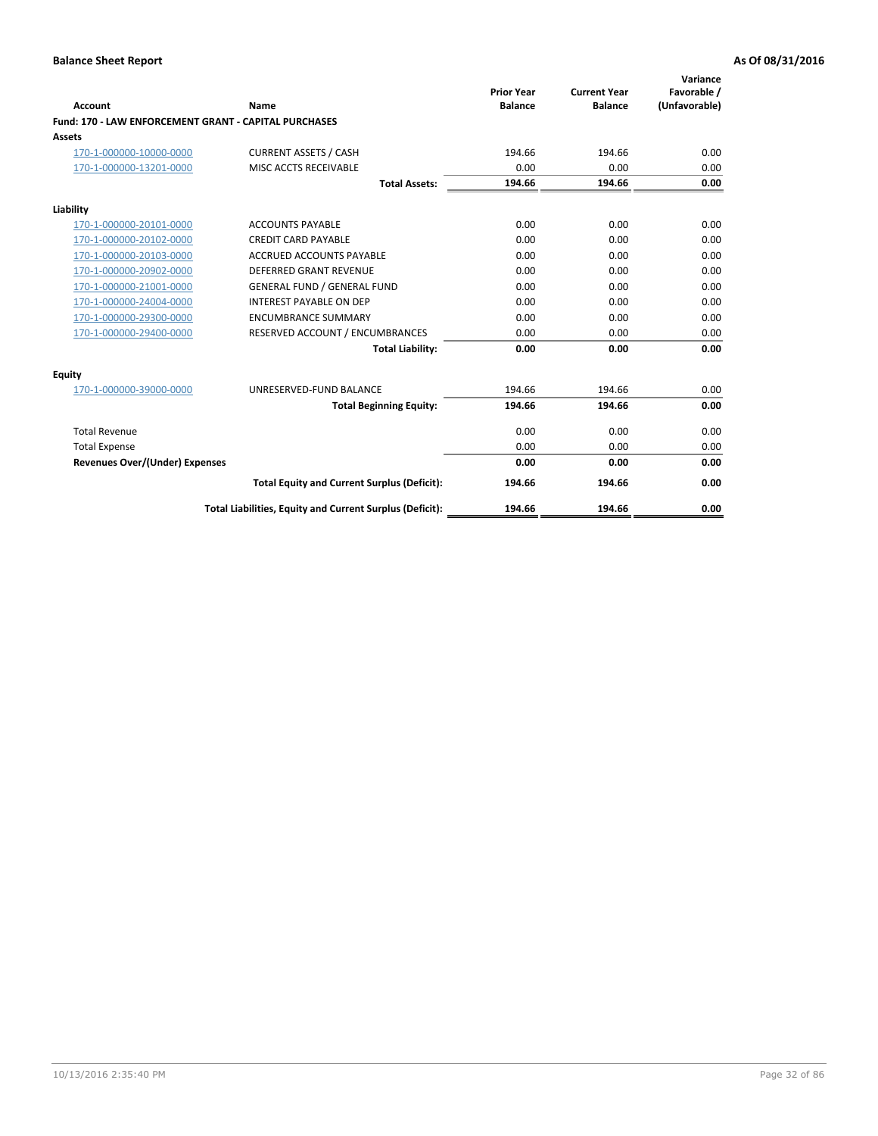| Account                                               | Name                                                     | <b>Prior Year</b><br><b>Balance</b> | <b>Current Year</b><br><b>Balance</b> | Variance<br>Favorable /<br>(Unfavorable) |
|-------------------------------------------------------|----------------------------------------------------------|-------------------------------------|---------------------------------------|------------------------------------------|
| Fund: 170 - LAW ENFORCEMENT GRANT - CAPITAL PURCHASES |                                                          |                                     |                                       |                                          |
| <b>Assets</b>                                         |                                                          |                                     |                                       |                                          |
| 170-1-000000-10000-0000                               | <b>CURRENT ASSETS / CASH</b>                             | 194.66                              | 194.66                                | 0.00                                     |
| 170-1-000000-13201-0000                               | MISC ACCTS RECEIVABLE                                    | 0.00                                | 0.00                                  | 0.00                                     |
|                                                       | <b>Total Assets:</b>                                     | 194.66                              | 194.66                                | 0.00                                     |
| Liability                                             |                                                          |                                     |                                       |                                          |
| 170-1-000000-20101-0000                               | <b>ACCOUNTS PAYABLE</b>                                  | 0.00                                | 0.00                                  | 0.00                                     |
| 170-1-000000-20102-0000                               | <b>CREDIT CARD PAYABLE</b>                               | 0.00                                | 0.00                                  | 0.00                                     |
| 170-1-000000-20103-0000                               | <b>ACCRUED ACCOUNTS PAYABLE</b>                          | 0.00                                | 0.00                                  | 0.00                                     |
| 170-1-000000-20902-0000                               | <b>DEFERRED GRANT REVENUE</b>                            | 0.00                                | 0.00                                  | 0.00                                     |
| 170-1-000000-21001-0000                               | <b>GENERAL FUND / GENERAL FUND</b>                       | 0.00                                | 0.00                                  | 0.00                                     |
| 170-1-000000-24004-0000                               | <b>INTEREST PAYABLE ON DEP</b>                           | 0.00                                | 0.00                                  | 0.00                                     |
| 170-1-000000-29300-0000                               | <b>ENCUMBRANCE SUMMARY</b>                               | 0.00                                | 0.00                                  | 0.00                                     |
| 170-1-000000-29400-0000                               | RESERVED ACCOUNT / ENCUMBRANCES                          | 0.00                                | 0.00                                  | 0.00                                     |
|                                                       | <b>Total Liability:</b>                                  | 0.00                                | 0.00                                  | 0.00                                     |
| <b>Equity</b>                                         |                                                          |                                     |                                       |                                          |
| 170-1-000000-39000-0000                               | UNRESERVED-FUND BALANCE                                  | 194.66                              | 194.66                                | 0.00                                     |
|                                                       | <b>Total Beginning Equity:</b>                           | 194.66                              | 194.66                                | 0.00                                     |
| <b>Total Revenue</b>                                  |                                                          | 0.00                                | 0.00                                  | 0.00                                     |
| <b>Total Expense</b>                                  |                                                          | 0.00                                | 0.00                                  | 0.00                                     |
| <b>Revenues Over/(Under) Expenses</b>                 |                                                          | 0.00                                | 0.00                                  | 0.00                                     |
|                                                       | <b>Total Equity and Current Surplus (Deficit):</b>       | 194.66                              | 194.66                                | 0.00                                     |
|                                                       | Total Liabilities, Equity and Current Surplus (Deficit): | 194.66                              | 194.66                                | 0.00                                     |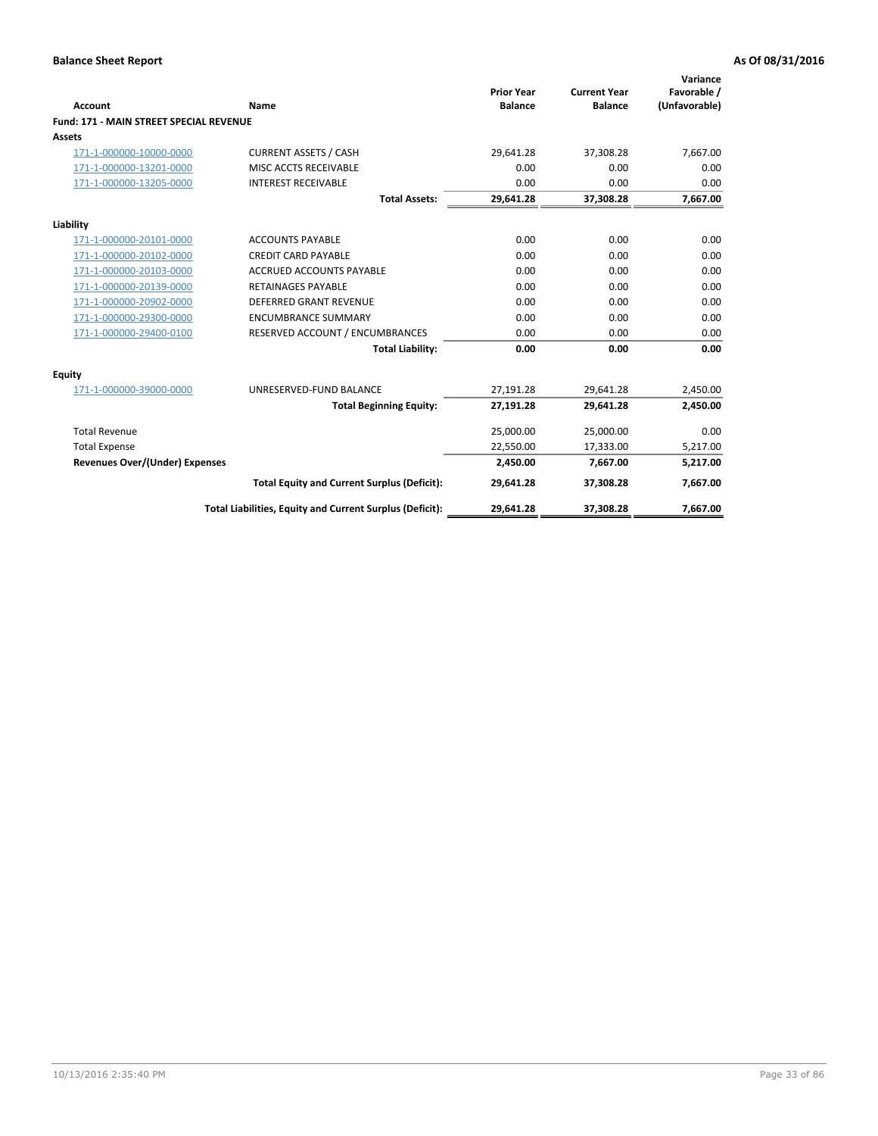|                                                |                                                          | <b>Prior Year</b> | <b>Current Year</b> | Variance<br>Favorable / |
|------------------------------------------------|----------------------------------------------------------|-------------------|---------------------|-------------------------|
| Account                                        | Name                                                     | <b>Balance</b>    | <b>Balance</b>      | (Unfavorable)           |
| <b>Fund: 171 - MAIN STREET SPECIAL REVENUE</b> |                                                          |                   |                     |                         |
| <b>Assets</b>                                  |                                                          |                   |                     |                         |
| 171-1-000000-10000-0000                        | <b>CURRENT ASSETS / CASH</b>                             | 29,641.28         | 37,308.28           | 7,667.00                |
| 171-1-000000-13201-0000                        | MISC ACCTS RECEIVABLE                                    | 0.00              | 0.00                | 0.00                    |
| 171-1-000000-13205-0000                        | <b>INTEREST RECEIVABLE</b>                               | 0.00              | 0.00                | 0.00                    |
|                                                | <b>Total Assets:</b>                                     | 29,641.28         | 37,308.28           | 7,667.00                |
| Liability                                      |                                                          |                   |                     |                         |
| 171-1-000000-20101-0000                        | <b>ACCOUNTS PAYABLE</b>                                  | 0.00              | 0.00                | 0.00                    |
| 171-1-000000-20102-0000                        | <b>CREDIT CARD PAYABLE</b>                               | 0.00              | 0.00                | 0.00                    |
| 171-1-000000-20103-0000                        | <b>ACCRUED ACCOUNTS PAYABLE</b>                          | 0.00              | 0.00                | 0.00                    |
| 171-1-000000-20139-0000                        | <b>RETAINAGES PAYABLE</b>                                | 0.00              | 0.00                | 0.00                    |
| 171-1-000000-20902-0000                        | <b>DEFERRED GRANT REVENUE</b>                            | 0.00              | 0.00                | 0.00                    |
| 171-1-000000-29300-0000                        | <b>ENCUMBRANCE SUMMARY</b>                               | 0.00              | 0.00                | 0.00                    |
| 171-1-000000-29400-0100                        | RESERVED ACCOUNT / ENCUMBRANCES                          | 0.00              | 0.00                | 0.00                    |
|                                                | <b>Total Liability:</b>                                  | 0.00              | 0.00                | 0.00                    |
| <b>Equity</b>                                  |                                                          |                   |                     |                         |
| 171-1-000000-39000-0000                        | UNRESERVED-FUND BALANCE                                  | 27,191.28         | 29,641.28           | 2,450.00                |
|                                                | <b>Total Beginning Equity:</b>                           | 27,191.28         | 29,641.28           | 2,450.00                |
| <b>Total Revenue</b>                           |                                                          | 25,000.00         | 25,000.00           | 0.00                    |
| <b>Total Expense</b>                           |                                                          | 22,550.00         | 17,333.00           | 5,217.00                |
| <b>Revenues Over/(Under) Expenses</b>          |                                                          | 2.450.00          | 7,667.00            | 5,217.00                |
|                                                | <b>Total Equity and Current Surplus (Deficit):</b>       | 29,641.28         | 37,308.28           | 7,667.00                |
|                                                | Total Liabilities, Equity and Current Surplus (Deficit): | 29,641.28         | 37,308.28           | 7,667.00                |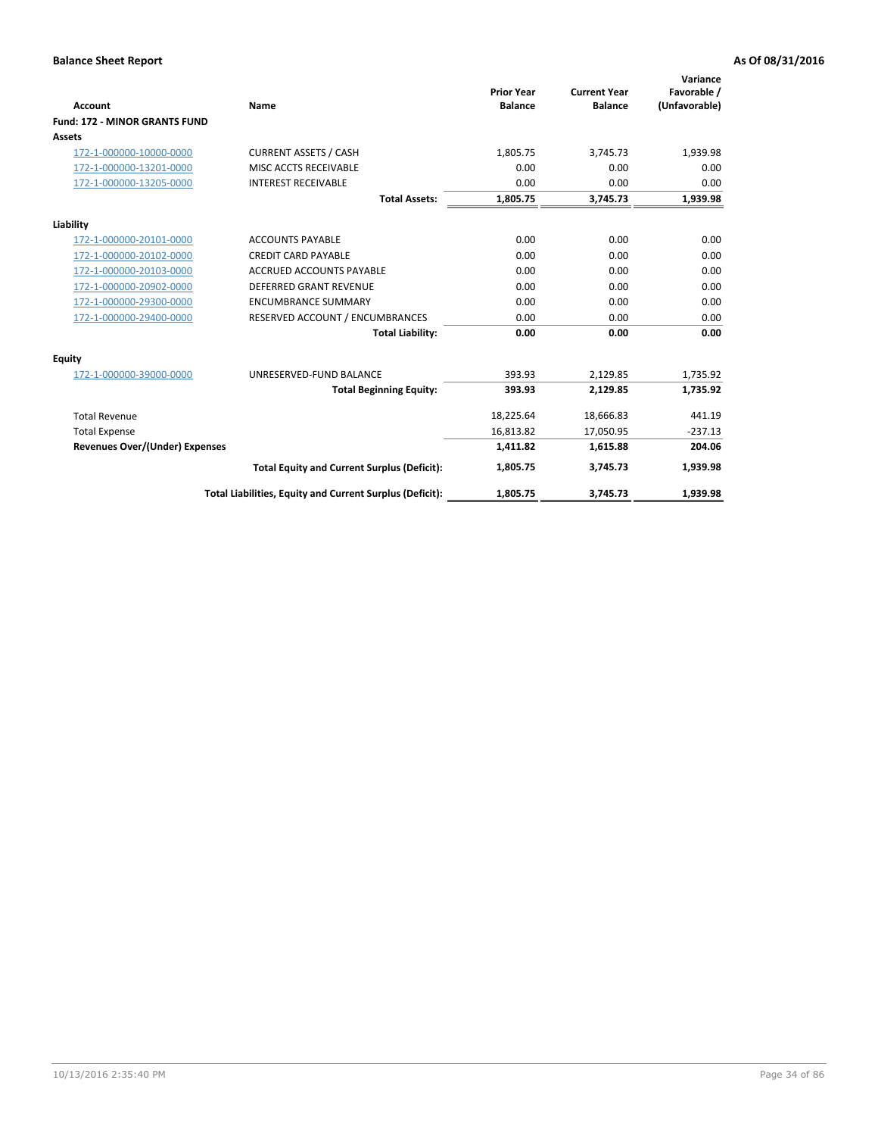|                                      |                                                          |                                     |                                       | Variance                     |
|--------------------------------------|----------------------------------------------------------|-------------------------------------|---------------------------------------|------------------------------|
| <b>Account</b>                       | <b>Name</b>                                              | <b>Prior Year</b><br><b>Balance</b> | <b>Current Year</b><br><b>Balance</b> | Favorable /<br>(Unfavorable) |
| <b>Fund: 172 - MINOR GRANTS FUND</b> |                                                          |                                     |                                       |                              |
| <b>Assets</b>                        |                                                          |                                     |                                       |                              |
| 172-1-000000-10000-0000              | <b>CURRENT ASSETS / CASH</b>                             | 1,805.75                            | 3,745.73                              | 1,939.98                     |
| 172-1-000000-13201-0000              | MISC ACCTS RECEIVABLE                                    | 0.00                                | 0.00                                  | 0.00                         |
| 172-1-000000-13205-0000              | <b>INTEREST RECEIVABLE</b>                               | 0.00                                | 0.00                                  | 0.00                         |
|                                      | <b>Total Assets:</b>                                     | 1,805.75                            | 3,745.73                              | 1,939.98                     |
| Liability                            |                                                          |                                     |                                       |                              |
| 172-1-000000-20101-0000              | <b>ACCOUNTS PAYABLE</b>                                  | 0.00                                | 0.00                                  | 0.00                         |
| 172-1-000000-20102-0000              | <b>CREDIT CARD PAYABLE</b>                               | 0.00                                | 0.00                                  | 0.00                         |
| 172-1-000000-20103-0000              | <b>ACCRUED ACCOUNTS PAYABLE</b>                          | 0.00                                | 0.00                                  | 0.00                         |
| 172-1-000000-20902-0000              | DEFERRED GRANT REVENUE                                   | 0.00                                | 0.00                                  | 0.00                         |
| 172-1-000000-29300-0000              | <b>ENCUMBRANCE SUMMARY</b>                               | 0.00                                | 0.00                                  | 0.00                         |
| 172-1-000000-29400-0000              | RESERVED ACCOUNT / ENCUMBRANCES                          | 0.00                                | 0.00                                  | 0.00                         |
|                                      | <b>Total Liability:</b>                                  | 0.00                                | 0.00                                  | 0.00                         |
| Equity                               |                                                          |                                     |                                       |                              |
| 172-1-000000-39000-0000              | UNRESERVED-FUND BALANCE                                  | 393.93                              | 2,129.85                              | 1,735.92                     |
|                                      | <b>Total Beginning Equity:</b>                           | 393.93                              | 2,129.85                              | 1,735.92                     |
| <b>Total Revenue</b>                 |                                                          | 18,225.64                           | 18,666.83                             | 441.19                       |
| <b>Total Expense</b>                 |                                                          | 16,813.82                           | 17,050.95                             | $-237.13$                    |
| Revenues Over/(Under) Expenses       |                                                          | 1,411.82                            | 1,615.88                              | 204.06                       |
|                                      | <b>Total Equity and Current Surplus (Deficit):</b>       | 1,805.75                            | 3,745.73                              | 1,939.98                     |
|                                      | Total Liabilities, Equity and Current Surplus (Deficit): | 1,805.75                            | 3,745.73                              | 1,939.98                     |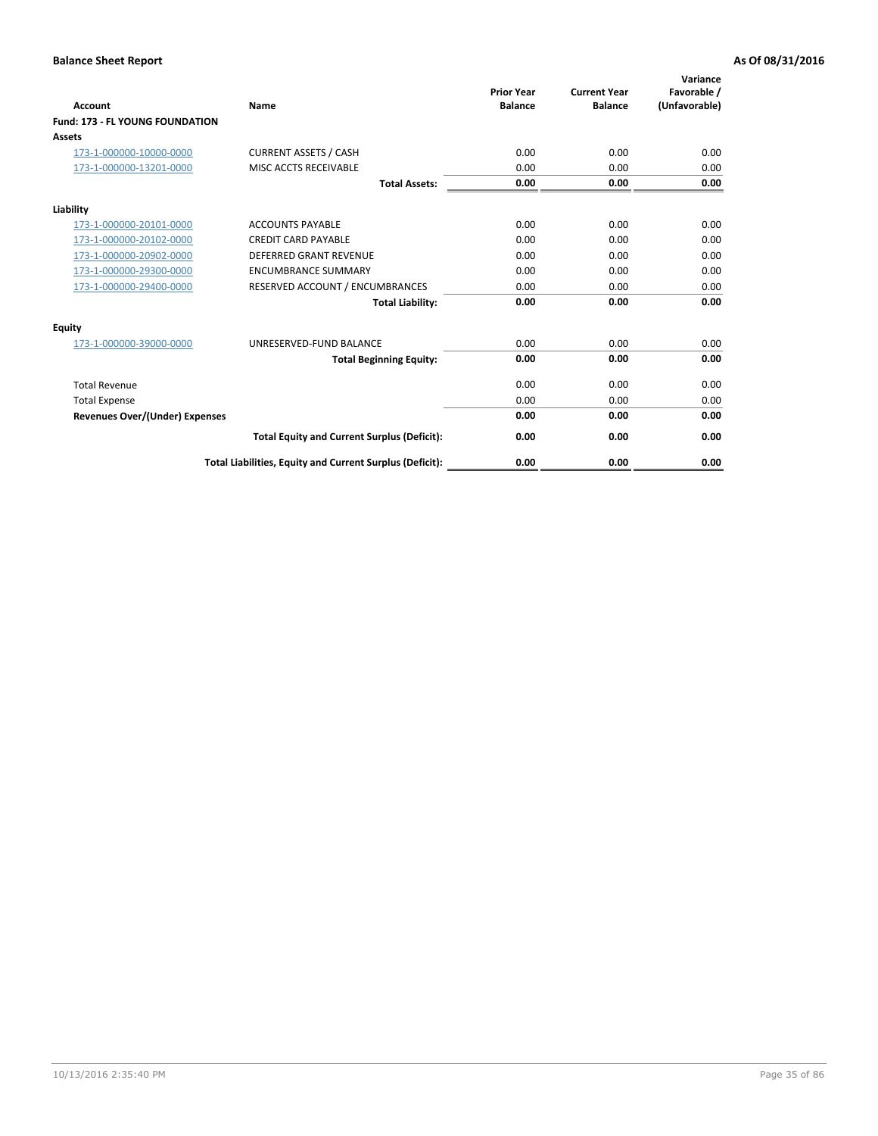| <b>Account</b>                         | <b>Name</b>                                              | <b>Prior Year</b><br><b>Balance</b> | <b>Current Year</b><br><b>Balance</b> | Variance<br>Favorable /<br>(Unfavorable) |
|----------------------------------------|----------------------------------------------------------|-------------------------------------|---------------------------------------|------------------------------------------|
| <b>Fund: 173 - FL YOUNG FOUNDATION</b> |                                                          |                                     |                                       |                                          |
| Assets                                 |                                                          |                                     |                                       |                                          |
| 173-1-000000-10000-0000                | <b>CURRENT ASSETS / CASH</b>                             | 0.00                                | 0.00                                  | 0.00                                     |
| 173-1-000000-13201-0000                | MISC ACCTS RECEIVABLE                                    | 0.00                                | 0.00                                  | 0.00                                     |
|                                        | <b>Total Assets:</b>                                     | 0.00                                | 0.00                                  | 0.00                                     |
| Liability                              |                                                          |                                     |                                       |                                          |
| 173-1-000000-20101-0000                | <b>ACCOUNTS PAYABLE</b>                                  | 0.00                                | 0.00                                  | 0.00                                     |
| 173-1-000000-20102-0000                | <b>CREDIT CARD PAYABLE</b>                               | 0.00                                | 0.00                                  | 0.00                                     |
| 173-1-000000-20902-0000                | <b>DEFERRED GRANT REVENUE</b>                            | 0.00                                | 0.00                                  | 0.00                                     |
| 173-1-000000-29300-0000                | <b>ENCUMBRANCE SUMMARY</b>                               | 0.00                                | 0.00                                  | 0.00                                     |
| 173-1-000000-29400-0000                | RESERVED ACCOUNT / ENCUMBRANCES                          | 0.00                                | 0.00                                  | 0.00                                     |
|                                        | <b>Total Liability:</b>                                  | 0.00                                | 0.00                                  | 0.00                                     |
| Equity                                 |                                                          |                                     |                                       |                                          |
| 173-1-000000-39000-0000                | UNRESERVED-FUND BALANCE                                  | 0.00                                | 0.00                                  | 0.00                                     |
|                                        | <b>Total Beginning Equity:</b>                           | 0.00                                | 0.00                                  | 0.00                                     |
| <b>Total Revenue</b>                   |                                                          | 0.00                                | 0.00                                  | 0.00                                     |
| <b>Total Expense</b>                   |                                                          | 0.00                                | 0.00                                  | 0.00                                     |
| <b>Revenues Over/(Under) Expenses</b>  |                                                          | 0.00                                | 0.00                                  | 0.00                                     |
|                                        | <b>Total Equity and Current Surplus (Deficit):</b>       | 0.00                                | 0.00                                  | 0.00                                     |
|                                        | Total Liabilities, Equity and Current Surplus (Deficit): | 0.00                                | 0.00                                  | 0.00                                     |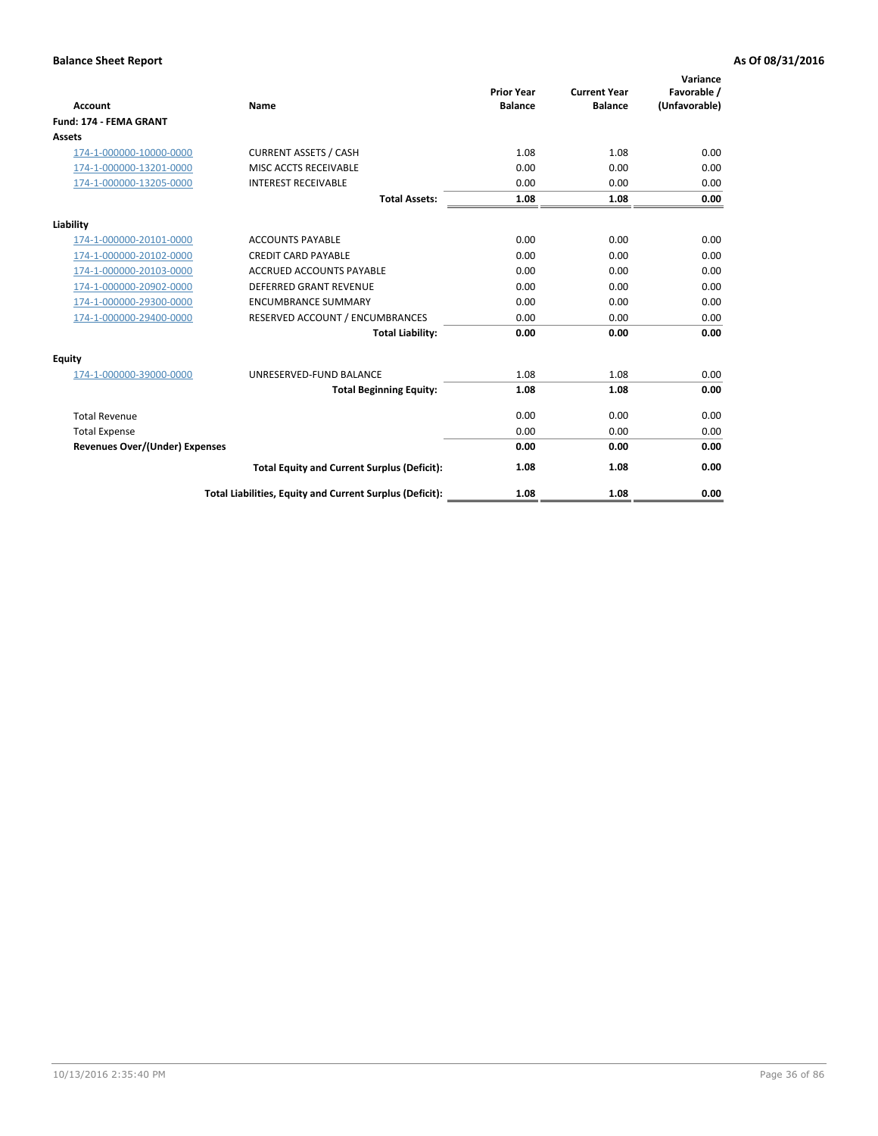| <b>Account</b>                        | Name                                                     | <b>Prior Year</b><br><b>Balance</b> | <b>Current Year</b><br><b>Balance</b> | Variance<br>Favorable /<br>(Unfavorable) |
|---------------------------------------|----------------------------------------------------------|-------------------------------------|---------------------------------------|------------------------------------------|
| <b>Fund: 174 - FEMA GRANT</b>         |                                                          |                                     |                                       |                                          |
| Assets                                |                                                          |                                     |                                       |                                          |
| 174-1-000000-10000-0000               | <b>CURRENT ASSETS / CASH</b>                             | 1.08                                | 1.08                                  | 0.00                                     |
| 174-1-000000-13201-0000               | MISC ACCTS RECEIVABLE                                    | 0.00                                | 0.00                                  | 0.00                                     |
| 174-1-000000-13205-0000               | <b>INTEREST RECEIVABLE</b>                               | 0.00                                | 0.00                                  | 0.00                                     |
|                                       | <b>Total Assets:</b>                                     | 1.08                                | 1.08                                  | 0.00                                     |
| Liability                             |                                                          |                                     |                                       |                                          |
| 174-1-000000-20101-0000               | <b>ACCOUNTS PAYABLE</b>                                  | 0.00                                | 0.00                                  | 0.00                                     |
| 174-1-000000-20102-0000               | <b>CREDIT CARD PAYABLE</b>                               | 0.00                                | 0.00                                  | 0.00                                     |
| 174-1-000000-20103-0000               | <b>ACCRUED ACCOUNTS PAYABLE</b>                          | 0.00                                | 0.00                                  | 0.00                                     |
| 174-1-000000-20902-0000               | <b>DEFERRED GRANT REVENUE</b>                            | 0.00                                | 0.00                                  | 0.00                                     |
| 174-1-000000-29300-0000               | <b>ENCUMBRANCE SUMMARY</b>                               | 0.00                                | 0.00                                  | 0.00                                     |
| 174-1-000000-29400-0000               | RESERVED ACCOUNT / ENCUMBRANCES                          | 0.00                                | 0.00                                  | 0.00                                     |
|                                       | <b>Total Liability:</b>                                  | 0.00                                | 0.00                                  | 0.00                                     |
| Equity                                |                                                          |                                     |                                       |                                          |
| 174-1-000000-39000-0000               | UNRESERVED-FUND BALANCE                                  | 1.08                                | 1.08                                  | 0.00                                     |
|                                       | <b>Total Beginning Equity:</b>                           | 1.08                                | 1.08                                  | 0.00                                     |
| <b>Total Revenue</b>                  |                                                          | 0.00                                | 0.00                                  | 0.00                                     |
| <b>Total Expense</b>                  |                                                          | 0.00                                | 0.00                                  | 0.00                                     |
| <b>Revenues Over/(Under) Expenses</b> |                                                          | 0.00                                | 0.00                                  | 0.00                                     |
|                                       | <b>Total Equity and Current Surplus (Deficit):</b>       | 1.08                                | 1.08                                  | 0.00                                     |
|                                       | Total Liabilities, Equity and Current Surplus (Deficit): | 1.08                                | 1.08                                  | 0.00                                     |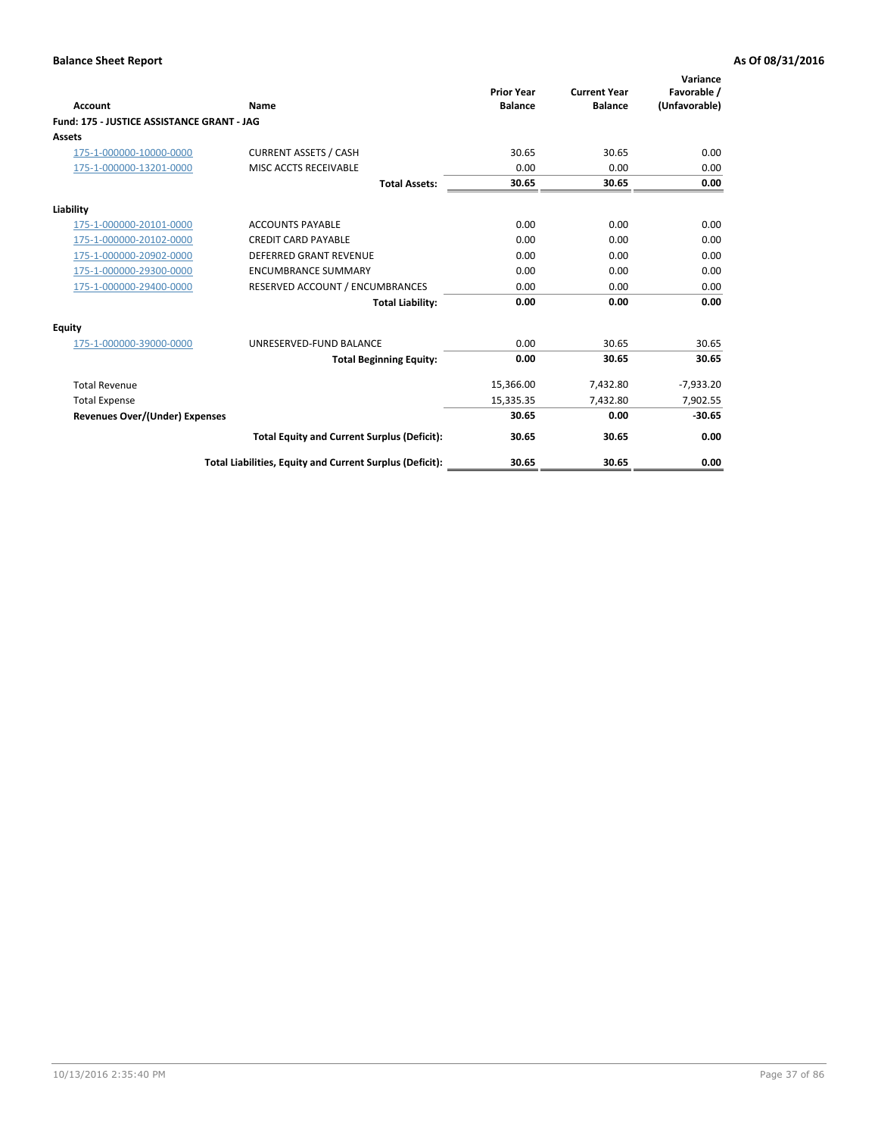| <b>Account</b>                             | Name                                                     | <b>Prior Year</b><br><b>Balance</b> | <b>Current Year</b><br><b>Balance</b> | Variance<br>Favorable /<br>(Unfavorable) |
|--------------------------------------------|----------------------------------------------------------|-------------------------------------|---------------------------------------|------------------------------------------|
| Fund: 175 - JUSTICE ASSISTANCE GRANT - JAG |                                                          |                                     |                                       |                                          |
| <b>Assets</b>                              |                                                          |                                     |                                       |                                          |
| 175-1-000000-10000-0000                    | <b>CURRENT ASSETS / CASH</b>                             | 30.65                               | 30.65                                 | 0.00                                     |
| 175-1-000000-13201-0000                    | MISC ACCTS RECEIVABLE                                    | 0.00                                | 0.00                                  | 0.00                                     |
|                                            | <b>Total Assets:</b>                                     | 30.65                               | 30.65                                 | 0.00                                     |
| Liability                                  |                                                          |                                     |                                       |                                          |
| 175-1-000000-20101-0000                    | <b>ACCOUNTS PAYABLE</b>                                  | 0.00                                | 0.00                                  | 0.00                                     |
| 175-1-000000-20102-0000                    | <b>CREDIT CARD PAYABLE</b>                               | 0.00                                | 0.00                                  | 0.00                                     |
| 175-1-000000-20902-0000                    | DEFERRED GRANT REVENUE                                   | 0.00                                | 0.00                                  | 0.00                                     |
| 175-1-000000-29300-0000                    | <b>ENCUMBRANCE SUMMARY</b>                               | 0.00                                | 0.00                                  | 0.00                                     |
| 175-1-000000-29400-0000                    | RESERVED ACCOUNT / ENCUMBRANCES                          | 0.00                                | 0.00                                  | 0.00                                     |
|                                            | <b>Total Liability:</b>                                  | 0.00                                | 0.00                                  | 0.00                                     |
| <b>Equity</b>                              |                                                          |                                     |                                       |                                          |
| 175-1-000000-39000-0000                    | UNRESERVED-FUND BALANCE                                  | 0.00                                | 30.65                                 | 30.65                                    |
|                                            | <b>Total Beginning Equity:</b>                           | 0.00                                | 30.65                                 | 30.65                                    |
| <b>Total Revenue</b>                       |                                                          | 15,366.00                           | 7,432.80                              | $-7,933.20$                              |
| <b>Total Expense</b>                       |                                                          | 15,335.35                           | 7,432.80                              | 7,902.55                                 |
| <b>Revenues Over/(Under) Expenses</b>      |                                                          | 30.65                               | 0.00                                  | $-30.65$                                 |
|                                            | <b>Total Equity and Current Surplus (Deficit):</b>       | 30.65                               | 30.65                                 | 0.00                                     |
|                                            | Total Liabilities, Equity and Current Surplus (Deficit): | 30.65                               | 30.65                                 | 0.00                                     |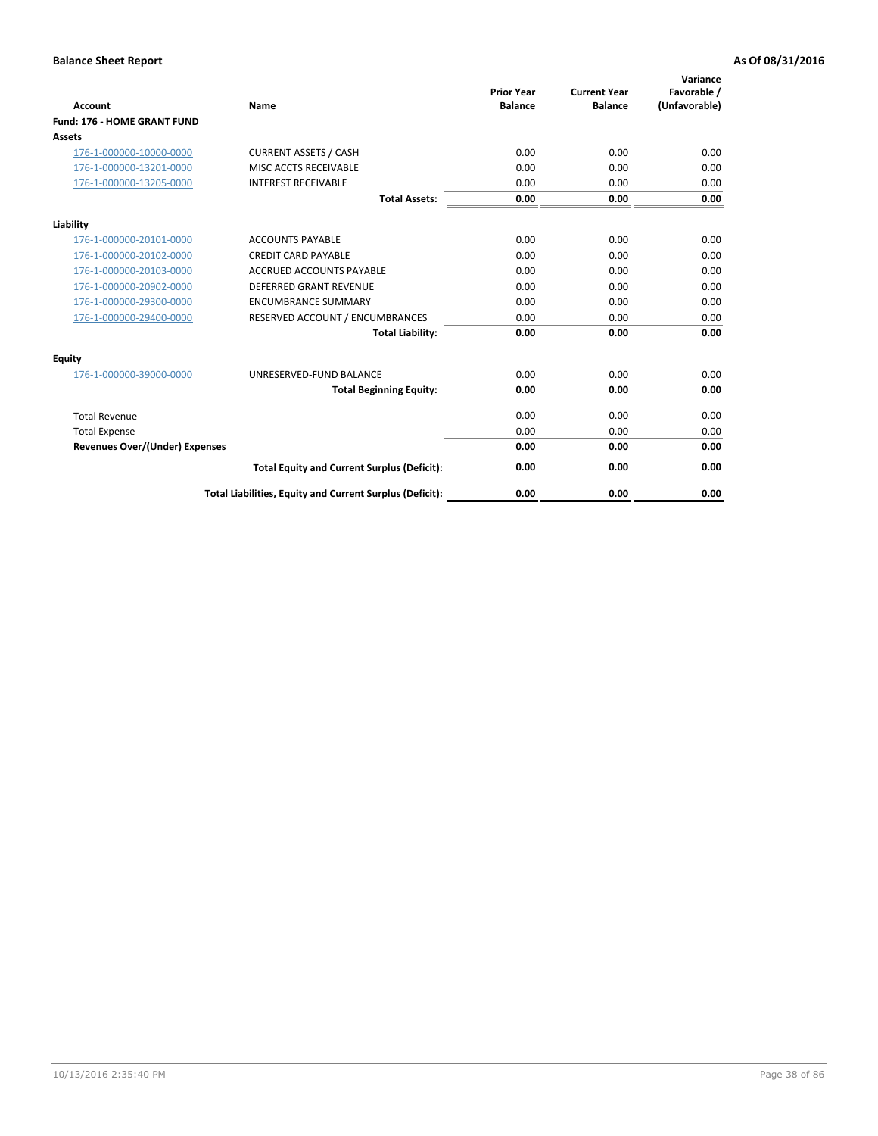| <b>Account</b>                        | <b>Name</b>                                              | <b>Prior Year</b><br><b>Balance</b> | <b>Current Year</b><br><b>Balance</b> | Variance<br>Favorable /<br>(Unfavorable) |
|---------------------------------------|----------------------------------------------------------|-------------------------------------|---------------------------------------|------------------------------------------|
| <b>Fund: 176 - HOME GRANT FUND</b>    |                                                          |                                     |                                       |                                          |
| Assets                                |                                                          |                                     |                                       |                                          |
| 176-1-000000-10000-0000               | <b>CURRENT ASSETS / CASH</b>                             | 0.00                                | 0.00                                  | 0.00                                     |
| 176-1-000000-13201-0000               | MISC ACCTS RECEIVABLE                                    | 0.00                                | 0.00                                  | 0.00                                     |
| 176-1-000000-13205-0000               | <b>INTEREST RECEIVABLE</b>                               | 0.00                                | 0.00                                  | 0.00                                     |
|                                       | <b>Total Assets:</b>                                     | 0.00                                | 0.00                                  | 0.00                                     |
| Liability                             |                                                          |                                     |                                       |                                          |
| 176-1-000000-20101-0000               | <b>ACCOUNTS PAYABLE</b>                                  | 0.00                                | 0.00                                  | 0.00                                     |
| 176-1-000000-20102-0000               | <b>CREDIT CARD PAYABLE</b>                               | 0.00                                | 0.00                                  | 0.00                                     |
| 176-1-000000-20103-0000               | <b>ACCRUED ACCOUNTS PAYABLE</b>                          | 0.00                                | 0.00                                  | 0.00                                     |
| 176-1-000000-20902-0000               | <b>DEFERRED GRANT REVENUE</b>                            | 0.00                                | 0.00                                  | 0.00                                     |
| 176-1-000000-29300-0000               | <b>ENCUMBRANCE SUMMARY</b>                               | 0.00                                | 0.00                                  | 0.00                                     |
| 176-1-000000-29400-0000               | RESERVED ACCOUNT / ENCUMBRANCES                          | 0.00                                | 0.00                                  | 0.00                                     |
|                                       | <b>Total Liability:</b>                                  | 0.00                                | 0.00                                  | 0.00                                     |
| Equity                                |                                                          |                                     |                                       |                                          |
| 176-1-000000-39000-0000               | UNRESERVED-FUND BALANCE                                  | 0.00                                | 0.00                                  | 0.00                                     |
|                                       | <b>Total Beginning Equity:</b>                           | 0.00                                | 0.00                                  | 0.00                                     |
| <b>Total Revenue</b>                  |                                                          | 0.00                                | 0.00                                  | 0.00                                     |
| <b>Total Expense</b>                  |                                                          | 0.00                                | 0.00                                  | 0.00                                     |
| <b>Revenues Over/(Under) Expenses</b> |                                                          | 0.00                                | 0.00                                  | 0.00                                     |
|                                       | <b>Total Equity and Current Surplus (Deficit):</b>       | 0.00                                | 0.00                                  | 0.00                                     |
|                                       | Total Liabilities, Equity and Current Surplus (Deficit): | 0.00                                | 0.00                                  | 0.00                                     |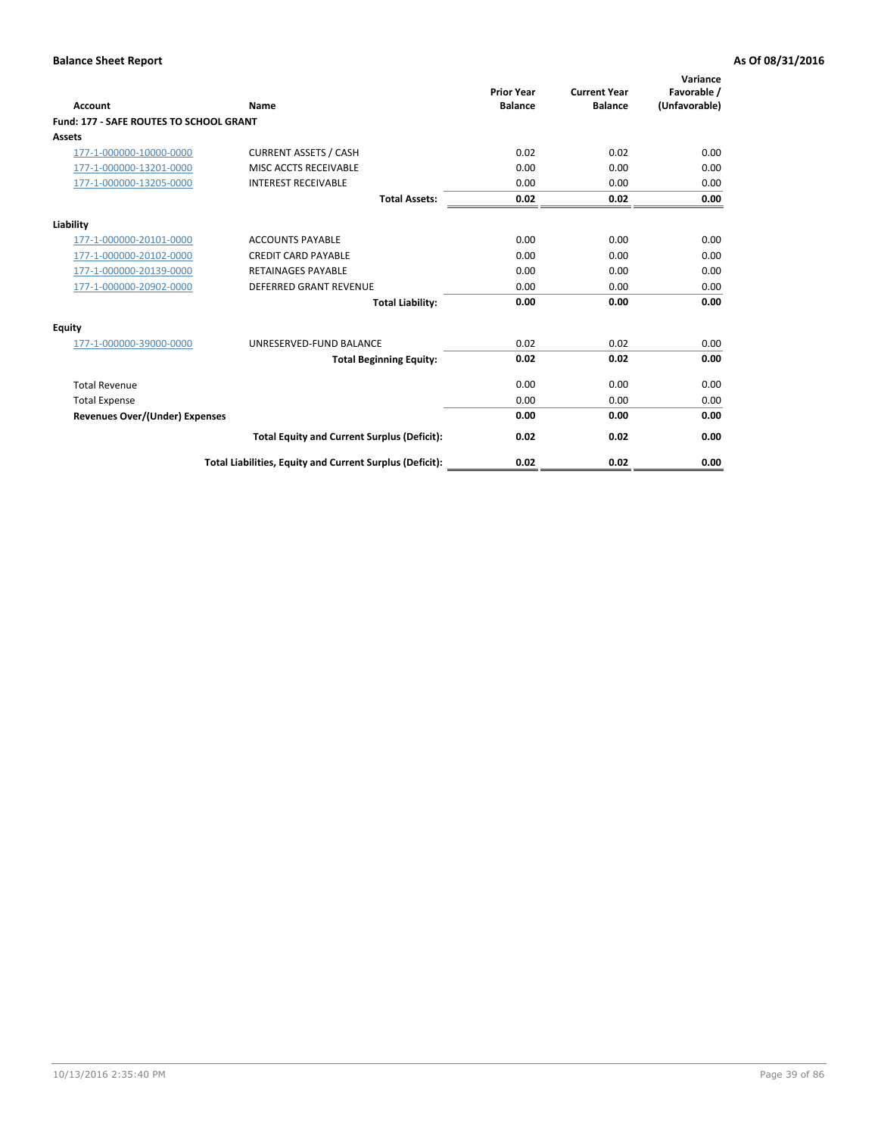| Account                                        | Name                                                     | <b>Prior Year</b><br><b>Balance</b> | <b>Current Year</b><br><b>Balance</b> | Variance<br>Favorable /<br>(Unfavorable) |
|------------------------------------------------|----------------------------------------------------------|-------------------------------------|---------------------------------------|------------------------------------------|
| <b>Fund: 177 - SAFE ROUTES TO SCHOOL GRANT</b> |                                                          |                                     |                                       |                                          |
| <b>Assets</b>                                  |                                                          |                                     |                                       |                                          |
| 177-1-000000-10000-0000                        | <b>CURRENT ASSETS / CASH</b>                             | 0.02                                | 0.02                                  | 0.00                                     |
| 177-1-000000-13201-0000                        | MISC ACCTS RECEIVABLE                                    | 0.00                                | 0.00                                  | 0.00                                     |
| 177-1-000000-13205-0000                        | <b>INTEREST RECEIVABLE</b>                               | 0.00                                | 0.00                                  | 0.00                                     |
|                                                | <b>Total Assets:</b>                                     | 0.02                                | 0.02                                  | 0.00                                     |
| Liability                                      |                                                          |                                     |                                       |                                          |
| 177-1-000000-20101-0000                        | <b>ACCOUNTS PAYABLE</b>                                  | 0.00                                | 0.00                                  | 0.00                                     |
| 177-1-000000-20102-0000                        | <b>CREDIT CARD PAYABLE</b>                               | 0.00                                | 0.00                                  | 0.00                                     |
| 177-1-000000-20139-0000                        | <b>RETAINAGES PAYABLE</b>                                | 0.00                                | 0.00                                  | 0.00                                     |
| 177-1-000000-20902-0000                        | <b>DEFERRED GRANT REVENUE</b>                            | 0.00                                | 0.00                                  | 0.00                                     |
|                                                | <b>Total Liability:</b>                                  | 0.00                                | 0.00                                  | 0.00                                     |
| Equity                                         |                                                          |                                     |                                       |                                          |
| 177-1-000000-39000-0000                        | UNRESERVED-FUND BALANCE                                  | 0.02                                | 0.02                                  | 0.00                                     |
|                                                | <b>Total Beginning Equity:</b>                           | 0.02                                | 0.02                                  | 0.00                                     |
| <b>Total Revenue</b>                           |                                                          | 0.00                                | 0.00                                  | 0.00                                     |
| <b>Total Expense</b>                           |                                                          | 0.00                                | 0.00                                  | 0.00                                     |
| Revenues Over/(Under) Expenses                 |                                                          | 0.00                                | 0.00                                  | 0.00                                     |
|                                                | <b>Total Equity and Current Surplus (Deficit):</b>       | 0.02                                | 0.02                                  | 0.00                                     |
|                                                | Total Liabilities, Equity and Current Surplus (Deficit): | 0.02                                | 0.02                                  | 0.00                                     |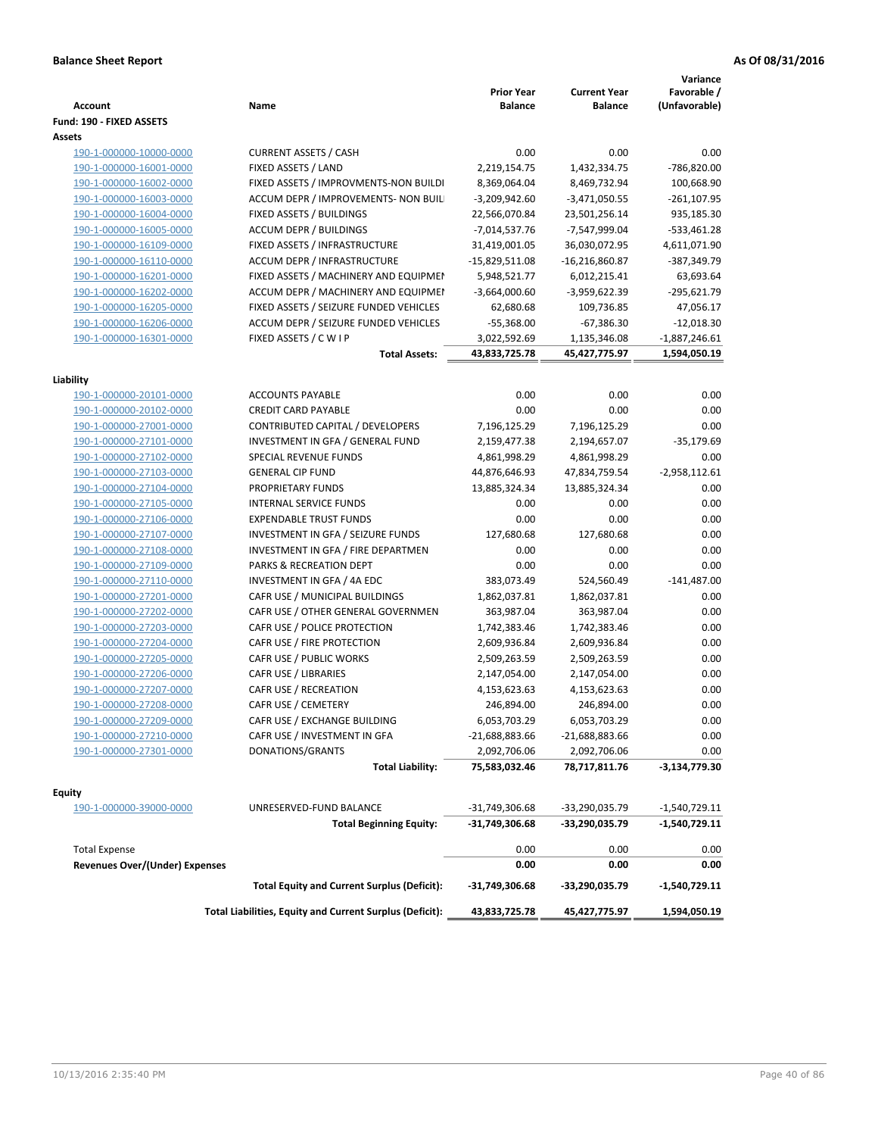| <b>Account</b>                                     | Name                                                            | <b>Prior Year</b><br><b>Balance</b> | <b>Current Year</b><br><b>Balance</b> | Variance<br>Favorable /<br>(Unfavorable) |
|----------------------------------------------------|-----------------------------------------------------------------|-------------------------------------|---------------------------------------|------------------------------------------|
| Fund: 190 - FIXED ASSETS                           |                                                                 |                                     |                                       |                                          |
| Assets<br>190-1-000000-10000-0000                  | <b>CURRENT ASSETS / CASH</b>                                    | 0.00                                | 0.00                                  | 0.00                                     |
| 190-1-000000-16001-0000                            | FIXED ASSETS / LAND                                             | 2,219,154.75                        | 1,432,334.75                          | -786,820.00                              |
|                                                    | FIXED ASSETS / IMPROVMENTS-NON BUILDI                           | 8,369,064.04                        |                                       | 100,668.90                               |
| 190-1-000000-16002-0000                            |                                                                 |                                     | 8,469,732.94                          |                                          |
| 190-1-000000-16003-0000<br>190-1-000000-16004-0000 | ACCUM DEPR / IMPROVEMENTS- NON BUIL<br>FIXED ASSETS / BUILDINGS | $-3,209,942.60$<br>22,566,070.84    | $-3,471,050.55$                       | $-261, 107.95$<br>935,185.30             |
| 190-1-000000-16005-0000                            | <b>ACCUM DEPR / BUILDINGS</b>                                   | $-7,014,537.76$                     | 23,501,256.14<br>-7,547,999.04        | $-533,461.28$                            |
| 190-1-000000-16109-0000                            | FIXED ASSETS / INFRASTRUCTURE                                   | 31,419,001.05                       | 36,030,072.95                         | 4,611,071.90                             |
| 190-1-000000-16110-0000                            | ACCUM DEPR / INFRASTRUCTURE                                     | $-15,829,511.08$                    | $-16,216,860.87$                      | -387,349.79                              |
| 190-1-000000-16201-0000                            | FIXED ASSETS / MACHINERY AND EQUIPMEN                           | 5,948,521.77                        | 6,012,215.41                          | 63,693.64                                |
| 190-1-000000-16202-0000                            | ACCUM DEPR / MACHINERY AND EQUIPMEI                             | $-3,664,000.60$                     | -3,959,622.39                         | -295,621.79                              |
| 190-1-000000-16205-0000                            | FIXED ASSETS / SEIZURE FUNDED VEHICLES                          | 62,680.68                           |                                       | 47,056.17                                |
| 190-1-000000-16206-0000                            | ACCUM DEPR / SEIZURE FUNDED VEHICLES                            | $-55,368.00$                        | 109,736.85<br>$-67,386.30$            | $-12,018.30$                             |
| 190-1-000000-16301-0000                            | FIXED ASSETS / C W I P                                          | 3,022,592.69                        | 1,135,346.08                          | $-1,887,246.61$                          |
|                                                    | <b>Total Assets:</b>                                            | 43,833,725.78                       | 45,427,775.97                         | 1,594,050.19                             |
|                                                    |                                                                 |                                     |                                       |                                          |
| Liability                                          |                                                                 |                                     |                                       |                                          |
| 190-1-000000-20101-0000                            | <b>ACCOUNTS PAYABLE</b>                                         | 0.00                                | 0.00                                  | 0.00                                     |
| 190-1-000000-20102-0000                            | <b>CREDIT CARD PAYABLE</b>                                      | 0.00                                | 0.00                                  | 0.00                                     |
| 190-1-000000-27001-0000                            | CONTRIBUTED CAPITAL / DEVELOPERS                                | 7,196,125.29                        | 7,196,125.29                          | 0.00                                     |
| 190-1-000000-27101-0000                            | INVESTMENT IN GFA / GENERAL FUND                                | 2,159,477.38                        | 2,194,657.07                          | $-35,179.69$                             |
| 190-1-000000-27102-0000                            | SPECIAL REVENUE FUNDS                                           | 4,861,998.29                        | 4,861,998.29                          | 0.00                                     |
| 190-1-000000-27103-0000                            | <b>GENERAL CIP FUND</b>                                         | 44,876,646.93                       | 47,834,759.54                         | $-2,958,112.61$                          |
| 190-1-000000-27104-0000                            | PROPRIETARY FUNDS                                               | 13,885,324.34                       | 13,885,324.34                         | 0.00                                     |
| 190-1-000000-27105-0000                            | <b>INTERNAL SERVICE FUNDS</b>                                   | 0.00                                | 0.00                                  | 0.00                                     |
| 190-1-000000-27106-0000                            | <b>EXPENDABLE TRUST FUNDS</b>                                   | 0.00                                | 0.00                                  | 0.00                                     |
| 190-1-000000-27107-0000                            | INVESTMENT IN GFA / SEIZURE FUNDS                               | 127,680.68                          | 127,680.68                            | 0.00                                     |
| 190-1-000000-27108-0000                            | INVESTMENT IN GFA / FIRE DEPARTMEN                              | 0.00                                | 0.00                                  | 0.00                                     |
| 190-1-000000-27109-0000                            | PARKS & RECREATION DEPT                                         | 0.00                                | 0.00                                  | 0.00                                     |
| 190-1-000000-27110-0000                            | INVESTMENT IN GFA / 4A EDC                                      | 383,073.49                          | 524,560.49                            | $-141,487.00$                            |
| 190-1-000000-27201-0000                            | CAFR USE / MUNICIPAL BUILDINGS                                  | 1,862,037.81                        | 1,862,037.81                          | 0.00                                     |
| 190-1-000000-27202-0000                            | CAFR USE / OTHER GENERAL GOVERNMEN                              | 363,987.04                          | 363,987.04                            | 0.00                                     |
| 190-1-000000-27203-0000                            | CAFR USE / POLICE PROTECTION                                    | 1,742,383.46                        | 1,742,383.46                          | 0.00                                     |
| 190-1-000000-27204-0000                            | CAFR USE / FIRE PROTECTION                                      | 2,609,936.84                        | 2,609,936.84                          | 0.00                                     |
| 190-1-000000-27205-0000                            | CAFR USE / PUBLIC WORKS                                         | 2,509,263.59                        | 2,509,263.59                          | 0.00                                     |
| 190-1-000000-27206-0000                            | CAFR USE / LIBRARIES                                            | 2,147,054.00                        | 2,147,054.00                          | 0.00                                     |
| 190-1-000000-27207-0000                            | CAFR USE / RECREATION                                           | 4,153,623.63                        | 4,153,623.63                          | 0.00                                     |
| 190-1-000000-27208-0000                            | CAFR USE / CEMETERY                                             | 246,894.00                          | 246,894.00                            | 0.00                                     |
| 190-1-000000-27209-0000                            | CAFR USE / EXCHANGE BUILDING                                    | 6,053,703.29                        | 6,053,703.29                          | 0.00                                     |
| 190-1-000000-27210-0000                            | CAFR USE / INVESTMENT IN GFA                                    | -21,688,883.66                      | -21,688,883.66                        | 0.00                                     |
| 190-1-000000-27301-0000                            | DONATIONS/GRANTS                                                | 2,092,706.06                        | 2,092,706.06                          | 0.00                                     |
|                                                    | <b>Total Liability:</b>                                         | 75,583,032.46                       | 78,717,811.76                         | -3,134,779.30                            |
| <b>Equity</b>                                      |                                                                 |                                     |                                       |                                          |
| 190-1-000000-39000-0000                            | UNRESERVED-FUND BALANCE                                         | -31,749,306.68                      | -33,290,035.79                        | -1,540,729.11                            |
|                                                    | <b>Total Beginning Equity:</b>                                  | -31,749,306.68                      | -33,290,035.79                        | -1,540,729.11                            |
|                                                    |                                                                 |                                     |                                       |                                          |
| <b>Total Expense</b>                               |                                                                 | 0.00                                | 0.00                                  | 0.00                                     |
| <b>Revenues Over/(Under) Expenses</b>              |                                                                 | 0.00                                | 0.00                                  | 0.00                                     |
|                                                    | <b>Total Equity and Current Surplus (Deficit):</b>              | -31,749,306.68                      | -33,290,035.79                        | -1,540,729.11                            |
|                                                    | Total Liabilities, Equity and Current Surplus (Deficit):        | 43,833,725.78                       | 45,427,775.97                         | 1,594,050.19                             |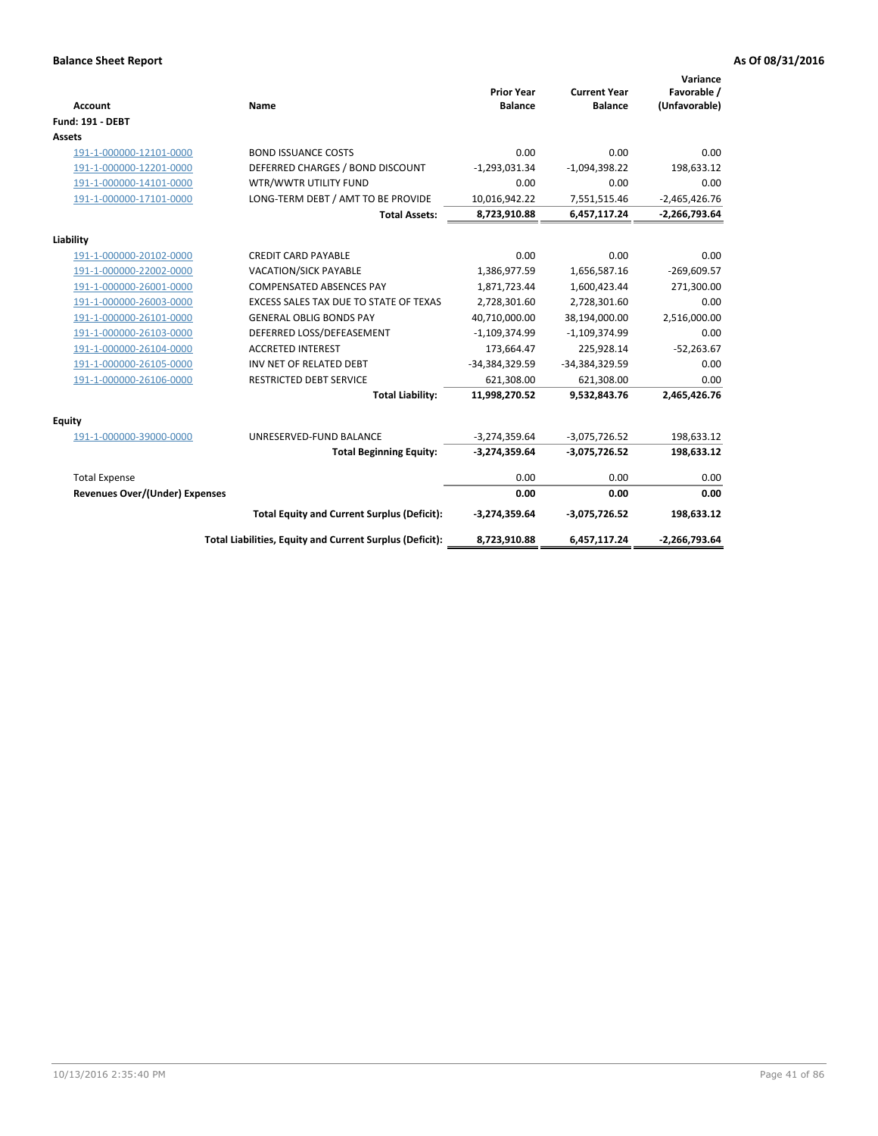| <b>Account</b>                 | Name                                                     | <b>Prior Year</b><br><b>Balance</b> | <b>Current Year</b><br><b>Balance</b> | Variance<br>Favorable /<br>(Unfavorable) |
|--------------------------------|----------------------------------------------------------|-------------------------------------|---------------------------------------|------------------------------------------|
| <b>Fund: 191 - DEBT</b>        |                                                          |                                     |                                       |                                          |
| <b>Assets</b>                  |                                                          |                                     |                                       |                                          |
| 191-1-000000-12101-0000        | <b>BOND ISSUANCE COSTS</b>                               | 0.00                                | 0.00                                  | 0.00                                     |
| 191-1-000000-12201-0000        | DEFERRED CHARGES / BOND DISCOUNT                         | $-1,293,031.34$                     | $-1,094,398.22$                       | 198,633.12                               |
| 191-1-000000-14101-0000        | WTR/WWTR UTILITY FUND                                    | 0.00                                | 0.00                                  | 0.00                                     |
| 191-1-000000-17101-0000        | LONG-TERM DEBT / AMT TO BE PROVIDE                       | 10,016,942.22                       | 7,551,515.46                          | $-2,465,426.76$                          |
|                                | <b>Total Assets:</b>                                     | 8,723,910.88                        | 6,457,117.24                          | $-2,266,793.64$                          |
| Liability                      |                                                          |                                     |                                       |                                          |
| 191-1-000000-20102-0000        | <b>CREDIT CARD PAYABLE</b>                               | 0.00                                | 0.00                                  | 0.00                                     |
| 191-1-000000-22002-0000        | <b>VACATION/SICK PAYABLE</b>                             | 1,386,977.59                        | 1,656,587.16                          | $-269,609.57$                            |
| 191-1-000000-26001-0000        | <b>COMPENSATED ABSENCES PAY</b>                          | 1,871,723.44                        | 1,600,423.44                          | 271,300.00                               |
| 191-1-000000-26003-0000        | EXCESS SALES TAX DUE TO STATE OF TEXAS                   | 2,728,301.60                        | 2,728,301.60                          | 0.00                                     |
| 191-1-000000-26101-0000        | <b>GENERAL OBLIG BONDS PAY</b>                           | 40,710,000.00                       | 38,194,000.00                         | 2,516,000.00                             |
| 191-1-000000-26103-0000        | DEFERRED LOSS/DEFEASEMENT                                | $-1,109,374.99$                     | $-1,109,374.99$                       | 0.00                                     |
| 191-1-000000-26104-0000        | <b>ACCRETED INTEREST</b>                                 | 173,664.47                          | 225,928.14                            | $-52,263.67$                             |
| 191-1-000000-26105-0000        | INV NET OF RELATED DEBT                                  | -34,384,329.59                      | -34,384,329.59                        | 0.00                                     |
| 191-1-000000-26106-0000        | <b>RESTRICTED DEBT SERVICE</b>                           | 621,308.00                          | 621,308.00                            | 0.00                                     |
|                                | <b>Total Liability:</b>                                  | 11,998,270.52                       | 9,532,843.76                          | 2,465,426.76                             |
| Equity                         |                                                          |                                     |                                       |                                          |
| 191-1-000000-39000-0000        | UNRESERVED-FUND BALANCE                                  | $-3,274,359.64$                     | $-3,075,726.52$                       | 198,633.12                               |
|                                | <b>Total Beginning Equity:</b>                           | $-3,274,359.64$                     | $-3,075,726.52$                       | 198,633.12                               |
| <b>Total Expense</b>           |                                                          | 0.00                                | 0.00                                  | 0.00                                     |
| Revenues Over/(Under) Expenses |                                                          | 0.00                                | 0.00                                  | 0.00                                     |
|                                | <b>Total Equity and Current Surplus (Deficit):</b>       | $-3,274,359.64$                     | $-3,075,726.52$                       | 198,633.12                               |
|                                | Total Liabilities, Equity and Current Surplus (Deficit): | 8,723,910.88                        | 6,457,117.24                          | $-2,266,793.64$                          |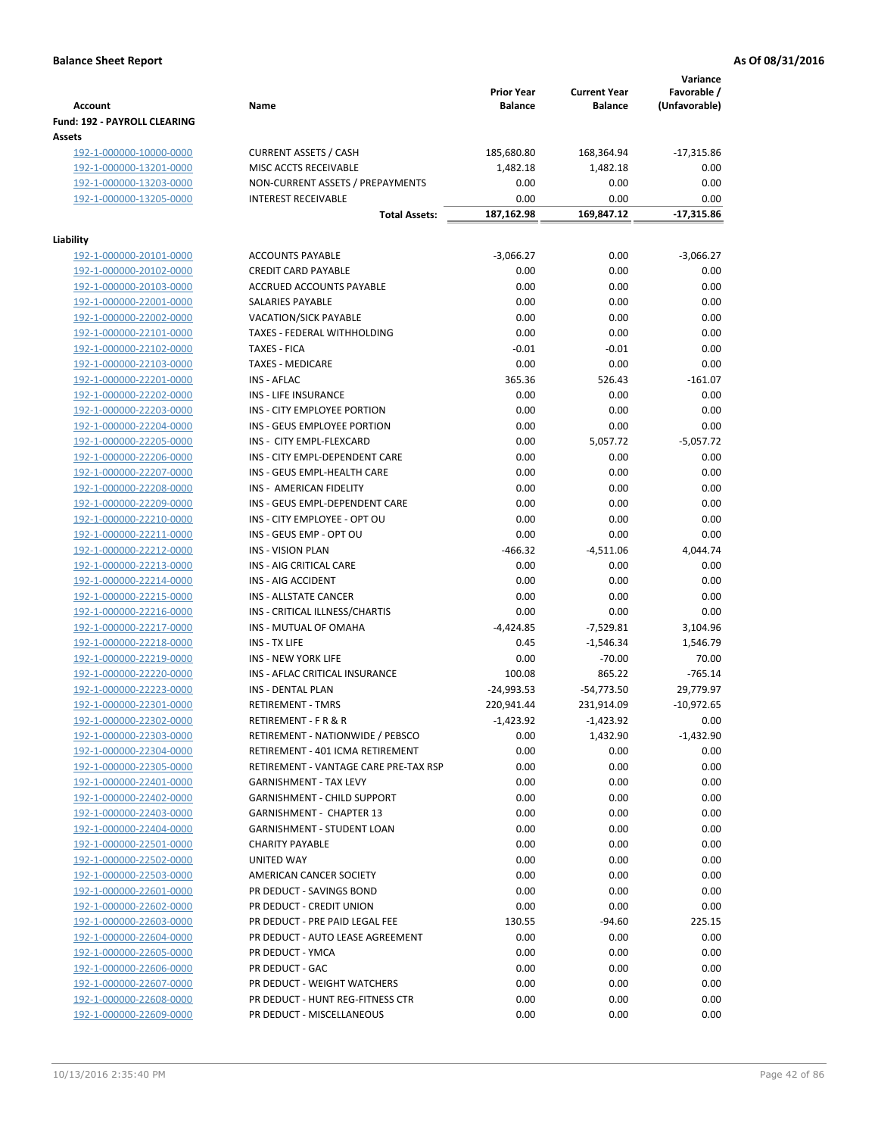| <b>Account</b>                                     | Name                                  | <b>Prior Year</b><br><b>Balance</b> | <b>Current Year</b><br><b>Balance</b> | Variance<br>Favorable /<br>(Unfavorable) |
|----------------------------------------------------|---------------------------------------|-------------------------------------|---------------------------------------|------------------------------------------|
| <b>Fund: 192 - PAYROLL CLEARING</b><br>Assets      |                                       |                                     |                                       |                                          |
| 192-1-000000-10000-0000                            | <b>CURRENT ASSETS / CASH</b>          | 185,680.80                          | 168,364.94                            | $-17,315.86$                             |
| 192-1-000000-13201-0000                            | MISC ACCTS RECEIVABLE                 | 1,482.18                            | 1,482.18                              | 0.00                                     |
| 192-1-000000-13203-0000                            | NON-CURRENT ASSETS / PREPAYMENTS      | 0.00                                | 0.00                                  | 0.00                                     |
| 192-1-000000-13205-0000                            | <b>INTEREST RECEIVABLE</b>            | 0.00                                | 0.00                                  | 0.00                                     |
|                                                    | <b>Total Assets:</b>                  | 187,162.98                          | 169,847.12                            | $-17,315.86$                             |
| Liability                                          |                                       |                                     |                                       |                                          |
| 192-1-000000-20101-0000                            | <b>ACCOUNTS PAYABLE</b>               | $-3,066.27$                         | 0.00                                  | $-3,066.27$                              |
| 192-1-000000-20102-0000                            | <b>CREDIT CARD PAYABLE</b>            | 0.00                                | 0.00                                  | 0.00                                     |
| 192-1-000000-20103-0000                            | ACCRUED ACCOUNTS PAYABLE              | 0.00                                | 0.00                                  | 0.00                                     |
| 192-1-000000-22001-0000                            | SALARIES PAYABLE                      | 0.00                                | 0.00                                  | 0.00                                     |
| 192-1-000000-22002-0000                            | <b>VACATION/SICK PAYABLE</b>          | 0.00                                | 0.00                                  | 0.00                                     |
| 192-1-000000-22101-0000                            | TAXES - FEDERAL WITHHOLDING           | 0.00                                | 0.00                                  | 0.00                                     |
| 192-1-000000-22102-0000                            | <b>TAXES - FICA</b>                   | $-0.01$                             | $-0.01$                               | 0.00                                     |
| 192-1-000000-22103-0000                            | <b>TAXES - MEDICARE</b>               | 0.00                                | 0.00                                  | 0.00                                     |
| 192-1-000000-22201-0000                            | <b>INS - AFLAC</b>                    | 365.36                              | 526.43                                | $-161.07$                                |
| 192-1-000000-22202-0000                            | INS - LIFE INSURANCE                  | 0.00                                | 0.00                                  | 0.00                                     |
| 192-1-000000-22203-0000                            | INS - CITY EMPLOYEE PORTION           | 0.00                                | 0.00                                  | 0.00                                     |
| 192-1-000000-22204-0000                            | INS - GEUS EMPLOYEE PORTION           | 0.00                                | 0.00                                  | 0.00                                     |
| 192-1-000000-22205-0000                            | INS - CITY EMPL-FLEXCARD              | 0.00                                | 5,057.72                              | $-5,057.72$                              |
| 192-1-000000-22206-0000                            | INS - CITY EMPL-DEPENDENT CARE        | 0.00                                | 0.00                                  | 0.00                                     |
| 192-1-000000-22207-0000                            | INS - GEUS EMPL-HEALTH CARE           | 0.00                                | 0.00                                  | 0.00                                     |
| 192-1-000000-22208-0000                            | INS - AMERICAN FIDELITY               | 0.00                                | 0.00                                  | 0.00                                     |
| 192-1-000000-22209-0000                            | INS - GEUS EMPL-DEPENDENT CARE        | 0.00                                | 0.00                                  | 0.00                                     |
| 192-1-000000-22210-0000                            | INS - CITY EMPLOYEE - OPT OU          | 0.00                                | 0.00                                  | 0.00                                     |
| 192-1-000000-22211-0000                            | INS - GEUS EMP - OPT OU               | 0.00                                | 0.00                                  | 0.00                                     |
| 192-1-000000-22212-0000                            | <b>INS - VISION PLAN</b>              | $-466.32$                           | -4,511.06                             | 4,044.74                                 |
| 192-1-000000-22213-0000                            | INS - AIG CRITICAL CARE               | 0.00                                | 0.00                                  | 0.00                                     |
| 192-1-000000-22214-0000                            | INS - AIG ACCIDENT                    | 0.00                                | 0.00                                  | 0.00                                     |
| 192-1-000000-22215-0000                            | INS - ALLSTATE CANCER                 | 0.00                                | 0.00                                  | 0.00                                     |
| 192-1-000000-22216-0000                            | INS - CRITICAL ILLNESS/CHARTIS        | 0.00                                | 0.00                                  | 0.00                                     |
| 192-1-000000-22217-0000                            | INS - MUTUAL OF OMAHA                 | $-4,424.85$                         | $-7,529.81$                           | 3,104.96                                 |
| 192-1-000000-22218-0000                            | INS - TX LIFE                         | 0.45                                | $-1,546.34$                           | 1,546.79                                 |
| 192-1-000000-22219-0000                            | <b>INS - NEW YORK LIFE</b>            | 0.00                                | $-70.00$                              | 70.00                                    |
| 192-1-000000-22220-0000                            | INS - AFLAC CRITICAL INSURANCE        | 100.08                              | 865.22                                | $-765.14$                                |
| 192-1-000000-22223-0000                            | INS - DENTAL PLAN                     | $-24,993.53$                        | $-54,773.50$                          | 29,779.97                                |
| 192-1-000000-22301-0000                            | <b>RETIREMENT - TMRS</b>              | 220,941.44                          | 231,914.09                            | $-10,972.65$                             |
| 192-1-000000-22302-0000                            | RETIREMENT - F R & R                  | $-1,423.92$                         | $-1,423.92$                           | 0.00                                     |
| 192-1-000000-22303-0000                            | RETIREMENT - NATIONWIDE / PEBSCO      | 0.00                                | 1,432.90                              | $-1,432.90$                              |
| 192-1-000000-22304-0000                            | RETIREMENT - 401 ICMA RETIREMENT      | 0.00                                | 0.00                                  | 0.00                                     |
| 192-1-000000-22305-0000                            | RETIREMENT - VANTAGE CARE PRE-TAX RSP | 0.00                                | 0.00                                  | 0.00                                     |
| 192-1-000000-22401-0000                            | <b>GARNISHMENT - TAX LEVY</b>         | 0.00                                | 0.00                                  | 0.00                                     |
| 192-1-000000-22402-0000                            | GARNISHMENT - CHILD SUPPORT           | 0.00                                | 0.00                                  | 0.00                                     |
| 192-1-000000-22403-0000                            | <b>GARNISHMENT - CHAPTER 13</b>       | 0.00                                | 0.00                                  | 0.00                                     |
| 192-1-000000-22404-0000                            | <b>GARNISHMENT - STUDENT LOAN</b>     | 0.00                                | 0.00                                  | 0.00                                     |
| 192-1-000000-22501-0000                            | <b>CHARITY PAYABLE</b>                | 0.00                                | 0.00                                  | 0.00                                     |
| 192-1-000000-22502-0000                            | UNITED WAY                            | 0.00                                | 0.00                                  | 0.00                                     |
| 192-1-000000-22503-0000                            | AMERICAN CANCER SOCIETY               | 0.00                                | 0.00                                  | 0.00                                     |
| 192-1-000000-22601-0000                            | PR DEDUCT - SAVINGS BOND              | 0.00                                | 0.00                                  | 0.00                                     |
| 192-1-000000-22602-0000                            | PR DEDUCT - CREDIT UNION              | 0.00                                | 0.00                                  | 0.00                                     |
| 192-1-000000-22603-0000                            | PR DEDUCT - PRE PAID LEGAL FEE        | 130.55                              | $-94.60$                              | 225.15                                   |
| 192-1-000000-22604-0000                            | PR DEDUCT - AUTO LEASE AGREEMENT      | 0.00                                | 0.00                                  | 0.00                                     |
| 192-1-000000-22605-0000                            | PR DEDUCT - YMCA                      | 0.00                                | 0.00                                  | 0.00                                     |
| 192-1-000000-22606-0000                            | PR DEDUCT - GAC                       | 0.00                                | 0.00                                  | 0.00                                     |
| 192-1-000000-22607-0000                            | PR DEDUCT - WEIGHT WATCHERS           | 0.00                                | 0.00                                  | 0.00                                     |
|                                                    | PR DEDUCT - HUNT REG-FITNESS CTR      |                                     |                                       |                                          |
| 192-1-000000-22608-0000<br>192-1-000000-22609-0000 | PR DEDUCT - MISCELLANEOUS             | 0.00<br>0.00                        | 0.00<br>0.00                          | 0.00<br>0.00                             |
|                                                    |                                       |                                     |                                       |                                          |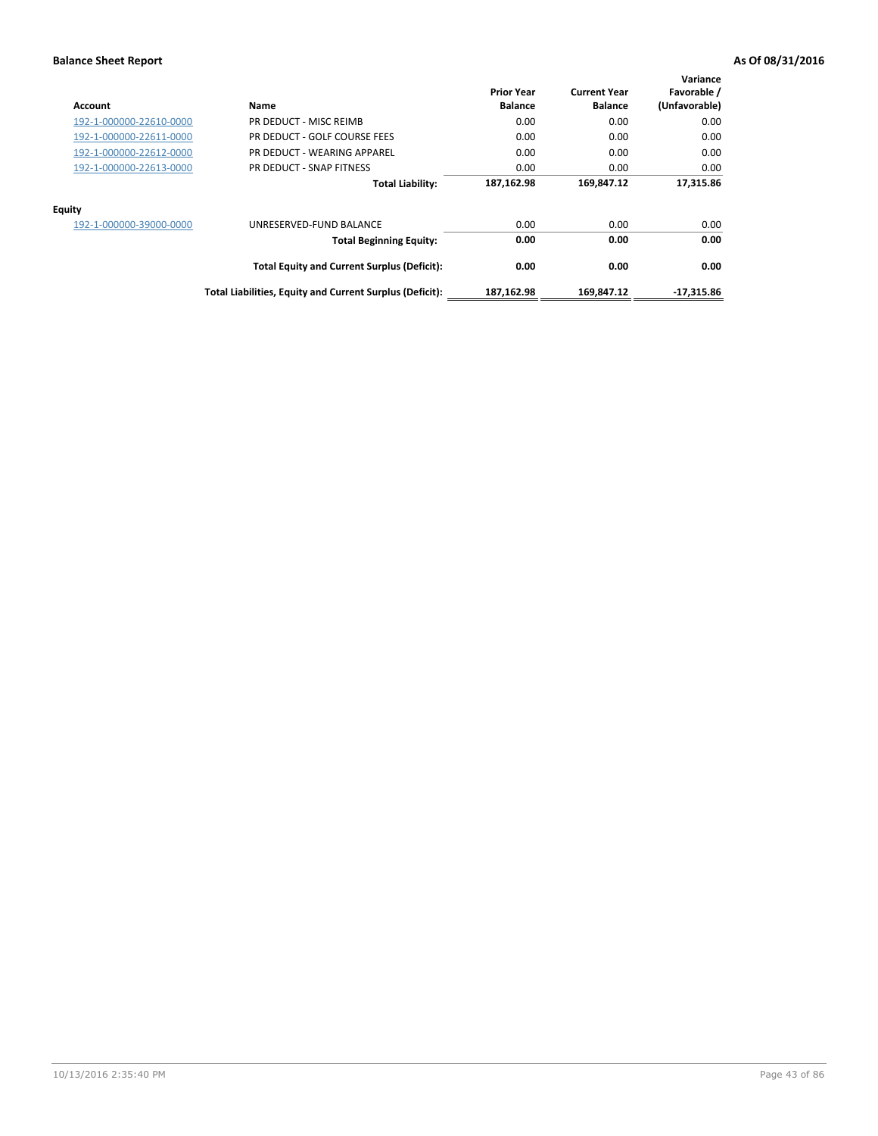| Account                 | Name                                                     | <b>Prior Year</b><br><b>Balance</b> | <b>Current Year</b><br><b>Balance</b> | Variance<br>Favorable /<br>(Unfavorable) |
|-------------------------|----------------------------------------------------------|-------------------------------------|---------------------------------------|------------------------------------------|
| 192-1-000000-22610-0000 | PR DEDUCT - MISC REIMB                                   | 0.00                                | 0.00                                  | 0.00                                     |
| 192-1-000000-22611-0000 | PR DEDUCT - GOLF COURSE FEES                             | 0.00                                | 0.00                                  | 0.00                                     |
| 192-1-000000-22612-0000 | PR DEDUCT - WEARING APPAREL                              | 0.00                                | 0.00                                  | 0.00                                     |
| 192-1-000000-22613-0000 | PR DEDUCT - SNAP FITNESS                                 | 0.00                                | 0.00                                  | 0.00                                     |
|                         | <b>Total Liability:</b>                                  | 187,162.98                          | 169,847.12                            | 17,315.86                                |
| Equity                  |                                                          |                                     |                                       |                                          |
| 192-1-000000-39000-0000 | UNRESERVED-FUND BALANCE                                  | 0.00                                | 0.00                                  | 0.00                                     |
|                         | <b>Total Beginning Equity:</b>                           | 0.00                                | 0.00                                  | 0.00                                     |
|                         | <b>Total Equity and Current Surplus (Deficit):</b>       | 0.00                                | 0.00                                  | 0.00                                     |
|                         | Total Liabilities, Equity and Current Surplus (Deficit): | 187,162.98                          | 169.847.12                            | $-17,315.86$                             |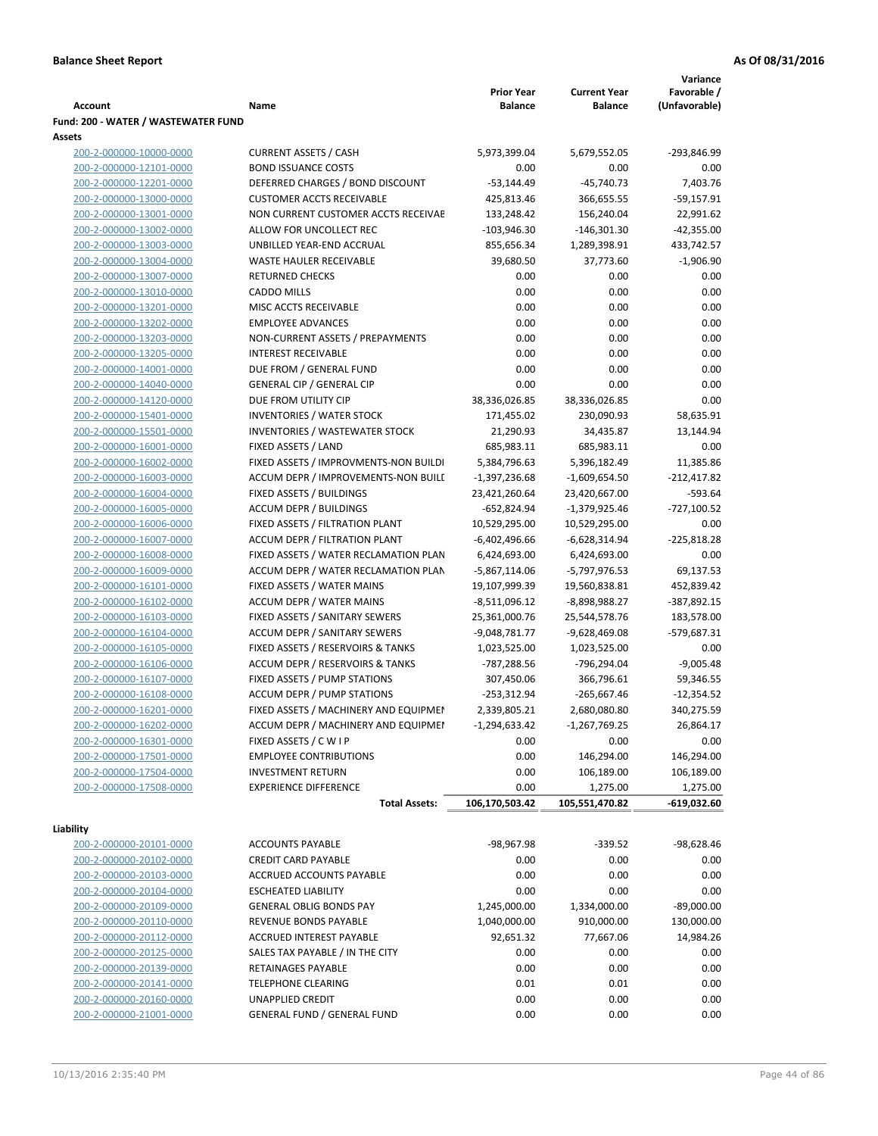|                                                    |                                                          |                                     |                                       | Variance                     |
|----------------------------------------------------|----------------------------------------------------------|-------------------------------------|---------------------------------------|------------------------------|
| <b>Account</b>                                     | Name                                                     | <b>Prior Year</b><br><b>Balance</b> | <b>Current Year</b><br><b>Balance</b> | Favorable /<br>(Unfavorable) |
| Fund: 200 - WATER / WASTEWATER FUND                |                                                          |                                     |                                       |                              |
| Assets                                             |                                                          |                                     |                                       |                              |
| 200-2-000000-10000-0000                            | <b>CURRENT ASSETS / CASH</b>                             | 5,973,399.04                        | 5,679,552.05                          | -293,846.99                  |
| 200-2-000000-12101-0000                            | <b>BOND ISSUANCE COSTS</b>                               | 0.00                                | 0.00                                  | 0.00                         |
| 200-2-000000-12201-0000                            | DEFERRED CHARGES / BOND DISCOUNT                         | $-53,144.49$                        | $-45,740.73$                          | 7,403.76                     |
| 200-2-000000-13000-0000                            | <b>CUSTOMER ACCTS RECEIVABLE</b>                         | 425,813.46                          | 366,655.55                            | $-59,157.91$                 |
| 200-2-000000-13001-0000                            | NON CURRENT CUSTOMER ACCTS RECEIVAE                      | 133,248.42                          | 156,240.04                            | 22,991.62                    |
| 200-2-000000-13002-0000                            | ALLOW FOR UNCOLLECT REC                                  | $-103,946.30$                       | $-146,301.30$                         | $-42,355.00$                 |
| 200-2-000000-13003-0000                            | UNBILLED YEAR-END ACCRUAL                                | 855,656.34                          | 1,289,398.91                          | 433,742.57                   |
| 200-2-000000-13004-0000                            | WASTE HAULER RECEIVABLE                                  | 39,680.50                           | 37,773.60                             | $-1,906.90$                  |
| 200-2-000000-13007-0000                            | <b>RETURNED CHECKS</b>                                   | 0.00                                | 0.00                                  | 0.00                         |
| 200-2-000000-13010-0000                            | <b>CADDO MILLS</b>                                       | 0.00                                | 0.00                                  | 0.00                         |
| 200-2-000000-13201-0000                            | MISC ACCTS RECEIVABLE                                    | 0.00                                | 0.00                                  | 0.00                         |
| 200-2-000000-13202-0000                            | <b>EMPLOYEE ADVANCES</b>                                 | 0.00                                | 0.00                                  | 0.00                         |
| 200-2-000000-13203-0000<br>200-2-000000-13205-0000 | NON-CURRENT ASSETS / PREPAYMENTS                         | 0.00                                | 0.00                                  | 0.00<br>0.00                 |
| 200-2-000000-14001-0000                            | <b>INTEREST RECEIVABLE</b><br>DUE FROM / GENERAL FUND    | 0.00<br>0.00                        | 0.00<br>0.00                          | 0.00                         |
| 200-2-000000-14040-0000                            | <b>GENERAL CIP / GENERAL CIP</b>                         | 0.00                                | 0.00                                  | 0.00                         |
| 200-2-000000-14120-0000                            | DUE FROM UTILITY CIP                                     | 38,336,026.85                       | 38,336,026.85                         | 0.00                         |
| 200-2-000000-15401-0000                            | <b>INVENTORIES / WATER STOCK</b>                         | 171,455.02                          | 230,090.93                            | 58,635.91                    |
| 200-2-000000-15501-0000                            | <b>INVENTORIES / WASTEWATER STOCK</b>                    | 21,290.93                           | 34,435.87                             | 13,144.94                    |
| 200-2-000000-16001-0000                            | FIXED ASSETS / LAND                                      | 685,983.11                          | 685,983.11                            | 0.00                         |
| 200-2-000000-16002-0000                            | FIXED ASSETS / IMPROVMENTS-NON BUILDI                    | 5,384,796.63                        | 5,396,182.49                          | 11,385.86                    |
| 200-2-000000-16003-0000                            | ACCUM DEPR / IMPROVEMENTS-NON BUILI                      | $-1,397,236.68$                     | $-1,609,654.50$                       | $-212,417.82$                |
| 200-2-000000-16004-0000                            | FIXED ASSETS / BUILDINGS                                 | 23,421,260.64                       | 23,420,667.00                         | $-593.64$                    |
| 200-2-000000-16005-0000                            | <b>ACCUM DEPR / BUILDINGS</b>                            | $-652,824.94$                       | -1,379,925.46                         | $-727,100.52$                |
| 200-2-000000-16006-0000                            | FIXED ASSETS / FILTRATION PLANT                          | 10,529,295.00                       | 10,529,295.00                         | 0.00                         |
| 200-2-000000-16007-0000                            | ACCUM DEPR / FILTRATION PLANT                            | -6,402,496.66                       | -6,628,314.94                         | $-225,818.28$                |
| 200-2-000000-16008-0000                            | FIXED ASSETS / WATER RECLAMATION PLAN                    | 6,424,693.00                        | 6,424,693.00                          | 0.00                         |
| 200-2-000000-16009-0000                            | ACCUM DEPR / WATER RECLAMATION PLAN                      | $-5,867,114.06$                     | -5,797,976.53                         | 69,137.53                    |
| 200-2-000000-16101-0000                            | FIXED ASSETS / WATER MAINS                               | 19,107,999.39                       | 19,560,838.81                         | 452,839.42                   |
| 200-2-000000-16102-0000                            | <b>ACCUM DEPR / WATER MAINS</b>                          | -8,511,096.12                       | -8,898,988.27                         | -387,892.15                  |
| 200-2-000000-16103-0000                            | FIXED ASSETS / SANITARY SEWERS                           | 25,361,000.76                       | 25,544,578.76                         | 183,578.00                   |
| 200-2-000000-16104-0000                            | <b>ACCUM DEPR / SANITARY SEWERS</b>                      | -9,048,781.77                       | -9,628,469.08                         | -579,687.31                  |
| 200-2-000000-16105-0000                            | FIXED ASSETS / RESERVOIRS & TANKS                        | 1,023,525.00                        | 1,023,525.00                          | 0.00                         |
| 200-2-000000-16106-0000                            | ACCUM DEPR / RESERVOIRS & TANKS                          | -787,288.56                         | -796,294.04                           | $-9,005.48$                  |
| 200-2-000000-16107-0000                            | FIXED ASSETS / PUMP STATIONS                             | 307,450.06                          | 366,796.61                            | 59,346.55                    |
| 200-2-000000-16108-0000                            | <b>ACCUM DEPR / PUMP STATIONS</b>                        | $-253,312.94$                       | $-265,667.46$                         | $-12,354.52$                 |
| 200-2-000000-16201-0000                            | FIXED ASSETS / MACHINERY AND EQUIPMEN                    | 2,339,805.21                        | 2,680,080.80                          | 340,275.59                   |
| 200-2-000000-16202-0000                            | ACCUM DEPR / MACHINERY AND EQUIPMEI                      | $-1,294,633.42$                     | $-1,267,769.25$                       | 26,864.17                    |
| 200-2-000000-16301-0000                            | FIXED ASSETS / C W I P                                   | 0.00                                | 0.00                                  | 0.00                         |
| 200-2-000000-17501-0000                            | <b>EMPLOYEE CONTRIBUTIONS</b>                            | 0.00                                | 146,294.00<br>106,189.00              | 146,294.00<br>106,189.00     |
| 200-2-000000-17504-0000<br>200-2-000000-17508-0000 | <b>INVESTMENT RETURN</b><br><b>EXPERIENCE DIFFERENCE</b> | 0.00<br>0.00                        | 1,275.00                              | 1,275.00                     |
|                                                    | <b>Total Assets:</b>                                     | 106,170,503.42                      | 105,551,470.82                        | -619,032.60                  |
|                                                    |                                                          |                                     |                                       |                              |
| Liability                                          |                                                          |                                     |                                       |                              |
| 200-2-000000-20101-0000                            | <b>ACCOUNTS PAYABLE</b>                                  | -98,967.98                          | $-339.52$                             | -98,628.46                   |
| 200-2-000000-20102-0000                            | <b>CREDIT CARD PAYABLE</b>                               | 0.00                                | 0.00                                  | 0.00                         |
| 200-2-000000-20103-0000                            | ACCRUED ACCOUNTS PAYABLE                                 | 0.00                                | 0.00                                  | 0.00                         |
| 200-2-000000-20104-0000                            | <b>ESCHEATED LIABILITY</b>                               | 0.00                                | 0.00                                  | 0.00                         |
| 200-2-000000-20109-0000                            | <b>GENERAL OBLIG BONDS PAY</b>                           | 1,245,000.00                        | 1,334,000.00                          | $-89,000.00$                 |
| 200-2-000000-20110-0000                            | REVENUE BONDS PAYABLE                                    | 1,040,000.00                        | 910,000.00                            | 130,000.00                   |
| 200-2-000000-20112-0000                            | ACCRUED INTEREST PAYABLE                                 | 92,651.32                           | 77,667.06                             | 14,984.26                    |
| 200-2-000000-20125-0000                            | SALES TAX PAYABLE / IN THE CITY                          | 0.00                                | 0.00                                  | 0.00                         |
| 200-2-000000-20139-0000                            | RETAINAGES PAYABLE                                       | 0.00                                | 0.00                                  | 0.00                         |
| 200-2-000000-20141-0000                            | <b>TELEPHONE CLEARING</b>                                | 0.01                                | 0.01                                  | 0.00                         |
| 200-2-000000-20160-0000                            | <b>UNAPPLIED CREDIT</b>                                  | 0.00                                | 0.00                                  | 0.00                         |
| 200-2-000000-21001-0000                            | <b>GENERAL FUND / GENERAL FUND</b>                       | 0.00                                | 0.00                                  | 0.00                         |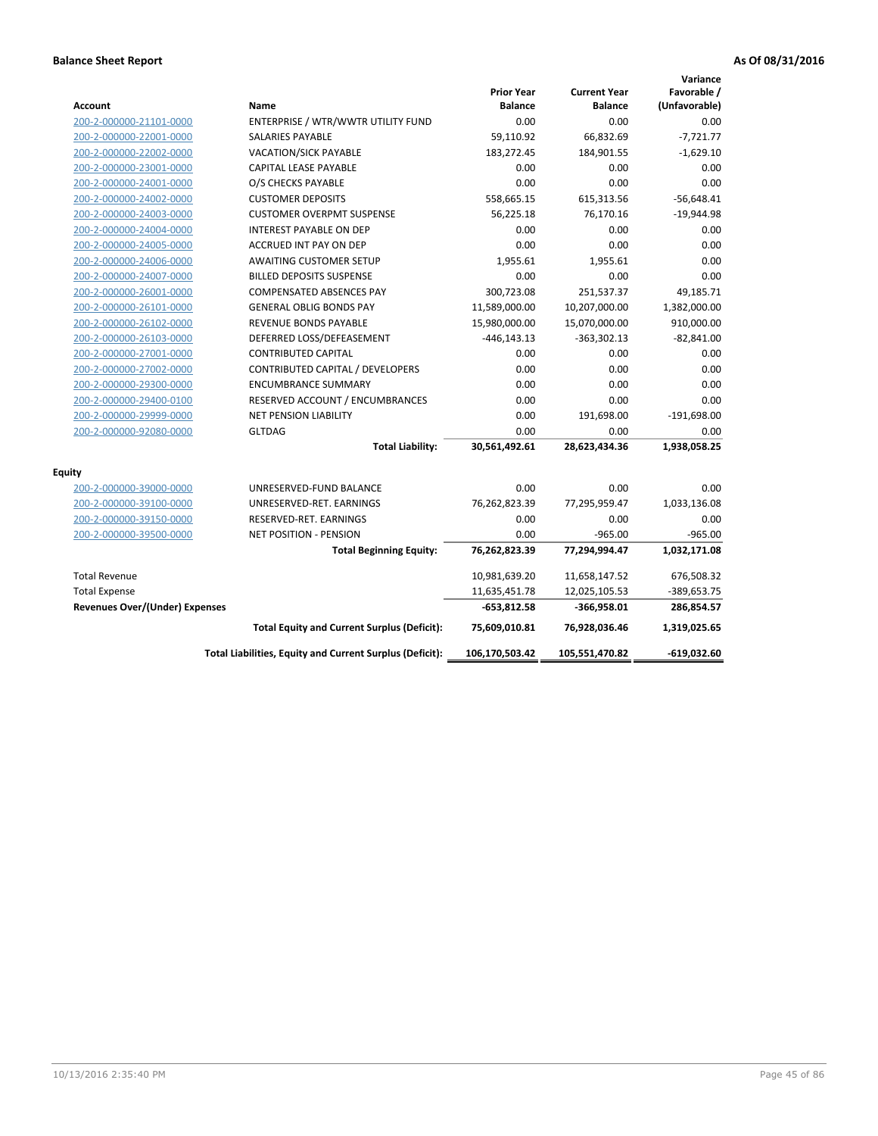| <b>Account</b>                        | Name                                                     | <b>Prior Year</b><br><b>Balance</b> | <b>Current Year</b><br><b>Balance</b> | Variance<br>Favorable /<br>(Unfavorable) |
|---------------------------------------|----------------------------------------------------------|-------------------------------------|---------------------------------------|------------------------------------------|
| 200-2-000000-21101-0000               | ENTERPRISE / WTR/WWTR UTILITY FUND                       | 0.00                                | 0.00                                  | 0.00                                     |
| 200-2-000000-22001-0000               | SALARIES PAYABLE                                         | 59,110.92                           | 66,832.69                             | $-7,721.77$                              |
| 200-2-000000-22002-0000               | <b>VACATION/SICK PAYABLE</b>                             | 183,272.45                          | 184,901.55                            | $-1,629.10$                              |
| 200-2-000000-23001-0000               | <b>CAPITAL LEASE PAYABLE</b>                             | 0.00                                | 0.00                                  | 0.00                                     |
| 200-2-000000-24001-0000               | O/S CHECKS PAYABLE                                       | 0.00                                | 0.00                                  | 0.00                                     |
| 200-2-000000-24002-0000               | <b>CUSTOMER DEPOSITS</b>                                 | 558,665.15                          | 615,313.56                            | $-56,648.41$                             |
| 200-2-000000-24003-0000               | <b>CUSTOMER OVERPMT SUSPENSE</b>                         | 56,225.18                           | 76,170.16                             | $-19,944.98$                             |
| 200-2-000000-24004-0000               | <b>INTEREST PAYABLE ON DEP</b>                           | 0.00                                | 0.00                                  | 0.00                                     |
| 200-2-000000-24005-0000               | <b>ACCRUED INT PAY ON DEP</b>                            | 0.00                                | 0.00                                  | 0.00                                     |
| 200-2-000000-24006-0000               | <b>AWAITING CUSTOMER SETUP</b>                           | 1,955.61                            | 1,955.61                              | 0.00                                     |
| 200-2-000000-24007-0000               | BILLED DEPOSITS SUSPENSE                                 | 0.00                                | 0.00                                  | 0.00                                     |
| 200-2-000000-26001-0000               | <b>COMPENSATED ABSENCES PAY</b>                          | 300,723.08                          | 251,537.37                            | 49,185.71                                |
| 200-2-000000-26101-0000               | <b>GENERAL OBLIG BONDS PAY</b>                           | 11,589,000.00                       | 10,207,000.00                         | 1,382,000.00                             |
| 200-2-000000-26102-0000               | <b>REVENUE BONDS PAYABLE</b>                             | 15,980,000.00                       | 15,070,000.00                         | 910,000.00                               |
| 200-2-000000-26103-0000               | DEFERRED LOSS/DEFEASEMENT                                | $-446, 143.13$                      | $-363,302.13$                         | $-82,841.00$                             |
| 200-2-000000-27001-0000               | <b>CONTRIBUTED CAPITAL</b>                               | 0.00                                | 0.00                                  | 0.00                                     |
| 200-2-000000-27002-0000               | CONTRIBUTED CAPITAL / DEVELOPERS                         | 0.00                                | 0.00                                  | 0.00                                     |
| 200-2-000000-29300-0000               | <b>ENCUMBRANCE SUMMARY</b>                               | 0.00                                | 0.00                                  | 0.00                                     |
| 200-2-000000-29400-0100               | RESERVED ACCOUNT / ENCUMBRANCES                          | 0.00                                | 0.00                                  | 0.00                                     |
| 200-2-000000-29999-0000               | <b>NET PENSION LIABILITY</b>                             | 0.00                                | 191,698.00                            | $-191,698.00$                            |
| 200-2-000000-92080-0000               | <b>GLTDAG</b>                                            | 0.00                                | 0.00                                  | 0.00                                     |
|                                       | <b>Total Liability:</b>                                  | 30,561,492.61                       | 28,623,434.36                         | 1,938,058.25                             |
| <b>Equity</b>                         |                                                          |                                     |                                       |                                          |
| 200-2-000000-39000-0000               | UNRESERVED-FUND BALANCE                                  | 0.00                                | 0.00                                  | 0.00                                     |
| 200-2-000000-39100-0000               | UNRESERVED-RET. EARNINGS                                 | 76,262,823.39                       | 77,295,959.47                         | 1,033,136.08                             |
| 200-2-000000-39150-0000               | RESERVED-RET. EARNINGS                                   | 0.00                                | 0.00                                  | 0.00                                     |
| 200-2-000000-39500-0000               | <b>NET POSITION - PENSION</b>                            | 0.00                                | $-965.00$                             | $-965.00$                                |
|                                       | <b>Total Beginning Equity:</b>                           | 76,262,823.39                       | 77,294,994.47                         | 1,032,171.08                             |
| <b>Total Revenue</b>                  |                                                          | 10,981,639.20                       | 11,658,147.52                         | 676,508.32                               |
| <b>Total Expense</b>                  |                                                          | 11,635,451.78                       | 12,025,105.53                         | -389,653.75                              |
| <b>Revenues Over/(Under) Expenses</b> |                                                          | -653,812.58                         | -366,958.01                           | 286,854.57                               |
|                                       | <b>Total Equity and Current Surplus (Deficit):</b>       | 75,609,010.81                       | 76,928,036.46                         | 1,319,025.65                             |
|                                       | Total Liabilities, Equity and Current Surplus (Deficit): | 106,170,503.42                      | 105,551,470.82                        | $-619,032.60$                            |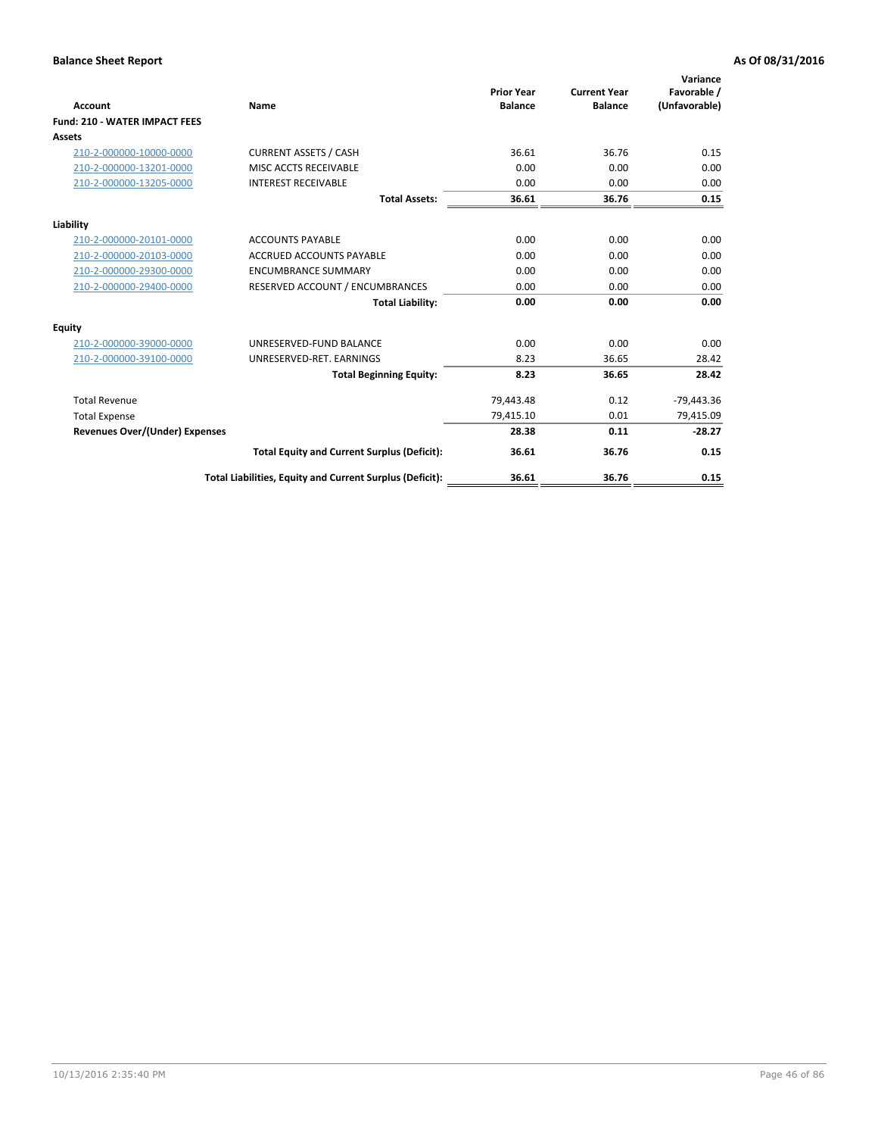| <b>Account</b>                        | Name                                                     | <b>Prior Year</b><br><b>Balance</b> | <b>Current Year</b><br><b>Balance</b> | Variance<br>Favorable /<br>(Unfavorable) |
|---------------------------------------|----------------------------------------------------------|-------------------------------------|---------------------------------------|------------------------------------------|
| <b>Fund: 210 - WATER IMPACT FEES</b>  |                                                          |                                     |                                       |                                          |
| <b>Assets</b>                         |                                                          |                                     |                                       |                                          |
| 210-2-000000-10000-0000               | <b>CURRENT ASSETS / CASH</b>                             | 36.61                               | 36.76                                 | 0.15                                     |
| 210-2-000000-13201-0000               | MISC ACCTS RECEIVABLE                                    | 0.00                                | 0.00                                  | 0.00                                     |
| 210-2-000000-13205-0000               | <b>INTEREST RECEIVABLE</b>                               | 0.00                                | 0.00                                  | 0.00                                     |
|                                       | <b>Total Assets:</b>                                     | 36.61                               | 36.76                                 | 0.15                                     |
| Liability                             |                                                          |                                     |                                       |                                          |
| 210-2-000000-20101-0000               | <b>ACCOUNTS PAYABLE</b>                                  | 0.00                                | 0.00                                  | 0.00                                     |
| 210-2-000000-20103-0000               | <b>ACCRUED ACCOUNTS PAYABLE</b>                          | 0.00                                | 0.00                                  | 0.00                                     |
| 210-2-000000-29300-0000               | <b>ENCUMBRANCE SUMMARY</b>                               | 0.00                                | 0.00                                  | 0.00                                     |
| 210-2-000000-29400-0000               | RESERVED ACCOUNT / ENCUMBRANCES                          | 0.00                                | 0.00                                  | 0.00                                     |
|                                       | <b>Total Liability:</b>                                  | 0.00                                | 0.00                                  | 0.00                                     |
| <b>Equity</b>                         |                                                          |                                     |                                       |                                          |
| 210-2-000000-39000-0000               | UNRESERVED-FUND BALANCE                                  | 0.00                                | 0.00                                  | 0.00                                     |
| 210-2-000000-39100-0000               | UNRESERVED-RET. EARNINGS                                 | 8.23                                | 36.65                                 | 28.42                                    |
|                                       | <b>Total Beginning Equity:</b>                           | 8.23                                | 36.65                                 | 28.42                                    |
| <b>Total Revenue</b>                  |                                                          | 79,443.48                           | 0.12                                  | $-79,443.36$                             |
| <b>Total Expense</b>                  |                                                          | 79,415.10                           | 0.01                                  | 79,415.09                                |
| <b>Revenues Over/(Under) Expenses</b> |                                                          | 28.38                               | 0.11                                  | $-28.27$                                 |
|                                       | <b>Total Equity and Current Surplus (Deficit):</b>       | 36.61                               | 36.76                                 | 0.15                                     |
|                                       | Total Liabilities, Equity and Current Surplus (Deficit): | 36.61                               | 36.76                                 | 0.15                                     |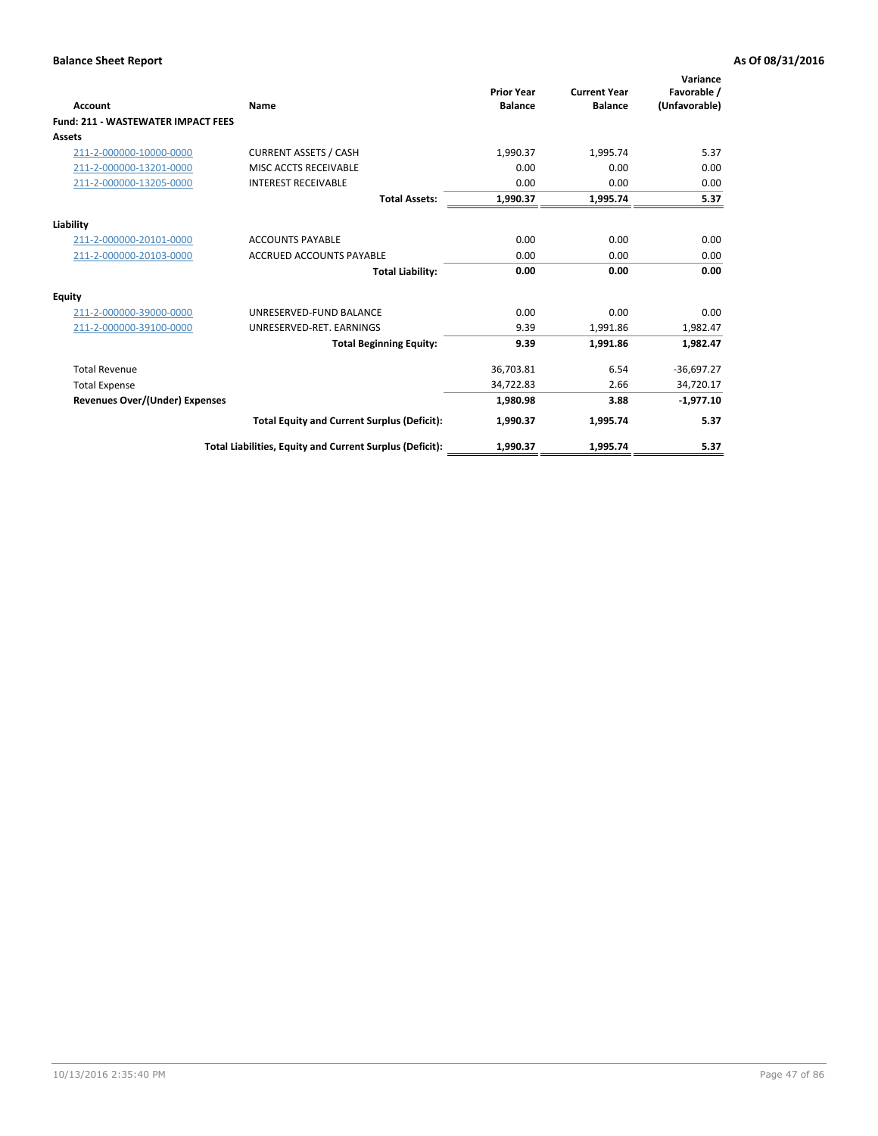| Account                                   | Name                                                     | <b>Prior Year</b><br><b>Balance</b> | <b>Current Year</b><br><b>Balance</b> | Variance<br>Favorable /<br>(Unfavorable) |
|-------------------------------------------|----------------------------------------------------------|-------------------------------------|---------------------------------------|------------------------------------------|
| <b>Fund: 211 - WASTEWATER IMPACT FEES</b> |                                                          |                                     |                                       |                                          |
| <b>Assets</b>                             |                                                          |                                     |                                       |                                          |
| 211-2-000000-10000-0000                   | <b>CURRENT ASSETS / CASH</b>                             | 1,990.37                            | 1,995.74                              | 5.37                                     |
| 211-2-000000-13201-0000                   | MISC ACCTS RECEIVABLE                                    | 0.00                                | 0.00                                  | 0.00                                     |
| 211-2-000000-13205-0000                   | <b>INTEREST RECEIVABLE</b>                               | 0.00                                | 0.00                                  | 0.00                                     |
|                                           | <b>Total Assets:</b>                                     | 1,990.37                            | 1,995.74                              | 5.37                                     |
| Liability                                 |                                                          |                                     |                                       |                                          |
| 211-2-000000-20101-0000                   | <b>ACCOUNTS PAYABLE</b>                                  | 0.00                                | 0.00                                  | 0.00                                     |
| 211-2-000000-20103-0000                   | <b>ACCRUED ACCOUNTS PAYABLE</b>                          | 0.00                                | 0.00                                  | 0.00                                     |
|                                           | <b>Total Liability:</b>                                  | 0.00                                | 0.00                                  | 0.00                                     |
| Equity                                    |                                                          |                                     |                                       |                                          |
| 211-2-000000-39000-0000                   | UNRESERVED-FUND BALANCE                                  | 0.00                                | 0.00                                  | 0.00                                     |
| 211-2-000000-39100-0000                   | UNRESERVED-RET. EARNINGS                                 | 9.39                                | 1,991.86                              | 1,982.47                                 |
|                                           | <b>Total Beginning Equity:</b>                           | 9.39                                | 1,991.86                              | 1,982.47                                 |
| <b>Total Revenue</b>                      |                                                          | 36,703.81                           | 6.54                                  | $-36,697.27$                             |
| <b>Total Expense</b>                      |                                                          | 34,722.83                           | 2.66                                  | 34,720.17                                |
| <b>Revenues Over/(Under) Expenses</b>     |                                                          | 1,980.98                            | 3.88                                  | $-1,977.10$                              |
|                                           | <b>Total Equity and Current Surplus (Deficit):</b>       | 1,990.37                            | 1,995.74                              | 5.37                                     |
|                                           | Total Liabilities, Equity and Current Surplus (Deficit): | 1,990.37                            | 1,995.74                              | 5.37                                     |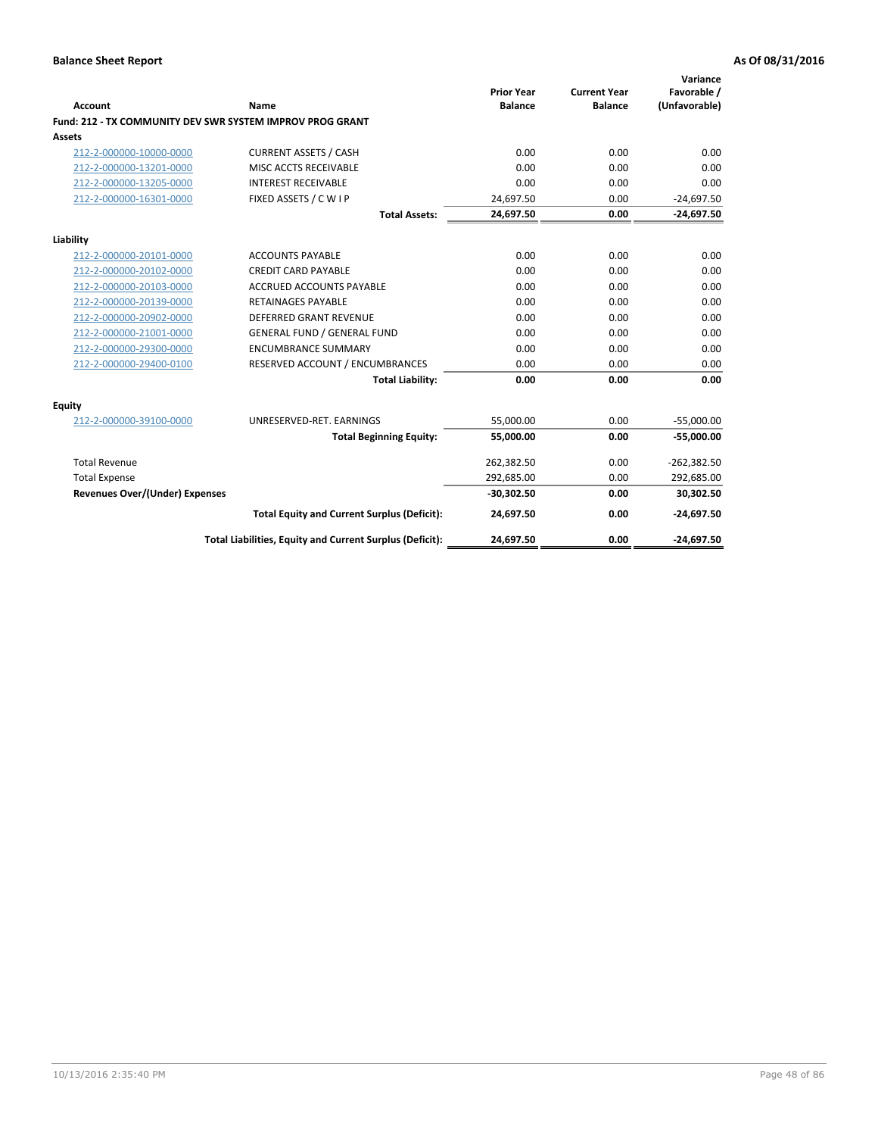| <b>Account</b>                        | Name                                                      | <b>Prior Year</b><br><b>Balance</b> | <b>Current Year</b><br><b>Balance</b> | Variance<br>Favorable /<br>(Unfavorable) |
|---------------------------------------|-----------------------------------------------------------|-------------------------------------|---------------------------------------|------------------------------------------|
|                                       | Fund: 212 - TX COMMUNITY DEV SWR SYSTEM IMPROV PROG GRANT |                                     |                                       |                                          |
| <b>Assets</b>                         |                                                           |                                     |                                       |                                          |
| 212-2-000000-10000-0000               | <b>CURRENT ASSETS / CASH</b>                              | 0.00                                | 0.00                                  | 0.00                                     |
| 212-2-000000-13201-0000               | MISC ACCTS RECEIVABLE                                     | 0.00                                | 0.00                                  | 0.00                                     |
| 212-2-000000-13205-0000               | <b>INTEREST RECEIVABLE</b>                                | 0.00                                | 0.00                                  | 0.00                                     |
| 212-2-000000-16301-0000               | FIXED ASSETS / C W I P                                    | 24,697.50                           | 0.00                                  | $-24,697.50$                             |
|                                       | <b>Total Assets:</b>                                      | 24,697.50                           | 0.00                                  | $-24,697.50$                             |
| Liability                             |                                                           |                                     |                                       |                                          |
| 212-2-000000-20101-0000               | <b>ACCOUNTS PAYABLE</b>                                   | 0.00                                | 0.00                                  | 0.00                                     |
| 212-2-000000-20102-0000               | <b>CREDIT CARD PAYABLE</b>                                | 0.00                                | 0.00                                  | 0.00                                     |
| 212-2-000000-20103-0000               | <b>ACCRUED ACCOUNTS PAYABLE</b>                           | 0.00                                | 0.00                                  | 0.00                                     |
| 212-2-000000-20139-0000               | <b>RETAINAGES PAYABLE</b>                                 | 0.00                                | 0.00                                  | 0.00                                     |
| 212-2-000000-20902-0000               | <b>DEFERRED GRANT REVENUE</b>                             | 0.00                                | 0.00                                  | 0.00                                     |
| 212-2-000000-21001-0000               | <b>GENERAL FUND / GENERAL FUND</b>                        | 0.00                                | 0.00                                  | 0.00                                     |
| 212-2-000000-29300-0000               | <b>ENCUMBRANCE SUMMARY</b>                                | 0.00                                | 0.00                                  | 0.00                                     |
| 212-2-000000-29400-0100               | RESERVED ACCOUNT / ENCUMBRANCES                           | 0.00                                | 0.00                                  | 0.00                                     |
|                                       | <b>Total Liability:</b>                                   | 0.00                                | 0.00                                  | 0.00                                     |
| <b>Equity</b>                         |                                                           |                                     |                                       |                                          |
| 212-2-000000-39100-0000               | UNRESERVED-RET. EARNINGS                                  | 55,000.00                           | 0.00                                  | $-55,000.00$                             |
|                                       | <b>Total Beginning Equity:</b>                            | 55,000.00                           | 0.00                                  | $-55,000.00$                             |
| <b>Total Revenue</b>                  |                                                           | 262,382.50                          | 0.00                                  | $-262,382.50$                            |
| <b>Total Expense</b>                  |                                                           | 292,685.00                          | 0.00                                  | 292,685.00                               |
| <b>Revenues Over/(Under) Expenses</b> |                                                           | $-30,302.50$                        | 0.00                                  | 30,302.50                                |
|                                       | <b>Total Equity and Current Surplus (Deficit):</b>        | 24,697.50                           | 0.00                                  | $-24,697.50$                             |
|                                       | Total Liabilities, Equity and Current Surplus (Deficit):  | 24,697.50                           | 0.00                                  | $-24,697.50$                             |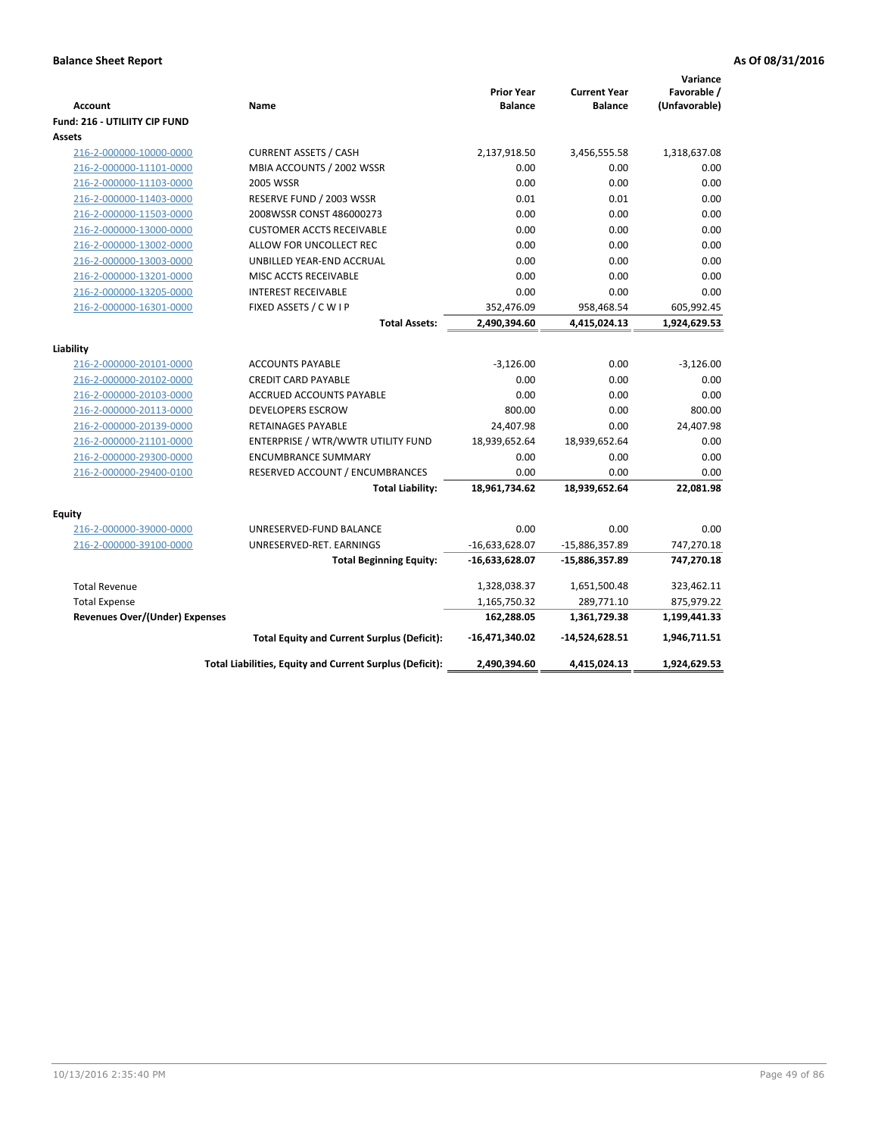|                                       |                                                          |                                     |                                       | Variance                     |
|---------------------------------------|----------------------------------------------------------|-------------------------------------|---------------------------------------|------------------------------|
| <b>Account</b>                        | Name                                                     | <b>Prior Year</b><br><b>Balance</b> | <b>Current Year</b><br><b>Balance</b> | Favorable /<br>(Unfavorable) |
| Fund: 216 - UTILIITY CIP FUND         |                                                          |                                     |                                       |                              |
| Assets                                |                                                          |                                     |                                       |                              |
| 216-2-000000-10000-0000               | <b>CURRENT ASSETS / CASH</b>                             | 2,137,918.50                        | 3,456,555.58                          | 1,318,637.08                 |
| 216-2-000000-11101-0000               | MBIA ACCOUNTS / 2002 WSSR                                | 0.00                                | 0.00                                  | 0.00                         |
| 216-2-000000-11103-0000               | 2005 WSSR                                                | 0.00                                | 0.00                                  | 0.00                         |
| 216-2-000000-11403-0000               | RESERVE FUND / 2003 WSSR                                 | 0.01                                | 0.01                                  | 0.00                         |
| 216-2-000000-11503-0000               | 2008WSSR CONST 486000273                                 | 0.00                                | 0.00                                  | 0.00                         |
| 216-2-000000-13000-0000               | <b>CUSTOMER ACCTS RECEIVABLE</b>                         | 0.00                                | 0.00                                  | 0.00                         |
| 216-2-000000-13002-0000               | ALLOW FOR UNCOLLECT REC                                  | 0.00                                | 0.00                                  | 0.00                         |
| 216-2-000000-13003-0000               | UNBILLED YEAR-END ACCRUAL                                | 0.00                                | 0.00                                  | 0.00                         |
| 216-2-000000-13201-0000               | MISC ACCTS RECEIVABLE                                    | 0.00                                | 0.00                                  | 0.00                         |
| 216-2-000000-13205-0000               | <b>INTEREST RECEIVABLE</b>                               | 0.00                                | 0.00                                  | 0.00                         |
| 216-2-000000-16301-0000               | FIXED ASSETS / C W I P                                   | 352,476.09                          | 958,468.54                            | 605,992.45                   |
|                                       | <b>Total Assets:</b>                                     | 2,490,394.60                        | 4,415,024.13                          | 1,924,629.53                 |
|                                       |                                                          |                                     |                                       |                              |
| Liability                             |                                                          |                                     |                                       |                              |
| 216-2-000000-20101-0000               | <b>ACCOUNTS PAYABLE</b>                                  | $-3,126.00$                         | 0.00                                  | $-3,126.00$                  |
| 216-2-000000-20102-0000               | <b>CREDIT CARD PAYABLE</b>                               | 0.00                                | 0.00                                  | 0.00                         |
| 216-2-000000-20103-0000               | <b>ACCRUED ACCOUNTS PAYABLE</b>                          | 0.00                                | 0.00                                  | 0.00                         |
| 216-2-000000-20113-0000               | <b>DEVELOPERS ESCROW</b>                                 | 800.00                              | 0.00                                  | 800.00                       |
| 216-2-000000-20139-0000               | <b>RETAINAGES PAYABLE</b>                                | 24,407.98                           | 0.00                                  | 24,407.98                    |
| 216-2-000000-21101-0000               | ENTERPRISE / WTR/WWTR UTILITY FUND                       | 18,939,652.64                       | 18,939,652.64                         | 0.00                         |
| 216-2-000000-29300-0000               | <b>ENCUMBRANCE SUMMARY</b>                               | 0.00                                | 0.00                                  | 0.00                         |
| 216-2-000000-29400-0100               | RESERVED ACCOUNT / ENCUMBRANCES                          | 0.00                                | 0.00                                  | 0.00                         |
|                                       | <b>Total Liability:</b>                                  | 18,961,734.62                       | 18,939,652.64                         | 22,081.98                    |
|                                       |                                                          |                                     |                                       |                              |
| <b>Equity</b>                         |                                                          |                                     |                                       |                              |
| 216-2-000000-39000-0000               | UNRESERVED-FUND BALANCE                                  | 0.00                                | 0.00                                  | 0.00                         |
| 216-2-000000-39100-0000               | UNRESERVED-RET. EARNINGS                                 | $-16,633,628.07$                    | -15,886,357.89                        | 747,270.18                   |
|                                       | <b>Total Beginning Equity:</b>                           | $-16,633,628.07$                    | $-15,886,357.89$                      | 747,270.18                   |
| <b>Total Revenue</b>                  |                                                          | 1,328,038.37                        | 1,651,500.48                          | 323,462.11                   |
| <b>Total Expense</b>                  |                                                          | 1,165,750.32                        | 289,771.10                            | 875,979.22                   |
| <b>Revenues Over/(Under) Expenses</b> |                                                          | 162,288.05                          | 1,361,729.38                          | 1,199,441.33                 |
|                                       | <b>Total Equity and Current Surplus (Deficit):</b>       | $-16,471,340.02$                    | $-14,524,628.51$                      | 1,946,711.51                 |
|                                       | Total Liabilities, Equity and Current Surplus (Deficit): | 2,490,394.60                        | 4,415,024.13                          | 1,924,629.53                 |
|                                       |                                                          |                                     |                                       |                              |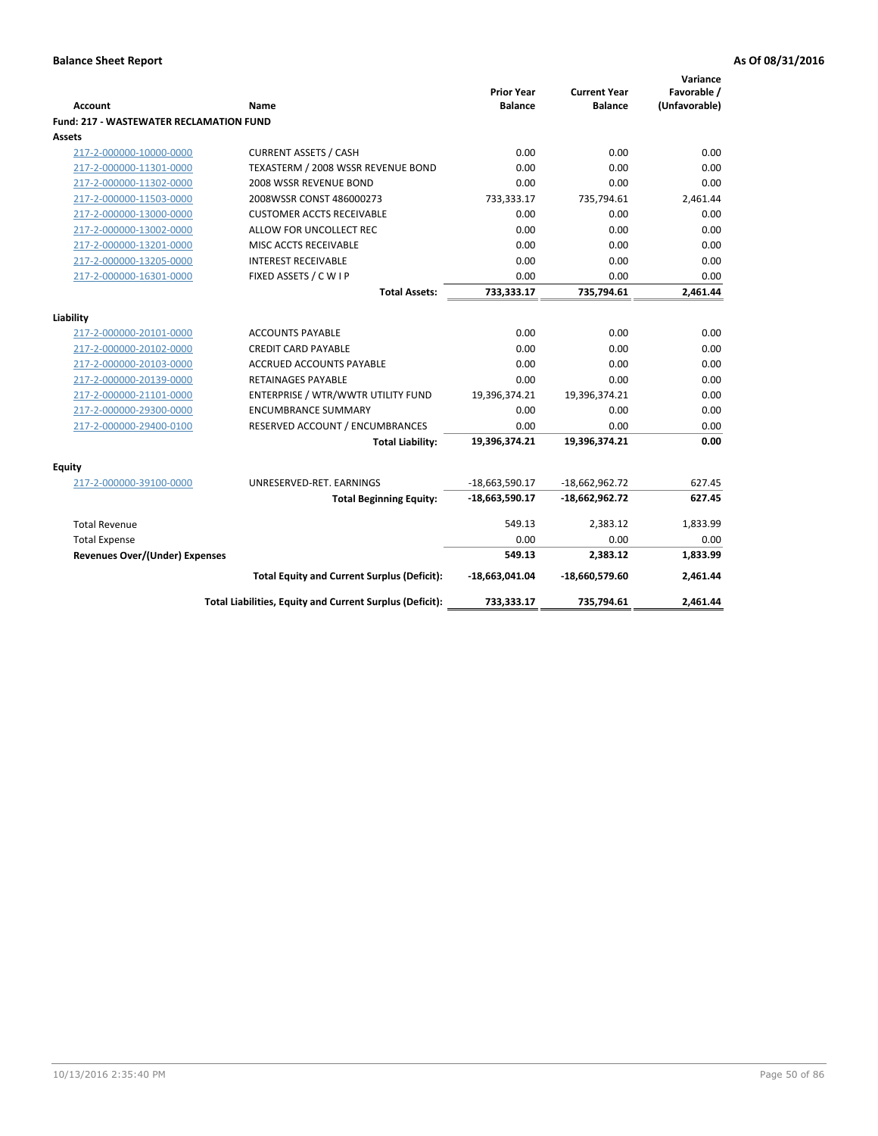| Account                                        | Name                                                     | <b>Prior Year</b><br><b>Balance</b> | <b>Current Year</b><br><b>Balance</b> | Variance<br>Favorable /<br>(Unfavorable) |
|------------------------------------------------|----------------------------------------------------------|-------------------------------------|---------------------------------------|------------------------------------------|
| <b>Fund: 217 - WASTEWATER RECLAMATION FUND</b> |                                                          |                                     |                                       |                                          |
| <b>Assets</b>                                  |                                                          |                                     |                                       |                                          |
| 217-2-000000-10000-0000                        | <b>CURRENT ASSETS / CASH</b>                             | 0.00                                | 0.00                                  | 0.00                                     |
| 217-2-000000-11301-0000                        | TEXASTERM / 2008 WSSR REVENUE BOND                       | 0.00                                | 0.00                                  | 0.00                                     |
| 217-2-000000-11302-0000                        | 2008 WSSR REVENUE BOND                                   | 0.00                                | 0.00                                  | 0.00                                     |
| 217-2-000000-11503-0000                        | 2008WSSR CONST 486000273                                 | 733,333.17                          | 735,794.61                            | 2,461.44                                 |
| 217-2-000000-13000-0000                        | <b>CUSTOMER ACCTS RECEIVABLE</b>                         | 0.00                                | 0.00                                  | 0.00                                     |
| 217-2-000000-13002-0000                        | ALLOW FOR UNCOLLECT REC                                  | 0.00                                | 0.00                                  | 0.00                                     |
| 217-2-000000-13201-0000                        | MISC ACCTS RECEIVABLE                                    | 0.00                                | 0.00                                  | 0.00                                     |
| 217-2-000000-13205-0000                        | <b>INTEREST RECEIVABLE</b>                               | 0.00                                | 0.00                                  | 0.00                                     |
| 217-2-000000-16301-0000                        | FIXED ASSETS / C W I P                                   | 0.00                                | 0.00                                  | 0.00                                     |
|                                                | <b>Total Assets:</b>                                     | 733,333.17                          | 735,794.61                            | 2,461.44                                 |
|                                                |                                                          |                                     |                                       |                                          |
| Liability                                      |                                                          |                                     |                                       |                                          |
| 217-2-000000-20101-0000                        | <b>ACCOUNTS PAYABLE</b>                                  | 0.00                                | 0.00                                  | 0.00                                     |
| 217-2-000000-20102-0000                        | <b>CREDIT CARD PAYABLE</b>                               | 0.00                                | 0.00                                  | 0.00                                     |
| 217-2-000000-20103-0000                        | <b>ACCRUED ACCOUNTS PAYABLE</b>                          | 0.00                                | 0.00                                  | 0.00                                     |
| 217-2-000000-20139-0000                        | RETAINAGES PAYABLE                                       | 0.00                                | 0.00                                  | 0.00                                     |
| 217-2-000000-21101-0000                        | ENTERPRISE / WTR/WWTR UTILITY FUND                       | 19,396,374.21                       | 19,396,374.21                         | 0.00                                     |
| 217-2-000000-29300-0000                        | <b>ENCUMBRANCE SUMMARY</b>                               | 0.00                                | 0.00                                  | 0.00                                     |
| 217-2-000000-29400-0100                        | RESERVED ACCOUNT / ENCUMBRANCES                          | 0.00                                | 0.00                                  | 0.00                                     |
|                                                | <b>Total Liability:</b>                                  | 19,396,374.21                       | 19,396,374.21                         | 0.00                                     |
| <b>Equity</b>                                  |                                                          |                                     |                                       |                                          |
| 217-2-000000-39100-0000                        | UNRESERVED-RET. EARNINGS                                 | $-18,663,590.17$                    | $-18,662,962.72$                      | 627.45                                   |
|                                                | <b>Total Beginning Equity:</b>                           | -18,663,590.17                      | $-18,662,962.72$                      | 627.45                                   |
| <b>Total Revenue</b>                           |                                                          | 549.13                              | 2,383.12                              | 1,833.99                                 |
| <b>Total Expense</b>                           |                                                          | 0.00                                | 0.00                                  | 0.00                                     |
| Revenues Over/(Under) Expenses                 |                                                          | 549.13                              | 2,383.12                              | 1,833.99                                 |
|                                                | <b>Total Equity and Current Surplus (Deficit):</b>       | -18,663,041.04                      | -18,660,579.60                        | 2,461.44                                 |
|                                                | Total Liabilities, Equity and Current Surplus (Deficit): | 733,333.17                          | 735,794.61                            | 2,461.44                                 |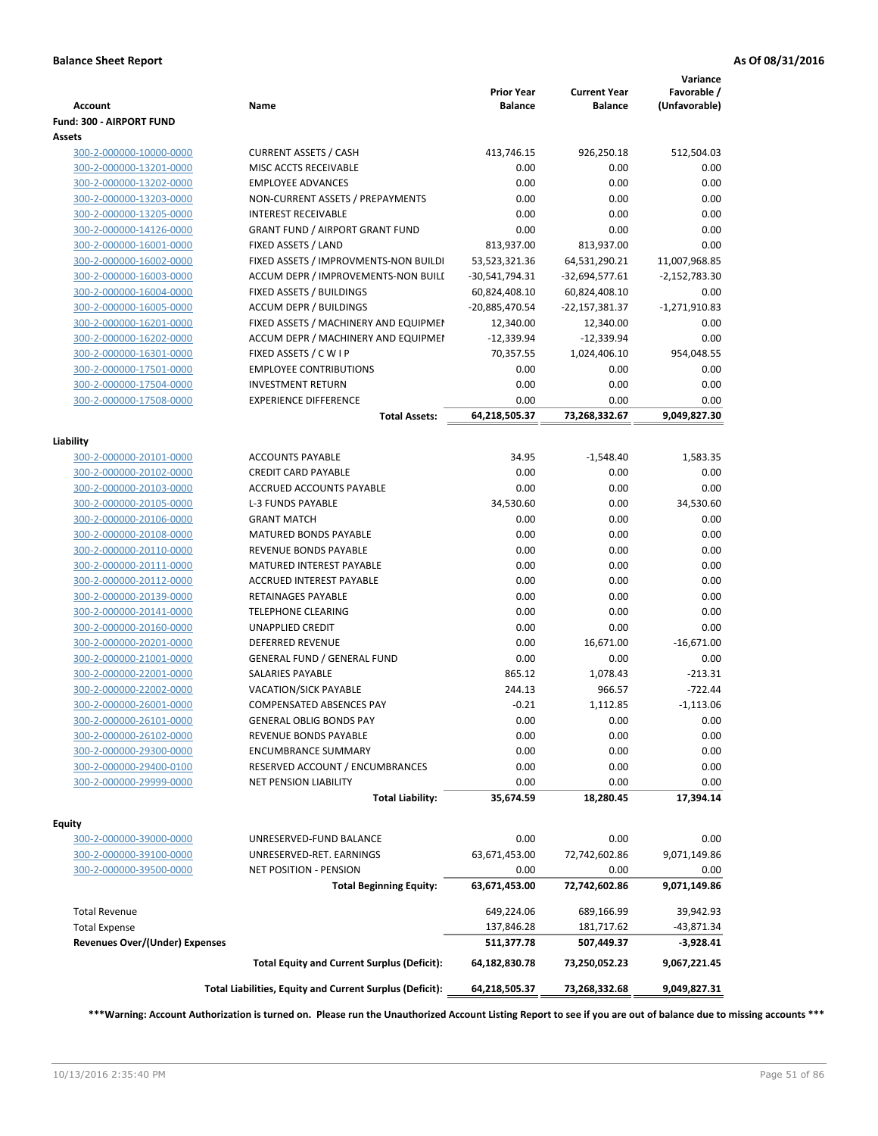| <b>Account</b>                        | Name                                                     | <b>Prior Year</b><br><b>Balance</b> | <b>Current Year</b><br><b>Balance</b> | Variance<br>Favorable /<br>(Unfavorable) |
|---------------------------------------|----------------------------------------------------------|-------------------------------------|---------------------------------------|------------------------------------------|
| Fund: 300 - AIRPORT FUND              |                                                          |                                     |                                       |                                          |
| Assets                                |                                                          |                                     |                                       |                                          |
| 300-2-000000-10000-0000               | <b>CURRENT ASSETS / CASH</b>                             | 413,746.15                          | 926,250.18                            | 512,504.03                               |
| 300-2-000000-13201-0000               | MISC ACCTS RECEIVABLE                                    | 0.00                                | 0.00                                  | 0.00                                     |
| 300-2-000000-13202-0000               | <b>EMPLOYEE ADVANCES</b>                                 | 0.00                                | 0.00                                  | 0.00                                     |
| 300-2-000000-13203-0000               | NON-CURRENT ASSETS / PREPAYMENTS                         | 0.00                                | 0.00                                  | 0.00                                     |
| 300-2-000000-13205-0000               | <b>INTEREST RECEIVABLE</b>                               | 0.00                                | 0.00                                  | 0.00                                     |
| 300-2-000000-14126-0000               | <b>GRANT FUND / AIRPORT GRANT FUND</b>                   | 0.00                                | 0.00                                  | 0.00                                     |
| 300-2-000000-16001-0000               | FIXED ASSETS / LAND                                      | 813,937.00                          | 813,937.00                            | 0.00                                     |
| 300-2-000000-16002-0000               | FIXED ASSETS / IMPROVMENTS-NON BUILDI                    | 53,523,321.36                       | 64,531,290.21                         | 11,007,968.85                            |
| 300-2-000000-16003-0000               | ACCUM DEPR / IMPROVEMENTS-NON BUILI                      | -30,541,794.31                      | $-32,694,577.61$                      | $-2,152,783.30$                          |
| 300-2-000000-16004-0000               | FIXED ASSETS / BUILDINGS                                 | 60,824,408.10                       | 60,824,408.10                         | 0.00                                     |
| 300-2-000000-16005-0000               | <b>ACCUM DEPR / BUILDINGS</b>                            | -20,885,470.54                      | -22,157,381.37                        | $-1,271,910.83$                          |
| 300-2-000000-16201-0000               | FIXED ASSETS / MACHINERY AND EQUIPMEN                    | 12,340.00                           | 12,340.00                             | 0.00                                     |
| 300-2-000000-16202-0000               | ACCUM DEPR / MACHINERY AND EQUIPMEI                      | $-12,339.94$                        | $-12,339.94$                          | 0.00                                     |
| 300-2-000000-16301-0000               | FIXED ASSETS / CWIP                                      | 70,357.55                           | 1,024,406.10                          | 954,048.55                               |
| 300-2-000000-17501-0000               | <b>EMPLOYEE CONTRIBUTIONS</b>                            | 0.00                                | 0.00                                  | 0.00                                     |
| 300-2-000000-17504-0000               | <b>INVESTMENT RETURN</b>                                 | 0.00                                | 0.00                                  | 0.00                                     |
| 300-2-000000-17508-0000               | <b>EXPERIENCE DIFFERENCE</b>                             | 0.00                                | 0.00                                  | 0.00                                     |
|                                       | <b>Total Assets:</b>                                     | 64,218,505.37                       | 73,268,332.67                         | 9,049,827.30                             |
|                                       |                                                          |                                     |                                       |                                          |
| Liability                             |                                                          |                                     |                                       |                                          |
| 300-2-000000-20101-0000               | <b>ACCOUNTS PAYABLE</b>                                  | 34.95                               | $-1,548.40$                           | 1,583.35                                 |
| 300-2-000000-20102-0000               | <b>CREDIT CARD PAYABLE</b>                               | 0.00                                | 0.00                                  | 0.00                                     |
| 300-2-000000-20103-0000               | ACCRUED ACCOUNTS PAYABLE                                 | 0.00                                | 0.00                                  | 0.00                                     |
| 300-2-000000-20105-0000               | <b>L-3 FUNDS PAYABLE</b>                                 | 34,530.60                           | 0.00                                  | 34,530.60                                |
| 300-2-000000-20106-0000               | <b>GRANT MATCH</b>                                       | 0.00                                | 0.00                                  | 0.00                                     |
| 300-2-000000-20108-0000               | <b>MATURED BONDS PAYABLE</b>                             | 0.00                                | 0.00                                  | 0.00                                     |
| 300-2-000000-20110-0000               | REVENUE BONDS PAYABLE                                    | 0.00                                | 0.00                                  | 0.00                                     |
| 300-2-000000-20111-0000               | MATURED INTEREST PAYABLE                                 | 0.00                                | 0.00                                  | 0.00                                     |
| 300-2-000000-20112-0000               | <b>ACCRUED INTEREST PAYABLE</b>                          | 0.00                                | 0.00                                  | 0.00                                     |
| 300-2-000000-20139-0000               | RETAINAGES PAYABLE                                       | 0.00                                | 0.00                                  | 0.00                                     |
| 300-2-000000-20141-0000               | <b>TELEPHONE CLEARING</b>                                | 0.00                                | 0.00                                  | 0.00                                     |
| 300-2-000000-20160-0000               | <b>UNAPPLIED CREDIT</b>                                  | 0.00                                | 0.00                                  | 0.00                                     |
| 300-2-000000-20201-0000               | <b>DEFERRED REVENUE</b>                                  | 0.00                                | 16,671.00                             | $-16,671.00$                             |
| 300-2-000000-21001-0000               | <b>GENERAL FUND / GENERAL FUND</b>                       | 0.00                                | 0.00                                  | 0.00                                     |
| 300-2-000000-22001-0000               | <b>SALARIES PAYABLE</b>                                  | 865.12                              | 1,078.43                              | $-213.31$                                |
| 300-2-000000-22002-0000               | <b>VACATION/SICK PAYABLE</b>                             | 244.13                              | 966.57                                | $-722.44$                                |
| 300-2-000000-26001-0000               | <b>COMPENSATED ABSENCES PAY</b>                          | $-0.21$                             | 1,112.85                              | $-1,113.06$                              |
| 300-2-000000-26101-0000               | GENERAL OBLIG BONDS PAY                                  | 0.00                                | 0.00                                  | 0.00                                     |
| 300-2-000000-26102-0000               | REVENUE BONDS PAYABLE                                    | 0.00                                | 0.00                                  | 0.00                                     |
| 300-2-000000-29300-0000               | <b>ENCUMBRANCE SUMMARY</b>                               | 0.00                                | 0.00                                  | 0.00                                     |
| 300-2-000000-29400-0100               | RESERVED ACCOUNT / ENCUMBRANCES                          | 0.00                                | 0.00                                  | 0.00                                     |
| 300-2-000000-29999-0000               | <b>NET PENSION LIABILITY</b>                             | 0.00                                | 0.00                                  | 0.00                                     |
|                                       | <b>Total Liability:</b>                                  | 35,674.59                           | 18,280.45                             | 17,394.14                                |
|                                       |                                                          |                                     |                                       |                                          |
| Equity                                |                                                          |                                     |                                       |                                          |
| 300-2-000000-39000-0000               | UNRESERVED-FUND BALANCE                                  | 0.00                                | 0.00                                  | 0.00                                     |
| 300-2-000000-39100-0000               | UNRESERVED-RET. EARNINGS                                 | 63,671,453.00                       | 72,742,602.86                         | 9,071,149.86                             |
| 300-2-000000-39500-0000               | <b>NET POSITION - PENSION</b>                            | 0.00                                | 0.00                                  | 0.00                                     |
|                                       | <b>Total Beginning Equity:</b>                           | 63,671,453.00                       | 72,742,602.86                         | 9,071,149.86                             |
|                                       |                                                          |                                     |                                       |                                          |
| <b>Total Revenue</b>                  |                                                          | 649,224.06                          | 689,166.99                            | 39,942.93                                |
| <b>Total Expense</b>                  |                                                          | 137,846.28                          | 181,717.62                            | -43,871.34                               |
| <b>Revenues Over/(Under) Expenses</b> |                                                          | 511,377.78                          | 507,449.37                            | $-3,928.41$                              |
|                                       | <b>Total Equity and Current Surplus (Deficit):</b>       | 64,182,830.78                       | 73,250,052.23                         | 9,067,221.45                             |
|                                       |                                                          |                                     |                                       |                                          |
|                                       | Total Liabilities, Equity and Current Surplus (Deficit): | 64,218,505.37                       | 73,268,332.68                         | 9,049,827.31                             |

**\*\*\*Warning: Account Authorization is turned on. Please run the Unauthorized Account Listing Report to see if you are out of balance due to missing accounts \*\*\***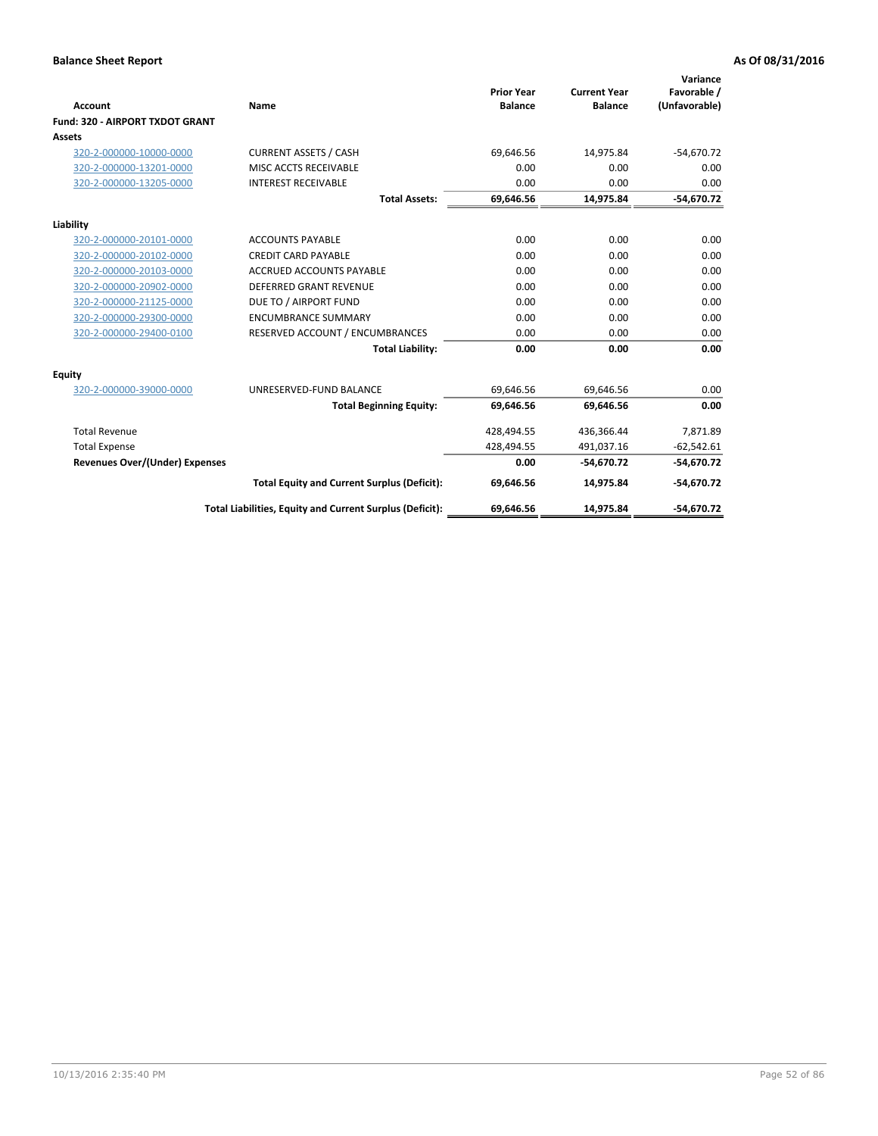|                                       |                                                          |                                     |                                       | Variance                     |
|---------------------------------------|----------------------------------------------------------|-------------------------------------|---------------------------------------|------------------------------|
| Account                               | Name                                                     | <b>Prior Year</b><br><b>Balance</b> | <b>Current Year</b><br><b>Balance</b> | Favorable /<br>(Unfavorable) |
| Fund: 320 - AIRPORT TXDOT GRANT       |                                                          |                                     |                                       |                              |
| <b>Assets</b>                         |                                                          |                                     |                                       |                              |
| 320-2-000000-10000-0000               | <b>CURRENT ASSETS / CASH</b>                             | 69,646.56                           | 14,975.84                             | $-54,670.72$                 |
| 320-2-000000-13201-0000               | MISC ACCTS RECEIVABLE                                    | 0.00                                | 0.00                                  | 0.00                         |
| 320-2-000000-13205-0000               | <b>INTEREST RECEIVABLE</b>                               | 0.00                                | 0.00                                  | 0.00                         |
|                                       | <b>Total Assets:</b>                                     | 69,646.56                           | 14,975.84                             | $-54,670.72$                 |
| Liability                             |                                                          |                                     |                                       |                              |
| 320-2-000000-20101-0000               | <b>ACCOUNTS PAYABLE</b>                                  | 0.00                                | 0.00                                  | 0.00                         |
| 320-2-000000-20102-0000               | <b>CREDIT CARD PAYABLE</b>                               | 0.00                                | 0.00                                  | 0.00                         |
| 320-2-000000-20103-0000               | <b>ACCRUED ACCOUNTS PAYABLE</b>                          | 0.00                                | 0.00                                  | 0.00                         |
| 320-2-000000-20902-0000               | <b>DEFERRED GRANT REVENUE</b>                            | 0.00                                | 0.00                                  | 0.00                         |
| 320-2-000000-21125-0000               | DUE TO / AIRPORT FUND                                    | 0.00                                | 0.00                                  | 0.00                         |
| 320-2-000000-29300-0000               | <b>ENCUMBRANCE SUMMARY</b>                               | 0.00                                | 0.00                                  | 0.00                         |
| 320-2-000000-29400-0100               | RESERVED ACCOUNT / ENCUMBRANCES                          | 0.00                                | 0.00                                  | 0.00                         |
|                                       | <b>Total Liability:</b>                                  | 0.00                                | 0.00                                  | 0.00                         |
| <b>Equity</b>                         |                                                          |                                     |                                       |                              |
| 320-2-000000-39000-0000               | UNRESERVED-FUND BALANCE                                  | 69,646.56                           | 69,646.56                             | 0.00                         |
|                                       | <b>Total Beginning Equity:</b>                           | 69.646.56                           | 69.646.56                             | 0.00                         |
| <b>Total Revenue</b>                  |                                                          | 428,494.55                          | 436,366.44                            | 7,871.89                     |
| <b>Total Expense</b>                  |                                                          | 428,494.55                          | 491,037.16                            | $-62,542.61$                 |
| <b>Revenues Over/(Under) Expenses</b> |                                                          | 0.00                                | $-54,670.72$                          | $-54,670.72$                 |
|                                       | <b>Total Equity and Current Surplus (Deficit):</b>       | 69,646.56                           | 14,975.84                             | $-54,670.72$                 |
|                                       | Total Liabilities, Equity and Current Surplus (Deficit): | 69,646.56                           | 14.975.84                             | $-54.670.72$                 |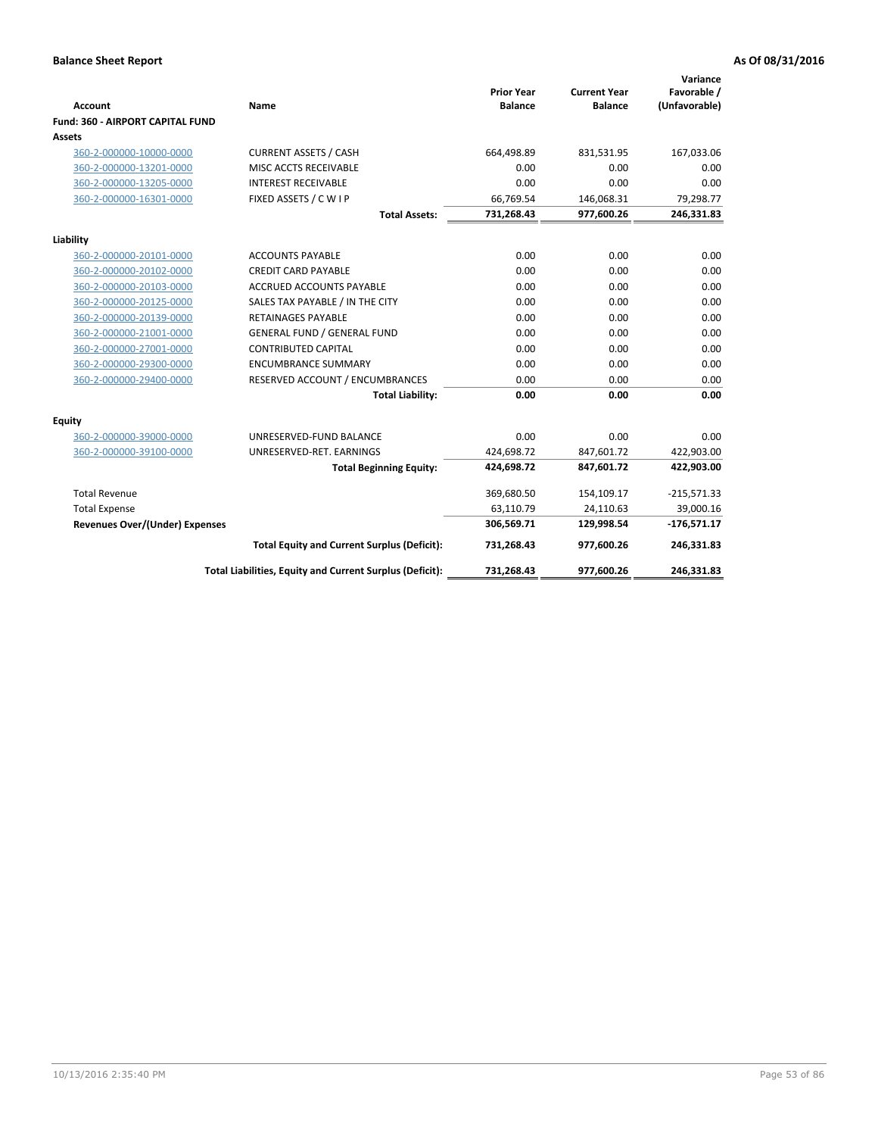|                                                    |                                                          |                                     |                                       | Variance                     |
|----------------------------------------------------|----------------------------------------------------------|-------------------------------------|---------------------------------------|------------------------------|
| <b>Account</b>                                     | Name                                                     | <b>Prior Year</b><br><b>Balance</b> | <b>Current Year</b><br><b>Balance</b> | Favorable /<br>(Unfavorable) |
| Fund: 360 - AIRPORT CAPITAL FUND                   |                                                          |                                     |                                       |                              |
| <b>Assets</b>                                      |                                                          |                                     |                                       |                              |
| 360-2-000000-10000-0000                            | <b>CURRENT ASSETS / CASH</b>                             | 664,498.89                          | 831,531.95                            | 167,033.06                   |
| 360-2-000000-13201-0000                            | MISC ACCTS RECEIVABLE                                    | 0.00                                | 0.00                                  | 0.00                         |
| 360-2-000000-13205-0000                            | <b>INTEREST RECEIVABLE</b>                               | 0.00                                | 0.00                                  | 0.00                         |
| 360-2-000000-16301-0000                            | FIXED ASSETS / C W I P                                   | 66,769.54                           | 146,068.31                            | 79,298.77                    |
|                                                    | <b>Total Assets:</b>                                     | 731,268.43                          | 977,600.26                            | 246,331.83                   |
|                                                    |                                                          |                                     |                                       |                              |
| Liability                                          | <b>ACCOUNTS PAYABLE</b>                                  | 0.00                                | 0.00                                  |                              |
| 360-2-000000-20101-0000<br>360-2-000000-20102-0000 | <b>CREDIT CARD PAYABLE</b>                               | 0.00                                | 0.00                                  | 0.00<br>0.00                 |
| 360-2-000000-20103-0000                            | <b>ACCRUED ACCOUNTS PAYABLE</b>                          | 0.00                                | 0.00                                  | 0.00                         |
| 360-2-000000-20125-0000                            | SALES TAX PAYABLE / IN THE CITY                          | 0.00                                | 0.00                                  | 0.00                         |
| 360-2-000000-20139-0000                            | <b>RETAINAGES PAYABLE</b>                                | 0.00                                | 0.00                                  | 0.00                         |
| 360-2-000000-21001-0000                            | <b>GENERAL FUND / GENERAL FUND</b>                       | 0.00                                | 0.00                                  | 0.00                         |
| 360-2-000000-27001-0000                            | <b>CONTRIBUTED CAPITAL</b>                               | 0.00                                | 0.00                                  | 0.00                         |
| 360-2-000000-29300-0000                            | <b>ENCUMBRANCE SUMMARY</b>                               | 0.00                                | 0.00                                  | 0.00                         |
| 360-2-000000-29400-0000                            | RESERVED ACCOUNT / ENCUMBRANCES                          | 0.00                                | 0.00                                  | 0.00                         |
|                                                    | <b>Total Liability:</b>                                  | 0.00                                | 0.00                                  | 0.00                         |
|                                                    |                                                          |                                     |                                       |                              |
| <b>Equity</b>                                      |                                                          |                                     |                                       |                              |
| 360-2-000000-39000-0000                            | UNRESERVED-FUND BALANCE                                  | 0.00                                | 0.00                                  | 0.00                         |
| 360-2-000000-39100-0000                            | UNRESERVED-RET. EARNINGS                                 | 424,698.72                          | 847,601.72                            | 422,903.00                   |
|                                                    | <b>Total Beginning Equity:</b>                           | 424,698.72                          | 847,601.72                            | 422,903.00                   |
| <b>Total Revenue</b>                               |                                                          | 369,680.50                          | 154,109.17                            | $-215,571.33$                |
| <b>Total Expense</b>                               |                                                          | 63,110.79                           | 24,110.63                             | 39,000.16                    |
| <b>Revenues Over/(Under) Expenses</b>              |                                                          | 306,569.71                          | 129,998.54                            | $-176,571.17$                |
|                                                    | <b>Total Equity and Current Surplus (Deficit):</b>       | 731,268.43                          | 977,600.26                            | 246,331.83                   |
|                                                    | Total Liabilities, Equity and Current Surplus (Deficit): | 731,268.43                          | 977,600.26                            | 246,331.83                   |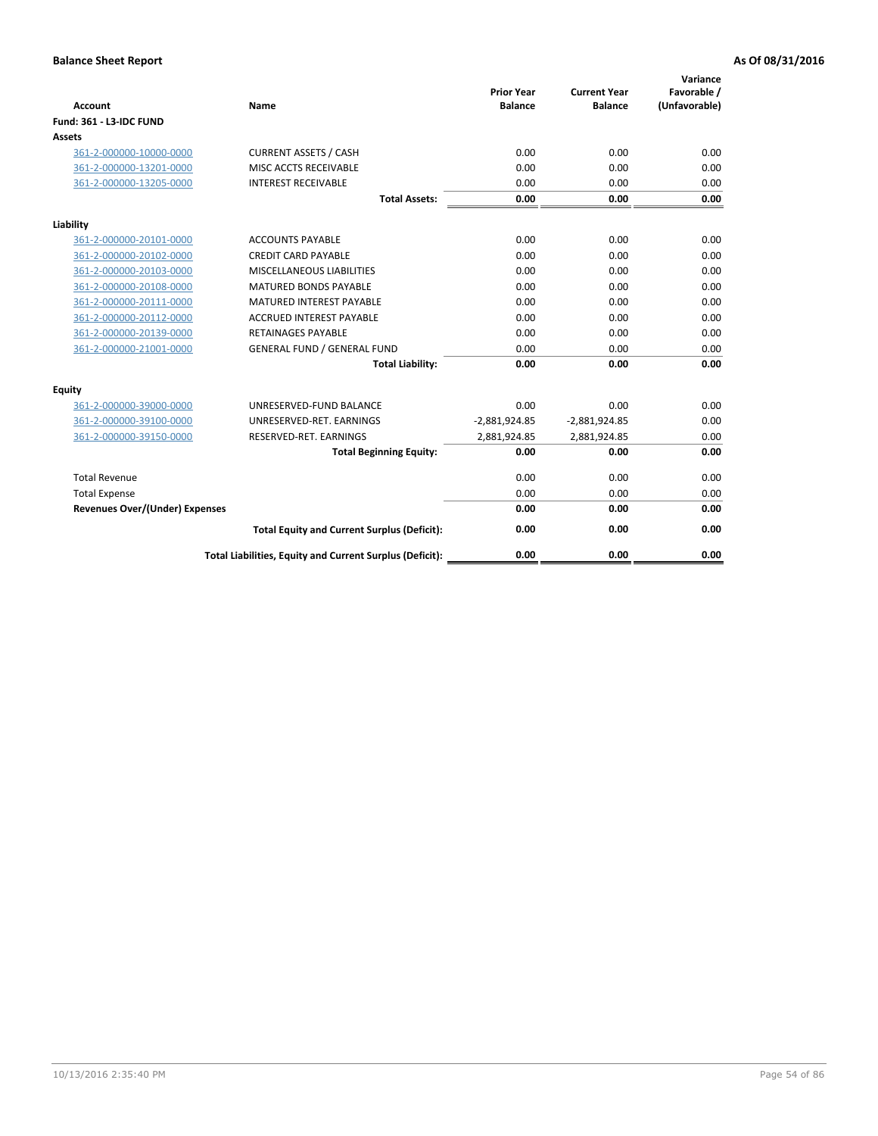| <b>Account</b>                        | <b>Name</b>                                              | <b>Prior Year</b><br><b>Balance</b> | <b>Current Year</b><br><b>Balance</b> | Variance<br>Favorable /<br>(Unfavorable) |
|---------------------------------------|----------------------------------------------------------|-------------------------------------|---------------------------------------|------------------------------------------|
| <b>Fund: 361 - L3-IDC FUND</b>        |                                                          |                                     |                                       |                                          |
| Assets                                |                                                          |                                     |                                       |                                          |
| 361-2-000000-10000-0000               | <b>CURRENT ASSETS / CASH</b>                             | 0.00                                | 0.00                                  | 0.00                                     |
| 361-2-000000-13201-0000               | MISC ACCTS RECEIVABLE                                    | 0.00                                | 0.00                                  | 0.00                                     |
| 361-2-000000-13205-0000               | <b>INTEREST RECEIVABLE</b>                               | 0.00                                | 0.00                                  | 0.00                                     |
|                                       | <b>Total Assets:</b>                                     | 0.00                                | 0.00                                  | 0.00                                     |
| Liability                             |                                                          |                                     |                                       |                                          |
| 361-2-000000-20101-0000               | <b>ACCOUNTS PAYABLE</b>                                  | 0.00                                | 0.00                                  | 0.00                                     |
| 361-2-000000-20102-0000               | <b>CREDIT CARD PAYABLE</b>                               | 0.00                                | 0.00                                  | 0.00                                     |
| 361-2-000000-20103-0000               | MISCELLANEOUS LIABILITIES                                | 0.00                                | 0.00                                  | 0.00                                     |
| 361-2-000000-20108-0000               | <b>MATURED BONDS PAYABLE</b>                             | 0.00                                | 0.00                                  | 0.00                                     |
| 361-2-000000-20111-0000               | <b>MATURED INTEREST PAYABLE</b>                          | 0.00                                | 0.00                                  | 0.00                                     |
| 361-2-000000-20112-0000               | <b>ACCRUED INTEREST PAYABLE</b>                          | 0.00                                | 0.00                                  | 0.00                                     |
| 361-2-000000-20139-0000               | <b>RETAINAGES PAYABLE</b>                                | 0.00                                | 0.00                                  | 0.00                                     |
| 361-2-000000-21001-0000               | <b>GENERAL FUND / GENERAL FUND</b>                       | 0.00                                | 0.00                                  | 0.00                                     |
|                                       | <b>Total Liability:</b>                                  | 0.00                                | 0.00                                  | 0.00                                     |
| Equity                                |                                                          |                                     |                                       |                                          |
| 361-2-000000-39000-0000               | UNRESERVED-FUND BALANCE                                  | 0.00                                | 0.00                                  | 0.00                                     |
| 361-2-000000-39100-0000               | UNRESERVED-RET. EARNINGS                                 | $-2,881,924.85$                     | $-2,881,924.85$                       | 0.00                                     |
| 361-2-000000-39150-0000               | RESERVED-RET. EARNINGS                                   | 2,881,924.85                        | 2,881,924.85                          | 0.00                                     |
|                                       | <b>Total Beginning Equity:</b>                           | 0.00                                | 0.00                                  | 0.00                                     |
| <b>Total Revenue</b>                  |                                                          | 0.00                                | 0.00                                  | 0.00                                     |
| <b>Total Expense</b>                  |                                                          | 0.00                                | 0.00                                  | 0.00                                     |
| <b>Revenues Over/(Under) Expenses</b> |                                                          | 0.00                                | 0.00                                  | 0.00                                     |
|                                       | <b>Total Equity and Current Surplus (Deficit):</b>       | 0.00                                | 0.00                                  | 0.00                                     |
|                                       | Total Liabilities, Equity and Current Surplus (Deficit): | 0.00                                | 0.00                                  | 0.00                                     |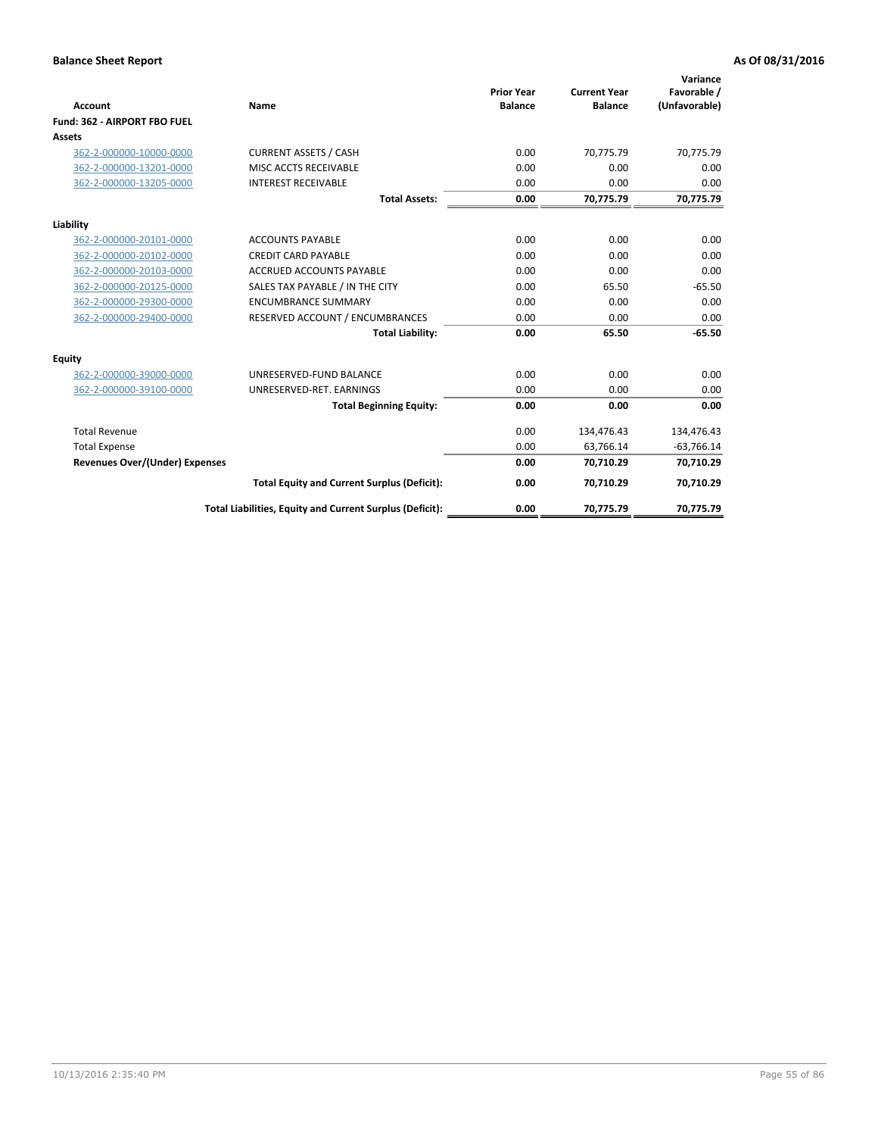|                                       |                                                          |                                     |                                       | Variance                     |
|---------------------------------------|----------------------------------------------------------|-------------------------------------|---------------------------------------|------------------------------|
| <b>Account</b>                        | Name                                                     | <b>Prior Year</b><br><b>Balance</b> | <b>Current Year</b><br><b>Balance</b> | Favorable /<br>(Unfavorable) |
| Fund: 362 - AIRPORT FBO FUEL          |                                                          |                                     |                                       |                              |
| <b>Assets</b>                         |                                                          |                                     |                                       |                              |
| 362-2-000000-10000-0000               | <b>CURRENT ASSETS / CASH</b>                             | 0.00                                | 70.775.79                             | 70,775.79                    |
| 362-2-000000-13201-0000               | MISC ACCTS RECEIVABLE                                    | 0.00                                | 0.00                                  | 0.00                         |
| 362-2-000000-13205-0000               | <b>INTEREST RECEIVABLE</b>                               | 0.00                                | 0.00                                  | 0.00                         |
|                                       | <b>Total Assets:</b>                                     | 0.00                                | 70,775.79                             | 70,775.79                    |
| Liability                             |                                                          |                                     |                                       |                              |
| 362-2-000000-20101-0000               | <b>ACCOUNTS PAYABLE</b>                                  | 0.00                                | 0.00                                  | 0.00                         |
| 362-2-000000-20102-0000               | <b>CREDIT CARD PAYABLE</b>                               | 0.00                                | 0.00                                  | 0.00                         |
| 362-2-000000-20103-0000               | <b>ACCRUED ACCOUNTS PAYABLE</b>                          | 0.00                                | 0.00                                  | 0.00                         |
| 362-2-000000-20125-0000               | SALES TAX PAYABLE / IN THE CITY                          | 0.00                                | 65.50                                 | $-65.50$                     |
| 362-2-000000-29300-0000               | <b>ENCUMBRANCE SUMMARY</b>                               | 0.00                                | 0.00                                  | 0.00                         |
| 362-2-000000-29400-0000               | RESERVED ACCOUNT / ENCUMBRANCES                          | 0.00                                | 0.00                                  | 0.00                         |
|                                       | <b>Total Liability:</b>                                  | 0.00                                | 65.50                                 | $-65.50$                     |
| <b>Equity</b>                         |                                                          |                                     |                                       |                              |
| 362-2-000000-39000-0000               | UNRESERVED-FUND BALANCE                                  | 0.00                                | 0.00                                  | 0.00                         |
| 362-2-000000-39100-0000               | UNRESERVED-RET. EARNINGS                                 | 0.00                                | 0.00                                  | 0.00                         |
|                                       | <b>Total Beginning Equity:</b>                           | 0.00                                | 0.00                                  | 0.00                         |
| <b>Total Revenue</b>                  |                                                          | 0.00                                | 134,476.43                            | 134,476.43                   |
| <b>Total Expense</b>                  |                                                          | 0.00                                | 63,766.14                             | $-63,766.14$                 |
| <b>Revenues Over/(Under) Expenses</b> |                                                          | 0.00                                | 70,710.29                             | 70,710.29                    |
|                                       | <b>Total Equity and Current Surplus (Deficit):</b>       | 0.00                                | 70,710.29                             | 70,710.29                    |
|                                       | Total Liabilities, Equity and Current Surplus (Deficit): | 0.00                                | 70,775.79                             | 70,775.79                    |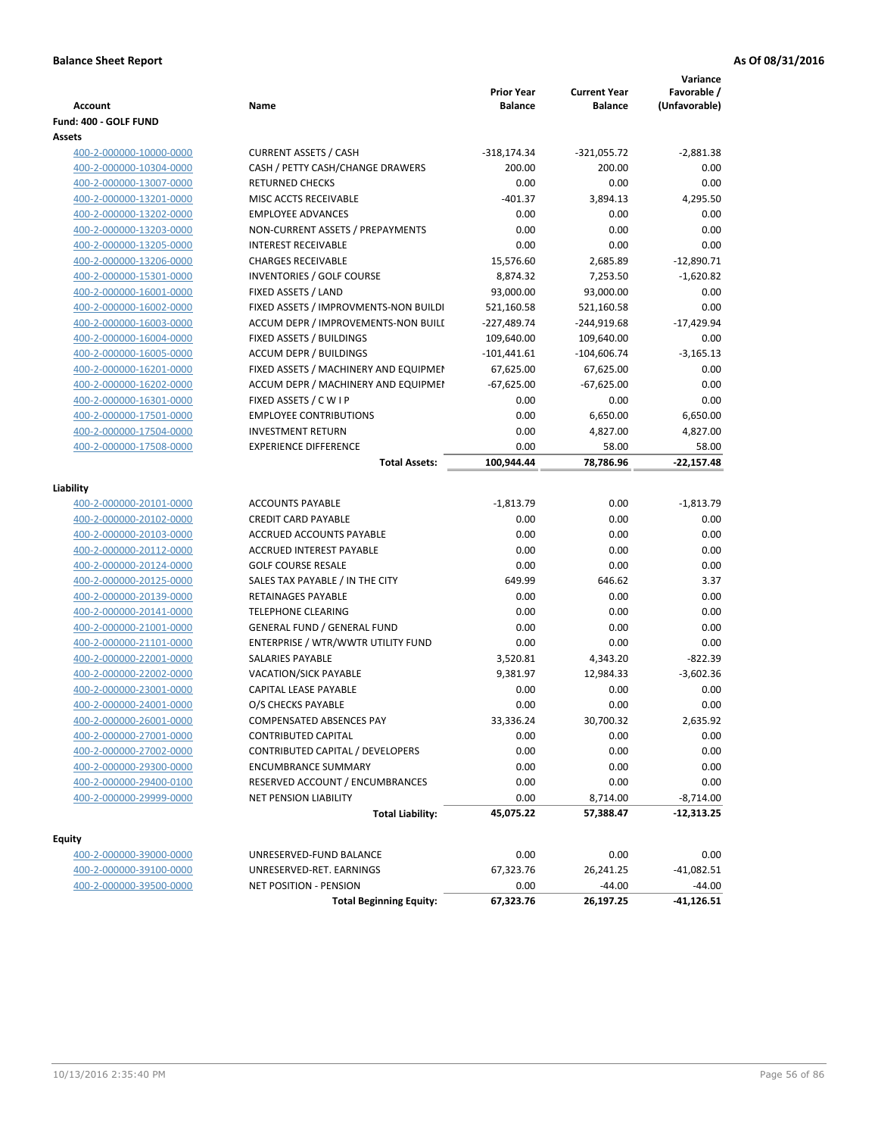| <b>Account</b>          | Name                                  | <b>Prior Year</b><br><b>Balance</b> | <b>Current Year</b><br><b>Balance</b> | Variance<br>Favorable /<br>(Unfavorable) |
|-------------------------|---------------------------------------|-------------------------------------|---------------------------------------|------------------------------------------|
| Fund: 400 - GOLF FUND   |                                       |                                     |                                       |                                          |
| Assets                  |                                       |                                     |                                       |                                          |
| 400-2-000000-10000-0000 | <b>CURRENT ASSETS / CASH</b>          | $-318,174.34$                       | $-321,055.72$                         | $-2,881.38$                              |
| 400-2-000000-10304-0000 | CASH / PETTY CASH/CHANGE DRAWERS      | 200.00                              | 200.00                                | 0.00                                     |
| 400-2-000000-13007-0000 | <b>RETURNED CHECKS</b>                | 0.00                                | 0.00                                  | 0.00                                     |
| 400-2-000000-13201-0000 | MISC ACCTS RECEIVABLE                 | $-401.37$                           | 3,894.13                              | 4,295.50                                 |
| 400-2-000000-13202-0000 | <b>EMPLOYEE ADVANCES</b>              | 0.00                                | 0.00                                  | 0.00                                     |
| 400-2-000000-13203-0000 | NON-CURRENT ASSETS / PREPAYMENTS      | 0.00                                | 0.00                                  | 0.00                                     |
| 400-2-000000-13205-0000 | <b>INTEREST RECEIVABLE</b>            | 0.00                                | 0.00                                  | 0.00                                     |
| 400-2-000000-13206-0000 | <b>CHARGES RECEIVABLE</b>             | 15,576.60                           | 2,685.89                              | $-12,890.71$                             |
| 400-2-000000-15301-0000 | <b>INVENTORIES / GOLF COURSE</b>      | 8,874.32                            | 7,253.50                              | $-1,620.82$                              |
| 400-2-000000-16001-0000 | FIXED ASSETS / LAND                   | 93,000.00                           | 93,000.00                             | 0.00                                     |
| 400-2-000000-16002-0000 | FIXED ASSETS / IMPROVMENTS-NON BUILDI | 521,160.58                          | 521,160.58                            | 0.00                                     |
| 400-2-000000-16003-0000 | ACCUM DEPR / IMPROVEMENTS-NON BUILL   | $-227,489.74$                       | $-244,919.68$                         | $-17,429.94$                             |
| 400-2-000000-16004-0000 | FIXED ASSETS / BUILDINGS              | 109,640.00                          | 109,640.00                            | 0.00                                     |
| 400-2-000000-16005-0000 | <b>ACCUM DEPR / BUILDINGS</b>         | $-101,441.61$                       | $-104,606.74$                         | $-3,165.13$                              |
| 400-2-000000-16201-0000 | FIXED ASSETS / MACHINERY AND EQUIPMEN | 67,625.00                           | 67,625.00                             | 0.00                                     |
| 400-2-000000-16202-0000 | ACCUM DEPR / MACHINERY AND EQUIPMEI   | $-67,625.00$                        | $-67,625.00$                          | 0.00                                     |
| 400-2-000000-16301-0000 | FIXED ASSETS / C W I P                | 0.00                                | 0.00                                  | 0.00                                     |
| 400-2-000000-17501-0000 | <b>EMPLOYEE CONTRIBUTIONS</b>         | 0.00                                | 6,650.00                              | 6,650.00                                 |
| 400-2-000000-17504-0000 | <b>INVESTMENT RETURN</b>              | 0.00                                | 4,827.00                              | 4,827.00                                 |
| 400-2-000000-17508-0000 | <b>EXPERIENCE DIFFERENCE</b>          | 0.00                                | 58.00                                 | 58.00                                    |
|                         | <b>Total Assets:</b>                  | 100,944.44                          | 78,786.96                             | $-22,157.48$                             |
|                         |                                       |                                     |                                       |                                          |
| Liability               |                                       |                                     |                                       |                                          |
| 400-2-000000-20101-0000 | <b>ACCOUNTS PAYABLE</b>               | $-1,813.79$                         | 0.00                                  | $-1,813.79$                              |
| 400-2-000000-20102-0000 | <b>CREDIT CARD PAYABLE</b>            | 0.00                                | 0.00                                  | 0.00                                     |
| 400-2-000000-20103-0000 | ACCRUED ACCOUNTS PAYABLE              | 0.00                                | 0.00                                  | 0.00                                     |
| 400-2-000000-20112-0000 | ACCRUED INTEREST PAYABLE              | 0.00                                | 0.00                                  | 0.00                                     |
| 400-2-000000-20124-0000 | <b>GOLF COURSE RESALE</b>             | 0.00                                | 0.00                                  | 0.00                                     |
| 400-2-000000-20125-0000 | SALES TAX PAYABLE / IN THE CITY       | 649.99                              | 646.62                                | 3.37                                     |
| 400-2-000000-20139-0000 | RETAINAGES PAYABLE                    | 0.00                                | 0.00                                  | 0.00                                     |
| 400-2-000000-20141-0000 | <b>TELEPHONE CLEARING</b>             | 0.00                                | 0.00                                  | 0.00                                     |
| 400-2-000000-21001-0000 | <b>GENERAL FUND / GENERAL FUND</b>    | 0.00                                | 0.00                                  | 0.00                                     |
| 400-2-000000-21101-0000 | ENTERPRISE / WTR/WWTR UTILITY FUND    | 0.00                                | 0.00                                  | 0.00                                     |
| 400-2-000000-22001-0000 | <b>SALARIES PAYABLE</b>               | 3,520.81                            | 4,343.20                              | $-822.39$                                |
| 400-2-000000-22002-0000 | VACATION/SICK PAYABLE                 | 9,381.97                            | 12,984.33                             | $-3,602.36$                              |
| 400-2-000000-23001-0000 | CAPITAL LEASE PAYABLE                 | 0.00                                | 0.00                                  | 0.00                                     |
| 400-2-000000-24001-0000 | O/S CHECKS PAYABLE                    | 0.00                                | 0.00                                  | 0.00                                     |
| 400-2-000000-26001-0000 | COMPENSATED ABSENCES PAY              | 33,336.24                           | 30,700.32                             | 2,635.92                                 |
| 400-2-000000-27001-0000 | <b>CONTRIBUTED CAPITAL</b>            | 0.00                                | 0.00                                  | 0.00                                     |
| 400-2-000000-27002-0000 | CONTRIBUTED CAPITAL / DEVELOPERS      | 0.00                                | 0.00                                  | 0.00                                     |
| 400-2-000000-29300-0000 | ENCUMBRANCE SUMMARY                   | 0.00                                | 0.00                                  | 0.00                                     |
| 400-2-000000-29400-0100 | RESERVED ACCOUNT / ENCUMBRANCES       | 0.00                                | 0.00                                  | 0.00                                     |
| 400-2-000000-29999-0000 | <b>NET PENSION LIABILITY</b>          | 0.00                                | 8,714.00                              | $-8,714.00$                              |
|                         | <b>Total Liability:</b>               | 45,075.22                           | 57,388.47                             | $-12,313.25$                             |
| Equity                  |                                       |                                     |                                       |                                          |
| 400-2-000000-39000-0000 | UNRESERVED-FUND BALANCE               | 0.00                                | 0.00                                  | 0.00                                     |
| 400-2-000000-39100-0000 | UNRESERVED-RET. EARNINGS              | 67,323.76                           | 26,241.25                             | -41,082.51                               |
| 400-2-000000-39500-0000 | NET POSITION - PENSION                | 0.00                                | $-44.00$                              | $-44.00$                                 |
|                         | <b>Total Beginning Equity:</b>        | 67,323.76                           | 26,197.25                             | $-41,126.51$                             |
|                         |                                       |                                     |                                       |                                          |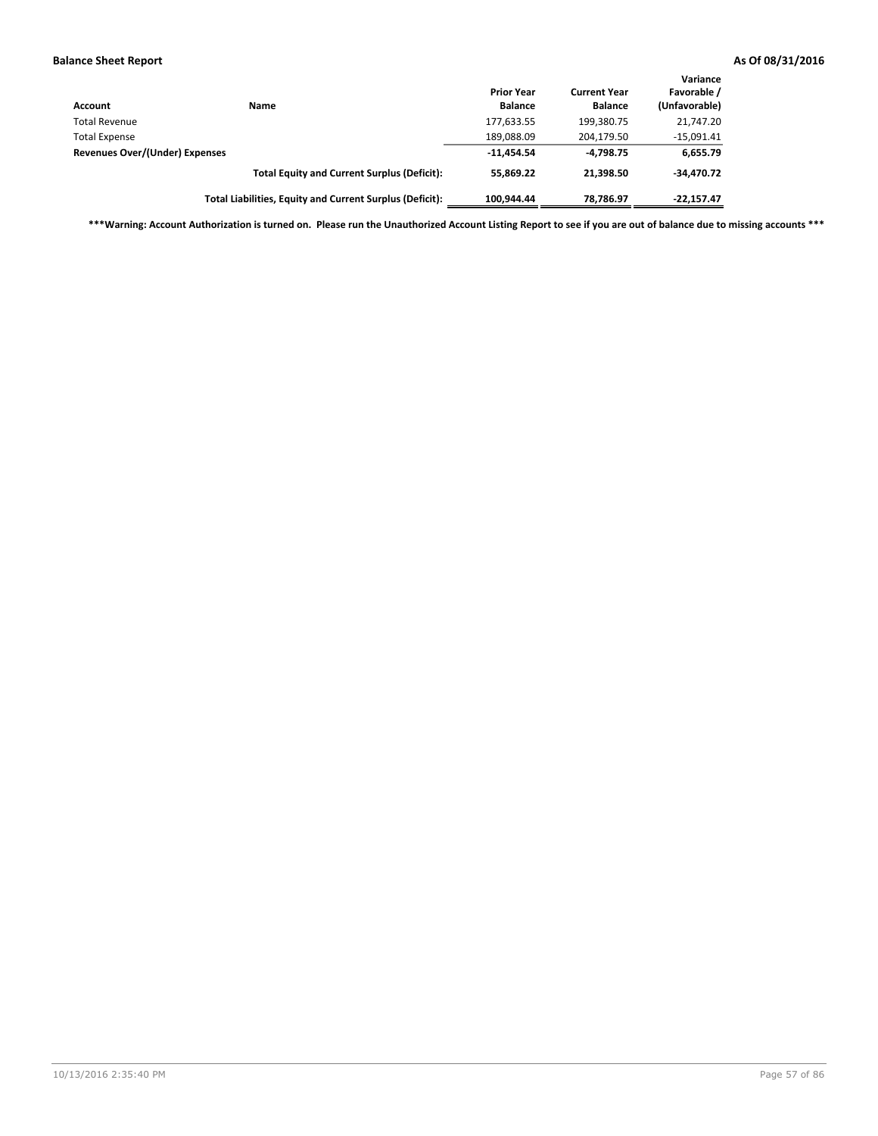| <b>Account</b>                 | Name                                                     | <b>Prior Year</b><br><b>Balance</b> | <b>Current Year</b><br><b>Balance</b> | Variance<br>Favorable /<br>(Unfavorable) |
|--------------------------------|----------------------------------------------------------|-------------------------------------|---------------------------------------|------------------------------------------|
| <b>Total Revenue</b>           |                                                          | 177,633.55                          | 199,380.75                            | 21,747.20                                |
| <b>Total Expense</b>           |                                                          | 189,088.09                          | 204,179.50                            | $-15,091.41$                             |
| Revenues Over/(Under) Expenses |                                                          | $-11.454.54$                        | $-4.798.75$                           | 6,655.79                                 |
|                                | <b>Total Equity and Current Surplus (Deficit):</b>       | 55.869.22                           | 21.398.50                             | $-34.470.72$                             |
|                                | Total Liabilities, Equity and Current Surplus (Deficit): | 100.944.44                          | 78.786.97                             | $-22,157.47$                             |

**\*\*\*Warning: Account Authorization is turned on. Please run the Unauthorized Account Listing Report to see if you are out of balance due to missing accounts \*\*\***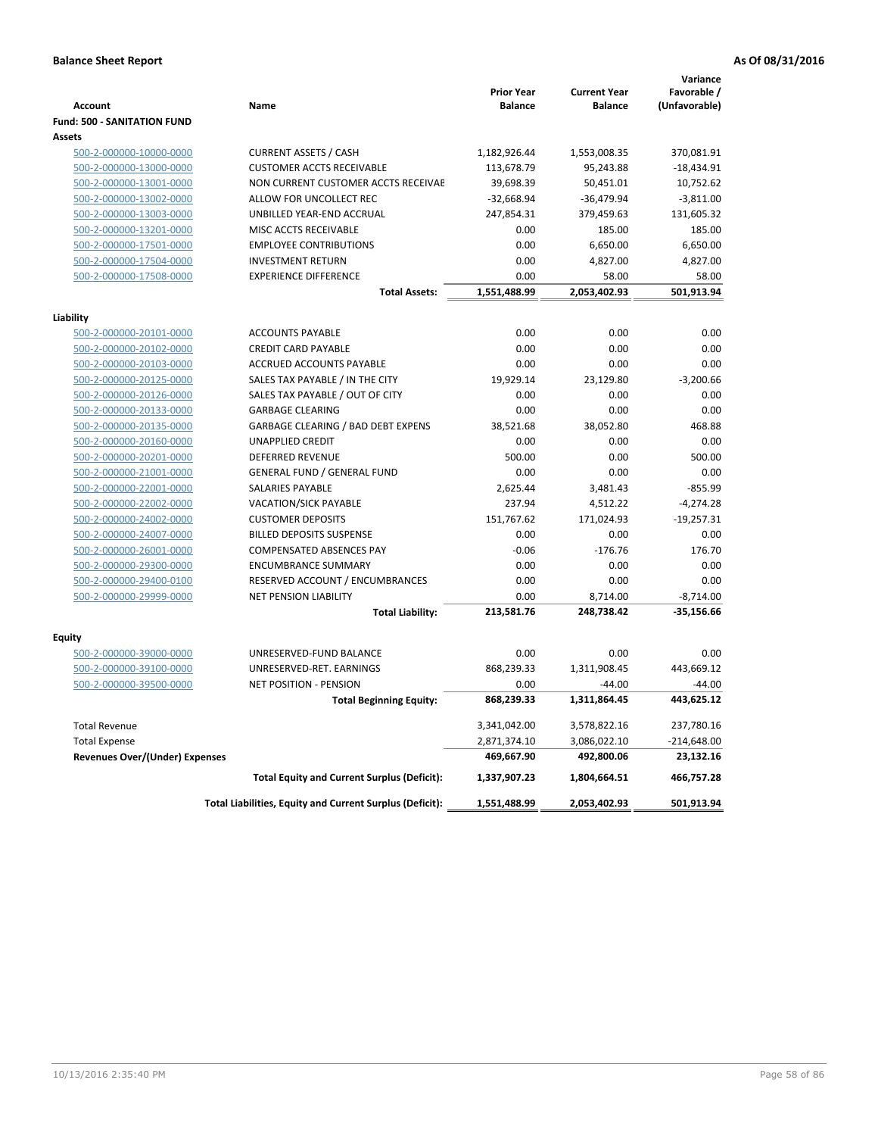|                                       |                                                          | <b>Prior Year</b> | <b>Current Year</b> | Variance<br>Favorable / |
|---------------------------------------|----------------------------------------------------------|-------------------|---------------------|-------------------------|
| <b>Account</b>                        | Name                                                     | <b>Balance</b>    | <b>Balance</b>      | (Unfavorable)           |
| <b>Fund: 500 - SANITATION FUND</b>    |                                                          |                   |                     |                         |
| <b>Assets</b>                         |                                                          |                   |                     |                         |
| 500-2-000000-10000-0000               | <b>CURRENT ASSETS / CASH</b>                             | 1,182,926.44      | 1,553,008.35        | 370,081.91              |
| 500-2-000000-13000-0000               | <b>CUSTOMER ACCTS RECEIVABLE</b>                         | 113,678.79        | 95,243.88           | $-18,434.91$            |
| 500-2-000000-13001-0000               | NON CURRENT CUSTOMER ACCTS RECEIVAE                      | 39,698.39         | 50,451.01           | 10,752.62               |
| 500-2-000000-13002-0000               | ALLOW FOR UNCOLLECT REC                                  | $-32,668.94$      | $-36,479.94$        | $-3,811.00$             |
| 500-2-000000-13003-0000               | UNBILLED YEAR-END ACCRUAL                                | 247,854.31        | 379,459.63          | 131,605.32              |
| 500-2-000000-13201-0000               | MISC ACCTS RECEIVABLE                                    | 0.00              | 185.00              | 185.00                  |
| 500-2-000000-17501-0000               | <b>EMPLOYEE CONTRIBUTIONS</b>                            | 0.00              | 6,650.00            | 6,650.00                |
| 500-2-000000-17504-0000               | <b>INVESTMENT RETURN</b>                                 | 0.00              | 4,827.00            | 4,827.00                |
| 500-2-000000-17508-0000               | <b>EXPERIENCE DIFFERENCE</b>                             | 0.00              | 58.00               | 58.00                   |
|                                       | <b>Total Assets:</b>                                     | 1,551,488.99      | 2,053,402.93        | 501,913.94              |
| Liability                             |                                                          |                   |                     |                         |
| 500-2-000000-20101-0000               | <b>ACCOUNTS PAYABLE</b>                                  | 0.00              | 0.00                | 0.00                    |
| 500-2-000000-20102-0000               | <b>CREDIT CARD PAYABLE</b>                               | 0.00              | 0.00                | 0.00                    |
| 500-2-000000-20103-0000               | ACCRUED ACCOUNTS PAYABLE                                 | 0.00              | 0.00                | 0.00                    |
| 500-2-000000-20125-0000               | SALES TAX PAYABLE / IN THE CITY                          | 19,929.14         | 23,129.80           | $-3,200.66$             |
| 500-2-000000-20126-0000               | SALES TAX PAYABLE / OUT OF CITY                          | 0.00              | 0.00                | 0.00                    |
| 500-2-000000-20133-0000               | <b>GARBAGE CLEARING</b>                                  | 0.00              | 0.00                | 0.00                    |
| 500-2-000000-20135-0000               | <b>GARBAGE CLEARING / BAD DEBT EXPENS</b>                | 38,521.68         | 38,052.80           | 468.88                  |
| 500-2-000000-20160-0000               | <b>UNAPPLIED CREDIT</b>                                  | 0.00              | 0.00                | 0.00                    |
| 500-2-000000-20201-0000               | DEFERRED REVENUE                                         | 500.00            | 0.00                | 500.00                  |
| 500-2-000000-21001-0000               | <b>GENERAL FUND / GENERAL FUND</b>                       | 0.00              | 0.00                | 0.00                    |
| 500-2-000000-22001-0000               | <b>SALARIES PAYABLE</b>                                  | 2,625.44          | 3,481.43            | $-855.99$               |
| 500-2-000000-22002-0000               | VACATION/SICK PAYABLE                                    | 237.94            | 4,512.22            | $-4,274.28$             |
| 500-2-000000-24002-0000               | <b>CUSTOMER DEPOSITS</b>                                 | 151,767.62        | 171,024.93          | $-19,257.31$            |
| 500-2-000000-24007-0000               | <b>BILLED DEPOSITS SUSPENSE</b>                          | 0.00              | 0.00                | 0.00                    |
| 500-2-000000-26001-0000               | <b>COMPENSATED ABSENCES PAY</b>                          | $-0.06$           | $-176.76$           | 176.70                  |
| 500-2-000000-29300-0000               | <b>ENCUMBRANCE SUMMARY</b>                               | 0.00              | 0.00                | 0.00                    |
| 500-2-000000-29400-0100               | RESERVED ACCOUNT / ENCUMBRANCES                          | 0.00              | 0.00                | 0.00                    |
| 500-2-000000-29999-0000               | <b>NET PENSION LIABILITY</b>                             | 0.00              | 8,714.00            | $-8,714.00$             |
|                                       | <b>Total Liability:</b>                                  | 213,581.76        | 248,738.42          | $-35,156.66$            |
| Equity                                |                                                          |                   |                     |                         |
| 500-2-000000-39000-0000               | UNRESERVED-FUND BALANCE                                  | 0.00              | 0.00                | 0.00                    |
| 500-2-000000-39100-0000               | UNRESERVED-RET. EARNINGS                                 | 868,239.33        | 1,311,908.45        | 443,669.12              |
| 500-2-000000-39500-0000               | <b>NET POSITION - PENSION</b>                            | 0.00              | $-44.00$            | $-44.00$                |
|                                       | <b>Total Beginning Equity:</b>                           | 868,239.33        | 1,311,864.45        | 443,625.12              |
|                                       |                                                          |                   |                     |                         |
| <b>Total Revenue</b>                  |                                                          | 3,341,042.00      | 3,578,822.16        | 237,780.16              |
| <b>Total Expense</b>                  |                                                          | 2,871,374.10      | 3,086,022.10        | $-214,648.00$           |
| <b>Revenues Over/(Under) Expenses</b> |                                                          | 469,667.90        | 492,800.06          | 23,132.16               |
|                                       | <b>Total Equity and Current Surplus (Deficit):</b>       | 1,337,907.23      | 1,804,664.51        | 466,757.28              |
|                                       | Total Liabilities, Equity and Current Surplus (Deficit): | 1,551,488.99      | 2,053,402.93        | 501,913.94              |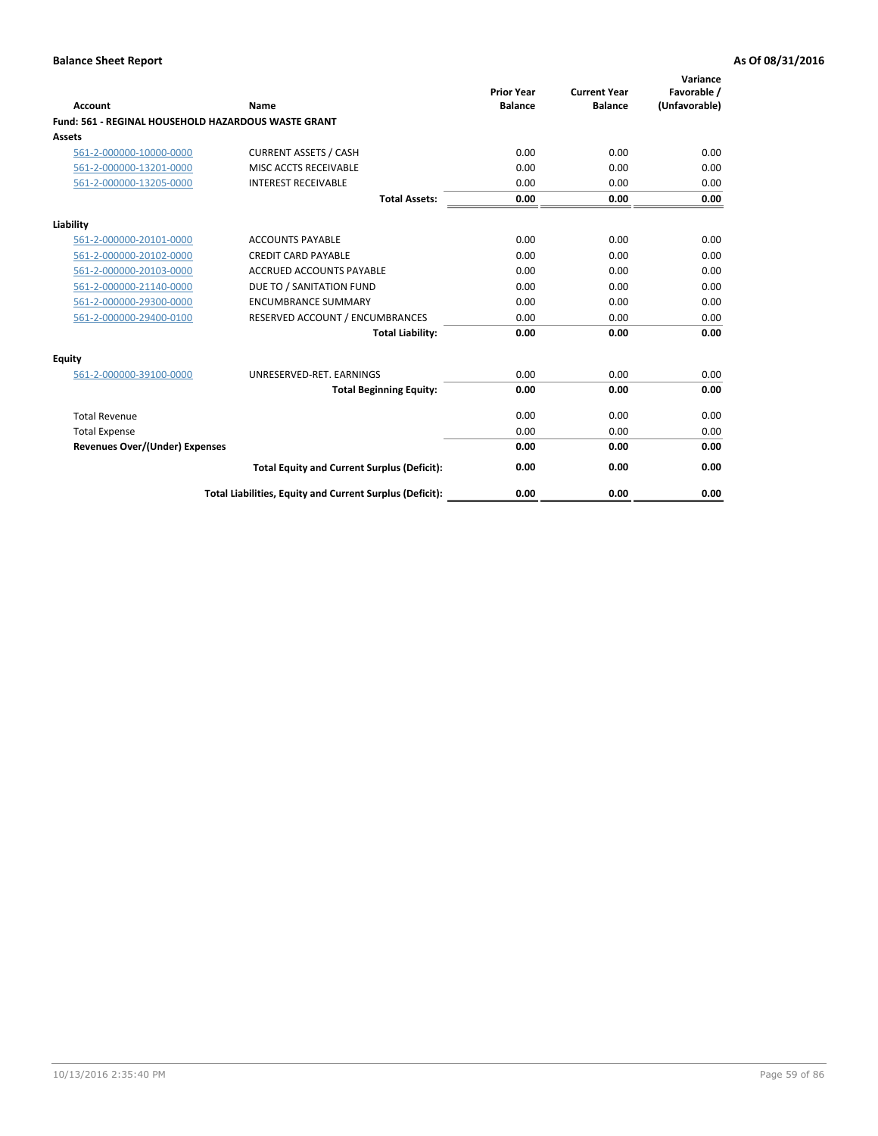| Account                                                    | Name                                                     | <b>Prior Year</b><br><b>Balance</b> | <b>Current Year</b><br><b>Balance</b> | Variance<br>Favorable /<br>(Unfavorable) |
|------------------------------------------------------------|----------------------------------------------------------|-------------------------------------|---------------------------------------|------------------------------------------|
| <b>Fund: 561 - REGINAL HOUSEHOLD HAZARDOUS WASTE GRANT</b> |                                                          |                                     |                                       |                                          |
| <b>Assets</b>                                              |                                                          |                                     |                                       |                                          |
| 561-2-000000-10000-0000                                    | <b>CURRENT ASSETS / CASH</b>                             | 0.00                                | 0.00                                  | 0.00                                     |
| 561-2-000000-13201-0000                                    | MISC ACCTS RECEIVABLE                                    | 0.00                                | 0.00                                  | 0.00                                     |
| 561-2-000000-13205-0000                                    | <b>INTEREST RECEIVABLE</b>                               | 0.00                                | 0.00                                  | 0.00                                     |
|                                                            | <b>Total Assets:</b>                                     | 0.00                                | 0.00                                  | 0.00                                     |
| Liability                                                  |                                                          |                                     |                                       |                                          |
| 561-2-000000-20101-0000                                    | <b>ACCOUNTS PAYABLE</b>                                  | 0.00                                | 0.00                                  | 0.00                                     |
| 561-2-000000-20102-0000                                    | <b>CREDIT CARD PAYABLE</b>                               | 0.00                                | 0.00                                  | 0.00                                     |
| 561-2-000000-20103-0000                                    | <b>ACCRUED ACCOUNTS PAYABLE</b>                          | 0.00                                | 0.00                                  | 0.00                                     |
| 561-2-000000-21140-0000                                    | DUE TO / SANITATION FUND                                 | 0.00                                | 0.00                                  | 0.00                                     |
| 561-2-000000-29300-0000                                    | <b>ENCUMBRANCE SUMMARY</b>                               | 0.00                                | 0.00                                  | 0.00                                     |
| 561-2-000000-29400-0100                                    | RESERVED ACCOUNT / ENCUMBRANCES                          | 0.00                                | 0.00                                  | 0.00                                     |
|                                                            | <b>Total Liability:</b>                                  | 0.00                                | 0.00                                  | 0.00                                     |
| <b>Equity</b>                                              |                                                          |                                     |                                       |                                          |
| 561-2-000000-39100-0000                                    | UNRESERVED-RET. EARNINGS                                 | 0.00                                | 0.00                                  | 0.00                                     |
|                                                            | <b>Total Beginning Equity:</b>                           | 0.00                                | 0.00                                  | 0.00                                     |
| <b>Total Revenue</b>                                       |                                                          | 0.00                                | 0.00                                  | 0.00                                     |
| <b>Total Expense</b>                                       |                                                          | 0.00                                | 0.00                                  | 0.00                                     |
| <b>Revenues Over/(Under) Expenses</b>                      |                                                          | 0.00                                | 0.00                                  | 0.00                                     |
|                                                            | <b>Total Equity and Current Surplus (Deficit):</b>       | 0.00                                | 0.00                                  | 0.00                                     |
|                                                            | Total Liabilities, Equity and Current Surplus (Deficit): | 0.00                                | 0.00                                  | 0.00                                     |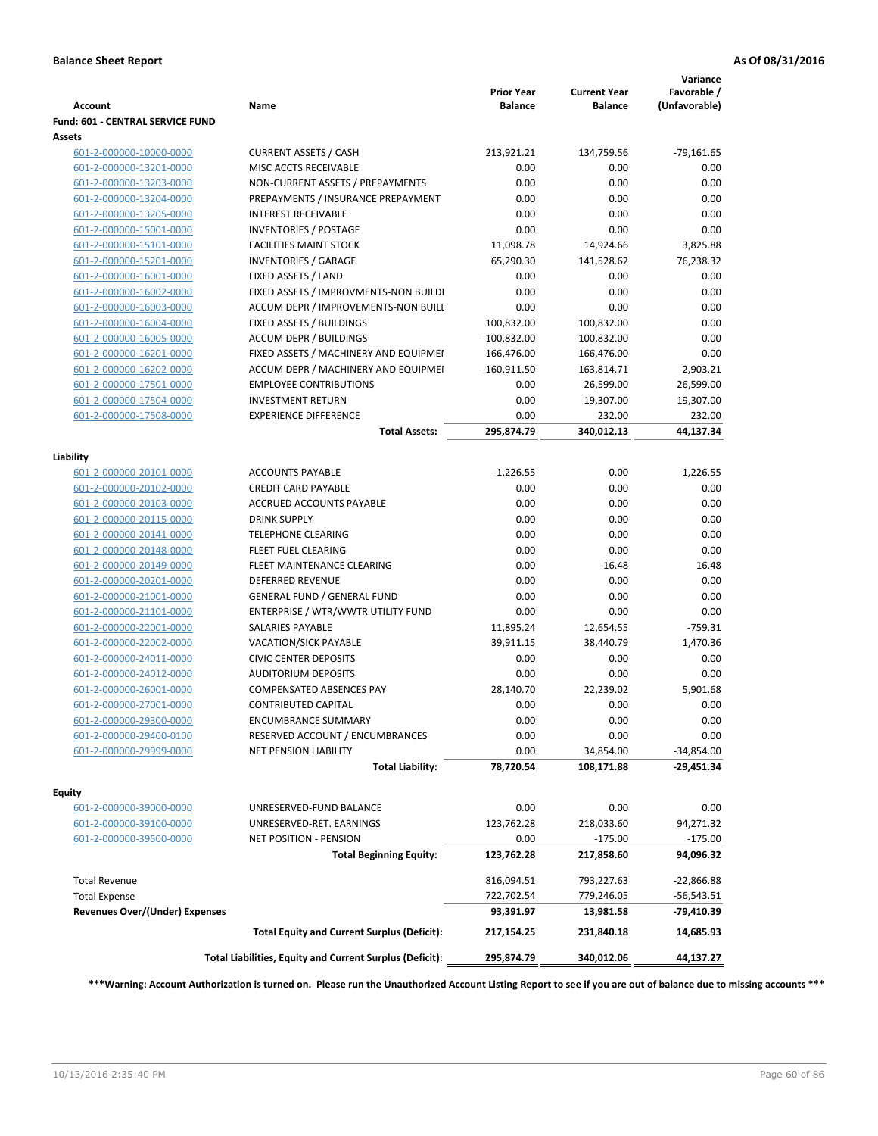| <b>Account</b>                        | Name                                                     | <b>Prior Year</b><br><b>Balance</b> | <b>Current Year</b><br><b>Balance</b> | Variance<br>Favorable /<br>(Unfavorable) |
|---------------------------------------|----------------------------------------------------------|-------------------------------------|---------------------------------------|------------------------------------------|
| Fund: 601 - CENTRAL SERVICE FUND      |                                                          |                                     |                                       |                                          |
| Assets                                |                                                          |                                     |                                       |                                          |
| 601-2-000000-10000-0000               | <b>CURRENT ASSETS / CASH</b>                             | 213,921.21                          | 134,759.56                            | $-79,161.65$                             |
| 601-2-000000-13201-0000               | MISC ACCTS RECEIVABLE                                    | 0.00                                | 0.00                                  | 0.00                                     |
| 601-2-000000-13203-0000               | NON-CURRENT ASSETS / PREPAYMENTS                         | 0.00                                | 0.00                                  | 0.00                                     |
| 601-2-000000-13204-0000               | PREPAYMENTS / INSURANCE PREPAYMENT                       | 0.00                                | 0.00                                  | 0.00                                     |
| 601-2-000000-13205-0000               | <b>INTEREST RECEIVABLE</b>                               | 0.00                                | 0.00                                  | 0.00                                     |
| 601-2-000000-15001-0000               | <b>INVENTORIES / POSTAGE</b>                             | 0.00                                | 0.00                                  | 0.00                                     |
| 601-2-000000-15101-0000               | <b>FACILITIES MAINT STOCK</b>                            | 11,098.78                           | 14,924.66                             | 3,825.88                                 |
| 601-2-000000-15201-0000               | <b>INVENTORIES / GARAGE</b>                              | 65,290.30                           | 141,528.62                            | 76,238.32                                |
| 601-2-000000-16001-0000               | FIXED ASSETS / LAND                                      | 0.00                                | 0.00                                  | 0.00                                     |
| 601-2-000000-16002-0000               | FIXED ASSETS / IMPROVMENTS-NON BUILDI                    | 0.00                                | 0.00                                  | 0.00                                     |
| 601-2-000000-16003-0000               | ACCUM DEPR / IMPROVEMENTS-NON BUILI                      | 0.00                                | 0.00                                  | 0.00                                     |
| 601-2-000000-16004-0000               | FIXED ASSETS / BUILDINGS                                 | 100,832.00                          | 100,832.00                            | 0.00                                     |
| 601-2-000000-16005-0000               | <b>ACCUM DEPR / BUILDINGS</b>                            | $-100,832.00$                       | $-100,832.00$                         | 0.00                                     |
| 601-2-000000-16201-0000               | FIXED ASSETS / MACHINERY AND EQUIPMEN                    | 166,476.00                          | 166,476.00                            | 0.00                                     |
| 601-2-000000-16202-0000               | ACCUM DEPR / MACHINERY AND EQUIPMEI                      | $-160,911.50$                       | $-163,814.71$                         | $-2,903.21$                              |
| 601-2-000000-17501-0000               | <b>EMPLOYEE CONTRIBUTIONS</b>                            | 0.00                                | 26,599.00                             | 26,599.00                                |
| 601-2-000000-17504-0000               | <b>INVESTMENT RETURN</b>                                 | 0.00                                | 19,307.00                             | 19,307.00                                |
| 601-2-000000-17508-0000               | <b>EXPERIENCE DIFFERENCE</b>                             | 0.00                                | 232.00                                | 232.00                                   |
|                                       | <b>Total Assets:</b>                                     | 295,874.79                          | 340,012.13                            | 44,137.34                                |
| Liability                             |                                                          |                                     |                                       |                                          |
| 601-2-000000-20101-0000               | <b>ACCOUNTS PAYABLE</b>                                  | $-1,226.55$                         | 0.00                                  | $-1,226.55$                              |
| 601-2-000000-20102-0000               | <b>CREDIT CARD PAYABLE</b>                               | 0.00                                | 0.00                                  | 0.00                                     |
| 601-2-000000-20103-0000               | ACCRUED ACCOUNTS PAYABLE                                 | 0.00                                | 0.00                                  | 0.00                                     |
| 601-2-000000-20115-0000               | <b>DRINK SUPPLY</b>                                      | 0.00                                | 0.00                                  | 0.00                                     |
| 601-2-000000-20141-0000               | <b>TELEPHONE CLEARING</b>                                | 0.00                                | 0.00                                  | 0.00                                     |
| 601-2-000000-20148-0000               | FLEET FUEL CLEARING                                      | 0.00                                | 0.00                                  | 0.00                                     |
| 601-2-000000-20149-0000               | FLEET MAINTENANCE CLEARING                               | 0.00                                | $-16.48$                              | 16.48                                    |
| 601-2-000000-20201-0000               | <b>DEFERRED REVENUE</b>                                  | 0.00                                | 0.00                                  | 0.00                                     |
| 601-2-000000-21001-0000               | <b>GENERAL FUND / GENERAL FUND</b>                       | 0.00                                | 0.00                                  | 0.00                                     |
| 601-2-000000-21101-0000               | ENTERPRISE / WTR/WWTR UTILITY FUND                       | 0.00                                | 0.00                                  | 0.00                                     |
| 601-2-000000-22001-0000               | <b>SALARIES PAYABLE</b>                                  | 11,895.24                           | 12,654.55                             | $-759.31$                                |
| 601-2-000000-22002-0000               | <b>VACATION/SICK PAYABLE</b>                             | 39,911.15                           | 38,440.79                             | 1,470.36                                 |
| 601-2-000000-24011-0000               | <b>CIVIC CENTER DEPOSITS</b>                             | 0.00                                | 0.00                                  | 0.00                                     |
| 601-2-000000-24012-0000               | <b>AUDITORIUM DEPOSITS</b>                               | 0.00                                | 0.00                                  | 0.00                                     |
| 601-2-000000-26001-0000               | <b>COMPENSATED ABSENCES PAY</b>                          | 28,140.70                           | 22,239.02                             | 5,901.68                                 |
| 601-2-000000-27001-0000               | <b>CONTRIBUTED CAPITAL</b>                               | 0.00                                | 0.00                                  | 0.00                                     |
| 601-2-000000-29300-0000               | <b>ENCUMBRANCE SUMMARY</b>                               | 0.00                                | 0.00                                  | 0.00                                     |
| 601-2-000000-29400-0100               | RESERVED ACCOUNT / ENCUMBRANCES                          | 0.00                                | 0.00                                  | 0.00                                     |
| 601-2-000000-29999-0000               | <b>NET PENSION LIABILITY</b>                             | 0.00                                | 34,854.00                             | $-34,854.00$<br>-29,451.34               |
|                                       | <b>Total Liability:</b>                                  | 78,720.54                           | 108,171.88                            |                                          |
| <b>Equity</b>                         |                                                          |                                     |                                       |                                          |
| 601-2-000000-39000-0000               | UNRESERVED-FUND BALANCE                                  | 0.00                                | 0.00                                  | 0.00                                     |
| 601-2-000000-39100-0000               | UNRESERVED-RET. EARNINGS                                 | 123,762.28                          | 218,033.60                            | 94,271.32                                |
| 601-2-000000-39500-0000               | NET POSITION - PENSION                                   | 0.00                                | $-175.00$                             | $-175.00$                                |
|                                       | <b>Total Beginning Equity:</b>                           | 123,762.28                          | 217,858.60                            | 94,096.32                                |
| <b>Total Revenue</b>                  |                                                          | 816,094.51                          | 793,227.63                            | $-22,866.88$                             |
| <b>Total Expense</b>                  |                                                          | 722,702.54                          | 779,246.05                            | $-56,543.51$                             |
| <b>Revenues Over/(Under) Expenses</b> |                                                          | 93,391.97                           | 13,981.58                             | -79,410.39                               |
|                                       | <b>Total Equity and Current Surplus (Deficit):</b>       | 217,154.25                          | 231,840.18                            | 14,685.93                                |
|                                       | Total Liabilities, Equity and Current Surplus (Deficit): | 295,874.79                          | 340,012.06                            | 44,137.27                                |

**\*\*\*Warning: Account Authorization is turned on. Please run the Unauthorized Account Listing Report to see if you are out of balance due to missing accounts \*\*\***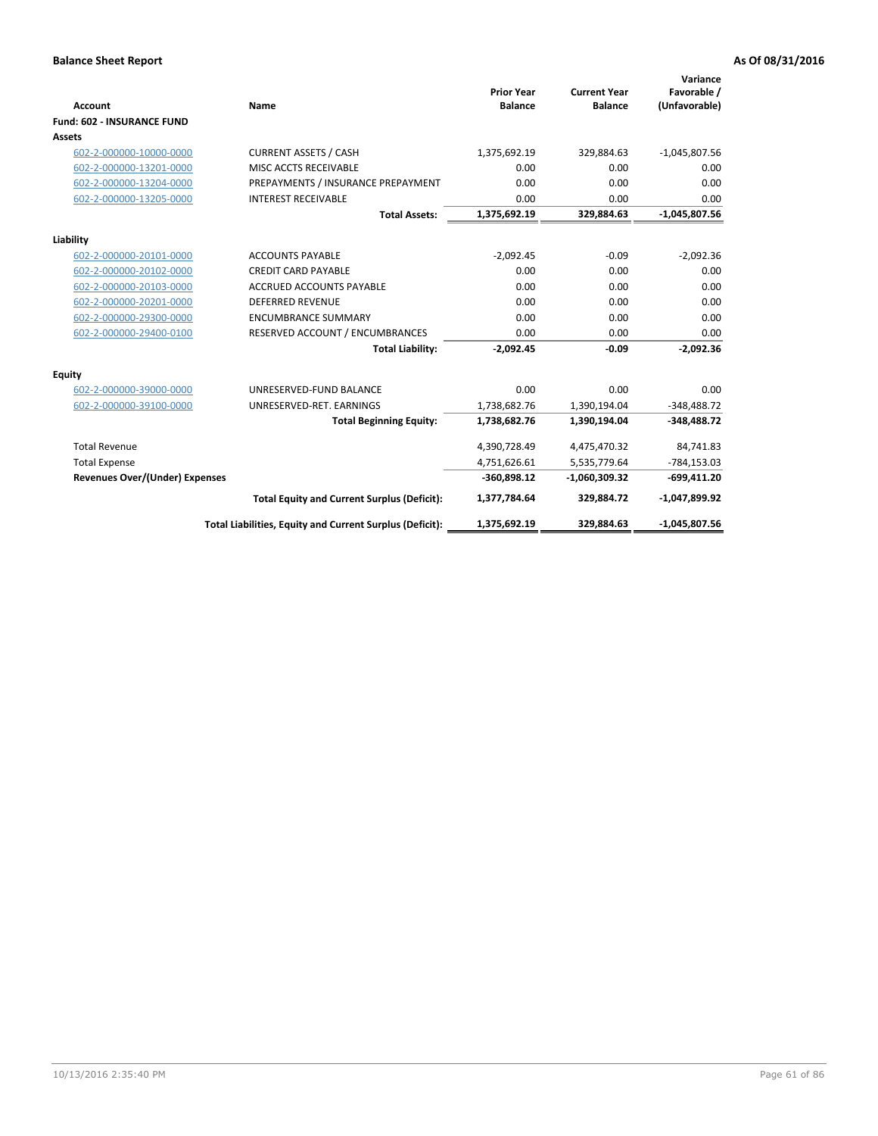| <b>Account</b>                    | Name                                                     | <b>Prior Year</b><br><b>Balance</b> | <b>Current Year</b><br><b>Balance</b> | Variance<br>Favorable /<br>(Unfavorable) |
|-----------------------------------|----------------------------------------------------------|-------------------------------------|---------------------------------------|------------------------------------------|
| <b>Fund: 602 - INSURANCE FUND</b> |                                                          |                                     |                                       |                                          |
| <b>Assets</b>                     |                                                          |                                     |                                       |                                          |
| 602-2-000000-10000-0000           | <b>CURRENT ASSETS / CASH</b>                             | 1,375,692.19                        | 329,884.63                            | $-1,045,807.56$                          |
| 602-2-000000-13201-0000           | MISC ACCTS RECEIVABLE                                    | 0.00                                | 0.00                                  | 0.00                                     |
| 602-2-000000-13204-0000           | PREPAYMENTS / INSURANCE PREPAYMENT                       | 0.00                                | 0.00                                  | 0.00                                     |
| 602-2-000000-13205-0000           | <b>INTEREST RECEIVABLE</b>                               | 0.00                                | 0.00                                  | 0.00                                     |
|                                   | <b>Total Assets:</b>                                     | 1,375,692.19                        | 329,884.63                            | $-1,045,807.56$                          |
| Liability                         |                                                          |                                     |                                       |                                          |
| 602-2-000000-20101-0000           | <b>ACCOUNTS PAYABLE</b>                                  | $-2,092.45$                         | $-0.09$                               | $-2,092.36$                              |
| 602-2-000000-20102-0000           | <b>CREDIT CARD PAYABLE</b>                               | 0.00                                | 0.00                                  | 0.00                                     |
| 602-2-000000-20103-0000           | ACCRUED ACCOUNTS PAYABLE                                 | 0.00                                | 0.00                                  | 0.00                                     |
| 602-2-000000-20201-0000           | <b>DEFERRED REVENUE</b>                                  | 0.00                                | 0.00                                  | 0.00                                     |
| 602-2-000000-29300-0000           | <b>ENCUMBRANCE SUMMARY</b>                               | 0.00                                | 0.00                                  | 0.00                                     |
| 602-2-000000-29400-0100           | RESERVED ACCOUNT / ENCUMBRANCES                          | 0.00                                | 0.00                                  | 0.00                                     |
|                                   | <b>Total Liability:</b>                                  | $-2,092.45$                         | $-0.09$                               | $-2,092.36$                              |
| <b>Equity</b>                     |                                                          |                                     |                                       |                                          |
| 602-2-000000-39000-0000           | UNRESERVED-FUND BALANCE                                  | 0.00                                | 0.00                                  | 0.00                                     |
| 602-2-000000-39100-0000           | UNRESERVED-RET. EARNINGS                                 | 1,738,682.76                        | 1,390,194.04                          | $-348,488.72$                            |
|                                   | <b>Total Beginning Equity:</b>                           | 1,738,682.76                        | 1,390,194.04                          | $-348,488.72$                            |
|                                   |                                                          |                                     |                                       |                                          |
| <b>Total Revenue</b>              |                                                          | 4,390,728.49                        | 4,475,470.32                          | 84,741.83                                |
| <b>Total Expense</b>              |                                                          | 4,751,626.61                        | 5,535,779.64                          | $-784, 153.03$                           |
| Revenues Over/(Under) Expenses    |                                                          | $-360,898.12$                       | $-1,060,309.32$                       | $-699,411.20$                            |
|                                   | <b>Total Equity and Current Surplus (Deficit):</b>       | 1,377,784.64                        | 329,884.72                            | $-1,047,899.92$                          |
|                                   | Total Liabilities, Equity and Current Surplus (Deficit): | 1,375,692.19                        | 329,884.63                            | $-1,045,807.56$                          |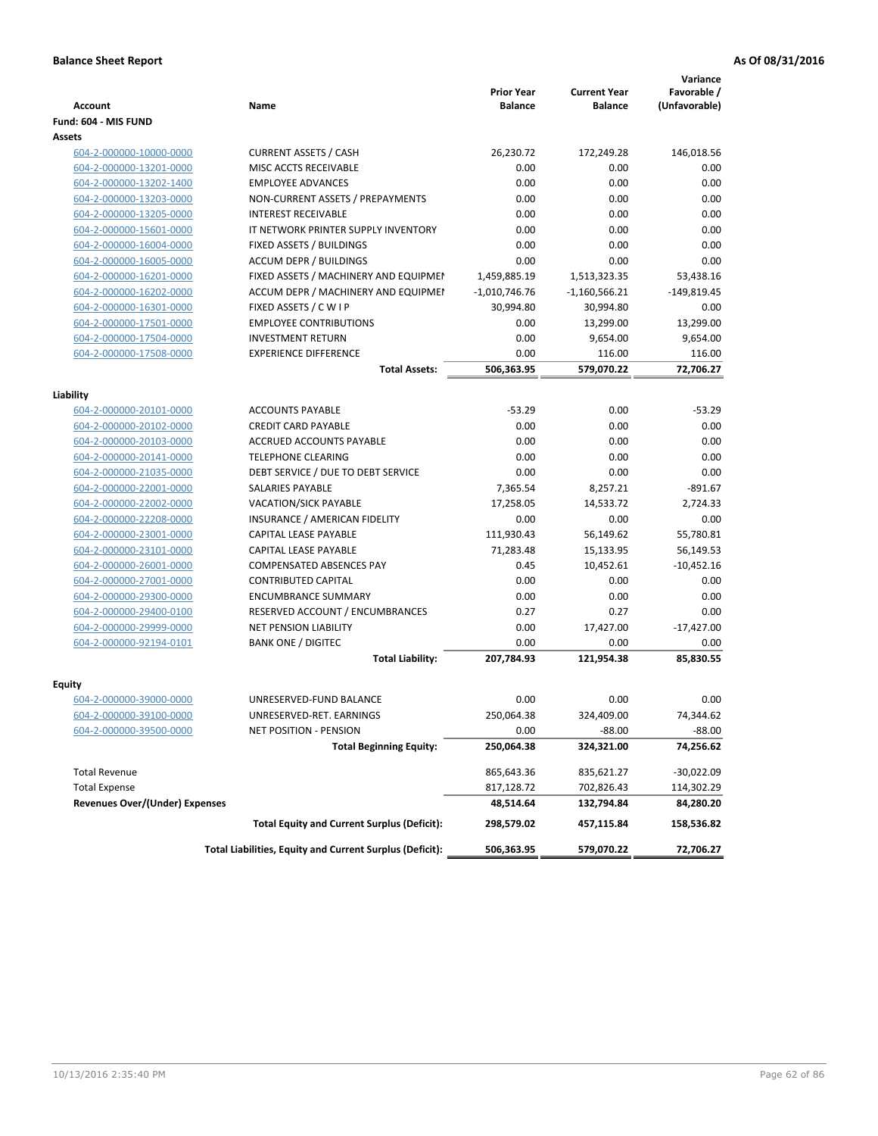|                                       |                                                          | <b>Prior Year</b> | <b>Current Year</b> | Variance<br>Favorable / |
|---------------------------------------|----------------------------------------------------------|-------------------|---------------------|-------------------------|
| <b>Account</b>                        | <b>Name</b>                                              | <b>Balance</b>    | <b>Balance</b>      | (Unfavorable)           |
| Fund: 604 - MIS FUND                  |                                                          |                   |                     |                         |
| Assets                                |                                                          |                   |                     |                         |
| 604-2-000000-10000-0000               | <b>CURRENT ASSETS / CASH</b>                             | 26,230.72         | 172,249.28          | 146,018.56              |
| 604-2-000000-13201-0000               | MISC ACCTS RECEIVABLE                                    | 0.00              | 0.00                | 0.00                    |
| 604-2-000000-13202-1400               | <b>EMPLOYEE ADVANCES</b>                                 | 0.00              | 0.00                | 0.00                    |
| 604-2-000000-13203-0000               | NON-CURRENT ASSETS / PREPAYMENTS                         | 0.00              | 0.00                | 0.00                    |
| 604-2-000000-13205-0000               | <b>INTEREST RECEIVABLE</b>                               | 0.00              | 0.00                | 0.00                    |
| 604-2-000000-15601-0000               | IT NETWORK PRINTER SUPPLY INVENTORY                      | 0.00              | 0.00                | 0.00                    |
| 604-2-000000-16004-0000               | <b>FIXED ASSETS / BUILDINGS</b>                          | 0.00              | 0.00                | 0.00                    |
| 604-2-000000-16005-0000               | <b>ACCUM DEPR / BUILDINGS</b>                            | 0.00              | 0.00                | 0.00                    |
| 604-2-000000-16201-0000               | FIXED ASSETS / MACHINERY AND EQUIPMEN                    | 1,459,885.19      | 1,513,323.35        | 53,438.16               |
| 604-2-000000-16202-0000               | ACCUM DEPR / MACHINERY AND EQUIPMEI                      | $-1,010,746.76$   | $-1,160,566.21$     | $-149,819.45$           |
| 604-2-000000-16301-0000               | FIXED ASSETS / C W I P                                   | 30,994.80         | 30,994.80           | 0.00                    |
| 604-2-000000-17501-0000               | <b>EMPLOYEE CONTRIBUTIONS</b>                            | 0.00              | 13,299.00           | 13,299.00               |
| 604-2-000000-17504-0000               | <b>INVESTMENT RETURN</b>                                 | 0.00              | 9,654.00            | 9,654.00                |
| 604-2-000000-17508-0000               | <b>EXPERIENCE DIFFERENCE</b>                             | 0.00              | 116.00              | 116.00                  |
|                                       | <b>Total Assets:</b>                                     | 506,363.95        | 579,070.22          | 72,706.27               |
|                                       |                                                          |                   |                     |                         |
| Liability                             |                                                          |                   |                     |                         |
| 604-2-000000-20101-0000               | <b>ACCOUNTS PAYABLE</b>                                  | $-53.29$          | 0.00                | $-53.29$                |
| 604-2-000000-20102-0000               | <b>CREDIT CARD PAYABLE</b>                               | 0.00              | 0.00                | 0.00                    |
| 604-2-000000-20103-0000               | ACCRUED ACCOUNTS PAYABLE                                 | 0.00              | 0.00                | 0.00                    |
| 604-2-000000-20141-0000               | <b>TELEPHONE CLEARING</b>                                | 0.00              | 0.00                | 0.00                    |
| 604-2-000000-21035-0000               | DEBT SERVICE / DUE TO DEBT SERVICE                       | 0.00              | 0.00                | 0.00                    |
| 604-2-000000-22001-0000               | SALARIES PAYABLE                                         | 7,365.54          | 8,257.21            | $-891.67$               |
| 604-2-000000-22002-0000               | VACATION/SICK PAYABLE                                    | 17,258.05         | 14,533.72           | 2,724.33                |
| 604-2-000000-22208-0000               | INSURANCE / AMERICAN FIDELITY                            | 0.00              | 0.00                | 0.00                    |
| 604-2-000000-23001-0000               | CAPITAL LEASE PAYABLE                                    | 111,930.43        | 56,149.62           | 55,780.81               |
| 604-2-000000-23101-0000               | CAPITAL LEASE PAYABLE                                    | 71,283.48         | 15,133.95           | 56,149.53               |
| 604-2-000000-26001-0000               | <b>COMPENSATED ABSENCES PAY</b>                          | 0.45              | 10,452.61           | $-10,452.16$            |
| 604-2-000000-27001-0000               | <b>CONTRIBUTED CAPITAL</b>                               | 0.00              | 0.00                | 0.00                    |
| 604-2-000000-29300-0000               | <b>ENCUMBRANCE SUMMARY</b>                               | 0.00              | 0.00                | 0.00                    |
| 604-2-000000-29400-0100               | RESERVED ACCOUNT / ENCUMBRANCES                          | 0.27              | 0.27                | 0.00                    |
| 604-2-000000-29999-0000               | NET PENSION LIABILITY                                    | 0.00              | 17,427.00           | $-17,427.00$            |
| 604-2-000000-92194-0101               | <b>BANK ONE / DIGITEC</b>                                | 0.00              | 0.00                | 0.00                    |
|                                       | <b>Total Liability:</b>                                  | 207,784.93        | 121,954.38          | 85,830.55               |
|                                       |                                                          |                   |                     |                         |
| Equity                                |                                                          | 0.00              |                     | 0.00                    |
| 604-2-000000-39000-0000               | UNRESERVED-FUND BALANCE                                  |                   | 0.00                |                         |
| 604-2-000000-39100-0000               | UNRESERVED-RET. EARNINGS                                 | 250,064.38        | 324,409.00          | 74,344.62               |
| 604-2-000000-39500-0000               | NET POSITION - PENSION                                   | 0.00              | $-88.00$            | $-88.00$                |
|                                       | <b>Total Beginning Equity:</b>                           | 250,064.38        | 324,321.00          | 74,256.62               |
| <b>Total Revenue</b>                  |                                                          | 865,643.36        | 835,621.27          | $-30,022.09$            |
| <b>Total Expense</b>                  |                                                          | 817,128.72        | 702,826.43          | 114,302.29              |
| <b>Revenues Over/(Under) Expenses</b> |                                                          | 48,514.64         | 132,794.84          | 84,280.20               |
|                                       | <b>Total Equity and Current Surplus (Deficit):</b>       | 298,579.02        | 457,115.84          | 158,536.82              |
|                                       | Total Liabilities, Equity and Current Surplus (Deficit): | 506,363.95        | 579,070.22          | 72,706.27               |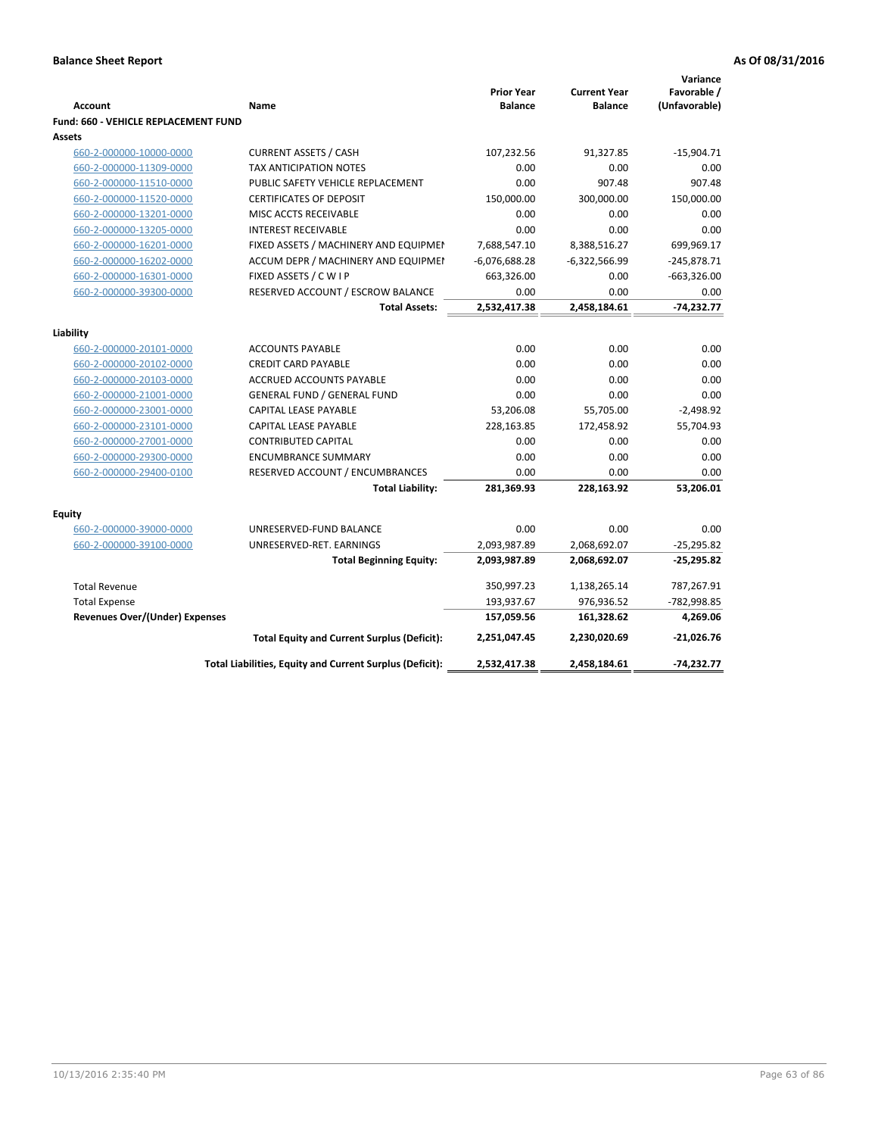|                                                    |                                                               | <b>Prior Year</b>  | <b>Current Year</b> | Variance<br>Favorable / |
|----------------------------------------------------|---------------------------------------------------------------|--------------------|---------------------|-------------------------|
| <b>Account</b>                                     | Name                                                          | <b>Balance</b>     | <b>Balance</b>      | (Unfavorable)           |
| <b>Fund: 660 - VEHICLE REPLACEMENT FUND</b>        |                                                               |                    |                     |                         |
| Assets                                             |                                                               |                    |                     |                         |
| 660-2-000000-10000-0000<br>660-2-000000-11309-0000 | <b>CURRENT ASSETS / CASH</b><br><b>TAX ANTICIPATION NOTES</b> | 107,232.56<br>0.00 | 91,327.85<br>0.00   | $-15,904.71$<br>0.00    |
| 660-2-000000-11510-0000                            | PUBLIC SAFETY VEHICLE REPLACEMENT                             | 0.00               | 907.48              | 907.48                  |
| 660-2-000000-11520-0000                            | <b>CERTIFICATES OF DEPOSIT</b>                                | 150,000.00         | 300,000.00          | 150,000.00              |
| 660-2-000000-13201-0000                            | MISC ACCTS RECEIVABLE                                         | 0.00               | 0.00                | 0.00                    |
| 660-2-000000-13205-0000                            | <b>INTEREST RECEIVABLE</b>                                    | 0.00               | 0.00                | 0.00                    |
| 660-2-000000-16201-0000                            | FIXED ASSETS / MACHINERY AND EQUIPMEN                         | 7,688,547.10       | 8,388,516.27        | 699,969.17              |
| 660-2-000000-16202-0000                            | ACCUM DEPR / MACHINERY AND EQUIPMEI                           | $-6,076,688.28$    | $-6,322,566.99$     | $-245,878.71$           |
| 660-2-000000-16301-0000                            | FIXED ASSETS / C W I P                                        | 663,326.00         | 0.00                | $-663,326.00$           |
| 660-2-000000-39300-0000                            | RESERVED ACCOUNT / ESCROW BALANCE                             | 0.00               | 0.00                | 0.00                    |
|                                                    | <b>Total Assets:</b>                                          | 2,532,417.38       | 2,458,184.61        | $-74,232.77$            |
|                                                    |                                                               |                    |                     |                         |
| Liability                                          |                                                               |                    |                     |                         |
| 660-2-000000-20101-0000                            | <b>ACCOUNTS PAYABLE</b>                                       | 0.00               | 0.00                | 0.00                    |
| 660-2-000000-20102-0000                            | <b>CREDIT CARD PAYABLE</b>                                    | 0.00               | 0.00                | 0.00                    |
| 660-2-000000-20103-0000                            | <b>ACCRUED ACCOUNTS PAYABLE</b>                               | 0.00               | 0.00                | 0.00                    |
| 660-2-000000-21001-0000                            | <b>GENERAL FUND / GENERAL FUND</b>                            | 0.00               | 0.00                | 0.00                    |
| 660-2-000000-23001-0000                            | CAPITAL LEASE PAYABLE                                         | 53,206.08          | 55,705.00           | $-2,498.92$             |
| 660-2-000000-23101-0000                            | <b>CAPITAL LEASE PAYABLE</b>                                  | 228,163.85         | 172,458.92          | 55,704.93               |
| 660-2-000000-27001-0000                            | <b>CONTRIBUTED CAPITAL</b>                                    | 0.00               | 0.00                | 0.00                    |
| 660-2-000000-29300-0000                            | <b>ENCUMBRANCE SUMMARY</b>                                    | 0.00               | 0.00                | 0.00                    |
| 660-2-000000-29400-0100                            | RESERVED ACCOUNT / ENCUMBRANCES                               | 0.00               | 0.00                | 0.00                    |
|                                                    | <b>Total Liability:</b>                                       | 281,369.93         | 228,163.92          | 53,206.01               |
| <b>Equity</b>                                      |                                                               |                    |                     |                         |
| 660-2-000000-39000-0000                            | UNRESERVED-FUND BALANCE                                       | 0.00               | 0.00                | 0.00                    |
| 660-2-000000-39100-0000                            | UNRESERVED-RET. EARNINGS                                      | 2,093,987.89       | 2,068,692.07        | $-25,295.82$            |
|                                                    | <b>Total Beginning Equity:</b>                                | 2,093,987.89       | 2,068,692.07        | $-25,295.82$            |
| <b>Total Revenue</b>                               |                                                               | 350,997.23         | 1,138,265.14        | 787,267.91              |
| <b>Total Expense</b>                               |                                                               | 193,937.67         | 976,936.52          | -782,998.85             |
| <b>Revenues Over/(Under) Expenses</b>              |                                                               | 157,059.56         | 161,328.62          | 4,269.06                |
|                                                    | <b>Total Equity and Current Surplus (Deficit):</b>            | 2,251,047.45       | 2,230,020.69        | $-21,026.76$            |
|                                                    | Total Liabilities, Equity and Current Surplus (Deficit):      | 2,532,417.38       | 2,458,184.61        | $-74,232.77$            |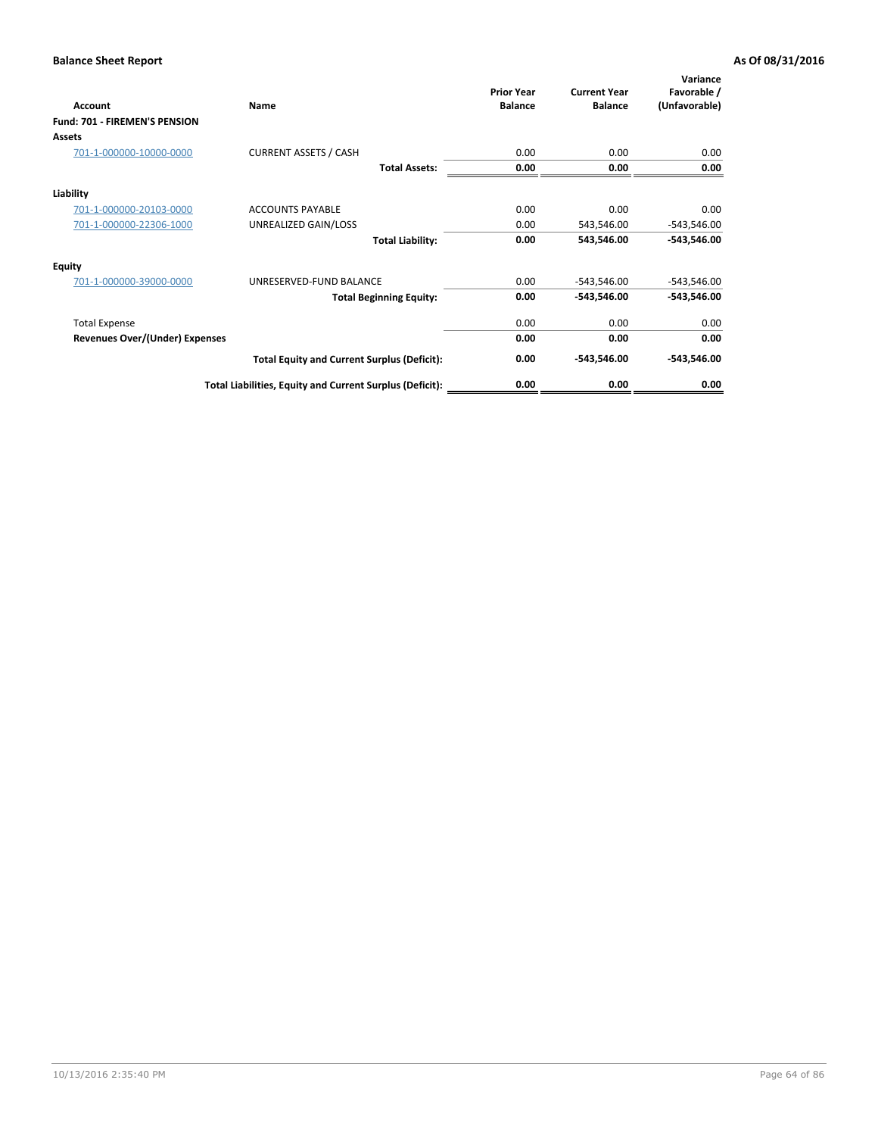| Account                               | Name                                                     | <b>Prior Year</b><br><b>Balance</b> | <b>Current Year</b><br><b>Balance</b> | Variance<br>Favorable /<br>(Unfavorable) |
|---------------------------------------|----------------------------------------------------------|-------------------------------------|---------------------------------------|------------------------------------------|
| <b>Fund: 701 - FIREMEN'S PENSION</b>  |                                                          |                                     |                                       |                                          |
| <b>Assets</b>                         |                                                          |                                     |                                       |                                          |
| 701-1-000000-10000-0000               | <b>CURRENT ASSETS / CASH</b>                             | 0.00                                | 0.00                                  | 0.00                                     |
|                                       | <b>Total Assets:</b>                                     | 0.00                                | 0.00                                  | 0.00                                     |
| Liability                             |                                                          |                                     |                                       |                                          |
| 701-1-000000-20103-0000               | <b>ACCOUNTS PAYABLE</b>                                  | 0.00                                | 0.00                                  | 0.00                                     |
| 701-1-000000-22306-1000               | UNREALIZED GAIN/LOSS                                     | 0.00                                | 543,546.00                            | $-543,546.00$                            |
|                                       | <b>Total Liability:</b>                                  | 0.00                                | 543,546.00                            | $-543,546.00$                            |
| <b>Equity</b>                         |                                                          |                                     |                                       |                                          |
| 701-1-000000-39000-0000               | UNRESERVED-FUND BALANCE                                  | 0.00                                | $-543,546.00$                         | $-543,546.00$                            |
|                                       | <b>Total Beginning Equity:</b>                           | 0.00                                | -543,546.00                           | -543,546.00                              |
| <b>Total Expense</b>                  |                                                          | 0.00                                | 0.00                                  | 0.00                                     |
| <b>Revenues Over/(Under) Expenses</b> |                                                          | 0.00                                | 0.00                                  | 0.00                                     |
|                                       | <b>Total Equity and Current Surplus (Deficit):</b>       | 0.00                                | -543,546.00                           | $-543,546.00$                            |
|                                       | Total Liabilities, Equity and Current Surplus (Deficit): | 0.00                                | 0.00                                  | 0.00                                     |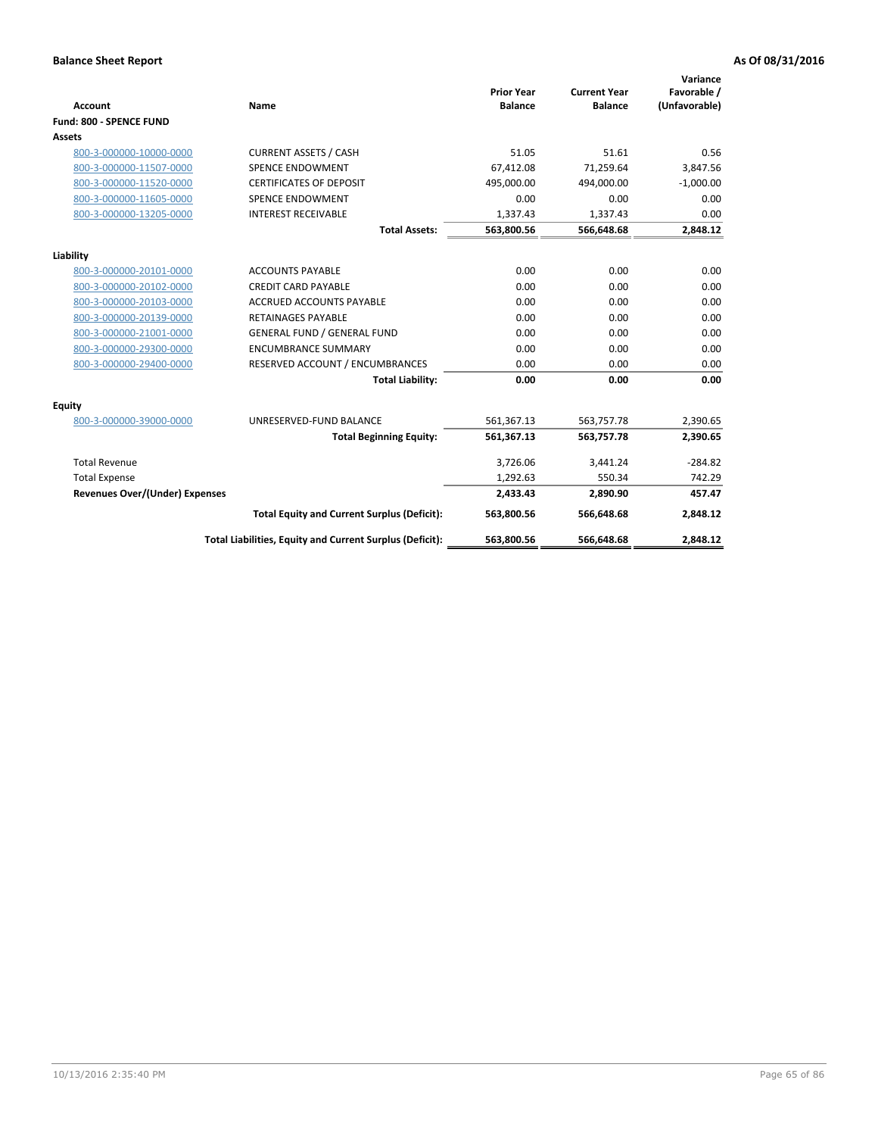|                                |                                                          |                                     |                                       | Variance                     |
|--------------------------------|----------------------------------------------------------|-------------------------------------|---------------------------------------|------------------------------|
| <b>Account</b>                 | Name                                                     | <b>Prior Year</b><br><b>Balance</b> | <b>Current Year</b><br><b>Balance</b> | Favorable /<br>(Unfavorable) |
| Fund: 800 - SPENCE FUND        |                                                          |                                     |                                       |                              |
| Assets                         |                                                          |                                     |                                       |                              |
| 800-3-000000-10000-0000        | <b>CURRENT ASSETS / CASH</b>                             | 51.05                               | 51.61                                 | 0.56                         |
| 800-3-000000-11507-0000        | <b>SPENCE ENDOWMENT</b>                                  | 67,412.08                           | 71.259.64                             | 3,847.56                     |
| 800-3-000000-11520-0000        | <b>CERTIFICATES OF DEPOSIT</b>                           | 495.000.00                          | 494.000.00                            | $-1.000.00$                  |
| 800-3-000000-11605-0000        | <b>SPENCE ENDOWMENT</b>                                  | 0.00                                | 0.00                                  | 0.00                         |
| 800-3-000000-13205-0000        | <b>INTEREST RECEIVABLE</b>                               | 1,337.43                            | 1,337.43                              | 0.00                         |
|                                | <b>Total Assets:</b>                                     | 563,800.56                          | 566,648.68                            | 2,848.12                     |
|                                |                                                          |                                     |                                       |                              |
| Liability                      |                                                          |                                     |                                       |                              |
| 800-3-000000-20101-0000        | <b>ACCOUNTS PAYABLE</b>                                  | 0.00                                | 0.00                                  | 0.00                         |
| 800-3-000000-20102-0000        | <b>CREDIT CARD PAYABLE</b>                               | 0.00                                | 0.00                                  | 0.00                         |
| 800-3-000000-20103-0000        | <b>ACCRUED ACCOUNTS PAYABLE</b>                          | 0.00                                | 0.00                                  | 0.00                         |
| 800-3-000000-20139-0000        | <b>RETAINAGES PAYABLE</b>                                | 0.00                                | 0.00                                  | 0.00                         |
| 800-3-000000-21001-0000        | <b>GENERAL FUND / GENERAL FUND</b>                       | 0.00                                | 0.00                                  | 0.00                         |
| 800-3-000000-29300-0000        | <b>ENCUMBRANCE SUMMARY</b>                               | 0.00                                | 0.00                                  | 0.00                         |
| 800-3-000000-29400-0000        | RESERVED ACCOUNT / ENCUMBRANCES                          | 0.00                                | 0.00                                  | 0.00                         |
|                                | <b>Total Liability:</b>                                  | 0.00                                | 0.00                                  | 0.00                         |
| Equity                         |                                                          |                                     |                                       |                              |
| 800-3-000000-39000-0000        | UNRESERVED-FUND BALANCE                                  | 561,367.13                          | 563,757.78                            | 2,390.65                     |
|                                | <b>Total Beginning Equity:</b>                           | 561,367.13                          | 563,757.78                            | 2,390.65                     |
| <b>Total Revenue</b>           |                                                          | 3,726.06                            | 3,441.24                              | $-284.82$                    |
| <b>Total Expense</b>           |                                                          | 1,292.63                            | 550.34                                | 742.29                       |
| Revenues Over/(Under) Expenses |                                                          | 2,433.43                            | 2,890.90                              | 457.47                       |
|                                | <b>Total Equity and Current Surplus (Deficit):</b>       | 563,800.56                          | 566,648.68                            | 2,848.12                     |
|                                | Total Liabilities, Equity and Current Surplus (Deficit): | 563,800.56                          | 566,648.68                            | 2,848.12                     |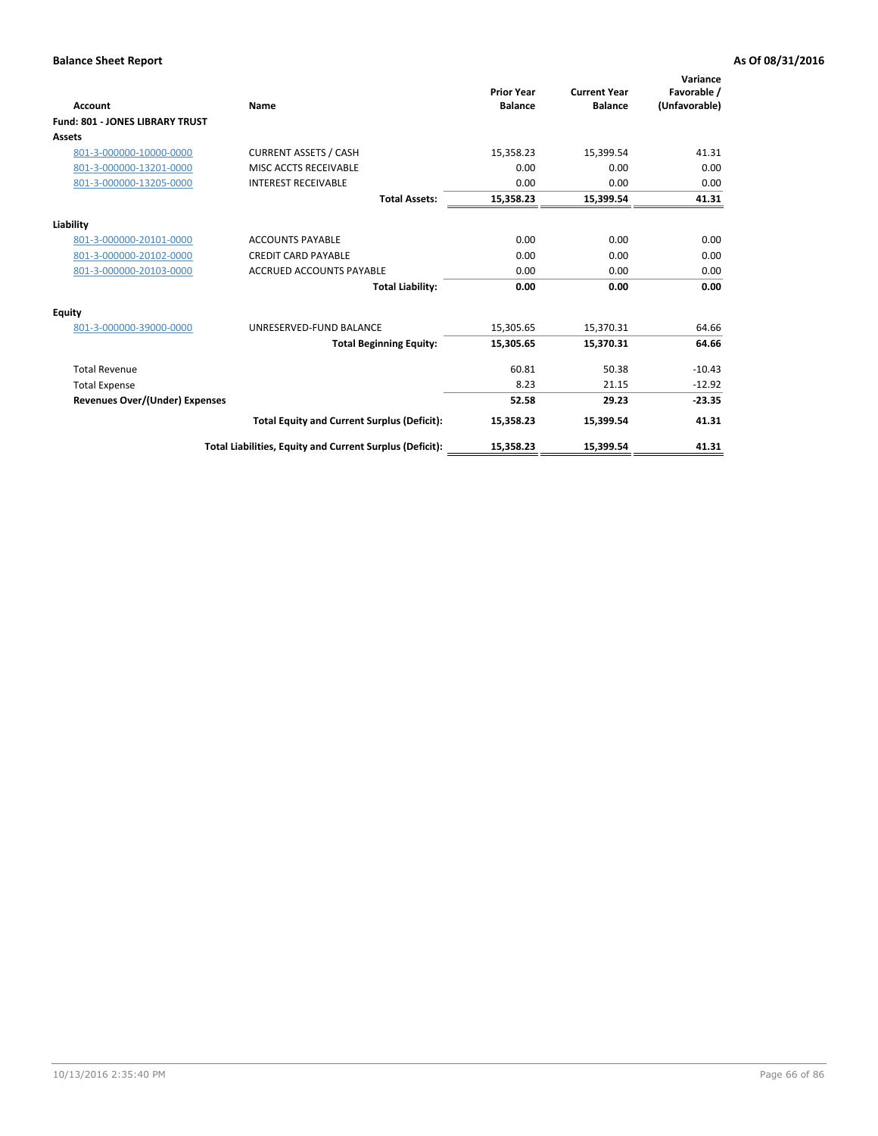| <b>Account</b>                         | Name                                                     | <b>Prior Year</b><br><b>Balance</b> | <b>Current Year</b><br><b>Balance</b> | Variance<br>Favorable /<br>(Unfavorable) |
|----------------------------------------|----------------------------------------------------------|-------------------------------------|---------------------------------------|------------------------------------------|
| <b>Fund: 801 - JONES LIBRARY TRUST</b> |                                                          |                                     |                                       |                                          |
| Assets                                 |                                                          |                                     |                                       |                                          |
| 801-3-000000-10000-0000                | <b>CURRENT ASSETS / CASH</b>                             | 15,358.23                           | 15,399.54                             | 41.31                                    |
| 801-3-000000-13201-0000                | MISC ACCTS RECEIVABLE                                    | 0.00                                | 0.00                                  | 0.00                                     |
| 801-3-000000-13205-0000                | <b>INTEREST RECEIVABLE</b>                               | 0.00                                | 0.00                                  | 0.00                                     |
|                                        | <b>Total Assets:</b>                                     | 15,358.23                           | 15,399.54                             | 41.31                                    |
| Liability                              |                                                          |                                     |                                       |                                          |
| 801-3-000000-20101-0000                | <b>ACCOUNTS PAYABLE</b>                                  | 0.00                                | 0.00                                  | 0.00                                     |
| 801-3-000000-20102-0000                | <b>CREDIT CARD PAYABLE</b>                               | 0.00                                | 0.00                                  | 0.00                                     |
| 801-3-000000-20103-0000                | <b>ACCRUED ACCOUNTS PAYABLE</b>                          | 0.00                                | 0.00                                  | 0.00                                     |
|                                        | <b>Total Liability:</b>                                  | 0.00                                | 0.00                                  | 0.00                                     |
| Equity                                 |                                                          |                                     |                                       |                                          |
| 801-3-000000-39000-0000                | UNRESERVED-FUND BALANCE                                  | 15,305.65                           | 15,370.31                             | 64.66                                    |
|                                        | <b>Total Beginning Equity:</b>                           | 15,305.65                           | 15,370.31                             | 64.66                                    |
| <b>Total Revenue</b>                   |                                                          | 60.81                               | 50.38                                 | $-10.43$                                 |
| <b>Total Expense</b>                   |                                                          | 8.23                                | 21.15                                 | $-12.92$                                 |
| <b>Revenues Over/(Under) Expenses</b>  |                                                          | 52.58                               | 29.23                                 | $-23.35$                                 |
|                                        | <b>Total Equity and Current Surplus (Deficit):</b>       | 15,358.23                           | 15,399.54                             | 41.31                                    |
|                                        | Total Liabilities, Equity and Current Surplus (Deficit): | 15,358.23                           | 15,399.54                             | 41.31                                    |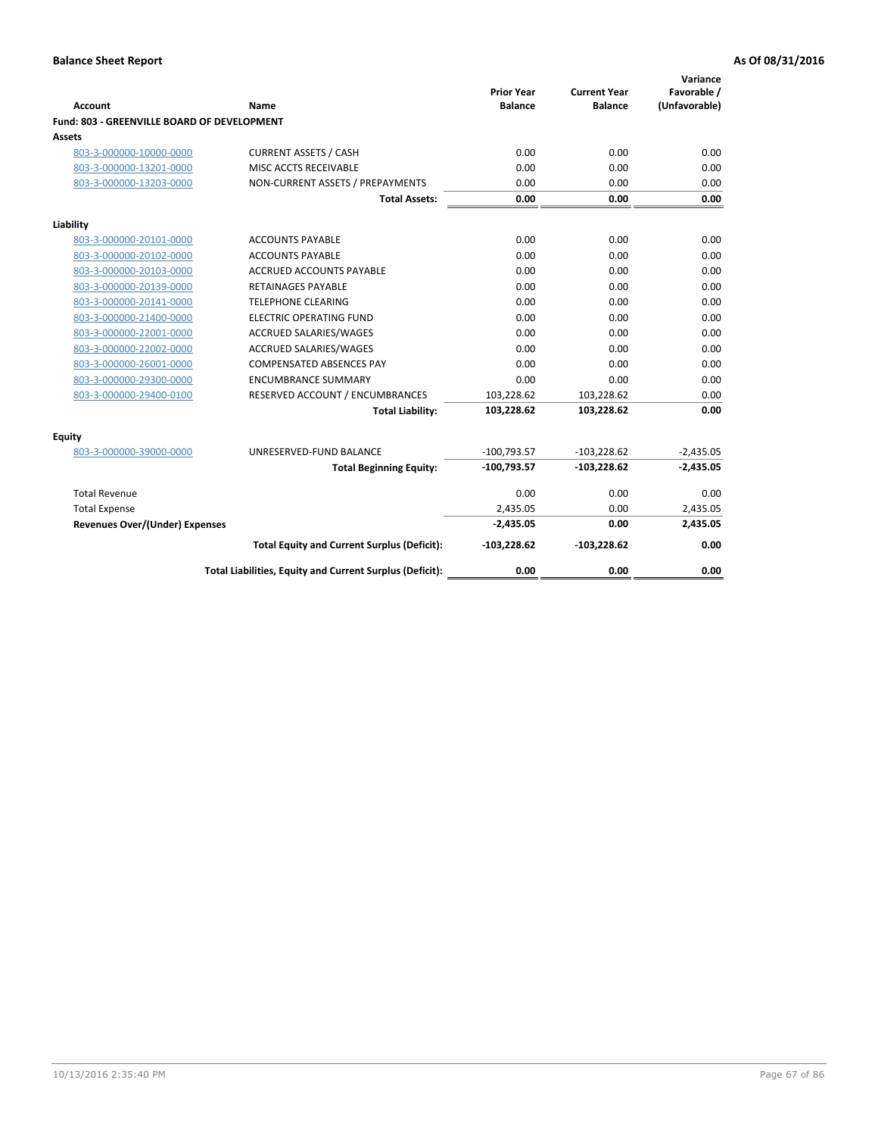| Account                                     | <b>Name</b>                                              | <b>Prior Year</b><br><b>Balance</b> | <b>Current Year</b><br><b>Balance</b> | Variance<br>Favorable /<br>(Unfavorable) |
|---------------------------------------------|----------------------------------------------------------|-------------------------------------|---------------------------------------|------------------------------------------|
| Fund: 803 - GREENVILLE BOARD OF DEVELOPMENT |                                                          |                                     |                                       |                                          |
| Assets                                      |                                                          |                                     |                                       |                                          |
| 803-3-000000-10000-0000                     | <b>CURRENT ASSETS / CASH</b>                             | 0.00                                | 0.00                                  | 0.00                                     |
| 803-3-000000-13201-0000                     | MISC ACCTS RECEIVABLE                                    | 0.00                                | 0.00                                  | 0.00                                     |
| 803-3-000000-13203-0000                     | NON-CURRENT ASSETS / PREPAYMENTS                         | 0.00                                | 0.00                                  | 0.00                                     |
|                                             | <b>Total Assets:</b>                                     | 0.00                                | 0.00                                  | 0.00                                     |
| Liability                                   |                                                          |                                     |                                       |                                          |
| 803-3-000000-20101-0000                     | <b>ACCOUNTS PAYABLE</b>                                  | 0.00                                | 0.00                                  | 0.00                                     |
| 803-3-000000-20102-0000                     | <b>ACCOUNTS PAYABLE</b>                                  | 0.00                                | 0.00                                  | 0.00                                     |
| 803-3-000000-20103-0000                     | <b>ACCRUED ACCOUNTS PAYABLE</b>                          | 0.00                                | 0.00                                  | 0.00                                     |
| 803-3-000000-20139-0000                     | <b>RETAINAGES PAYABLE</b>                                | 0.00                                | 0.00                                  | 0.00                                     |
| 803-3-000000-20141-0000                     | <b>TELEPHONE CLEARING</b>                                | 0.00                                | 0.00                                  | 0.00                                     |
| 803-3-000000-21400-0000                     | <b>ELECTRIC OPERATING FUND</b>                           | 0.00                                | 0.00                                  | 0.00                                     |
| 803-3-000000-22001-0000                     | ACCRUED SALARIES/WAGES                                   | 0.00                                | 0.00                                  | 0.00                                     |
| 803-3-000000-22002-0000                     | <b>ACCRUED SALARIES/WAGES</b>                            | 0.00                                | 0.00                                  | 0.00                                     |
| 803-3-000000-26001-0000                     | <b>COMPENSATED ABSENCES PAY</b>                          | 0.00                                | 0.00                                  | 0.00                                     |
| 803-3-000000-29300-0000                     | <b>ENCUMBRANCE SUMMARY</b>                               | 0.00                                | 0.00                                  | 0.00                                     |
| 803-3-000000-29400-0100                     | RESERVED ACCOUNT / ENCUMBRANCES                          | 103,228.62                          | 103,228.62                            | 0.00                                     |
|                                             | <b>Total Liability:</b>                                  | 103,228.62                          | 103,228.62                            | 0.00                                     |
| <b>Equity</b>                               |                                                          |                                     |                                       |                                          |
| 803-3-000000-39000-0000                     | UNRESERVED-FUND BALANCE                                  | $-100,793.57$                       | $-103,228.62$                         | $-2,435.05$                              |
|                                             | <b>Total Beginning Equity:</b>                           | $-100,793.57$                       | $-103,228.62$                         | $-2,435.05$                              |
| <b>Total Revenue</b>                        |                                                          | 0.00                                | 0.00                                  | 0.00                                     |
| <b>Total Expense</b>                        |                                                          | 2,435.05                            | 0.00                                  | 2,435.05                                 |
| Revenues Over/(Under) Expenses              |                                                          | $-2,435.05$                         | 0.00                                  | 2,435.05                                 |
|                                             | <b>Total Equity and Current Surplus (Deficit):</b>       | $-103,228.62$                       | $-103,228.62$                         | 0.00                                     |
|                                             | Total Liabilities, Equity and Current Surplus (Deficit): | 0.00                                | 0.00                                  | 0.00                                     |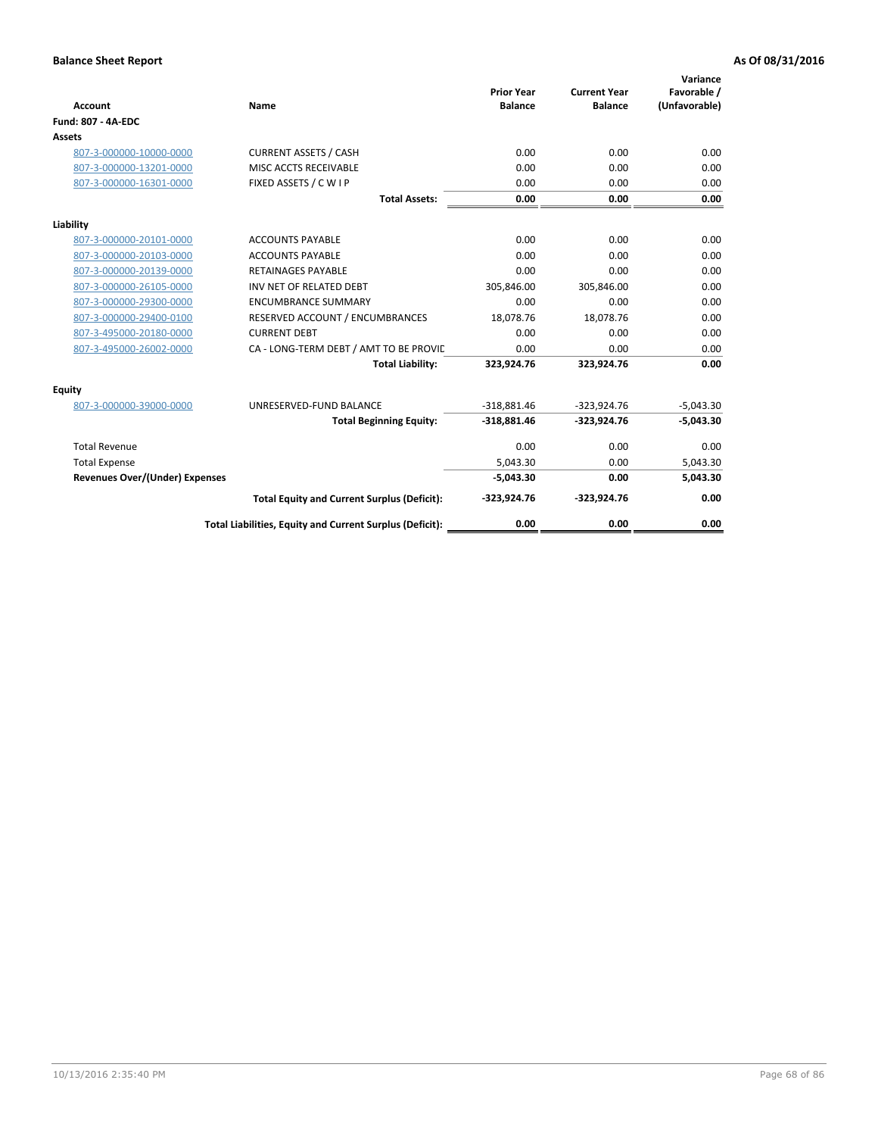| <b>Account</b>                        | Name                                                     | <b>Prior Year</b><br><b>Balance</b> | <b>Current Year</b><br><b>Balance</b> | Variance<br>Favorable /<br>(Unfavorable) |
|---------------------------------------|----------------------------------------------------------|-------------------------------------|---------------------------------------|------------------------------------------|
| <b>Fund: 807 - 4A-EDC</b>             |                                                          |                                     |                                       |                                          |
| <b>Assets</b>                         |                                                          |                                     |                                       |                                          |
| 807-3-000000-10000-0000               | <b>CURRENT ASSETS / CASH</b>                             | 0.00                                | 0.00                                  | 0.00                                     |
| 807-3-000000-13201-0000               | MISC ACCTS RECEIVABLE                                    | 0.00                                | 0.00                                  | 0.00                                     |
| 807-3-000000-16301-0000               | FIXED ASSETS / C W I P                                   | 0.00                                | 0.00                                  | 0.00                                     |
|                                       | <b>Total Assets:</b>                                     | 0.00                                | 0.00                                  | 0.00                                     |
| Liability                             |                                                          |                                     |                                       |                                          |
| 807-3-000000-20101-0000               | <b>ACCOUNTS PAYABLE</b>                                  | 0.00                                | 0.00                                  | 0.00                                     |
| 807-3-000000-20103-0000               | <b>ACCOUNTS PAYABLE</b>                                  | 0.00                                | 0.00                                  | 0.00                                     |
| 807-3-000000-20139-0000               | <b>RETAINAGES PAYABLE</b>                                | 0.00                                | 0.00                                  | 0.00                                     |
| 807-3-000000-26105-0000               | INV NET OF RELATED DEBT                                  | 305,846.00                          | 305,846.00                            | 0.00                                     |
| 807-3-000000-29300-0000               | <b>ENCUMBRANCE SUMMARY</b>                               | 0.00                                | 0.00                                  | 0.00                                     |
| 807-3-000000-29400-0100               | RESERVED ACCOUNT / ENCUMBRANCES                          | 18,078.76                           | 18,078.76                             | 0.00                                     |
| 807-3-495000-20180-0000               | <b>CURRENT DEBT</b>                                      | 0.00                                | 0.00                                  | 0.00                                     |
| 807-3-495000-26002-0000               | CA - LONG-TERM DEBT / AMT TO BE PROVIL                   | 0.00                                | 0.00                                  | 0.00                                     |
|                                       | <b>Total Liability:</b>                                  | 323,924.76                          | 323,924.76                            | 0.00                                     |
| Equity                                |                                                          |                                     |                                       |                                          |
| 807-3-000000-39000-0000               | UNRESERVED-FUND BALANCE                                  | $-318,881.46$                       | $-323,924.76$                         | $-5,043.30$                              |
|                                       | <b>Total Beginning Equity:</b>                           | $-318,881.46$                       | $-323,924.76$                         | $-5,043.30$                              |
| <b>Total Revenue</b>                  |                                                          | 0.00                                | 0.00                                  | 0.00                                     |
| <b>Total Expense</b>                  |                                                          | 5.043.30                            | 0.00                                  | 5,043.30                                 |
| <b>Revenues Over/(Under) Expenses</b> |                                                          | $-5,043.30$                         | 0.00                                  | 5,043.30                                 |
|                                       | <b>Total Equity and Current Surplus (Deficit):</b>       | $-323,924.76$                       | $-323,924.76$                         | 0.00                                     |
|                                       | Total Liabilities, Equity and Current Surplus (Deficit): | 0.00                                | 0.00                                  | 0.00                                     |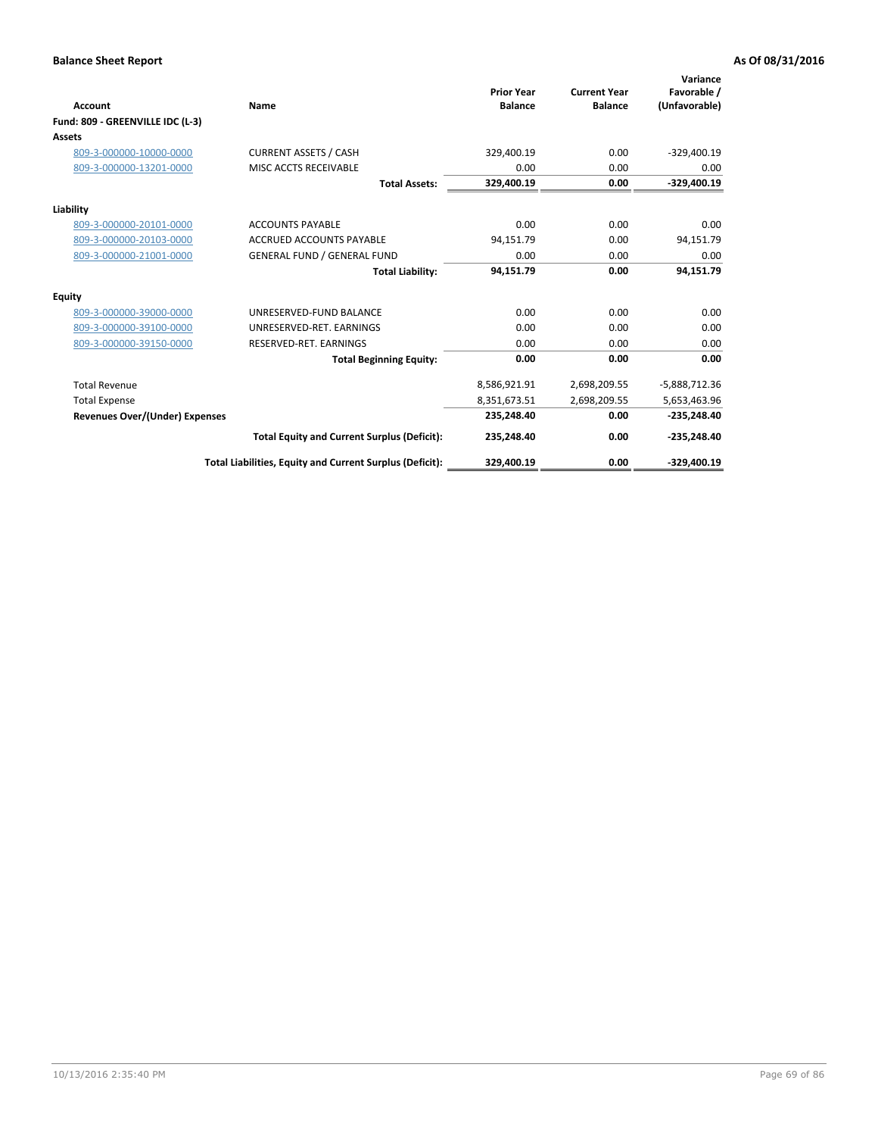| <b>Account</b>                        | Name                                                     | <b>Prior Year</b><br><b>Balance</b> | <b>Current Year</b><br><b>Balance</b> | Variance<br>Favorable /<br>(Unfavorable) |
|---------------------------------------|----------------------------------------------------------|-------------------------------------|---------------------------------------|------------------------------------------|
| Fund: 809 - GREENVILLE IDC (L-3)      |                                                          |                                     |                                       |                                          |
| <b>Assets</b>                         |                                                          |                                     |                                       |                                          |
| 809-3-000000-10000-0000               | <b>CURRENT ASSETS / CASH</b>                             | 329,400.19                          | 0.00                                  | $-329,400.19$                            |
| 809-3-000000-13201-0000               | MISC ACCTS RECEIVABLE                                    | 0.00                                | 0.00                                  | 0.00                                     |
|                                       | <b>Total Assets:</b>                                     | 329,400.19                          | 0.00                                  | $-329,400.19$                            |
| Liability                             |                                                          |                                     |                                       |                                          |
| 809-3-000000-20101-0000               | <b>ACCOUNTS PAYABLE</b>                                  | 0.00                                | 0.00                                  | 0.00                                     |
| 809-3-000000-20103-0000               | <b>ACCRUED ACCOUNTS PAYABLE</b>                          | 94,151.79                           | 0.00                                  | 94,151.79                                |
| 809-3-000000-21001-0000               | <b>GENERAL FUND / GENERAL FUND</b>                       | 0.00                                | 0.00                                  | 0.00                                     |
|                                       | <b>Total Liability:</b>                                  | 94,151.79                           | 0.00                                  | 94,151.79                                |
| Equity                                |                                                          |                                     |                                       |                                          |
| 809-3-000000-39000-0000               | UNRESERVED-FUND BALANCE                                  | 0.00                                | 0.00                                  | 0.00                                     |
| 809-3-000000-39100-0000               | UNRESERVED-RET. EARNINGS                                 | 0.00                                | 0.00                                  | 0.00                                     |
| 809-3-000000-39150-0000               | RESERVED-RET. EARNINGS                                   | 0.00                                | 0.00                                  | 0.00                                     |
|                                       | <b>Total Beginning Equity:</b>                           | 0.00                                | 0.00                                  | 0.00                                     |
| <b>Total Revenue</b>                  |                                                          | 8,586,921.91                        | 2,698,209.55                          | $-5,888,712.36$                          |
| <b>Total Expense</b>                  |                                                          | 8,351,673.51                        | 2,698,209.55                          | 5,653,463.96                             |
| <b>Revenues Over/(Under) Expenses</b> |                                                          | 235,248.40                          | 0.00                                  | $-235,248.40$                            |
|                                       | <b>Total Equity and Current Surplus (Deficit):</b>       | 235,248.40                          | 0.00                                  | $-235,248.40$                            |
|                                       | Total Liabilities, Equity and Current Surplus (Deficit): | 329.400.19                          | 0.00                                  | $-329,400.19$                            |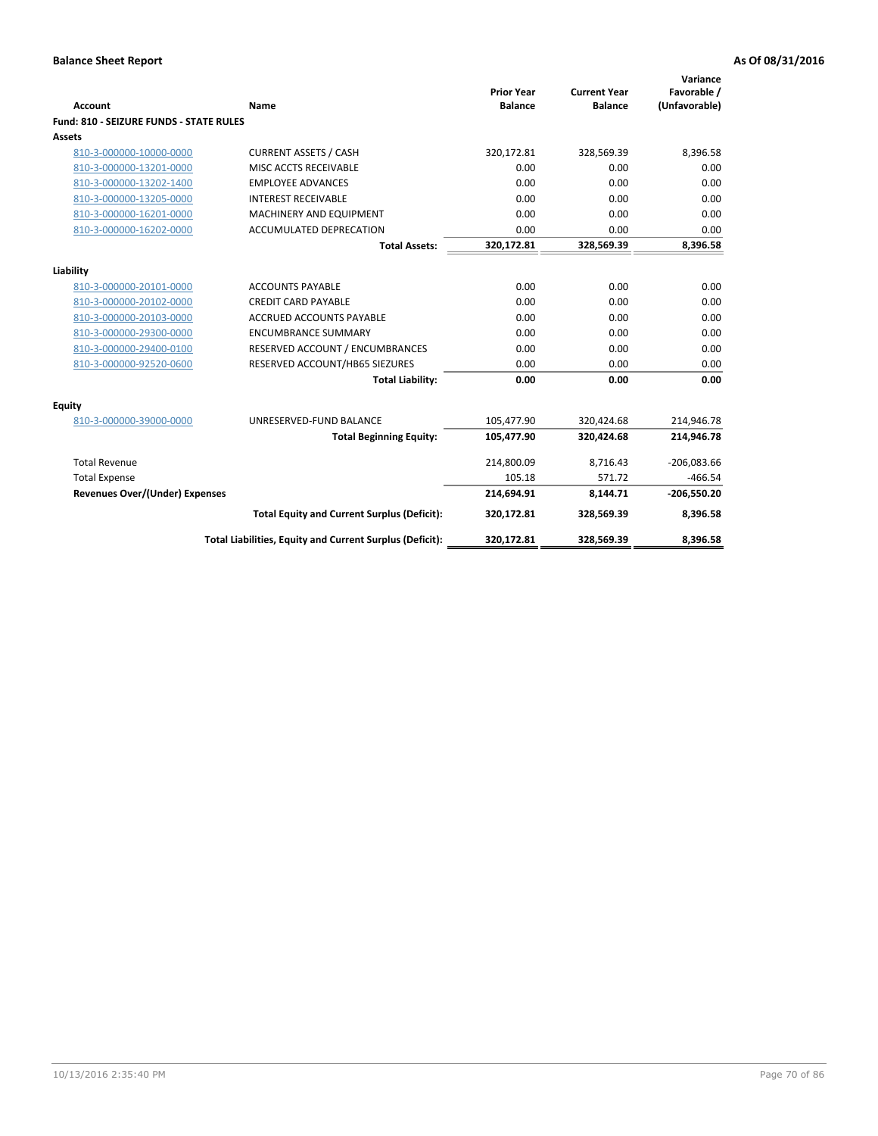| <b>Account</b>                          | <b>Name</b>                                              | <b>Prior Year</b><br><b>Balance</b> | <b>Current Year</b><br><b>Balance</b> | Variance<br>Favorable /<br>(Unfavorable) |
|-----------------------------------------|----------------------------------------------------------|-------------------------------------|---------------------------------------|------------------------------------------|
| Fund: 810 - SEIZURE FUNDS - STATE RULES |                                                          |                                     |                                       |                                          |
| Assets                                  |                                                          |                                     |                                       |                                          |
| 810-3-000000-10000-0000                 | <b>CURRENT ASSETS / CASH</b>                             | 320,172.81                          | 328,569.39                            | 8,396.58                                 |
| 810-3-000000-13201-0000                 | MISC ACCTS RECEIVABLE                                    | 0.00                                | 0.00                                  | 0.00                                     |
| 810-3-000000-13202-1400                 | <b>EMPLOYEE ADVANCES</b>                                 | 0.00                                | 0.00                                  | 0.00                                     |
| 810-3-000000-13205-0000                 | <b>INTEREST RECEIVABLE</b>                               | 0.00                                | 0.00                                  | 0.00                                     |
| 810-3-000000-16201-0000                 | MACHINERY AND EQUIPMENT                                  | 0.00                                | 0.00                                  | 0.00                                     |
| 810-3-000000-16202-0000                 | ACCUMULATED DEPRECATION                                  | 0.00                                | 0.00                                  | 0.00                                     |
|                                         | <b>Total Assets:</b>                                     | 320,172.81                          | 328,569.39                            | 8,396.58                                 |
|                                         |                                                          |                                     |                                       |                                          |
| Liability                               |                                                          |                                     |                                       |                                          |
| 810-3-000000-20101-0000                 | <b>ACCOUNTS PAYABLE</b>                                  | 0.00                                | 0.00                                  | 0.00                                     |
| 810-3-000000-20102-0000                 | <b>CREDIT CARD PAYABLE</b>                               | 0.00                                | 0.00                                  | 0.00                                     |
| 810-3-000000-20103-0000                 | <b>ACCRUED ACCOUNTS PAYABLE</b>                          | 0.00                                | 0.00                                  | 0.00                                     |
| 810-3-000000-29300-0000                 | <b>ENCUMBRANCE SUMMARY</b>                               | 0.00                                | 0.00                                  | 0.00                                     |
| 810-3-000000-29400-0100                 | RESERVED ACCOUNT / ENCUMBRANCES                          | 0.00                                | 0.00                                  | 0.00                                     |
| 810-3-000000-92520-0600                 | RESERVED ACCOUNT/HB65 SIEZURES                           | 0.00                                | 0.00                                  | 0.00                                     |
|                                         | <b>Total Liability:</b>                                  | 0.00                                | 0.00                                  | 0.00                                     |
| <b>Equity</b>                           |                                                          |                                     |                                       |                                          |
| 810-3-000000-39000-0000                 | UNRESERVED-FUND BALANCE                                  | 105,477.90                          | 320,424.68                            | 214,946.78                               |
|                                         | <b>Total Beginning Equity:</b>                           | 105,477.90                          | 320,424.68                            | 214,946.78                               |
| <b>Total Revenue</b>                    |                                                          | 214,800.09                          | 8,716.43                              | $-206,083.66$                            |
| <b>Total Expense</b>                    |                                                          | 105.18                              | 571.72                                | $-466.54$                                |
| Revenues Over/(Under) Expenses          |                                                          | 214,694.91                          | 8,144.71                              | $-206,550.20$                            |
|                                         | <b>Total Equity and Current Surplus (Deficit):</b>       | 320,172.81                          | 328,569.39                            | 8,396.58                                 |
|                                         | Total Liabilities, Equity and Current Surplus (Deficit): | 320,172.81                          | 328,569.39                            | 8,396.58                                 |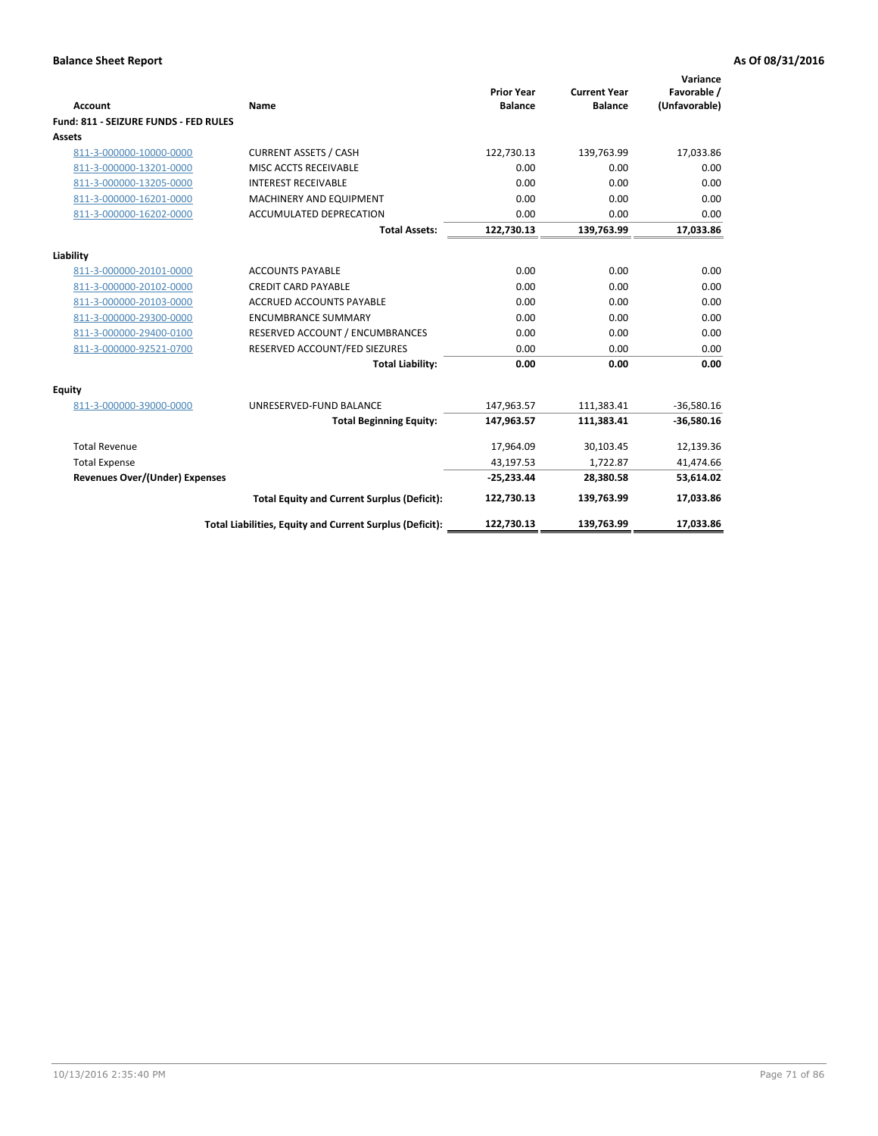| <b>Account</b>                        | Name                                                     | <b>Prior Year</b><br><b>Balance</b> | <b>Current Year</b><br><b>Balance</b> | Variance<br>Favorable /<br>(Unfavorable) |
|---------------------------------------|----------------------------------------------------------|-------------------------------------|---------------------------------------|------------------------------------------|
| Fund: 811 - SEIZURE FUNDS - FED RULES |                                                          |                                     |                                       |                                          |
| <b>Assets</b>                         |                                                          |                                     |                                       |                                          |
| 811-3-000000-10000-0000               | <b>CURRENT ASSETS / CASH</b>                             | 122,730.13                          | 139,763.99                            | 17,033.86                                |
| 811-3-000000-13201-0000               | MISC ACCTS RECEIVABLE                                    | 0.00                                | 0.00                                  | 0.00                                     |
| 811-3-000000-13205-0000               | <b>INTEREST RECEIVABLE</b>                               | 0.00                                | 0.00                                  | 0.00                                     |
| 811-3-000000-16201-0000               | <b>MACHINERY AND EQUIPMENT</b>                           | 0.00                                | 0.00                                  | 0.00                                     |
| 811-3-000000-16202-0000               | <b>ACCUMULATED DEPRECATION</b>                           | 0.00                                | 0.00                                  | 0.00                                     |
|                                       | <b>Total Assets:</b>                                     | 122,730.13                          | 139,763.99                            | 17,033.86                                |
| Liability                             |                                                          |                                     |                                       |                                          |
| 811-3-000000-20101-0000               | <b>ACCOUNTS PAYABLE</b>                                  | 0.00                                | 0.00                                  | 0.00                                     |
| 811-3-000000-20102-0000               | <b>CREDIT CARD PAYABLE</b>                               | 0.00                                | 0.00                                  | 0.00                                     |
| 811-3-000000-20103-0000               | <b>ACCRUED ACCOUNTS PAYABLE</b>                          | 0.00                                | 0.00                                  | 0.00                                     |
| 811-3-000000-29300-0000               | <b>ENCUMBRANCE SUMMARY</b>                               | 0.00                                | 0.00                                  | 0.00                                     |
| 811-3-000000-29400-0100               | RESERVED ACCOUNT / ENCUMBRANCES                          | 0.00                                | 0.00                                  | 0.00                                     |
| 811-3-000000-92521-0700               | RESERVED ACCOUNT/FED SIEZURES                            | 0.00                                | 0.00                                  | 0.00                                     |
|                                       | <b>Total Liability:</b>                                  | 0.00                                | 0.00                                  | 0.00                                     |
| <b>Equity</b>                         |                                                          |                                     |                                       |                                          |
| 811-3-000000-39000-0000               | UNRESERVED-FUND BALANCE                                  | 147,963.57                          | 111,383.41                            | $-36,580.16$                             |
|                                       | <b>Total Beginning Equity:</b>                           | 147,963.57                          | 111,383.41                            | $-36,580.16$                             |
| <b>Total Revenue</b>                  |                                                          | 17,964.09                           | 30,103.45                             | 12,139.36                                |
| <b>Total Expense</b>                  |                                                          | 43,197.53                           | 1,722.87                              | 41,474.66                                |
| <b>Revenues Over/(Under) Expenses</b> |                                                          | $-25,233.44$                        | 28,380.58                             | 53,614.02                                |
|                                       | <b>Total Equity and Current Surplus (Deficit):</b>       | 122,730.13                          | 139,763.99                            | 17,033.86                                |
|                                       | Total Liabilities, Equity and Current Surplus (Deficit): | 122,730.13                          | 139.763.99                            | 17.033.86                                |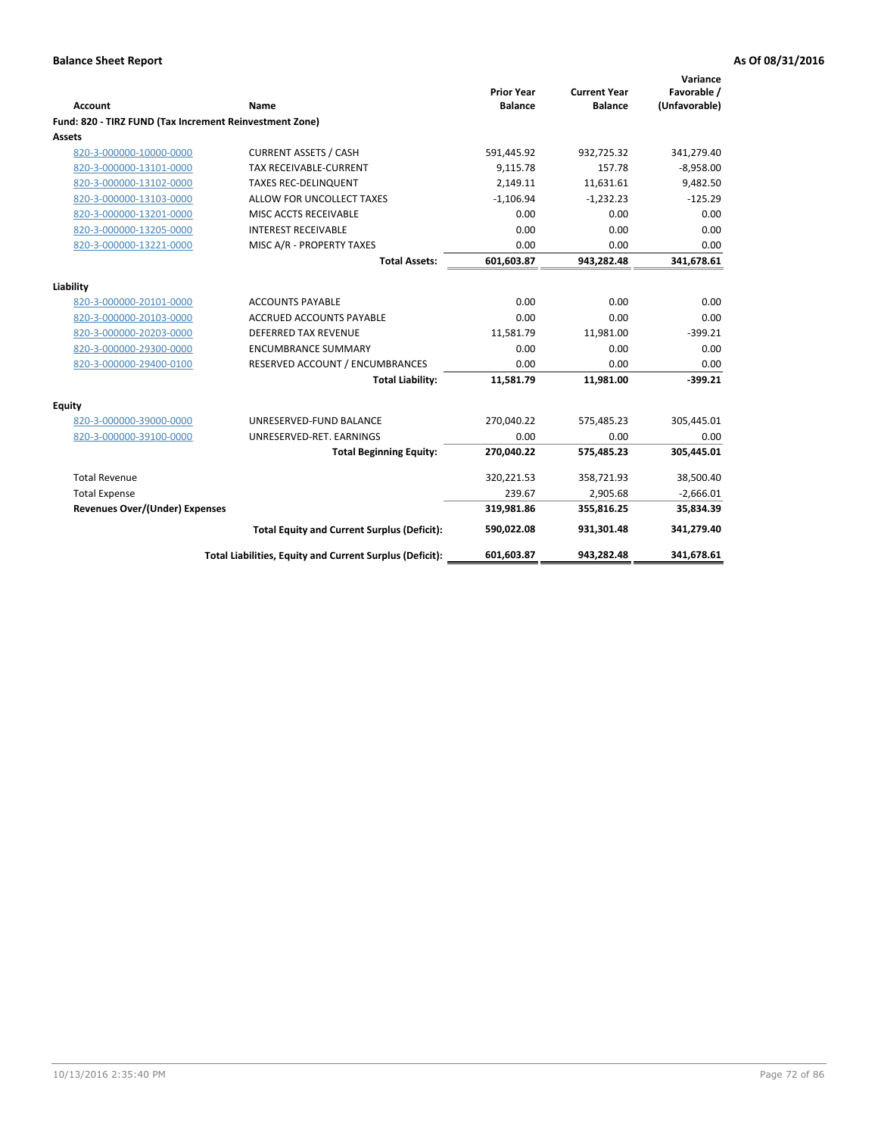| <b>Account</b>                                          | Name                                                     | <b>Prior Year</b><br><b>Balance</b> | <b>Current Year</b><br><b>Balance</b> | Variance<br>Favorable /<br>(Unfavorable) |
|---------------------------------------------------------|----------------------------------------------------------|-------------------------------------|---------------------------------------|------------------------------------------|
| Fund: 820 - TIRZ FUND (Tax Increment Reinvestment Zone) |                                                          |                                     |                                       |                                          |
| <b>Assets</b>                                           |                                                          |                                     |                                       |                                          |
| 820-3-000000-10000-0000                                 | <b>CURRENT ASSETS / CASH</b>                             | 591,445.92                          | 932,725.32                            | 341,279.40                               |
| 820-3-000000-13101-0000                                 | <b>TAX RECEIVABLE-CURRENT</b>                            | 9,115.78                            | 157.78                                | $-8,958.00$                              |
| 820-3-000000-13102-0000                                 | <b>TAXES REC-DELINQUENT</b>                              | 2,149.11                            | 11,631.61                             | 9,482.50                                 |
| 820-3-000000-13103-0000                                 | ALLOW FOR UNCOLLECT TAXES                                | $-1,106.94$                         | $-1,232.23$                           | $-125.29$                                |
| 820-3-000000-13201-0000                                 | MISC ACCTS RECEIVABLE                                    | 0.00                                | 0.00                                  | 0.00                                     |
| 820-3-000000-13205-0000                                 | <b>INTEREST RECEIVABLE</b>                               | 0.00                                | 0.00                                  | 0.00                                     |
| 820-3-000000-13221-0000                                 | MISC A/R - PROPERTY TAXES                                | 0.00                                | 0.00                                  | 0.00                                     |
|                                                         | <b>Total Assets:</b>                                     | 601,603.87                          | 943,282.48                            | 341,678.61                               |
| Liability                                               |                                                          |                                     |                                       |                                          |
| 820-3-000000-20101-0000                                 | <b>ACCOUNTS PAYABLE</b>                                  | 0.00                                | 0.00                                  | 0.00                                     |
| 820-3-000000-20103-0000                                 | <b>ACCRUED ACCOUNTS PAYABLE</b>                          | 0.00                                | 0.00                                  | 0.00                                     |
| 820-3-000000-20203-0000                                 | <b>DEFERRED TAX REVENUE</b>                              | 11,581.79                           | 11,981.00                             | $-399.21$                                |
| 820-3-000000-29300-0000                                 | <b>ENCUMBRANCE SUMMARY</b>                               | 0.00                                | 0.00                                  | 0.00                                     |
| 820-3-000000-29400-0100                                 | RESERVED ACCOUNT / ENCUMBRANCES                          | 0.00                                | 0.00                                  | 0.00                                     |
|                                                         | <b>Total Liability:</b>                                  | 11,581.79                           | 11,981.00                             | $-399.21$                                |
| <b>Equity</b>                                           |                                                          |                                     |                                       |                                          |
| 820-3-000000-39000-0000                                 | UNRESERVED-FUND BALANCE                                  | 270,040.22                          | 575,485.23                            | 305,445.01                               |
| 820-3-000000-39100-0000                                 | UNRESERVED-RET. EARNINGS                                 | 0.00                                | 0.00                                  | 0.00                                     |
|                                                         | <b>Total Beginning Equity:</b>                           | 270,040.22                          | 575,485.23                            | 305,445.01                               |
| <b>Total Revenue</b>                                    |                                                          | 320,221.53                          | 358,721.93                            | 38,500.40                                |
| <b>Total Expense</b>                                    |                                                          | 239.67                              | 2,905.68                              | $-2,666.01$                              |
| <b>Revenues Over/(Under) Expenses</b>                   |                                                          | 319,981.86                          | 355,816.25                            | 35,834.39                                |
|                                                         | <b>Total Equity and Current Surplus (Deficit):</b>       | 590,022.08                          | 931,301.48                            | 341,279.40                               |
|                                                         | Total Liabilities, Equity and Current Surplus (Deficit): | 601,603.87                          | 943,282.48                            | 341,678.61                               |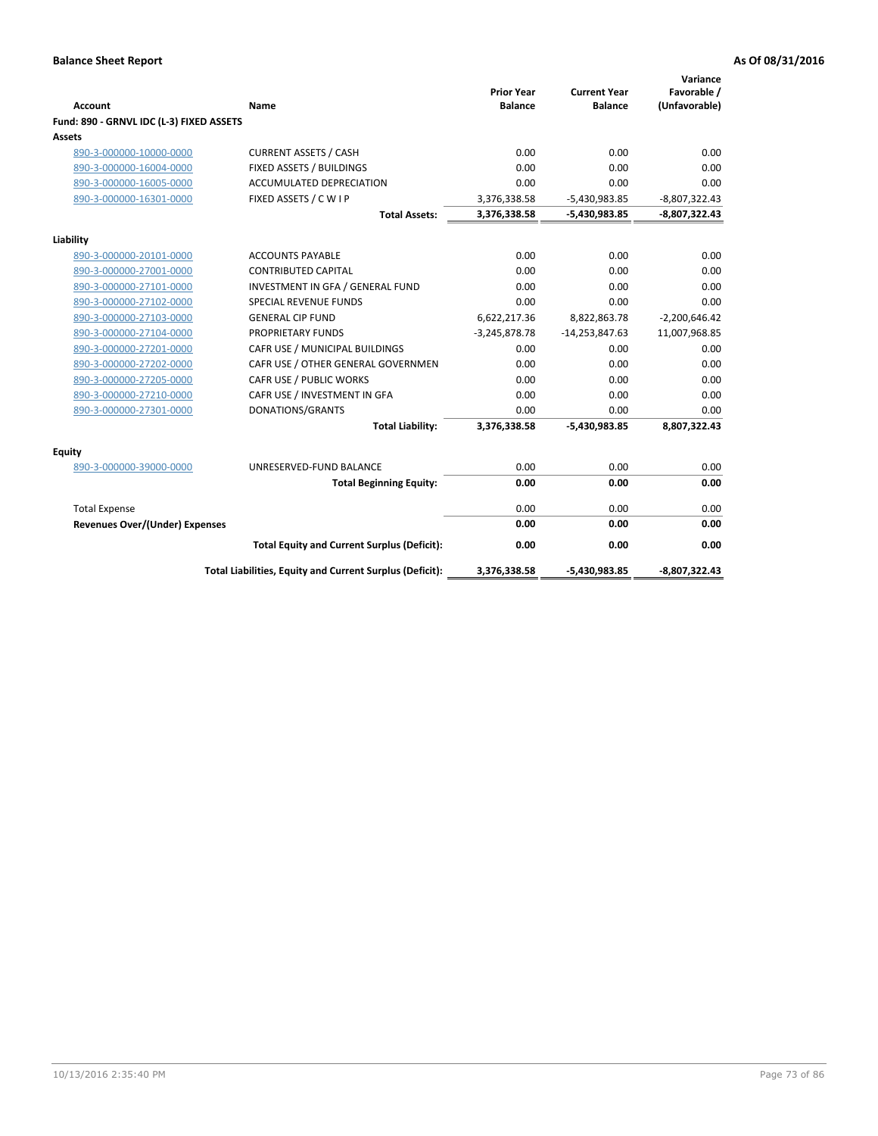| <b>Account</b>                           | Name                                                     | <b>Prior Year</b><br><b>Balance</b> | <b>Current Year</b><br><b>Balance</b> | Variance<br>Favorable /<br>(Unfavorable) |
|------------------------------------------|----------------------------------------------------------|-------------------------------------|---------------------------------------|------------------------------------------|
| Fund: 890 - GRNVL IDC (L-3) FIXED ASSETS |                                                          |                                     |                                       |                                          |
| <b>Assets</b>                            |                                                          |                                     |                                       |                                          |
| 890-3-000000-10000-0000                  | <b>CURRENT ASSETS / CASH</b>                             | 0.00                                | 0.00                                  | 0.00                                     |
| 890-3-000000-16004-0000                  | FIXED ASSETS / BUILDINGS                                 | 0.00                                | 0.00                                  | 0.00                                     |
| 890-3-000000-16005-0000                  | <b>ACCUMULATED DEPRECIATION</b>                          | 0.00                                | 0.00                                  | 0.00                                     |
| 890-3-000000-16301-0000                  | FIXED ASSETS / C W I P                                   | 3,376,338.58                        | $-5,430,983.85$                       | $-8,807,322.43$                          |
|                                          | <b>Total Assets:</b>                                     | 3,376,338.58                        | $-5,430,983.85$                       | $-8,807,322.43$                          |
|                                          |                                                          |                                     |                                       |                                          |
| Liability<br>890-3-000000-20101-0000     | <b>ACCOUNTS PAYABLE</b>                                  | 0.00                                | 0.00                                  | 0.00                                     |
| 890-3-000000-27001-0000                  | <b>CONTRIBUTED CAPITAL</b>                               | 0.00                                | 0.00                                  | 0.00                                     |
| 890-3-000000-27101-0000                  | INVESTMENT IN GFA / GENERAL FUND                         | 0.00                                | 0.00                                  | 0.00                                     |
| 890-3-000000-27102-0000                  | <b>SPECIAL REVENUE FUNDS</b>                             | 0.00                                | 0.00                                  | 0.00                                     |
| 890-3-000000-27103-0000                  | <b>GENERAL CIP FUND</b>                                  | 6,622,217.36                        | 8,822,863.78                          | $-2,200,646.42$                          |
| 890-3-000000-27104-0000                  | PROPRIETARY FUNDS                                        | $-3,245,878.78$                     | $-14,253,847.63$                      | 11,007,968.85                            |
| 890-3-000000-27201-0000                  | CAFR USE / MUNICIPAL BUILDINGS                           | 0.00                                | 0.00                                  | 0.00                                     |
| 890-3-000000-27202-0000                  | CAFR USE / OTHER GENERAL GOVERNMEN                       | 0.00                                | 0.00                                  | 0.00                                     |
| 890-3-000000-27205-0000                  | CAFR USE / PUBLIC WORKS                                  | 0.00                                | 0.00                                  | 0.00                                     |
| 890-3-000000-27210-0000                  | CAFR USE / INVESTMENT IN GFA                             | 0.00                                | 0.00                                  | 0.00                                     |
| 890-3-000000-27301-0000                  | DONATIONS/GRANTS                                         | 0.00                                | 0.00                                  | 0.00                                     |
|                                          | <b>Total Liability:</b>                                  | 3,376,338.58                        | -5,430,983.85                         | 8,807,322.43                             |
| <b>Equity</b>                            |                                                          |                                     |                                       |                                          |
| 890-3-000000-39000-0000                  | UNRESERVED-FUND BALANCE                                  | 0.00                                | 0.00                                  | 0.00                                     |
|                                          | <b>Total Beginning Equity:</b>                           | 0.00                                | 0.00                                  | 0.00                                     |
| <b>Total Expense</b>                     |                                                          | 0.00                                | 0.00                                  | 0.00                                     |
| Revenues Over/(Under) Expenses           |                                                          | 0.00                                | 0.00                                  | 0.00                                     |
|                                          | <b>Total Equity and Current Surplus (Deficit):</b>       | 0.00                                | 0.00                                  | 0.00                                     |
|                                          | Total Liabilities, Equity and Current Surplus (Deficit): | 3,376,338.58                        | -5,430,983.85                         | -8,807,322.43                            |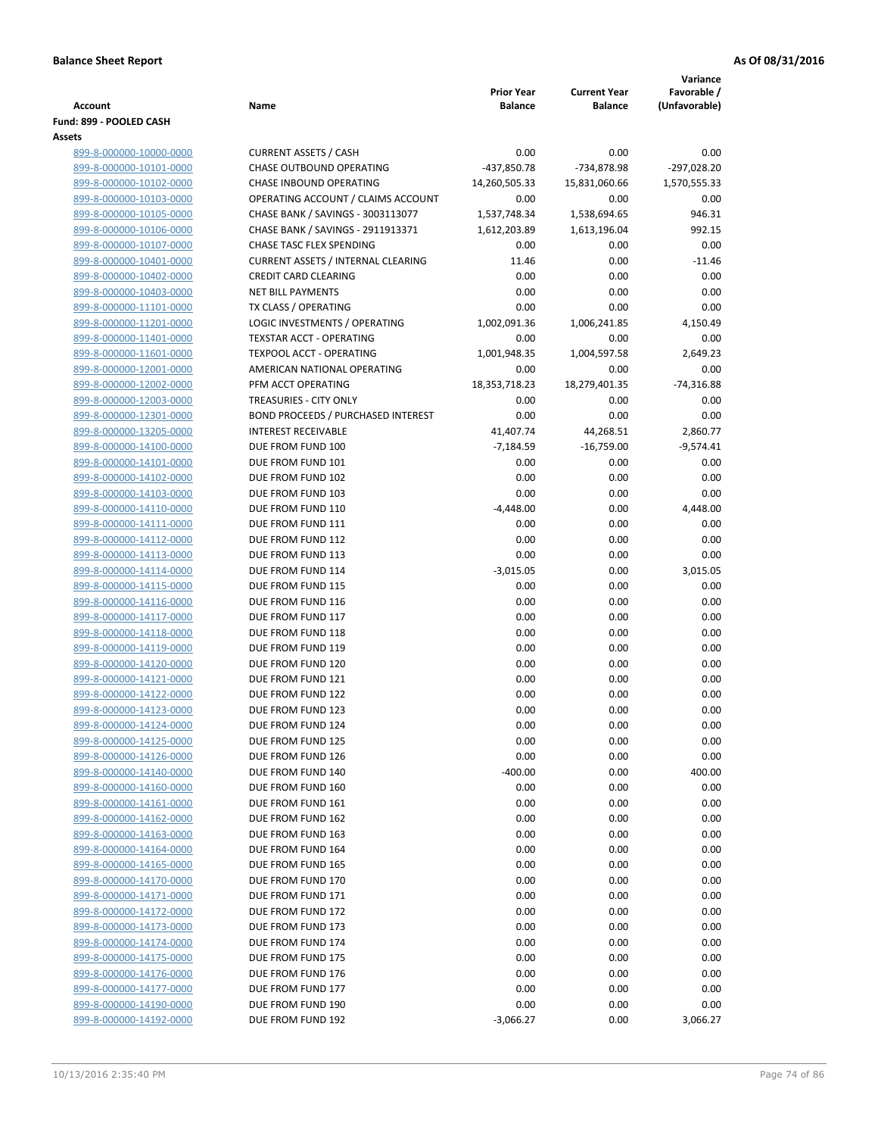|                                                    |                                           |                   |                     | Variance      |
|----------------------------------------------------|-------------------------------------------|-------------------|---------------------|---------------|
|                                                    |                                           | <b>Prior Year</b> | <b>Current Year</b> | Favorable /   |
| <b>Account</b>                                     | Name                                      | <b>Balance</b>    | <b>Balance</b>      | (Unfavorable) |
| Fund: 899 - POOLED CASH                            |                                           |                   |                     |               |
| Assets<br>899-8-000000-10000-0000                  | <b>CURRENT ASSETS / CASH</b>              | 0.00              | 0.00                | 0.00          |
| 899-8-000000-10101-0000                            | CHASE OUTBOUND OPERATING                  | $-437,850.78$     | -734,878.98         | $-297,028.20$ |
| 899-8-000000-10102-0000                            | CHASE INBOUND OPERATING                   | 14,260,505.33     | 15,831,060.66       | 1,570,555.33  |
| 899-8-000000-10103-0000                            | OPERATING ACCOUNT / CLAIMS ACCOUNT        | 0.00              | 0.00                | 0.00          |
| 899-8-000000-10105-0000                            | CHASE BANK / SAVINGS - 3003113077         | 1,537,748.34      | 1,538,694.65        | 946.31        |
| 899-8-000000-10106-0000                            | CHASE BANK / SAVINGS - 2911913371         | 1,612,203.89      | 1,613,196.04        | 992.15        |
| 899-8-000000-10107-0000                            | CHASE TASC FLEX SPENDING                  | 0.00              | 0.00                | 0.00          |
| 899-8-000000-10401-0000                            | <b>CURRENT ASSETS / INTERNAL CLEARING</b> | 11.46             | 0.00                | $-11.46$      |
| 899-8-000000-10402-0000                            | <b>CREDIT CARD CLEARING</b>               | 0.00              | 0.00                | 0.00          |
| 899-8-000000-10403-0000                            | <b>NET BILL PAYMENTS</b>                  | 0.00              | 0.00                | 0.00          |
| 899-8-000000-11101-0000                            | TX CLASS / OPERATING                      | 0.00              | 0.00                | 0.00          |
| 899-8-000000-11201-0000                            | LOGIC INVESTMENTS / OPERATING             | 1,002,091.36      | 1,006,241.85        | 4,150.49      |
| 899-8-000000-11401-0000                            | <b>TEXSTAR ACCT - OPERATING</b>           | 0.00              | 0.00                | 0.00          |
| 899-8-000000-11601-0000                            | <b>TEXPOOL ACCT - OPERATING</b>           | 1,001,948.35      | 1,004,597.58        | 2,649.23      |
| 899-8-000000-12001-0000                            | AMERICAN NATIONAL OPERATING               | 0.00              | 0.00                | 0.00          |
| 899-8-000000-12002-0000                            | PFM ACCT OPERATING                        | 18,353,718.23     | 18,279,401.35       | $-74,316.88$  |
| 899-8-000000-12003-0000                            | TREASURIES - CITY ONLY                    | 0.00              | 0.00                | 0.00          |
| 899-8-000000-12301-0000                            | <b>BOND PROCEEDS / PURCHASED INTEREST</b> | 0.00              | 0.00                | 0.00          |
| 899-8-000000-13205-0000                            | <b>INTEREST RECEIVABLE</b>                | 41,407.74         | 44,268.51           | 2,860.77      |
| 899-8-000000-14100-0000                            | DUE FROM FUND 100                         | $-7,184.59$       | $-16,759.00$        | $-9,574.41$   |
| 899-8-000000-14101-0000                            | DUE FROM FUND 101                         | 0.00              | 0.00                | 0.00          |
| 899-8-000000-14102-0000                            | DUE FROM FUND 102                         | 0.00              | 0.00                | 0.00          |
| 899-8-000000-14103-0000                            | DUE FROM FUND 103                         | 0.00              | 0.00                | 0.00          |
| 899-8-000000-14110-0000                            | DUE FROM FUND 110                         | $-4,448.00$       | 0.00                | 4,448.00      |
| 899-8-000000-14111-0000                            | DUE FROM FUND 111                         | 0.00              | 0.00                | 0.00          |
| 899-8-000000-14112-0000                            | DUE FROM FUND 112                         | 0.00              | 0.00                | 0.00          |
| 899-8-000000-14113-0000                            | DUE FROM FUND 113                         | 0.00              | 0.00                | 0.00          |
| 899-8-000000-14114-0000                            | DUE FROM FUND 114                         | $-3,015.05$       | 0.00                | 3,015.05      |
| 899-8-000000-14115-0000                            | DUE FROM FUND 115                         | 0.00<br>0.00      | 0.00                | 0.00<br>0.00  |
| 899-8-000000-14116-0000                            | DUE FROM FUND 116<br>DUE FROM FUND 117    | 0.00              | 0.00<br>0.00        | 0.00          |
| 899-8-000000-14117-0000<br>899-8-000000-14118-0000 | DUE FROM FUND 118                         | 0.00              | 0.00                | 0.00          |
| 899-8-000000-14119-0000                            | DUE FROM FUND 119                         | 0.00              | 0.00                | 0.00          |
| 899-8-000000-14120-0000                            | DUE FROM FUND 120                         | 0.00              | 0.00                | 0.00          |
| 899-8-000000-14121-0000                            | DUE FROM FUND 121                         | 0.00              | 0.00                | 0.00          |
| 899-8-000000-14122-0000                            | DUE FROM FUND 122                         | 0.00              | 0.00                | 0.00          |
| 899-8-000000-14123-0000                            | DUE FROM FUND 123                         | 0.00              | 0.00                | $0.00\,$      |
| 899-8-000000-14124-0000                            | DUE FROM FUND 124                         | 0.00              | 0.00                | 0.00          |
| 899-8-000000-14125-0000                            | DUE FROM FUND 125                         | 0.00              | 0.00                | 0.00          |
| 899-8-000000-14126-0000                            | DUE FROM FUND 126                         | 0.00              | 0.00                | 0.00          |
| 899-8-000000-14140-0000                            | DUE FROM FUND 140                         | $-400.00$         | 0.00                | 400.00        |
| 899-8-000000-14160-0000                            | DUE FROM FUND 160                         | 0.00              | 0.00                | 0.00          |
| 899-8-000000-14161-0000                            | DUE FROM FUND 161                         | 0.00              | 0.00                | 0.00          |
| 899-8-000000-14162-0000                            | DUE FROM FUND 162                         | 0.00              | 0.00                | 0.00          |
| 899-8-000000-14163-0000                            | DUE FROM FUND 163                         | 0.00              | 0.00                | 0.00          |
| 899-8-000000-14164-0000                            | DUE FROM FUND 164                         | 0.00              | 0.00                | 0.00          |
| 899-8-000000-14165-0000                            | DUE FROM FUND 165                         | 0.00              | 0.00                | 0.00          |
| 899-8-000000-14170-0000                            | DUE FROM FUND 170                         | 0.00              | 0.00                | 0.00          |
| 899-8-000000-14171-0000                            | DUE FROM FUND 171                         | 0.00              | 0.00                | 0.00          |
| 899-8-000000-14172-0000                            | DUE FROM FUND 172                         | 0.00              | 0.00                | 0.00          |
| 899-8-000000-14173-0000                            | DUE FROM FUND 173                         | 0.00              | 0.00                | 0.00          |
| 899-8-000000-14174-0000                            | DUE FROM FUND 174                         | 0.00              | 0.00                | 0.00          |
| 899-8-000000-14175-0000                            | DUE FROM FUND 175                         | 0.00              | 0.00                | 0.00          |
| 899-8-000000-14176-0000                            | DUE FROM FUND 176                         | 0.00              | 0.00                | 0.00          |
| 899-8-000000-14177-0000                            | DUE FROM FUND 177                         | 0.00              | 0.00                | 0.00          |
| 899-8-000000-14190-0000                            | DUE FROM FUND 190                         | 0.00              | 0.00                | 0.00          |
| 899-8-000000-14192-0000                            | DUE FROM FUND 192                         | $-3,066.27$       | 0.00                | 3,066.27      |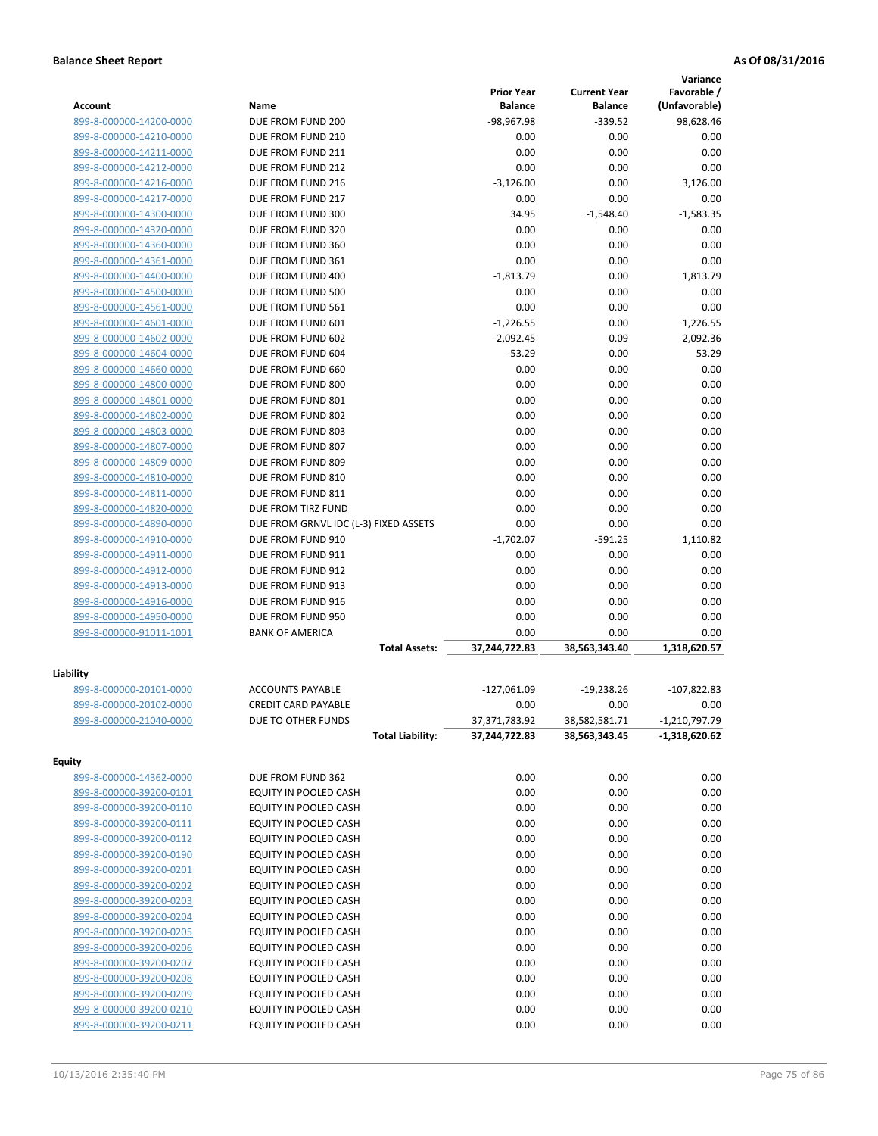|                                                    |                                                       | <b>Prior Year</b>              | <b>Current Year</b>            | Variance<br>Favorable /            |
|----------------------------------------------------|-------------------------------------------------------|--------------------------------|--------------------------------|------------------------------------|
| <b>Account</b>                                     | Name                                                  | <b>Balance</b>                 | <b>Balance</b>                 | (Unfavorable)                      |
| 899-8-000000-14200-0000                            | DUE FROM FUND 200                                     | -98,967.98                     | $-339.52$                      | 98,628.46                          |
| 899-8-000000-14210-0000                            | DUE FROM FUND 210                                     | 0.00                           | 0.00                           | 0.00                               |
| 899-8-000000-14211-0000                            | DUE FROM FUND 211                                     | 0.00                           | 0.00                           | 0.00                               |
| 899-8-000000-14212-0000                            | DUE FROM FUND 212                                     | 0.00                           | 0.00                           | 0.00                               |
| 899-8-000000-14216-0000                            | DUE FROM FUND 216                                     | $-3,126.00$                    | 0.00                           | 3,126.00                           |
| 899-8-000000-14217-0000                            | DUE FROM FUND 217<br>DUE FROM FUND 300                | 0.00<br>34.95                  | 0.00                           | 0.00                               |
| 899-8-000000-14300-0000<br>899-8-000000-14320-0000 | DUE FROM FUND 320                                     | 0.00                           | $-1,548.40$<br>0.00            | $-1,583.35$<br>0.00                |
| 899-8-000000-14360-0000                            | DUE FROM FUND 360                                     | 0.00                           | 0.00                           | 0.00                               |
| 899-8-000000-14361-0000                            | DUE FROM FUND 361                                     | 0.00                           | 0.00                           | 0.00                               |
| 899-8-000000-14400-0000                            | DUE FROM FUND 400                                     | $-1,813.79$                    | 0.00                           | 1,813.79                           |
| 899-8-000000-14500-0000                            | DUE FROM FUND 500                                     | 0.00                           | 0.00                           | 0.00                               |
| 899-8-000000-14561-0000                            | DUE FROM FUND 561                                     | 0.00                           | 0.00                           | 0.00                               |
| 899-8-000000-14601-0000                            | DUE FROM FUND 601                                     | $-1,226.55$                    | 0.00                           | 1,226.55                           |
| 899-8-000000-14602-0000                            | DUE FROM FUND 602                                     | $-2,092.45$                    | $-0.09$                        | 2,092.36                           |
| 899-8-000000-14604-0000                            | DUE FROM FUND 604                                     | $-53.29$                       | 0.00                           | 53.29                              |
| 899-8-000000-14660-0000                            | DUE FROM FUND 660                                     | 0.00                           | 0.00                           | 0.00                               |
| 899-8-000000-14800-0000                            | DUE FROM FUND 800                                     | 0.00                           | 0.00                           | 0.00                               |
| 899-8-000000-14801-0000                            | DUE FROM FUND 801                                     | 0.00                           | 0.00                           | 0.00                               |
| 899-8-000000-14802-0000                            | DUE FROM FUND 802                                     | 0.00                           | 0.00                           | 0.00                               |
| 899-8-000000-14803-0000                            | DUE FROM FUND 803                                     | 0.00                           | 0.00                           | 0.00                               |
| 899-8-000000-14807-0000                            | DUE FROM FUND 807                                     | 0.00                           | 0.00                           | 0.00                               |
| 899-8-000000-14809-0000                            | DUE FROM FUND 809                                     | 0.00                           | 0.00                           | 0.00                               |
| 899-8-000000-14810-0000                            | DUE FROM FUND 810                                     | 0.00                           | 0.00                           | 0.00                               |
| 899-8-000000-14811-0000                            | DUE FROM FUND 811                                     | 0.00                           | 0.00                           | 0.00                               |
| 899-8-000000-14820-0000                            | DUE FROM TIRZ FUND                                    | 0.00                           | 0.00                           | 0.00                               |
| 899-8-000000-14890-0000                            | DUE FROM GRNVL IDC (L-3) FIXED ASSETS                 | 0.00                           | 0.00                           | 0.00                               |
| 899-8-000000-14910-0000                            | DUE FROM FUND 910                                     | $-1,702.07$                    | $-591.25$                      | 1,110.82                           |
| 899-8-000000-14911-0000                            | DUE FROM FUND 911                                     | 0.00                           | 0.00                           | 0.00                               |
| 899-8-000000-14912-0000                            | DUE FROM FUND 912                                     | 0.00                           | 0.00                           | 0.00                               |
| 899-8-000000-14913-0000                            | DUE FROM FUND 913                                     | 0.00                           | 0.00                           | 0.00                               |
| 899-8-000000-14916-0000                            | DUE FROM FUND 916                                     | 0.00                           | 0.00                           | 0.00                               |
| 899-8-000000-14950-0000                            | DUE FROM FUND 950                                     | 0.00                           | 0.00                           | 0.00                               |
| 899-8-000000-91011-1001                            | <b>BANK OF AMERICA</b><br><b>Total Assets:</b>        | 0.00<br>37,244,722.83          | 0.00<br>38,563,343.40          | 0.00<br>1,318,620.57               |
|                                                    |                                                       |                                |                                |                                    |
| Liability                                          |                                                       |                                |                                |                                    |
| 899-8-000000-20101-0000                            | <b>ACCOUNTS PAYABLE</b><br><b>CREDIT CARD PAYABLE</b> | $-127,061.09$                  | $-19,238.26$                   | $-107,822.83$                      |
| 899-8-000000-20102-0000                            |                                                       | 0.00                           | 0.00                           | 0.00                               |
| 899-8-000000-21040-0000                            | DUE TO OTHER FUNDS<br><b>Total Liability:</b>         | 37,371,783.92<br>37,244,722.83 | 38,582,581.71<br>38,563,343.45 | $-1,210,797.79$<br>$-1,318,620.62$ |
|                                                    |                                                       |                                |                                |                                    |
| Equity                                             |                                                       |                                |                                |                                    |
| 899-8-000000-14362-0000                            | DUE FROM FUND 362                                     | 0.00                           | 0.00                           | 0.00                               |
| 899-8-000000-39200-0101                            | EQUITY IN POOLED CASH                                 | 0.00                           | 0.00                           | 0.00                               |
| 899-8-000000-39200-0110                            | EQUITY IN POOLED CASH                                 | 0.00                           | 0.00                           | 0.00                               |
| 899-8-000000-39200-0111                            | EQUITY IN POOLED CASH                                 | 0.00                           | 0.00                           | 0.00                               |
| 899-8-000000-39200-0112                            | EQUITY IN POOLED CASH                                 | 0.00                           | 0.00                           | 0.00                               |
| 899-8-000000-39200-0190                            | EQUITY IN POOLED CASH                                 | 0.00                           | 0.00                           | 0.00                               |
| 899-8-000000-39200-0201                            | EQUITY IN POOLED CASH                                 | 0.00                           | 0.00                           | 0.00                               |
| 899-8-000000-39200-0202                            | EQUITY IN POOLED CASH                                 | 0.00                           | 0.00                           | 0.00                               |
| 899-8-000000-39200-0203                            | EQUITY IN POOLED CASH                                 | 0.00                           | 0.00                           | 0.00                               |
| 899-8-000000-39200-0204                            | EQUITY IN POOLED CASH                                 | 0.00                           | 0.00                           | 0.00                               |
| 899-8-000000-39200-0205                            | EQUITY IN POOLED CASH                                 | 0.00                           | 0.00                           | 0.00                               |
| 899-8-000000-39200-0206                            | EQUITY IN POOLED CASH                                 | 0.00                           | 0.00                           | 0.00                               |
| 899-8-000000-39200-0207                            | EQUITY IN POOLED CASH                                 | 0.00                           | 0.00                           | 0.00                               |
| 899-8-000000-39200-0208                            | EQUITY IN POOLED CASH                                 | 0.00                           | 0.00                           | 0.00                               |
| 899-8-000000-39200-0209                            | EQUITY IN POOLED CASH                                 | 0.00                           | 0.00                           | 0.00                               |
| 899-8-000000-39200-0210                            | EQUITY IN POOLED CASH                                 | 0.00                           | 0.00                           | 0.00                               |
| 899-8-000000-39200-0211                            | EQUITY IN POOLED CASH                                 | 0.00                           | 0.00                           | 0.00                               |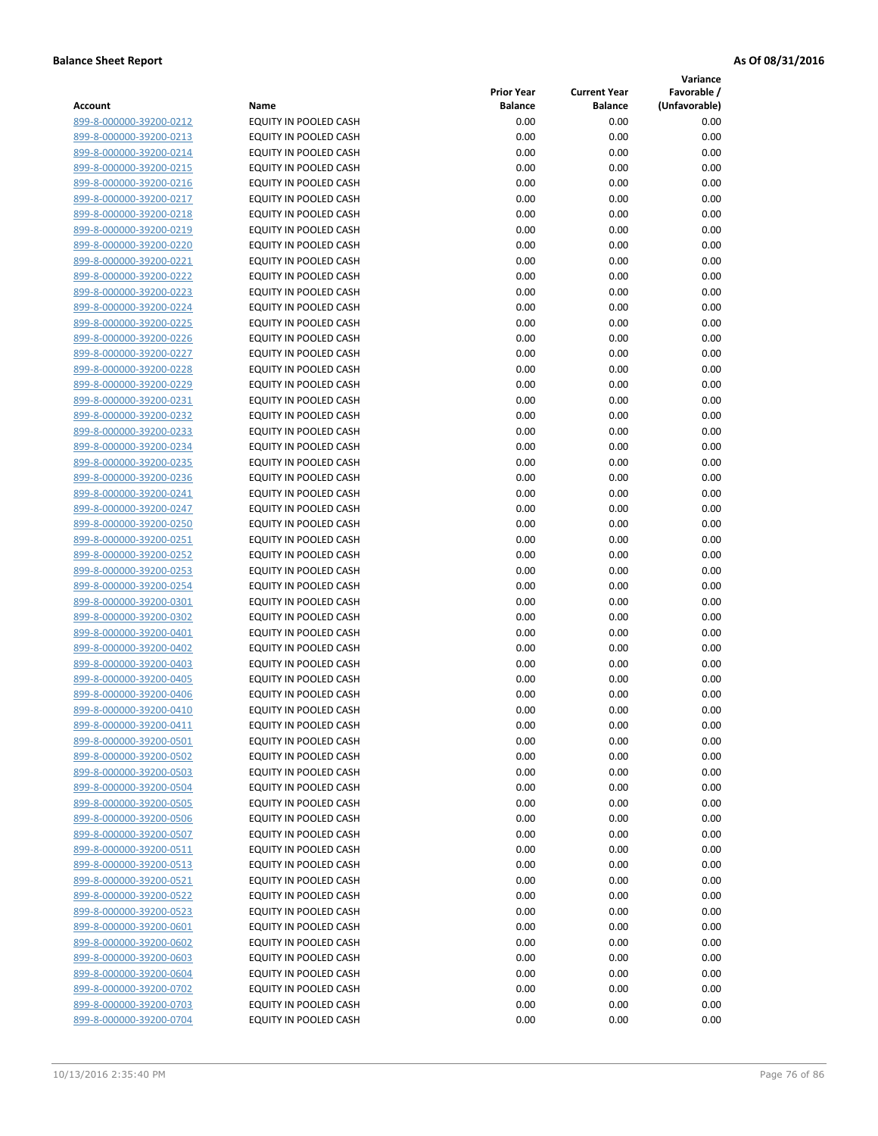**Variance**

| Account                                            | Name                                                  | <b>Prior Year</b><br><b>Balance</b> | <b>Current Year</b><br><b>Balance</b> | Favorable /<br>(Unfavorable) |
|----------------------------------------------------|-------------------------------------------------------|-------------------------------------|---------------------------------------|------------------------------|
| 899-8-000000-39200-0212                            | EQUITY IN POOLED CASH                                 | 0.00                                | 0.00                                  | 0.00                         |
| 899-8-000000-39200-0213                            | EQUITY IN POOLED CASH                                 | 0.00                                | 0.00                                  | 0.00                         |
| 899-8-000000-39200-0214                            | EQUITY IN POOLED CASH                                 | 0.00                                | 0.00                                  | 0.00                         |
| 899-8-000000-39200-0215                            | <b>EQUITY IN POOLED CASH</b>                          | 0.00                                | 0.00                                  | 0.00                         |
| 899-8-000000-39200-0216                            | EQUITY IN POOLED CASH                                 | 0.00                                | 0.00                                  | 0.00                         |
| 899-8-000000-39200-0217                            | EQUITY IN POOLED CASH                                 | 0.00                                | 0.00                                  | 0.00                         |
| 899-8-000000-39200-0218                            | EQUITY IN POOLED CASH                                 | 0.00                                | 0.00                                  | 0.00                         |
| 899-8-000000-39200-0219                            | EQUITY IN POOLED CASH                                 | 0.00                                | 0.00                                  | 0.00                         |
| 899-8-000000-39200-0220                            | EQUITY IN POOLED CASH                                 | 0.00                                | 0.00                                  | 0.00                         |
| 899-8-000000-39200-0221                            | EQUITY IN POOLED CASH                                 | 0.00                                | 0.00                                  | 0.00                         |
| 899-8-000000-39200-0222                            | EQUITY IN POOLED CASH                                 | 0.00                                | 0.00                                  | 0.00                         |
| 899-8-000000-39200-0223                            | EQUITY IN POOLED CASH                                 | 0.00                                | 0.00                                  | 0.00                         |
| 899-8-000000-39200-0224                            | EQUITY IN POOLED CASH                                 | 0.00                                | 0.00                                  | 0.00                         |
| 899-8-000000-39200-0225                            | EQUITY IN POOLED CASH                                 | 0.00                                | 0.00                                  | 0.00                         |
| 899-8-000000-39200-0226                            | EQUITY IN POOLED CASH                                 | 0.00                                | 0.00                                  | 0.00                         |
| 899-8-000000-39200-0227                            | EQUITY IN POOLED CASH                                 | 0.00                                | 0.00                                  | 0.00                         |
| 899-8-000000-39200-0228                            | EQUITY IN POOLED CASH                                 | 0.00                                | 0.00                                  | 0.00                         |
| 899-8-000000-39200-0229                            | EQUITY IN POOLED CASH                                 | 0.00                                | 0.00                                  | 0.00                         |
| 899-8-000000-39200-0231                            | EQUITY IN POOLED CASH                                 | 0.00                                | 0.00                                  | 0.00                         |
| 899-8-000000-39200-0232                            | EQUITY IN POOLED CASH                                 | 0.00                                | 0.00                                  | 0.00                         |
| 899-8-000000-39200-0233                            | <b>EQUITY IN POOLED CASH</b>                          | 0.00                                | 0.00                                  | 0.00                         |
| 899-8-000000-39200-0234                            | EQUITY IN POOLED CASH                                 | 0.00                                | 0.00                                  | 0.00                         |
| 899-8-000000-39200-0235                            | EQUITY IN POOLED CASH                                 | 0.00                                | 0.00                                  | 0.00                         |
| 899-8-000000-39200-0236                            | EQUITY IN POOLED CASH                                 | 0.00                                | 0.00                                  | 0.00                         |
| 899-8-000000-39200-0241                            | EQUITY IN POOLED CASH                                 | 0.00                                | 0.00                                  | 0.00                         |
| 899-8-000000-39200-0247                            | EQUITY IN POOLED CASH                                 | 0.00                                | 0.00                                  | 0.00                         |
| 899-8-000000-39200-0250                            | EQUITY IN POOLED CASH                                 | 0.00                                | 0.00                                  | 0.00                         |
| 899-8-000000-39200-0251                            | EQUITY IN POOLED CASH                                 | 0.00                                | 0.00                                  | 0.00                         |
| 899-8-000000-39200-0252                            | EQUITY IN POOLED CASH                                 | 0.00                                | 0.00                                  | 0.00                         |
| 899-8-000000-39200-0253                            | EQUITY IN POOLED CASH                                 | 0.00                                | 0.00                                  | 0.00                         |
| 899-8-000000-39200-0254                            | EQUITY IN POOLED CASH                                 | 0.00                                | 0.00                                  | 0.00                         |
| 899-8-000000-39200-0301                            | EQUITY IN POOLED CASH                                 | 0.00                                | 0.00                                  | 0.00                         |
| 899-8-000000-39200-0302                            | EQUITY IN POOLED CASH                                 | 0.00                                | 0.00                                  | 0.00                         |
| 899-8-000000-39200-0401                            | EQUITY IN POOLED CASH                                 | 0.00                                | 0.00                                  | 0.00                         |
| 899-8-000000-39200-0402                            | EQUITY IN POOLED CASH                                 | 0.00                                | 0.00                                  | 0.00                         |
| 899-8-000000-39200-0403                            | EQUITY IN POOLED CASH                                 | 0.00                                | 0.00                                  | 0.00                         |
| 899-8-000000-39200-0405                            | EQUITY IN POOLED CASH                                 | 0.00                                | 0.00                                  | 0.00                         |
| 899-8-000000-39200-0406                            | EQUITY IN POOLED CASH                                 | 0.00                                | 0.00                                  | 0.00                         |
| 899-8-000000-39200-0410                            | EQUITY IN POOLED CASH<br><b>EQUITY IN POOLED CASH</b> | 0.00<br>0.00                        | 0.00<br>0.00                          | 0.00<br>0.00                 |
| 899-8-000000-39200-0411<br>899-8-000000-39200-0501 | <b>EQUITY IN POOLED CASH</b>                          |                                     | 0.00                                  | 0.00                         |
| 899-8-000000-39200-0502                            | EQUITY IN POOLED CASH                                 | 0.00<br>0.00                        | 0.00                                  | 0.00                         |
| 899-8-000000-39200-0503                            | EQUITY IN POOLED CASH                                 | 0.00                                | 0.00                                  | 0.00                         |
| 899-8-000000-39200-0504                            | EQUITY IN POOLED CASH                                 | 0.00                                | 0.00                                  | 0.00                         |
| 899-8-000000-39200-0505                            | <b>EQUITY IN POOLED CASH</b>                          | 0.00                                | 0.00                                  | 0.00                         |
| 899-8-000000-39200-0506                            | EQUITY IN POOLED CASH                                 | 0.00                                | 0.00                                  | 0.00                         |
| 899-8-000000-39200-0507                            | EQUITY IN POOLED CASH                                 | 0.00                                | 0.00                                  | 0.00                         |
| 899-8-000000-39200-0511                            | EQUITY IN POOLED CASH                                 | 0.00                                | 0.00                                  | 0.00                         |
| 899-8-000000-39200-0513                            | EQUITY IN POOLED CASH                                 | 0.00                                | 0.00                                  | 0.00                         |
| 899-8-000000-39200-0521                            | EQUITY IN POOLED CASH                                 | 0.00                                | 0.00                                  | 0.00                         |
| 899-8-000000-39200-0522                            | EQUITY IN POOLED CASH                                 | 0.00                                | 0.00                                  | 0.00                         |
| 899-8-000000-39200-0523                            | EQUITY IN POOLED CASH                                 | 0.00                                | 0.00                                  | 0.00                         |
| 899-8-000000-39200-0601                            | EQUITY IN POOLED CASH                                 | 0.00                                | 0.00                                  | 0.00                         |
| 899-8-000000-39200-0602                            | EQUITY IN POOLED CASH                                 | 0.00                                | 0.00                                  | 0.00                         |
| 899-8-000000-39200-0603                            | EQUITY IN POOLED CASH                                 | 0.00                                | 0.00                                  | 0.00                         |
| 899-8-000000-39200-0604                            | EQUITY IN POOLED CASH                                 | 0.00                                | 0.00                                  | 0.00                         |
| 899-8-000000-39200-0702                            | EQUITY IN POOLED CASH                                 | 0.00                                | 0.00                                  | 0.00                         |
| 899-8-000000-39200-0703                            | EQUITY IN POOLED CASH                                 | 0.00                                | 0.00                                  | 0.00                         |
| 899-8-000000-39200-0704                            | EQUITY IN POOLED CASH                                 | 0.00                                | 0.00                                  | 0.00                         |
|                                                    |                                                       |                                     |                                       |                              |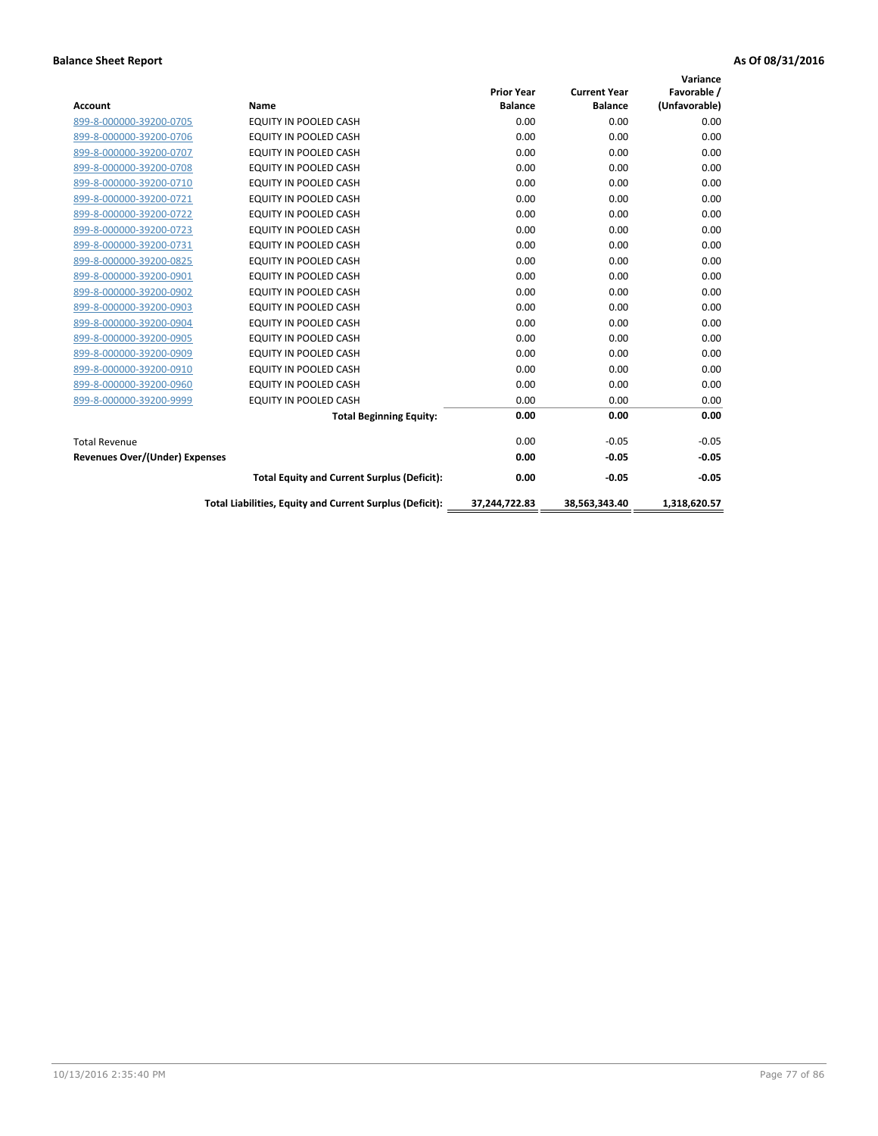|                                       |                                                          |                   |                     | Variance      |
|---------------------------------------|----------------------------------------------------------|-------------------|---------------------|---------------|
|                                       |                                                          | <b>Prior Year</b> | <b>Current Year</b> | Favorable /   |
| Account                               | Name                                                     | <b>Balance</b>    | <b>Balance</b>      | (Unfavorable) |
| 899-8-000000-39200-0705               | EQUITY IN POOLED CASH                                    | 0.00              | 0.00                | 0.00          |
| 899-8-000000-39200-0706               | <b>EQUITY IN POOLED CASH</b>                             | 0.00              | 0.00                | 0.00          |
| 899-8-000000-39200-0707               | EQUITY IN POOLED CASH                                    | 0.00              | 0.00                | 0.00          |
| 899-8-000000-39200-0708               | <b>EQUITY IN POOLED CASH</b>                             | 0.00              | 0.00                | 0.00          |
| 899-8-000000-39200-0710               | <b>EQUITY IN POOLED CASH</b>                             | 0.00              | 0.00                | 0.00          |
| 899-8-000000-39200-0721               | <b>EQUITY IN POOLED CASH</b>                             | 0.00              | 0.00                | 0.00          |
| 899-8-000000-39200-0722               | EQUITY IN POOLED CASH                                    | 0.00              | 0.00                | 0.00          |
| 899-8-000000-39200-0723               | EQUITY IN POOLED CASH                                    | 0.00              | 0.00                | 0.00          |
| 899-8-000000-39200-0731               | <b>EQUITY IN POOLED CASH</b>                             | 0.00              | 0.00                | 0.00          |
| 899-8-000000-39200-0825               | <b>EQUITY IN POOLED CASH</b>                             | 0.00              | 0.00                | 0.00          |
| 899-8-000000-39200-0901               | <b>EQUITY IN POOLED CASH</b>                             | 0.00              | 0.00                | 0.00          |
| 899-8-000000-39200-0902               | EQUITY IN POOLED CASH                                    | 0.00              | 0.00                | 0.00          |
| 899-8-000000-39200-0903               | <b>EQUITY IN POOLED CASH</b>                             | 0.00              | 0.00                | 0.00          |
| 899-8-000000-39200-0904               | EQUITY IN POOLED CASH                                    | 0.00              | 0.00                | 0.00          |
| 899-8-000000-39200-0905               | <b>EQUITY IN POOLED CASH</b>                             | 0.00              | 0.00                | 0.00          |
| 899-8-000000-39200-0909               | <b>EQUITY IN POOLED CASH</b>                             | 0.00              | 0.00                | 0.00          |
| 899-8-000000-39200-0910               | <b>EQUITY IN POOLED CASH</b>                             | 0.00              | 0.00                | 0.00          |
| 899-8-000000-39200-0960               | <b>EQUITY IN POOLED CASH</b>                             | 0.00              | 0.00                | 0.00          |
| 899-8-000000-39200-9999               | EQUITY IN POOLED CASH                                    | 0.00              | 0.00                | 0.00          |
|                                       | <b>Total Beginning Equity:</b>                           | 0.00              | 0.00                | 0.00          |
| <b>Total Revenue</b>                  |                                                          | 0.00              | $-0.05$             | $-0.05$       |
| <b>Revenues Over/(Under) Expenses</b> |                                                          | 0.00              | $-0.05$             | $-0.05$       |
|                                       | <b>Total Equity and Current Surplus (Deficit):</b>       | 0.00              | $-0.05$             | $-0.05$       |
|                                       | Total Liabilities, Equity and Current Surplus (Deficit): | 37.244.722.83     | 38.563.343.40       | 1.318.620.57  |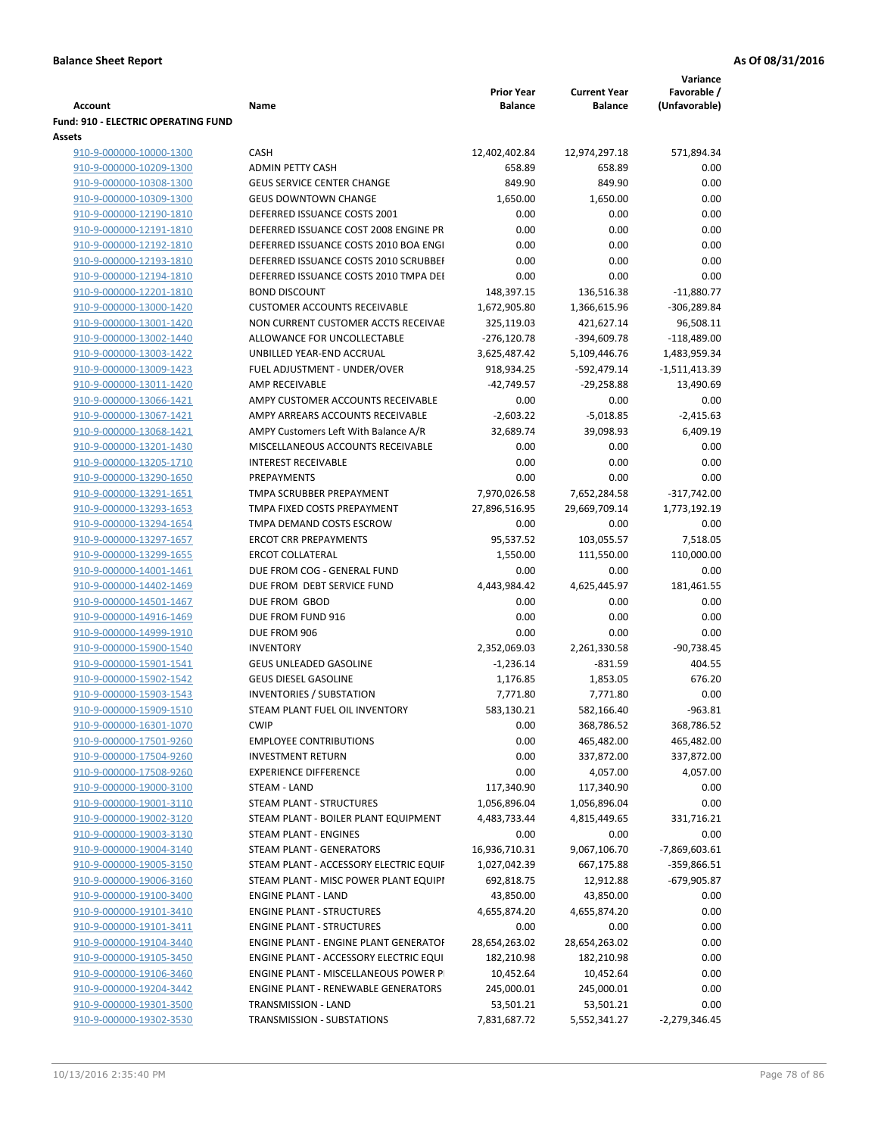|                                                    |                                                                      | <b>Prior Year</b>        | <b>Current Year</b>         | Variance<br>Favorable /      |
|----------------------------------------------------|----------------------------------------------------------------------|--------------------------|-----------------------------|------------------------------|
| <b>Account</b>                                     | Name                                                                 | <b>Balance</b>           | <b>Balance</b>              | (Unfavorable)                |
| Fund: 910 - ELECTRIC OPERATING FUND                |                                                                      |                          |                             |                              |
| Assets                                             |                                                                      |                          |                             |                              |
| 910-9-000000-10000-1300                            | <b>CASH</b>                                                          | 12,402,402.84            | 12,974,297.18               | 571,894.34                   |
| 910-9-000000-10209-1300                            | <b>ADMIN PETTY CASH</b>                                              | 658.89                   | 658.89                      | 0.00                         |
| 910-9-000000-10308-1300                            | <b>GEUS SERVICE CENTER CHANGE</b>                                    | 849.90                   | 849.90                      | 0.00                         |
| 910-9-000000-10309-1300                            | <b>GEUS DOWNTOWN CHANGE</b>                                          | 1,650.00                 | 1,650.00                    | 0.00                         |
| 910-9-000000-12190-1810                            | DEFERRED ISSUANCE COSTS 2001                                         | 0.00                     | 0.00                        | 0.00                         |
| 910-9-000000-12191-1810                            | DEFERRED ISSUANCE COST 2008 ENGINE PR                                | 0.00                     | 0.00                        | 0.00                         |
| 910-9-000000-12192-1810                            | DEFERRED ISSUANCE COSTS 2010 BOA ENGI                                | 0.00                     | 0.00                        | 0.00                         |
| 910-9-000000-12193-1810                            | DEFERRED ISSUANCE COSTS 2010 SCRUBBEI                                | 0.00                     | 0.00                        | 0.00                         |
| 910-9-000000-12194-1810                            | DEFERRED ISSUANCE COSTS 2010 TMPA DEI                                | 0.00                     | 0.00                        | 0.00                         |
| 910-9-000000-12201-1810                            | <b>BOND DISCOUNT</b>                                                 | 148,397.15               | 136,516.38                  | $-11,880.77$                 |
| 910-9-000000-13000-1420                            | <b>CUSTOMER ACCOUNTS RECEIVABLE</b>                                  | 1,672,905.80             | 1,366,615.96                | $-306,289.84$                |
| 910-9-000000-13001-1420                            | NON CURRENT CUSTOMER ACCTS RECEIVAE                                  | 325,119.03               | 421,627.14                  | 96,508.11                    |
| 910-9-000000-13002-1440                            | ALLOWANCE FOR UNCOLLECTABLE                                          | $-276,120.78$            | $-394,609.78$               | $-118,489.00$                |
| 910-9-000000-13003-1422<br>910-9-000000-13009-1423 | UNBILLED YEAR-END ACCRUAL<br>FUEL ADJUSTMENT - UNDER/OVER            | 3,625,487.42             | 5,109,446.76                | 1,483,959.34                 |
|                                                    | <b>AMP RECEIVABLE</b>                                                | 918,934.25<br>-42,749.57 | -592,479.14<br>$-29,258.88$ | $-1,511,413.39$<br>13,490.69 |
| 910-9-000000-13011-1420<br>910-9-000000-13066-1421 | AMPY CUSTOMER ACCOUNTS RECEIVABLE                                    | 0.00                     | 0.00                        | 0.00                         |
| 910-9-000000-13067-1421                            | AMPY ARREARS ACCOUNTS RECEIVABLE                                     | $-2,603.22$              | $-5,018.85$                 | $-2,415.63$                  |
| 910-9-000000-13068-1421                            | AMPY Customers Left With Balance A/R                                 | 32,689.74                | 39,098.93                   | 6,409.19                     |
| 910-9-000000-13201-1430                            | MISCELLANEOUS ACCOUNTS RECEIVABLE                                    | 0.00                     | 0.00                        | 0.00                         |
| 910-9-000000-13205-1710                            | <b>INTEREST RECEIVABLE</b>                                           | 0.00                     | 0.00                        | 0.00                         |
| 910-9-000000-13290-1650                            | PREPAYMENTS                                                          | 0.00                     | 0.00                        | 0.00                         |
| 910-9-000000-13291-1651                            | TMPA SCRUBBER PREPAYMENT                                             | 7,970,026.58             | 7,652,284.58                | $-317,742.00$                |
| 910-9-000000-13293-1653                            | TMPA FIXED COSTS PREPAYMENT                                          | 27,896,516.95            | 29,669,709.14               | 1,773,192.19                 |
| 910-9-000000-13294-1654                            | TMPA DEMAND COSTS ESCROW                                             | 0.00                     | 0.00                        | 0.00                         |
| 910-9-000000-13297-1657                            | <b>ERCOT CRR PREPAYMENTS</b>                                         | 95,537.52                | 103,055.57                  | 7,518.05                     |
| 910-9-000000-13299-1655                            | <b>ERCOT COLLATERAL</b>                                              | 1,550.00                 | 111,550.00                  | 110,000.00                   |
| 910-9-000000-14001-1461                            | DUE FROM COG - GENERAL FUND                                          | 0.00                     | 0.00                        | 0.00                         |
| 910-9-000000-14402-1469                            | DUE FROM DEBT SERVICE FUND                                           | 4,443,984.42             | 4,625,445.97                | 181,461.55                   |
| 910-9-000000-14501-1467                            | DUE FROM GBOD                                                        | 0.00                     | 0.00                        | 0.00                         |
| 910-9-000000-14916-1469                            | DUE FROM FUND 916                                                    | 0.00                     | 0.00                        | 0.00                         |
| 910-9-000000-14999-1910                            | DUE FROM 906                                                         | 0.00                     | 0.00                        | 0.00                         |
| 910-9-000000-15900-1540                            | <b>INVENTORY</b>                                                     | 2,352,069.03             | 2,261,330.58                | $-90,738.45$                 |
| 910-9-000000-15901-1541                            | <b>GEUS UNLEADED GASOLINE</b>                                        | $-1,236.14$              | $-831.59$                   | 404.55                       |
| 910-9-000000-15902-1542                            | <b>GEUS DIESEL GASOLINE</b>                                          | 1,176.85                 | 1,853.05                    | 676.20                       |
| 910-9-000000-15903-1543                            | <b>INVENTORIES / SUBSTATION</b>                                      | 7,771.80                 | 7,771.80                    | 0.00                         |
| 910-9-000000-15909-1510                            | STEAM PLANT FUEL OIL INVENTORY                                       | 583,130.21               | 582,166.40                  | $-963.81$                    |
| 910-9-000000-16301-1070                            | <b>CWIP</b>                                                          | 0.00                     | 368,786.52                  | 368,786.52                   |
| 910-9-000000-17501-9260                            | <b>EMPLOYEE CONTRIBUTIONS</b>                                        | 0.00                     | 465,482.00                  | 465,482.00                   |
| 910-9-000000-17504-9260                            | <b>INVESTMENT RETURN</b>                                             | 0.00                     | 337,872.00                  | 337,872.00                   |
| 910-9-000000-17508-9260                            | <b>EXPERIENCE DIFFERENCE</b>                                         | 0.00                     | 4,057.00                    | 4,057.00                     |
| 910-9-000000-19000-3100                            | STEAM - LAND                                                         | 117,340.90               | 117,340.90                  | 0.00                         |
| 910-9-000000-19001-3110                            | STEAM PLANT - STRUCTURES                                             | 1,056,896.04             | 1,056,896.04                | 0.00                         |
| 910-9-000000-19002-3120                            | STEAM PLANT - BOILER PLANT EQUIPMENT                                 | 4,483,733.44             | 4,815,449.65                | 331,716.21                   |
| 910-9-000000-19003-3130                            | STEAM PLANT - ENGINES                                                | 0.00                     | 0.00                        | 0.00                         |
| 910-9-000000-19004-3140                            | STEAM PLANT - GENERATORS                                             | 16,936,710.31            | 9,067,106.70                | -7,869,603.61                |
| 910-9-000000-19005-3150                            | STEAM PLANT - ACCESSORY ELECTRIC EQUIF                               | 1,027,042.39             | 667,175.88                  | -359,866.51                  |
| 910-9-000000-19006-3160<br>910-9-000000-19100-3400 | STEAM PLANT - MISC POWER PLANT EQUIPI                                | 692,818.75               | 12,912.88                   | -679,905.87                  |
| 910-9-000000-19101-3410                            | <b>ENGINE PLANT - LAND</b>                                           | 43,850.00                | 43,850.00<br>4,655,874.20   | 0.00                         |
| 910-9-000000-19101-3411                            | <b>ENGINE PLANT - STRUCTURES</b><br><b>ENGINE PLANT - STRUCTURES</b> | 4,655,874.20<br>0.00     | 0.00                        | 0.00<br>0.00                 |
| 910-9-000000-19104-3440                            | ENGINE PLANT - ENGINE PLANT GENERATOF                                | 28,654,263.02            | 28,654,263.02               | 0.00                         |
| 910-9-000000-19105-3450                            | ENGINE PLANT - ACCESSORY ELECTRIC EQUI                               | 182,210.98               | 182,210.98                  | 0.00                         |
| 910-9-000000-19106-3460                            | ENGINE PLANT - MISCELLANEOUS POWER P                                 | 10,452.64                | 10,452.64                   | 0.00                         |
| 910-9-000000-19204-3442                            | <b>ENGINE PLANT - RENEWABLE GENERATORS</b>                           | 245,000.01               | 245,000.01                  | 0.00                         |
| 910-9-000000-19301-3500                            | TRANSMISSION - LAND                                                  | 53,501.21                | 53,501.21                   | 0.00                         |
| 910-9-000000-19302-3530                            | TRANSMISSION - SUBSTATIONS                                           | 7,831,687.72             | 5,552,341.27                | -2,279,346.45                |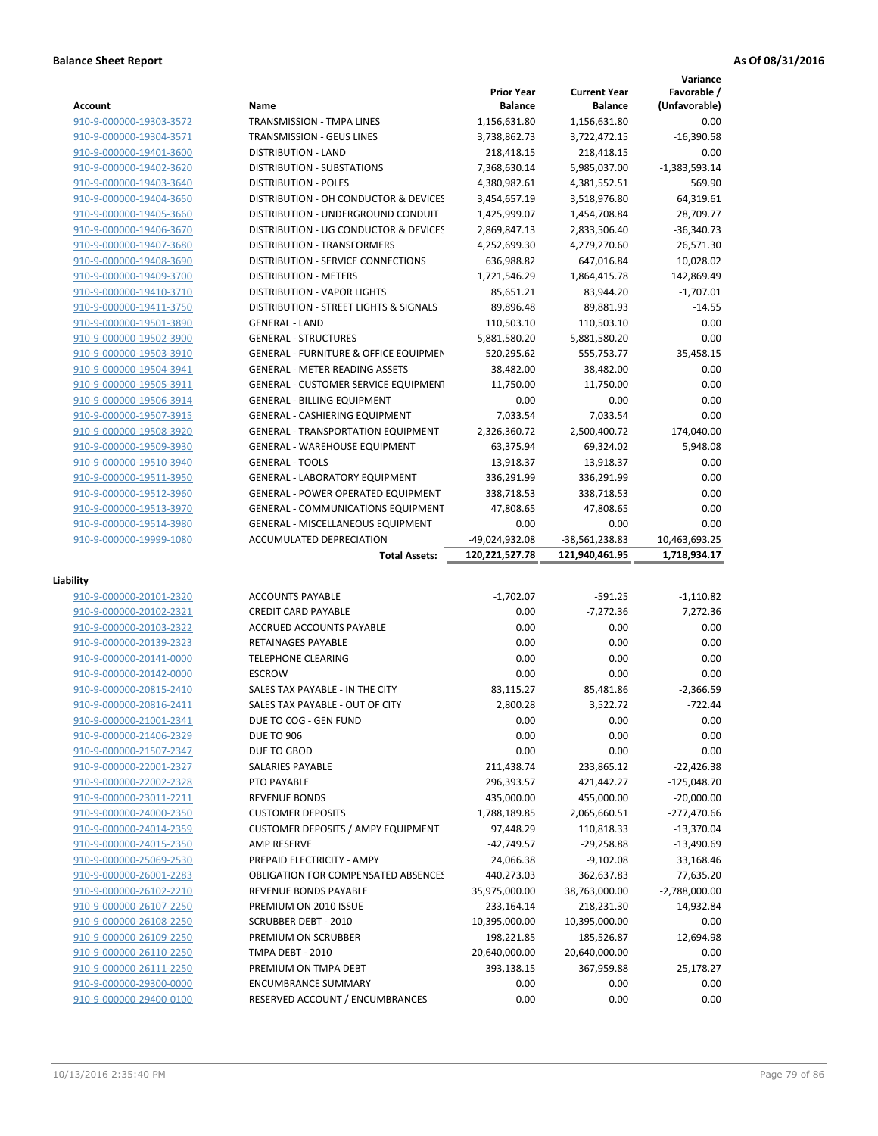|                                                    |                                                               |                                     |                                       | Variance                     |
|----------------------------------------------------|---------------------------------------------------------------|-------------------------------------|---------------------------------------|------------------------------|
| Account                                            | Name                                                          | <b>Prior Year</b><br><b>Balance</b> | <b>Current Year</b><br><b>Balance</b> | Favorable /<br>(Unfavorable) |
| 910-9-000000-19303-3572                            | TRANSMISSION - TMPA LINES                                     | 1,156,631.80                        | 1,156,631.80                          | 0.00                         |
| 910-9-000000-19304-3571                            | <b>TRANSMISSION - GEUS LINES</b>                              | 3,738,862.73                        | 3,722,472.15                          | $-16,390.58$                 |
| 910-9-000000-19401-3600                            | <b>DISTRIBUTION - LAND</b>                                    | 218,418.15                          | 218,418.15                            | 0.00                         |
| 910-9-000000-19402-3620                            | DISTRIBUTION - SUBSTATIONS                                    | 7,368,630.14                        | 5,985,037.00                          | $-1,383,593.14$              |
| 910-9-000000-19403-3640                            | <b>DISTRIBUTION - POLES</b>                                   | 4,380,982.61                        | 4,381,552.51                          | 569.90                       |
| 910-9-000000-19404-3650                            | DISTRIBUTION - OH CONDUCTOR & DEVICES                         | 3,454,657.19                        | 3,518,976.80                          | 64,319.61                    |
| 910-9-000000-19405-3660                            | DISTRIBUTION - UNDERGROUND CONDUIT                            | 1,425,999.07                        | 1,454,708.84                          | 28,709.77                    |
| 910-9-000000-19406-3670                            | DISTRIBUTION - UG CONDUCTOR & DEVICES                         | 2,869,847.13                        | 2,833,506.40                          | $-36,340.73$                 |
| 910-9-000000-19407-3680                            | <b>DISTRIBUTION - TRANSFORMERS</b>                            | 4,252,699.30                        | 4,279,270.60                          | 26,571.30                    |
| 910-9-000000-19408-3690                            | DISTRIBUTION - SERVICE CONNECTIONS                            | 636,988.82                          | 647,016.84                            | 10,028.02                    |
| 910-9-000000-19409-3700                            | <b>DISTRIBUTION - METERS</b>                                  | 1,721,546.29                        | 1,864,415.78                          | 142,869.49                   |
| 910-9-000000-19410-3710                            | <b>DISTRIBUTION - VAPOR LIGHTS</b>                            | 85,651.21                           | 83,944.20                             | $-1,707.01$                  |
| 910-9-000000-19411-3750                            | DISTRIBUTION - STREET LIGHTS & SIGNALS                        | 89,896.48                           | 89,881.93                             | $-14.55$                     |
| 910-9-000000-19501-3890                            | <b>GENERAL - LAND</b>                                         | 110,503.10                          | 110,503.10                            | 0.00                         |
| 910-9-000000-19502-3900                            | <b>GENERAL - STRUCTURES</b>                                   | 5,881,580.20                        | 5,881,580.20                          | 0.00                         |
| 910-9-000000-19503-3910                            | <b>GENERAL - FURNITURE &amp; OFFICE EQUIPMEN</b>              | 520,295.62                          | 555,753.77                            | 35,458.15                    |
| 910-9-000000-19504-3941                            | <b>GENERAL - METER READING ASSETS</b>                         | 38,482.00                           | 38,482.00                             | 0.00                         |
| 910-9-000000-19505-3911                            | <b>GENERAL - CUSTOMER SERVICE EQUIPMENT</b>                   | 11,750.00                           | 11,750.00                             | 0.00                         |
| 910-9-000000-19506-3914                            | <b>GENERAL - BILLING EQUIPMENT</b>                            | 0.00                                | 0.00                                  | 0.00                         |
| 910-9-000000-19507-3915                            | <b>GENERAL - CASHIERING EQUIPMENT</b>                         | 7,033.54                            | 7,033.54                              | 0.00                         |
| 910-9-000000-19508-3920                            | <b>GENERAL - TRANSPORTATION EQUIPMENT</b>                     | 2,326,360.72                        | 2,500,400.72                          | 174,040.00                   |
| 910-9-000000-19509-3930                            | <b>GENERAL - WAREHOUSE EQUIPMENT</b>                          | 63,375.94                           | 69,324.02                             | 5,948.08                     |
| 910-9-000000-19510-3940                            | <b>GENERAL - TOOLS</b>                                        | 13,918.37                           | 13,918.37                             | 0.00                         |
| 910-9-000000-19511-3950                            | <b>GENERAL - LABORATORY EQUIPMENT</b>                         | 336,291.99                          | 336,291.99                            | 0.00                         |
| 910-9-000000-19512-3960                            | <b>GENERAL - POWER OPERATED EQUIPMENT</b>                     | 338,718.53                          | 338,718.53                            | 0.00                         |
| 910-9-000000-19513-3970                            | <b>GENERAL - COMMUNICATIONS EQUIPMENT</b>                     | 47,808.65                           | 47,808.65                             | 0.00                         |
| 910-9-000000-19514-3980                            | <b>GENERAL - MISCELLANEOUS EQUIPMENT</b>                      | 0.00                                | 0.00                                  | 0.00                         |
| 910-9-000000-19999-1080                            | <b>ACCUMULATED DEPRECIATION</b>                               | -49,024,932.08                      | -38,561,238.83                        | 10,463,693.25                |
|                                                    |                                                               |                                     |                                       |                              |
|                                                    | <b>Total Assets:</b>                                          | 120,221,527.78                      | 121,940,461.95                        | 1,718,934.17                 |
|                                                    |                                                               |                                     |                                       |                              |
| Liability                                          |                                                               |                                     |                                       |                              |
| 910-9-000000-20101-2320                            | <b>ACCOUNTS PAYABLE</b>                                       | $-1,702.07$                         | $-591.25$                             | $-1,110.82$                  |
| 910-9-000000-20102-2321                            | <b>CREDIT CARD PAYABLE</b>                                    | 0.00                                | $-7,272.36$                           | 7,272.36                     |
| 910-9-000000-20103-2322                            | <b>ACCRUED ACCOUNTS PAYABLE</b>                               | 0.00                                | 0.00                                  | 0.00                         |
| 910-9-000000-20139-2323                            | <b>RETAINAGES PAYABLE</b>                                     | 0.00                                | 0.00                                  | 0.00                         |
| 910-9-000000-20141-0000                            | <b>TELEPHONE CLEARING</b>                                     | 0.00                                | 0.00                                  | 0.00                         |
| 910-9-000000-20142-0000                            | <b>ESCROW</b>                                                 | 0.00                                | 0.00                                  | 0.00                         |
| 910-9-000000-20815-2410                            | SALES TAX PAYABLE - IN THE CITY                               | 83,115.27                           | 85,481.86                             | $-2.366.59$                  |
| 910-9-000000-20816-2411                            | SALES TAX PAYABLE - OUT OF CITY                               | 2,800.28                            | 3,522.72                              | $-722.44$                    |
| 910-9-000000-21001-2341                            | DUE TO COG - GEN FUND                                         | 0.00                                | 0.00                                  | 0.00                         |
| 910-9-000000-21406-2329                            | <b>DUE TO 906</b>                                             | 0.00                                | 0.00                                  | 0.00                         |
| 910-9-000000-21507-2347                            | DUE TO GBOD                                                   | 0.00                                | 0.00                                  | 0.00                         |
| 910-9-000000-22001-2327                            | <b>SALARIES PAYABLE</b>                                       | 211,438.74                          | 233,865.12                            | $-22,426.38$                 |
| 910-9-000000-22002-2328                            | PTO PAYABLE                                                   | 296,393.57                          | 421,442.27                            | $-125,048.70$                |
| 910-9-000000-23011-2211                            | <b>REVENUE BONDS</b>                                          | 435,000.00                          | 455,000.00                            | $-20,000.00$                 |
| 910-9-000000-24000-2350                            | <b>CUSTOMER DEPOSITS</b>                                      | 1,788,189.85                        | 2,065,660.51                          | $-277,470.66$                |
| 910-9-000000-24014-2359                            | <b>CUSTOMER DEPOSITS / AMPY EQUIPMENT</b>                     | 97,448.29                           | 110,818.33                            | $-13,370.04$                 |
| 910-9-000000-24015-2350                            | AMP RESERVE                                                   | $-42,749.57$                        | $-29,258.88$                          | $-13,490.69$                 |
| 910-9-000000-25069-2530                            | PREPAID ELECTRICITY - AMPY                                    | 24,066.38                           | $-9,102.08$                           | 33,168.46                    |
| 910-9-000000-26001-2283                            | <b>OBLIGATION FOR COMPENSATED ABSENCES</b>                    | 440,273.03                          | 362,637.83                            | 77,635.20                    |
| 910-9-000000-26102-2210                            | REVENUE BONDS PAYABLE                                         | 35,975,000.00                       | 38,763,000.00                         | $-2,788,000.00$              |
| 910-9-000000-26107-2250                            | PREMIUM ON 2010 ISSUE                                         | 233,164.14                          | 218,231.30                            | 14,932.84                    |
| 910-9-000000-26108-2250                            | <b>SCRUBBER DEBT - 2010</b>                                   | 10,395,000.00                       | 10,395,000.00                         | 0.00                         |
| 910-9-000000-26109-2250                            | PREMIUM ON SCRUBBER                                           | 198,221.85                          | 185,526.87                            | 12,694.98                    |
| 910-9-000000-26110-2250                            | TMPA DEBT - 2010                                              | 20,640,000.00                       | 20,640,000.00                         | 0.00                         |
| 910-9-000000-26111-2250                            | PREMIUM ON TMPA DEBT                                          | 393,138.15                          | 367,959.88                            | 25,178.27                    |
| 910-9-000000-29300-0000<br>910-9-000000-29400-0100 | <b>ENCUMBRANCE SUMMARY</b><br>RESERVED ACCOUNT / ENCUMBRANCES | 0.00<br>0.00                        | 0.00<br>0.00                          | 0.00<br>0.00                 |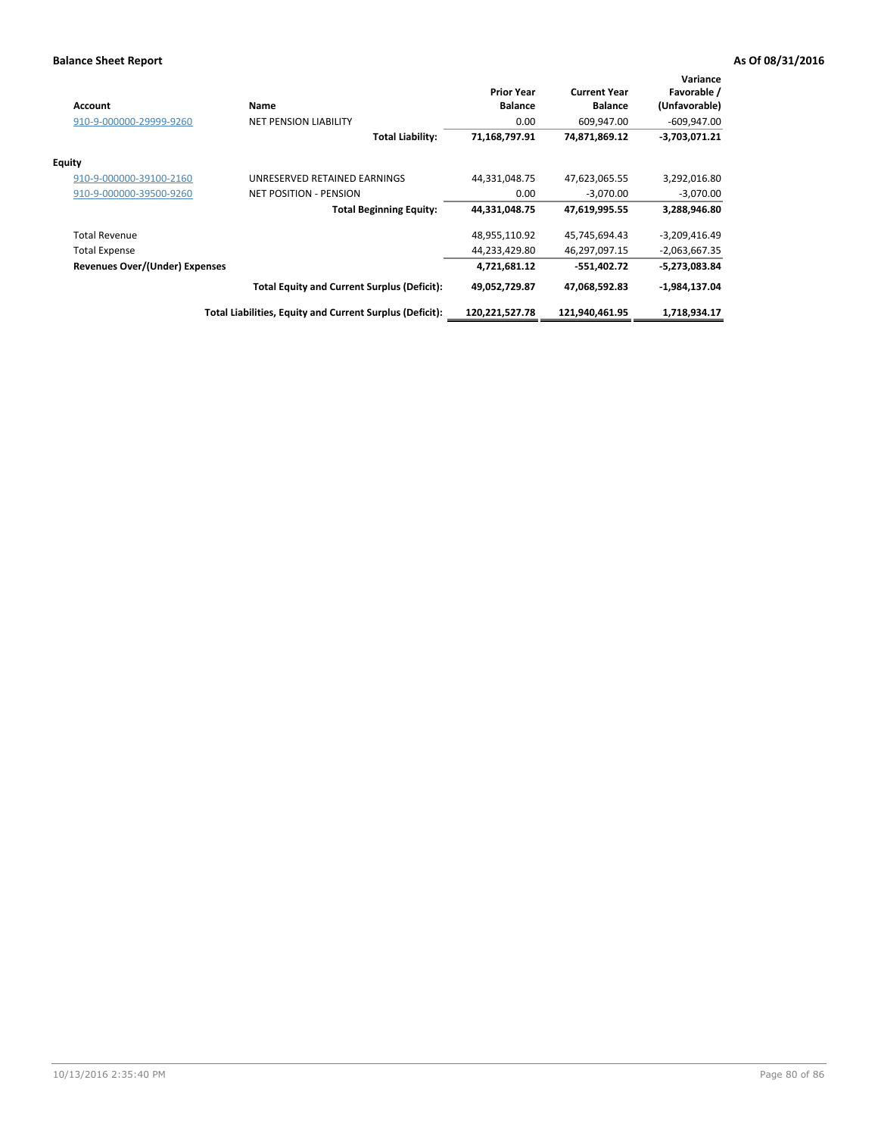| <b>Account</b>                 | <b>Name</b>                                              | <b>Prior Year</b><br><b>Balance</b> | <b>Current Year</b><br><b>Balance</b> | Variance<br>Favorable /<br>(Unfavorable) |
|--------------------------------|----------------------------------------------------------|-------------------------------------|---------------------------------------|------------------------------------------|
| 910-9-000000-29999-9260        | <b>NET PENSION LIABILITY</b>                             | 0.00                                | 609,947.00                            | $-609,947.00$                            |
|                                | <b>Total Liability:</b>                                  | 71,168,797.91                       | 74,871,869.12                         | $-3,703,071.21$                          |
| <b>Equity</b>                  |                                                          |                                     |                                       |                                          |
| 910-9-000000-39100-2160        | UNRESERVED RETAINED EARNINGS                             | 44,331,048.75                       | 47,623,065.55                         | 3,292,016.80                             |
| 910-9-000000-39500-9260        | <b>NET POSITION - PENSION</b>                            | 0.00                                | $-3.070.00$                           | $-3,070.00$                              |
|                                | <b>Total Beginning Equity:</b>                           | 44,331,048.75                       | 47,619,995.55                         | 3,288,946.80                             |
| <b>Total Revenue</b>           |                                                          | 48,955,110.92                       | 45,745,694.43                         | $-3,209,416.49$                          |
| <b>Total Expense</b>           |                                                          | 44,233,429.80                       | 46,297,097.15                         | $-2,063,667.35$                          |
| Revenues Over/(Under) Expenses |                                                          | 4,721,681.12                        | -551,402.72                           | -5,273,083.84                            |
|                                | <b>Total Equity and Current Surplus (Deficit):</b>       | 49,052,729.87                       | 47,068,592.83                         | $-1,984,137.04$                          |
|                                | Total Liabilities, Equity and Current Surplus (Deficit): | 120,221,527.78                      | 121,940,461.95                        | 1,718,934.17                             |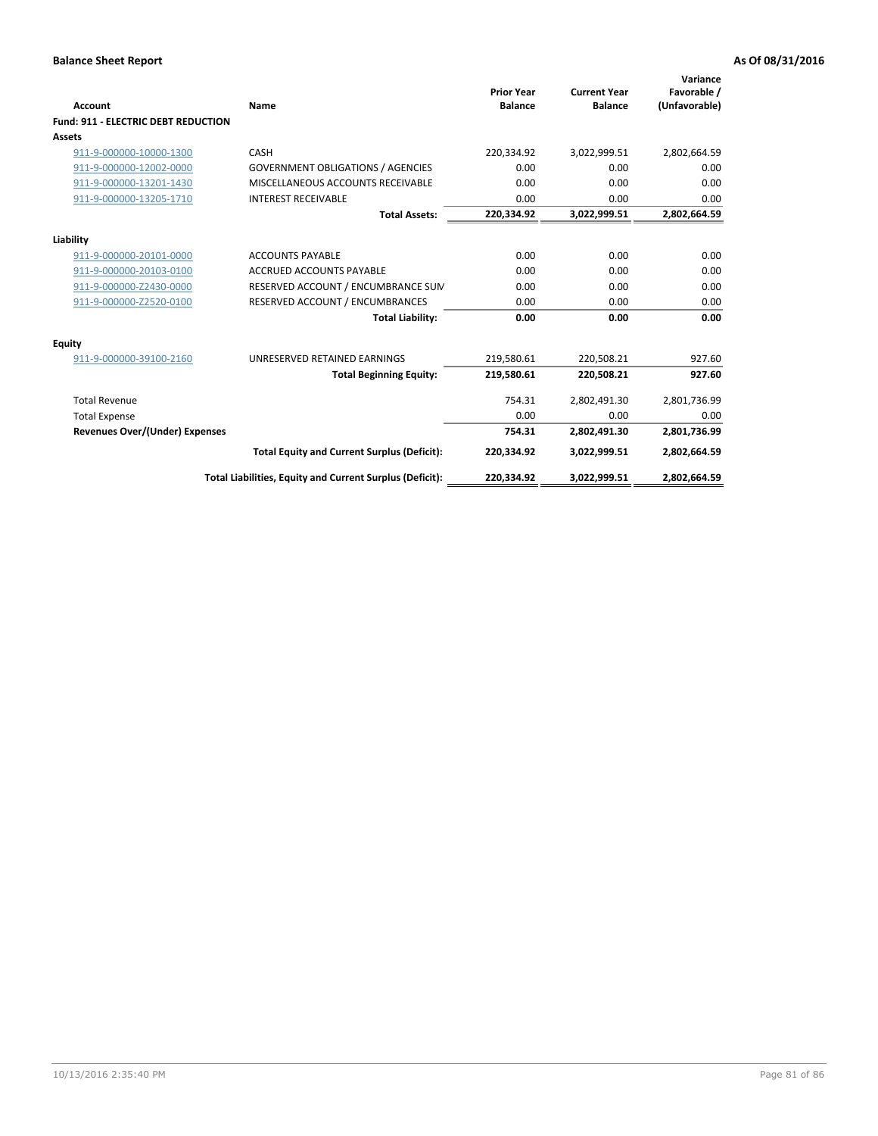| <b>Account</b>                             | Name                                                     | <b>Prior Year</b><br><b>Balance</b> | <b>Current Year</b><br><b>Balance</b> | Variance<br>Favorable /<br>(Unfavorable) |
|--------------------------------------------|----------------------------------------------------------|-------------------------------------|---------------------------------------|------------------------------------------|
| <b>Fund: 911 - ELECTRIC DEBT REDUCTION</b> |                                                          |                                     |                                       |                                          |
| Assets                                     |                                                          |                                     |                                       |                                          |
| 911-9-000000-10000-1300                    | CASH                                                     | 220,334.92                          | 3,022,999.51                          | 2,802,664.59                             |
| 911-9-000000-12002-0000                    | <b>GOVERNMENT OBLIGATIONS / AGENCIES</b>                 | 0.00                                | 0.00                                  | 0.00                                     |
| 911-9-000000-13201-1430                    | MISCELLANEOUS ACCOUNTS RECEIVABLE                        | 0.00                                | 0.00                                  | 0.00                                     |
| 911-9-000000-13205-1710                    | <b>INTEREST RECEIVABLE</b>                               | 0.00                                | 0.00                                  | 0.00                                     |
|                                            | <b>Total Assets:</b>                                     | 220,334.92                          | 3,022,999.51                          | 2,802,664.59                             |
| Liability                                  |                                                          |                                     |                                       |                                          |
| 911-9-000000-20101-0000                    | <b>ACCOUNTS PAYABLE</b>                                  | 0.00                                | 0.00                                  | 0.00                                     |
| 911-9-000000-20103-0100                    | <b>ACCRUED ACCOUNTS PAYABLE</b>                          | 0.00                                | 0.00                                  | 0.00                                     |
| 911-9-000000-Z2430-0000                    | RESERVED ACCOUNT / ENCUMBRANCE SUM                       | 0.00                                | 0.00                                  | 0.00                                     |
| 911-9-000000-Z2520-0100                    | RESERVED ACCOUNT / ENCUMBRANCES                          | 0.00                                | 0.00                                  | 0.00                                     |
|                                            | <b>Total Liability:</b>                                  | 0.00                                | 0.00                                  | 0.00                                     |
| <b>Equity</b>                              |                                                          |                                     |                                       |                                          |
| 911-9-000000-39100-2160                    | UNRESERVED RETAINED EARNINGS                             | 219,580.61                          | 220,508.21                            | 927.60                                   |
|                                            | <b>Total Beginning Equity:</b>                           | 219,580.61                          | 220.508.21                            | 927.60                                   |
| <b>Total Revenue</b>                       |                                                          | 754.31                              | 2,802,491.30                          | 2,801,736.99                             |
| <b>Total Expense</b>                       |                                                          | 0.00                                | 0.00                                  | 0.00                                     |
| <b>Revenues Over/(Under) Expenses</b>      |                                                          | 754.31                              | 2,802,491.30                          | 2,801,736.99                             |
|                                            | <b>Total Equity and Current Surplus (Deficit):</b>       | 220,334.92                          | 3,022,999.51                          | 2,802,664.59                             |
|                                            | Total Liabilities, Equity and Current Surplus (Deficit): | 220,334.92                          | 3,022,999.51                          | 2,802,664.59                             |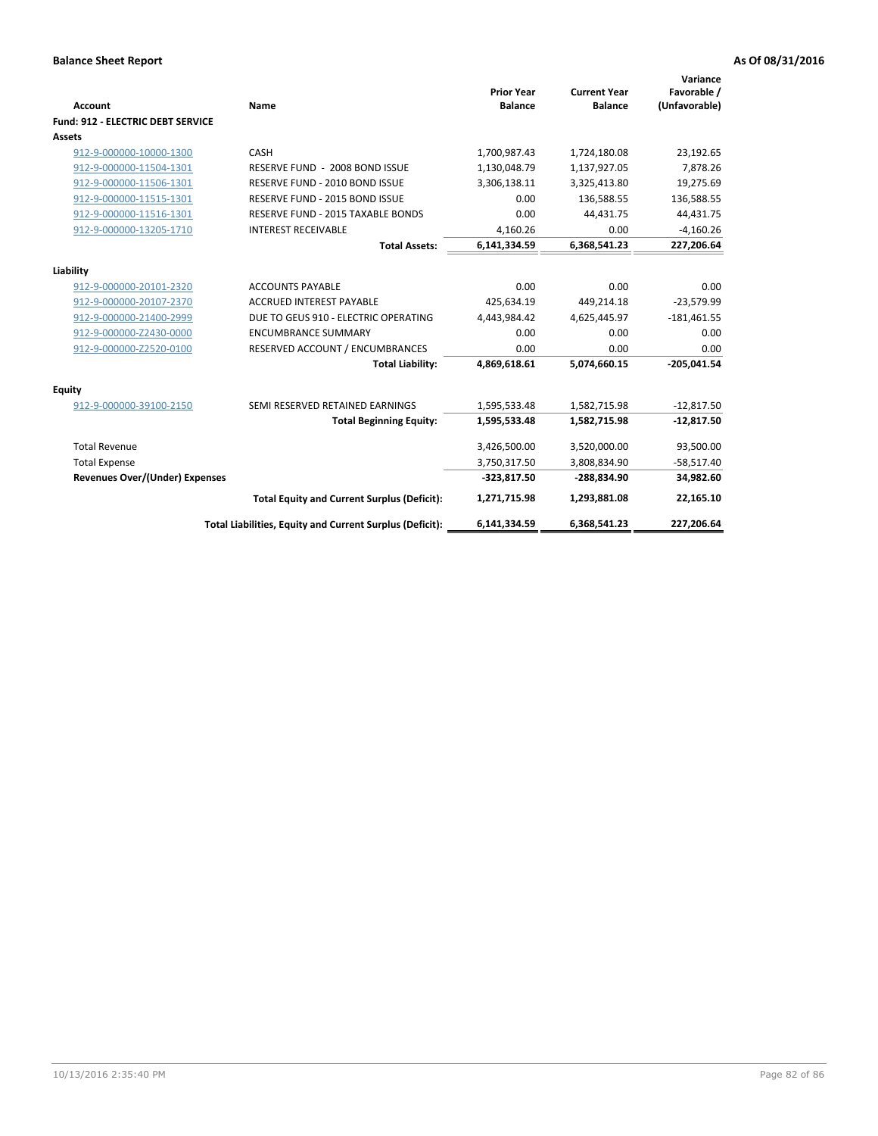| Account                               | Name                                                     | <b>Prior Year</b><br><b>Balance</b> | <b>Current Year</b><br><b>Balance</b> | Variance<br>Favorable /<br>(Unfavorable) |
|---------------------------------------|----------------------------------------------------------|-------------------------------------|---------------------------------------|------------------------------------------|
| Fund: 912 - ELECTRIC DEBT SERVICE     |                                                          |                                     |                                       |                                          |
| <b>Assets</b>                         |                                                          |                                     |                                       |                                          |
| 912-9-000000-10000-1300               | CASH                                                     | 1,700,987.43                        | 1,724,180.08                          | 23,192.65                                |
| 912-9-000000-11504-1301               | RESERVE FUND - 2008 BOND ISSUE                           | 1,130,048.79                        | 1,137,927.05                          | 7,878.26                                 |
| 912-9-000000-11506-1301               | RESERVE FUND - 2010 BOND ISSUE                           | 3,306,138.11                        | 3,325,413.80                          | 19,275.69                                |
| 912-9-000000-11515-1301               | RESERVE FUND - 2015 BOND ISSUE                           | 0.00                                | 136,588.55                            | 136,588.55                               |
| 912-9-000000-11516-1301               | RESERVE FUND - 2015 TAXABLE BONDS                        | 0.00                                | 44,431.75                             | 44,431.75                                |
| 912-9-000000-13205-1710               | <b>INTEREST RECEIVABLE</b>                               | 4,160.26                            | 0.00                                  | $-4,160.26$                              |
|                                       | <b>Total Assets:</b>                                     | 6,141,334.59                        | 6,368,541.23                          | 227,206.64                               |
| Liability                             |                                                          |                                     |                                       |                                          |
| 912-9-000000-20101-2320               | <b>ACCOUNTS PAYABLE</b>                                  | 0.00                                | 0.00                                  | 0.00                                     |
| 912-9-000000-20107-2370               | <b>ACCRUED INTEREST PAYABLE</b>                          | 425,634.19                          | 449,214.18                            | $-23,579.99$                             |
| 912-9-000000-21400-2999               | DUE TO GEUS 910 - ELECTRIC OPERATING                     | 4,443,984.42                        | 4,625,445.97                          | $-181,461.55$                            |
| 912-9-000000-Z2430-0000               | <b>ENCUMBRANCE SUMMARY</b>                               | 0.00                                | 0.00                                  | 0.00                                     |
| 912-9-000000-Z2520-0100               | RESERVED ACCOUNT / ENCUMBRANCES                          | 0.00                                | 0.00                                  | 0.00                                     |
|                                       | <b>Total Liability:</b>                                  | 4,869,618.61                        | 5,074,660.15                          | $-205.041.54$                            |
| Equity                                |                                                          |                                     |                                       |                                          |
| 912-9-000000-39100-2150               | SEMI RESERVED RETAINED EARNINGS                          | 1,595,533.48                        | 1,582,715.98                          | $-12,817.50$                             |
|                                       | <b>Total Beginning Equity:</b>                           | 1,595,533.48                        | 1,582,715.98                          | $-12,817.50$                             |
| <b>Total Revenue</b>                  |                                                          | 3,426,500.00                        | 3,520,000.00                          | 93,500.00                                |
| <b>Total Expense</b>                  |                                                          | 3,750,317.50                        | 3,808,834.90                          | $-58,517.40$                             |
| <b>Revenues Over/(Under) Expenses</b> |                                                          | $-323,817.50$                       | -288,834.90                           | 34,982.60                                |
|                                       | <b>Total Equity and Current Surplus (Deficit):</b>       | 1,271,715.98                        | 1,293,881.08                          | 22,165.10                                |
|                                       | Total Liabilities, Equity and Current Surplus (Deficit): | 6,141,334.59                        | 6,368,541.23                          | 227,206.64                               |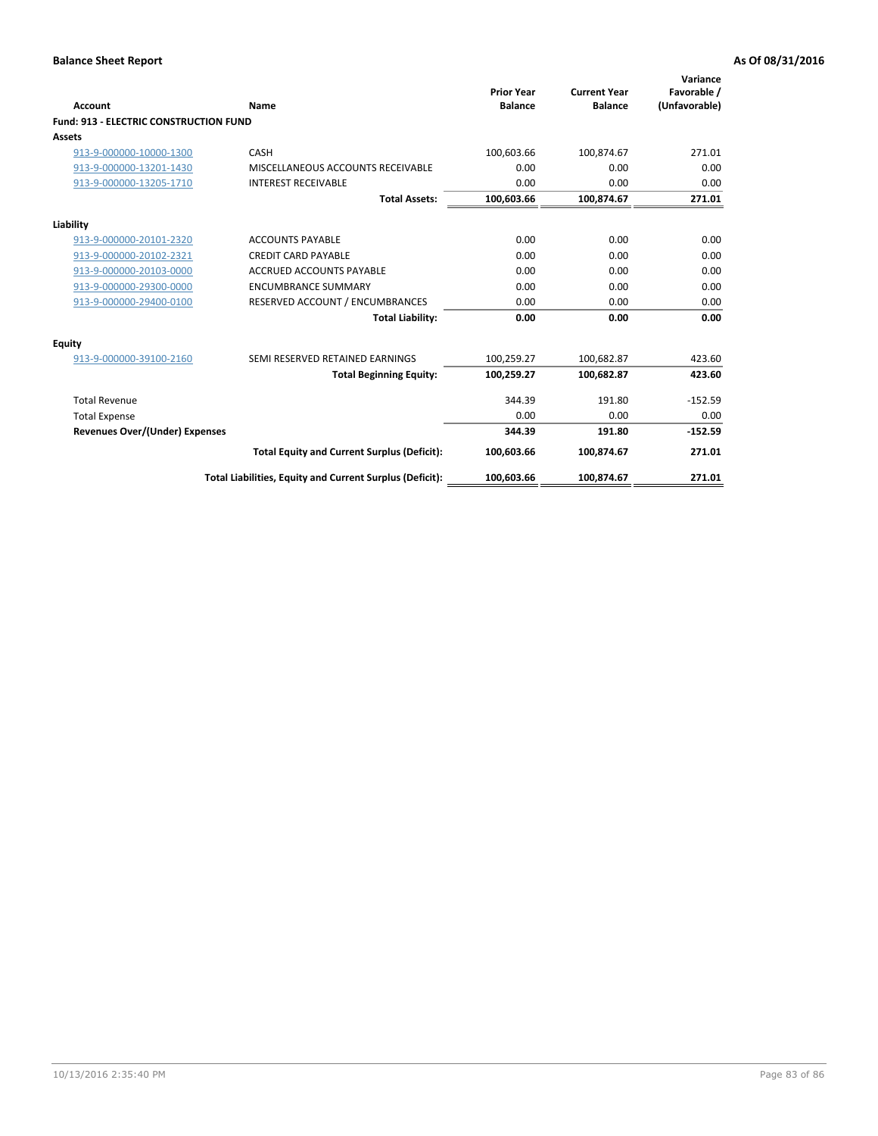| Account                                       | Name                                                     | <b>Prior Year</b><br><b>Balance</b> | <b>Current Year</b><br><b>Balance</b> | Variance<br>Favorable /<br>(Unfavorable) |
|-----------------------------------------------|----------------------------------------------------------|-------------------------------------|---------------------------------------|------------------------------------------|
| <b>Fund: 913 - ELECTRIC CONSTRUCTION FUND</b> |                                                          |                                     |                                       |                                          |
| Assets                                        |                                                          |                                     |                                       |                                          |
| 913-9-000000-10000-1300                       | CASH                                                     | 100,603.66                          | 100,874.67                            | 271.01                                   |
| 913-9-000000-13201-1430                       | MISCELLANEOUS ACCOUNTS RECEIVABLE                        | 0.00                                | 0.00                                  | 0.00                                     |
| 913-9-000000-13205-1710                       | <b>INTEREST RECEIVABLE</b>                               | 0.00                                | 0.00                                  | 0.00                                     |
|                                               | <b>Total Assets:</b>                                     | 100,603.66                          | 100,874.67                            | 271.01                                   |
| Liability                                     |                                                          |                                     |                                       |                                          |
| 913-9-000000-20101-2320                       | <b>ACCOUNTS PAYABLE</b>                                  | 0.00                                | 0.00                                  | 0.00                                     |
| 913-9-000000-20102-2321                       | <b>CREDIT CARD PAYABLE</b>                               | 0.00                                | 0.00                                  | 0.00                                     |
| 913-9-000000-20103-0000                       | <b>ACCRUED ACCOUNTS PAYABLE</b>                          | 0.00                                | 0.00                                  | 0.00                                     |
| 913-9-000000-29300-0000                       | <b>ENCUMBRANCE SUMMARY</b>                               | 0.00                                | 0.00                                  | 0.00                                     |
| 913-9-000000-29400-0100                       | RESERVED ACCOUNT / ENCUMBRANCES                          | 0.00                                | 0.00                                  | 0.00                                     |
|                                               | <b>Total Liability:</b>                                  | 0.00                                | 0.00                                  | 0.00                                     |
| Equity                                        |                                                          |                                     |                                       |                                          |
| 913-9-000000-39100-2160                       | SEMI RESERVED RETAINED EARNINGS                          | 100,259.27                          | 100,682.87                            | 423.60                                   |
|                                               | <b>Total Beginning Equity:</b>                           | 100,259.27                          | 100,682.87                            | 423.60                                   |
| <b>Total Revenue</b>                          |                                                          | 344.39                              | 191.80                                | $-152.59$                                |
| <b>Total Expense</b>                          |                                                          | 0.00                                | 0.00                                  | 0.00                                     |
| <b>Revenues Over/(Under) Expenses</b>         |                                                          | 344.39                              | 191.80                                | $-152.59$                                |
|                                               | <b>Total Equity and Current Surplus (Deficit):</b>       | 100,603.66                          | 100,874.67                            | 271.01                                   |
|                                               | Total Liabilities, Equity and Current Surplus (Deficit): | 100,603.66                          | 100,874.67                            | 271.01                                   |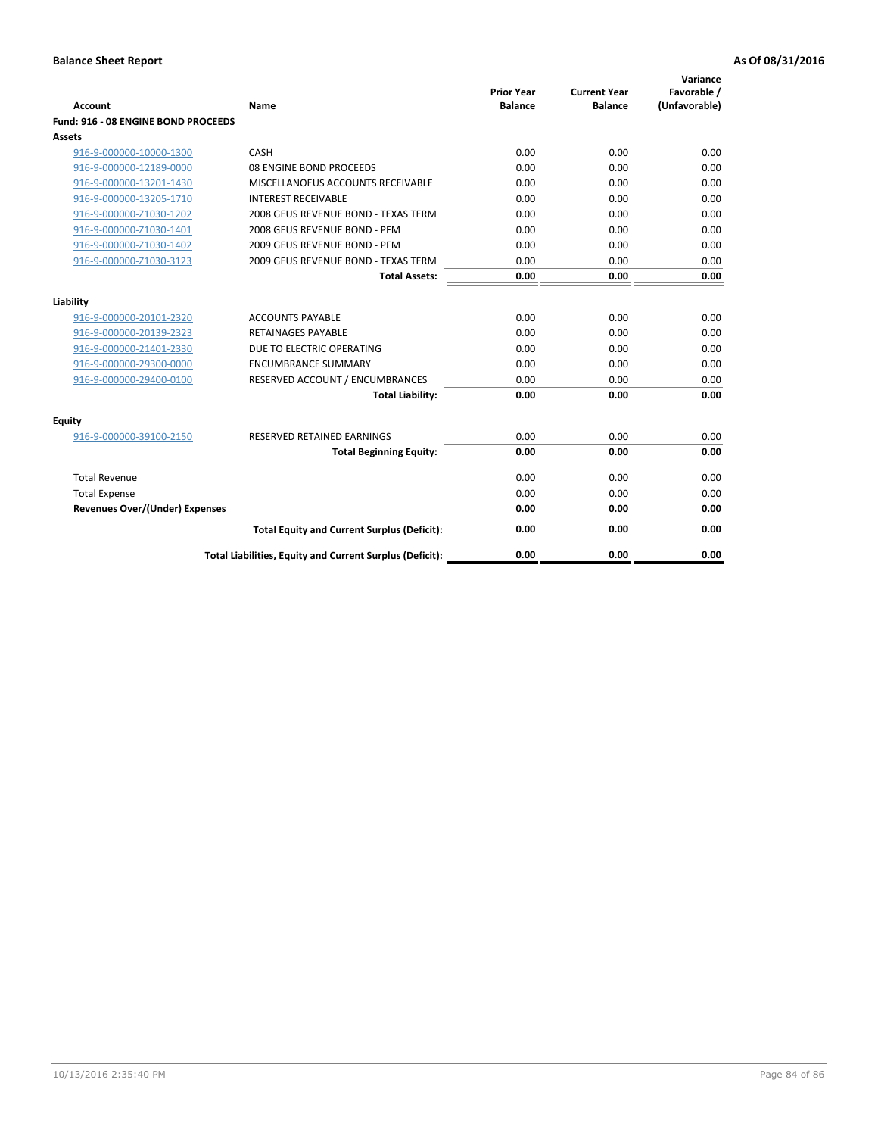| <b>Account</b>                        | Name                                                     | <b>Prior Year</b><br><b>Balance</b> | <b>Current Year</b><br><b>Balance</b> | Variance<br>Favorable /<br>(Unfavorable) |
|---------------------------------------|----------------------------------------------------------|-------------------------------------|---------------------------------------|------------------------------------------|
| Fund: 916 - 08 ENGINE BOND PROCEEDS   |                                                          |                                     |                                       |                                          |
| Assets                                |                                                          |                                     |                                       |                                          |
| 916-9-000000-10000-1300               | CASH                                                     | 0.00                                | 0.00                                  | 0.00                                     |
| 916-9-000000-12189-0000               | 08 ENGINE BOND PROCEEDS                                  | 0.00                                | 0.00                                  | 0.00                                     |
| 916-9-000000-13201-1430               | MISCELLANOEUS ACCOUNTS RECEIVABLE                        | 0.00                                | 0.00                                  | 0.00                                     |
| 916-9-000000-13205-1710               | <b>INTEREST RECEIVABLE</b>                               | 0.00                                | 0.00                                  | 0.00                                     |
| 916-9-000000-Z1030-1202               | 2008 GEUS REVENUE BOND - TEXAS TERM                      | 0.00                                | 0.00                                  | 0.00                                     |
| 916-9-000000-Z1030-1401               | 2008 GEUS REVENUE BOND - PFM                             | 0.00                                | 0.00                                  | 0.00                                     |
| 916-9-000000-Z1030-1402               | 2009 GEUS REVENUE BOND - PFM                             | 0.00                                | 0.00                                  | 0.00                                     |
| 916-9-000000-Z1030-3123               | 2009 GEUS REVENUE BOND - TEXAS TERM                      | 0.00                                | 0.00                                  | 0.00                                     |
|                                       | <b>Total Assets:</b>                                     | 0.00                                | 0.00                                  | 0.00                                     |
| Liability                             |                                                          |                                     |                                       |                                          |
| 916-9-000000-20101-2320               | <b>ACCOUNTS PAYABLE</b>                                  | 0.00                                | 0.00                                  | 0.00                                     |
| 916-9-000000-20139-2323               | <b>RETAINAGES PAYABLE</b>                                | 0.00                                | 0.00                                  | 0.00                                     |
| 916-9-000000-21401-2330               | DUE TO ELECTRIC OPERATING                                | 0.00                                | 0.00                                  | 0.00                                     |
| 916-9-000000-29300-0000               | <b>ENCUMBRANCE SUMMARY</b>                               | 0.00                                | 0.00                                  | 0.00                                     |
| 916-9-000000-29400-0100               | RESERVED ACCOUNT / ENCUMBRANCES                          | 0.00                                | 0.00                                  | 0.00                                     |
|                                       | <b>Total Liability:</b>                                  | 0.00                                | 0.00                                  | 0.00                                     |
|                                       |                                                          |                                     |                                       |                                          |
| Equity                                |                                                          |                                     |                                       |                                          |
| 916-9-000000-39100-2150               | <b>RESERVED RETAINED EARNINGS</b>                        | 0.00                                | 0.00                                  | 0.00                                     |
|                                       | <b>Total Beginning Equity:</b>                           | 0.00                                | 0.00                                  | 0.00                                     |
| <b>Total Revenue</b>                  |                                                          | 0.00                                | 0.00                                  | 0.00                                     |
| <b>Total Expense</b>                  |                                                          | 0.00                                | 0.00                                  | 0.00                                     |
| <b>Revenues Over/(Under) Expenses</b> |                                                          | 0.00                                | 0.00                                  | 0.00                                     |
|                                       | <b>Total Equity and Current Surplus (Deficit):</b>       | 0.00                                | 0.00                                  | 0.00                                     |
|                                       | Total Liabilities, Equity and Current Surplus (Deficit): | 0.00                                | 0.00                                  | 0.00                                     |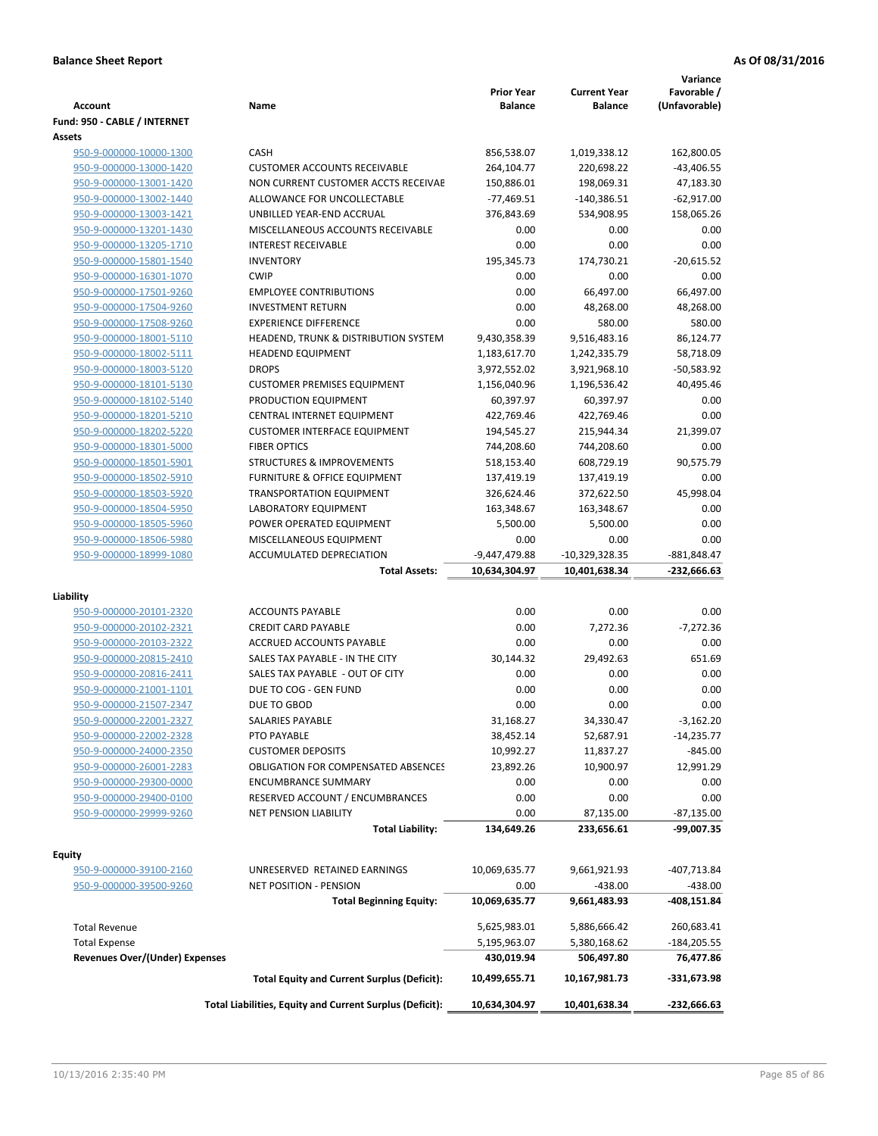| <b>Account</b>                                     | Name                                                     | <b>Prior Year</b><br><b>Balance</b> | <b>Current Year</b><br><b>Balance</b> | Variance<br>Favorable /<br>(Unfavorable) |
|----------------------------------------------------|----------------------------------------------------------|-------------------------------------|---------------------------------------|------------------------------------------|
| Fund: 950 - CABLE / INTERNET                       |                                                          |                                     |                                       |                                          |
| Assets                                             |                                                          |                                     |                                       |                                          |
| 950-9-000000-10000-1300                            | CASH                                                     | 856,538.07                          | 1,019,338.12                          | 162,800.05                               |
| 950-9-000000-13000-1420                            | <b>CUSTOMER ACCOUNTS RECEIVABLE</b>                      | 264,104.77                          | 220,698.22                            | $-43,406.55$                             |
| 950-9-000000-13001-1420                            | NON CURRENT CUSTOMER ACCTS RECEIVAE                      | 150,886.01                          | 198,069.31                            | 47,183.30                                |
| 950-9-000000-13002-1440                            | ALLOWANCE FOR UNCOLLECTABLE                              | $-77,469.51$                        | $-140,386.51$                         | $-62,917.00$                             |
| 950-9-000000-13003-1421                            | UNBILLED YEAR-END ACCRUAL                                | 376,843.69                          | 534,908.95                            | 158,065.26                               |
| 950-9-000000-13201-1430                            | MISCELLANEOUS ACCOUNTS RECEIVABLE                        | 0.00                                | 0.00                                  | 0.00                                     |
| 950-9-000000-13205-1710                            | <b>INTEREST RECEIVABLE</b>                               | 0.00                                | 0.00                                  | 0.00                                     |
| 950-9-000000-15801-1540                            | <b>INVENTORY</b>                                         | 195,345.73                          | 174,730.21                            | $-20,615.52$                             |
| 950-9-000000-16301-1070                            | <b>CWIP</b>                                              | 0.00                                | 0.00                                  | 0.00                                     |
| 950-9-000000-17501-9260                            | <b>EMPLOYEE CONTRIBUTIONS</b>                            | 0.00                                | 66,497.00                             | 66,497.00                                |
| 950-9-000000-17504-9260                            | <b>INVESTMENT RETURN</b>                                 | 0.00                                | 48,268.00                             | 48,268.00                                |
| 950-9-000000-17508-9260                            | <b>EXPERIENCE DIFFERENCE</b>                             | 0.00                                | 580.00                                | 580.00                                   |
| 950-9-000000-18001-5110                            | HEADEND, TRUNK & DISTRIBUTION SYSTEM                     | 9,430,358.39                        | 9,516,483.16                          | 86,124.77                                |
| 950-9-000000-18002-5111                            | <b>HEADEND EQUIPMENT</b>                                 | 1,183,617.70                        | 1,242,335.79                          | 58,718.09                                |
| 950-9-000000-18003-5120                            | <b>DROPS</b>                                             | 3,972,552.02                        | 3,921,968.10                          | -50,583.92                               |
| 950-9-000000-18101-5130                            | <b>CUSTOMER PREMISES EQUIPMENT</b>                       | 1,156,040.96                        | 1,196,536.42                          | 40,495.46                                |
| 950-9-000000-18102-5140                            | PRODUCTION EQUIPMENT                                     | 60,397.97                           | 60,397.97                             | 0.00                                     |
| 950-9-000000-18201-5210                            | CENTRAL INTERNET EQUIPMENT                               | 422,769.46                          | 422,769.46                            | 0.00                                     |
| 950-9-000000-18202-5220                            | <b>CUSTOMER INTERFACE EQUIPMENT</b>                      | 194,545.27                          | 215,944.34                            | 21,399.07                                |
| 950-9-000000-18301-5000                            | <b>FIBER OPTICS</b>                                      | 744,208.60                          | 744,208.60                            | 0.00                                     |
| 950-9-000000-18501-5901                            | <b>STRUCTURES &amp; IMPROVEMENTS</b>                     | 518,153.40                          | 608,729.19                            | 90,575.79                                |
| 950-9-000000-18502-5910                            | <b>FURNITURE &amp; OFFICE EQUIPMENT</b>                  | 137,419.19                          | 137,419.19                            | 0.00                                     |
| 950-9-000000-18503-5920                            | <b>TRANSPORTATION EQUIPMENT</b>                          | 326,624.46                          | 372,622.50                            | 45,998.04                                |
| 950-9-000000-18504-5950                            | LABORATORY EQUIPMENT                                     | 163,348.67                          | 163,348.67                            | 0.00<br>0.00                             |
| 950-9-000000-18505-5960<br>950-9-000000-18506-5980 | POWER OPERATED EQUIPMENT<br>MISCELLANEOUS EQUIPMENT      | 5,500.00<br>0.00                    | 5,500.00<br>0.00                      | 0.00                                     |
| 950-9-000000-18999-1080                            | ACCUMULATED DEPRECIATION                                 | -9,447,479.88                       | $-10,329,328.35$                      | -881,848.47                              |
|                                                    | <b>Total Assets:</b>                                     | 10,634,304.97                       | 10,401,638.34                         | -232,666.63                              |
|                                                    |                                                          |                                     |                                       |                                          |
| Liability                                          |                                                          |                                     |                                       |                                          |
| 950-9-000000-20101-2320                            | <b>ACCOUNTS PAYABLE</b>                                  | 0.00                                | 0.00                                  | 0.00                                     |
| 950-9-000000-20102-2321                            | <b>CREDIT CARD PAYABLE</b>                               | 0.00                                | 7,272.36                              | $-7,272.36$                              |
| 950-9-000000-20103-2322                            | ACCRUED ACCOUNTS PAYABLE                                 | 0.00                                | 0.00                                  | 0.00                                     |
| 950-9-000000-20815-2410                            | SALES TAX PAYABLE - IN THE CITY                          | 30,144.32                           | 29,492.63                             | 651.69                                   |
| 950-9-000000-20816-2411                            | SALES TAX PAYABLE - OUT OF CITY                          | 0.00                                | 0.00                                  | 0.00                                     |
| 950-9-000000-21001-1101                            | DUE TO COG - GEN FUND                                    | 0.00                                | 0.00                                  | 0.00                                     |
| 950-9-000000-21507-2347                            | DUE TO GBOD                                              | 0.00                                | 0.00                                  | 0.00                                     |
| 950-9-000000-22001-2327                            | <b>SALARIES PAYABLE</b>                                  | 31,168.27                           | 34,330.47                             | $-3,162.20$                              |
| 950-9-000000-22002-2328                            | PTO PAYABLE                                              | 38,452.14                           | 52,687.91                             | $-14,235.77$                             |
| 950-9-000000-24000-2350                            | <b>CUSTOMER DEPOSITS</b>                                 | 10,992.27                           | 11,837.27                             | $-845.00$                                |
| 950-9-000000-26001-2283                            | <b>OBLIGATION FOR COMPENSATED ABSENCES</b>               | 23,892.26                           | 10,900.97                             | 12,991.29                                |
| 950-9-000000-29300-0000                            | <b>ENCUMBRANCE SUMMARY</b>                               | 0.00                                | 0.00                                  | 0.00                                     |
| 950-9-000000-29400-0100                            | RESERVED ACCOUNT / ENCUMBRANCES                          | 0.00                                | 0.00                                  | 0.00                                     |
| 950-9-000000-29999-9260                            | <b>NET PENSION LIABILITY</b>                             | 0.00                                | 87,135.00                             | $-87,135.00$                             |
|                                                    | <b>Total Liability:</b>                                  | 134,649.26                          | 233,656.61                            | -99,007.35                               |
| Equity                                             |                                                          |                                     |                                       |                                          |
| 950-9-000000-39100-2160                            | UNRESERVED RETAINED EARNINGS                             | 10,069,635.77                       | 9,661,921.93                          | -407,713.84                              |
| 950-9-000000-39500-9260                            | NET POSITION - PENSION                                   | 0.00                                | $-438.00$                             | $-438.00$                                |
|                                                    | <b>Total Beginning Equity:</b>                           | 10,069,635.77                       | 9,661,483.93                          | -408,151.84                              |
|                                                    |                                                          |                                     |                                       |                                          |
| <b>Total Revenue</b>                               |                                                          | 5,625,983.01                        | 5,886,666.42                          | 260,683.41                               |
| <b>Total Expense</b>                               |                                                          | 5,195,963.07                        | 5,380,168.62                          | -184,205.55                              |
| <b>Revenues Over/(Under) Expenses</b>              |                                                          | 430,019.94                          | 506,497.80                            | 76,477.86                                |
|                                                    | <b>Total Equity and Current Surplus (Deficit):</b>       | 10,499,655.71                       | 10,167,981.73                         | -331,673.98                              |
|                                                    | Total Liabilities, Equity and Current Surplus (Deficit): | 10,634,304.97                       | 10,401,638.34                         | -232,666.63                              |
|                                                    |                                                          |                                     |                                       |                                          |